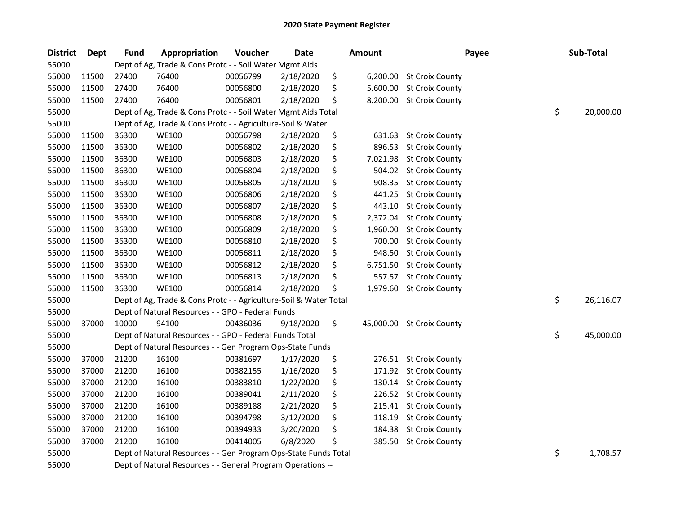| <b>District</b> | <b>Dept</b> | <b>Fund</b> | Appropriation                                                     | Voucher  | <b>Date</b> | <b>Amount</b>   | Payee                  | Sub-Total       |
|-----------------|-------------|-------------|-------------------------------------------------------------------|----------|-------------|-----------------|------------------------|-----------------|
| 55000           |             |             | Dept of Ag, Trade & Cons Protc - - Soil Water Mgmt Aids           |          |             |                 |                        |                 |
| 55000           | 11500       | 27400       | 76400                                                             | 00056799 | 2/18/2020   | \$<br>6,200.00  | <b>St Croix County</b> |                 |
| 55000           | 11500       | 27400       | 76400                                                             | 00056800 | 2/18/2020   | \$<br>5,600.00  | <b>St Croix County</b> |                 |
| 55000           | 11500       | 27400       | 76400                                                             | 00056801 | 2/18/2020   | \$<br>8,200.00  | <b>St Croix County</b> |                 |
| 55000           |             |             | Dept of Ag, Trade & Cons Protc - - Soil Water Mgmt Aids Total     |          |             |                 |                        | \$<br>20,000.00 |
| 55000           |             |             | Dept of Ag, Trade & Cons Protc - - Agriculture-Soil & Water       |          |             |                 |                        |                 |
| 55000           | 11500       | 36300       | <b>WE100</b>                                                      | 00056798 | 2/18/2020   | \$<br>631.63    | <b>St Croix County</b> |                 |
| 55000           | 11500       | 36300       | <b>WE100</b>                                                      | 00056802 | 2/18/2020   | \$<br>896.53    | <b>St Croix County</b> |                 |
| 55000           | 11500       | 36300       | <b>WE100</b>                                                      | 00056803 | 2/18/2020   | \$<br>7,021.98  | <b>St Croix County</b> |                 |
| 55000           | 11500       | 36300       | <b>WE100</b>                                                      | 00056804 | 2/18/2020   | \$              | 504.02 St Croix County |                 |
| 55000           | 11500       | 36300       | <b>WE100</b>                                                      | 00056805 | 2/18/2020   | \$<br>908.35    | <b>St Croix County</b> |                 |
| 55000           | 11500       | 36300       | <b>WE100</b>                                                      | 00056806 | 2/18/2020   | \$<br>441.25    | <b>St Croix County</b> |                 |
| 55000           | 11500       | 36300       | <b>WE100</b>                                                      | 00056807 | 2/18/2020   | \$<br>443.10    | <b>St Croix County</b> |                 |
| 55000           | 11500       | 36300       | <b>WE100</b>                                                      | 00056808 | 2/18/2020   | \$<br>2,372.04  | <b>St Croix County</b> |                 |
| 55000           | 11500       | 36300       | <b>WE100</b>                                                      | 00056809 | 2/18/2020   | \$<br>1,960.00  | <b>St Croix County</b> |                 |
| 55000           | 11500       | 36300       | <b>WE100</b>                                                      | 00056810 | 2/18/2020   | \$<br>700.00    | <b>St Croix County</b> |                 |
| 55000           | 11500       | 36300       | <b>WE100</b>                                                      | 00056811 | 2/18/2020   | \$<br>948.50    | <b>St Croix County</b> |                 |
| 55000           | 11500       | 36300       | <b>WE100</b>                                                      | 00056812 | 2/18/2020   | \$<br>6,751.50  | <b>St Croix County</b> |                 |
| 55000           | 11500       | 36300       | <b>WE100</b>                                                      | 00056813 | 2/18/2020   | \$<br>557.57    | <b>St Croix County</b> |                 |
| 55000           | 11500       | 36300       | <b>WE100</b>                                                      | 00056814 | 2/18/2020   | \$<br>1,979.60  | <b>St Croix County</b> |                 |
| 55000           |             |             | Dept of Ag, Trade & Cons Protc - - Agriculture-Soil & Water Total |          |             |                 |                        | \$<br>26,116.07 |
| 55000           |             |             | Dept of Natural Resources - - GPO - Federal Funds                 |          |             |                 |                        |                 |
| 55000           | 37000       | 10000       | 94100                                                             | 00436036 | 9/18/2020   | \$<br>45,000.00 | <b>St Croix County</b> |                 |
| 55000           |             |             | Dept of Natural Resources - - GPO - Federal Funds Total           |          |             |                 |                        | \$<br>45,000.00 |
| 55000           |             |             | Dept of Natural Resources - - Gen Program Ops-State Funds         |          |             |                 |                        |                 |
| 55000           | 37000       | 21200       | 16100                                                             | 00381697 | 1/17/2020   | \$              | 276.51 St Croix County |                 |
| 55000           | 37000       | 21200       | 16100                                                             | 00382155 | 1/16/2020   | \$              | 171.92 St Croix County |                 |
| 55000           | 37000       | 21200       | 16100                                                             | 00383810 | 1/22/2020   | \$              | 130.14 St Croix County |                 |
| 55000           | 37000       | 21200       | 16100                                                             | 00389041 | 2/11/2020   | \$              | 226.52 St Croix County |                 |
| 55000           | 37000       | 21200       | 16100                                                             | 00389188 | 2/21/2020   | \$<br>215.41    | <b>St Croix County</b> |                 |
| 55000           | 37000       | 21200       | 16100                                                             | 00394798 | 3/12/2020   | \$<br>118.19    | <b>St Croix County</b> |                 |
| 55000           | 37000       | 21200       | 16100                                                             | 00394933 | 3/20/2020   | \$<br>184.38    | <b>St Croix County</b> |                 |
| 55000           | 37000       | 21200       | 16100                                                             | 00414005 | 6/8/2020    | \$<br>385.50    | <b>St Croix County</b> |                 |
| 55000           |             |             | Dept of Natural Resources - - Gen Program Ops-State Funds Total   |          |             |                 |                        | \$<br>1,708.57  |
| 55000           |             |             | Dept of Natural Resources - - General Program Operations --       |          |             |                 |                        |                 |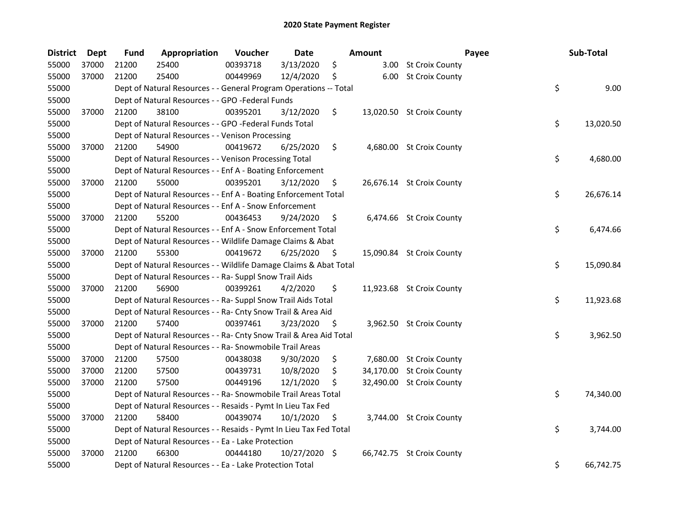| <b>District</b> | <b>Dept</b> | <b>Fund</b> | Appropriation                                                      | Voucher  | Date          |     | <b>Amount</b> |                           | Payee | Sub-Total       |
|-----------------|-------------|-------------|--------------------------------------------------------------------|----------|---------------|-----|---------------|---------------------------|-------|-----------------|
| 55000           | 37000       | 21200       | 25400                                                              | 00393718 | 3/13/2020     | \$  |               | 3.00 St Croix County      |       |                 |
| 55000           | 37000       | 21200       | 25400                                                              | 00449969 | 12/4/2020     | \$  |               | 6.00 St Croix County      |       |                 |
| 55000           |             |             | Dept of Natural Resources - - General Program Operations -- Total  |          |               |     |               |                           |       | \$<br>9.00      |
| 55000           |             |             | Dept of Natural Resources - - GPO -Federal Funds                   |          |               |     |               |                           |       |                 |
| 55000           | 37000       | 21200       | 38100                                                              | 00395201 | 3/12/2020     | \$  |               | 13,020.50 St Croix County |       |                 |
| 55000           |             |             | Dept of Natural Resources - - GPO -Federal Funds Total             |          |               |     |               |                           |       | \$<br>13,020.50 |
| 55000           |             |             | Dept of Natural Resources - - Venison Processing                   |          |               |     |               |                           |       |                 |
| 55000           | 37000       | 21200       | 54900                                                              | 00419672 | 6/25/2020     | \$  |               | 4,680.00 St Croix County  |       |                 |
| 55000           |             |             | Dept of Natural Resources - - Venison Processing Total             |          |               |     |               |                           |       | \$<br>4,680.00  |
| 55000           |             |             | Dept of Natural Resources - - Enf A - Boating Enforcement          |          |               |     |               |                           |       |                 |
| 55000           | 37000       | 21200       | 55000                                                              | 00395201 | 3/12/2020     | \$  |               | 26,676.14 St Croix County |       |                 |
| 55000           |             |             | Dept of Natural Resources - - Enf A - Boating Enforcement Total    |          |               |     |               |                           |       | \$<br>26,676.14 |
| 55000           |             |             | Dept of Natural Resources - - Enf A - Snow Enforcement             |          |               |     |               |                           |       |                 |
| 55000           | 37000       | 21200       | 55200                                                              | 00436453 | 9/24/2020     | \$  |               | 6,474.66 St Croix County  |       |                 |
| 55000           |             |             | Dept of Natural Resources - - Enf A - Snow Enforcement Total       |          |               |     |               |                           |       | \$<br>6,474.66  |
| 55000           |             |             | Dept of Natural Resources - - Wildlife Damage Claims & Abat        |          |               |     |               |                           |       |                 |
| 55000           | 37000       | 21200       | 55300                                                              | 00419672 | 6/25/2020     | S   |               | 15,090.84 St Croix County |       |                 |
| 55000           |             |             | Dept of Natural Resources - - Wildlife Damage Claims & Abat Total  |          |               |     |               |                           |       | \$<br>15,090.84 |
| 55000           |             |             | Dept of Natural Resources - - Ra- Suppl Snow Trail Aids            |          |               |     |               |                           |       |                 |
| 55000           | 37000       | 21200       | 56900                                                              | 00399261 | 4/2/2020      | \$  |               | 11,923.68 St Croix County |       |                 |
| 55000           |             |             | Dept of Natural Resources - - Ra- Suppl Snow Trail Aids Total      |          |               |     |               |                           |       | \$<br>11,923.68 |
| 55000           |             |             | Dept of Natural Resources - - Ra- Cnty Snow Trail & Area Aid       |          |               |     |               |                           |       |                 |
| 55000           | 37000       | 21200       | 57400                                                              | 00397461 | 3/23/2020     | -\$ |               | 3,962.50 St Croix County  |       |                 |
| 55000           |             |             | Dept of Natural Resources - - Ra- Cnty Snow Trail & Area Aid Total |          |               |     |               |                           |       | \$<br>3,962.50  |
| 55000           |             |             | Dept of Natural Resources - - Ra- Snowmobile Trail Areas           |          |               |     |               |                           |       |                 |
| 55000           | 37000       | 21200       | 57500                                                              | 00438038 | 9/30/2020     | \$  |               | 7,680.00 St Croix County  |       |                 |
| 55000           | 37000       | 21200       | 57500                                                              | 00439731 | 10/8/2020     | \$. |               | 34,170.00 St Croix County |       |                 |
| 55000           | 37000       | 21200       | 57500                                                              | 00449196 | 12/1/2020     | Ś   |               | 32,490.00 St Croix County |       |                 |
| 55000           |             |             | Dept of Natural Resources - - Ra- Snowmobile Trail Areas Total     |          |               |     |               |                           |       | \$<br>74,340.00 |
| 55000           |             |             | Dept of Natural Resources - - Resaids - Pymt In Lieu Tax Fed       |          |               |     |               |                           |       |                 |
| 55000           | 37000       | 21200       | 58400                                                              | 00439074 | 10/1/2020     | \$  |               | 3,744.00 St Croix County  |       |                 |
| 55000           |             |             | Dept of Natural Resources - - Resaids - Pymt In Lieu Tax Fed Total |          |               |     |               |                           |       | \$<br>3,744.00  |
| 55000           |             |             | Dept of Natural Resources - - Ea - Lake Protection                 |          |               |     |               |                           |       |                 |
| 55000           | 37000       | 21200       | 66300                                                              | 00444180 | 10/27/2020 \$ |     |               | 66,742.75 St Croix County |       |                 |
| 55000           |             |             | Dept of Natural Resources - - Ea - Lake Protection Total           |          |               |     |               |                           |       | \$<br>66,742.75 |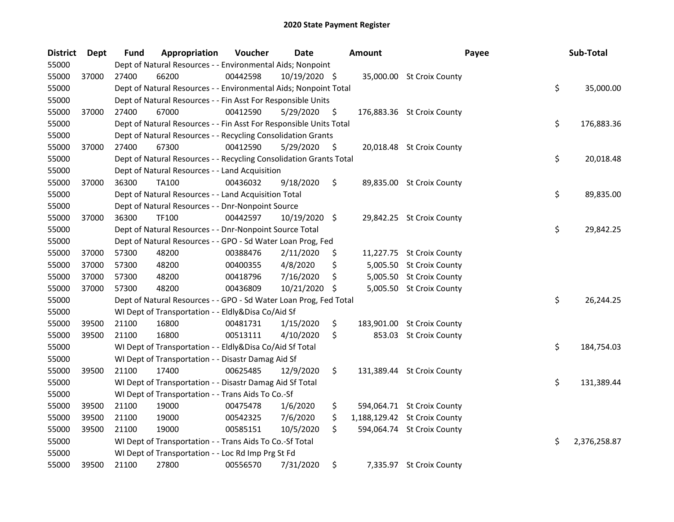| <b>District</b> | <b>Dept</b> | <b>Fund</b> | Appropriation                                                      | Voucher  | <b>Date</b>   | <b>Amount</b>    | Payee                        | Sub-Total          |
|-----------------|-------------|-------------|--------------------------------------------------------------------|----------|---------------|------------------|------------------------------|--------------------|
| 55000           |             |             | Dept of Natural Resources - - Environmental Aids; Nonpoint         |          |               |                  |                              |                    |
| 55000           | 37000       | 27400       | 66200                                                              | 00442598 | 10/19/2020 \$ |                  | 35,000.00 St Croix County    |                    |
| 55000           |             |             | Dept of Natural Resources - - Environmental Aids; Nonpoint Total   |          |               |                  |                              | \$<br>35,000.00    |
| 55000           |             |             | Dept of Natural Resources - - Fin Asst For Responsible Units       |          |               |                  |                              |                    |
| 55000           | 37000       | 27400       | 67000                                                              | 00412590 | 5/29/2020     | \$               | 176,883.36 St Croix County   |                    |
| 55000           |             |             | Dept of Natural Resources - - Fin Asst For Responsible Units Total |          |               |                  |                              | \$<br>176,883.36   |
| 55000           |             |             | Dept of Natural Resources - - Recycling Consolidation Grants       |          |               |                  |                              |                    |
| 55000           | 37000       | 27400       | 67300                                                              | 00412590 | 5/29/2020     | \$               | 20,018.48 St Croix County    |                    |
| 55000           |             |             | Dept of Natural Resources - - Recycling Consolidation Grants Total |          |               |                  |                              | \$<br>20,018.48    |
| 55000           |             |             | Dept of Natural Resources - - Land Acquisition                     |          |               |                  |                              |                    |
| 55000           | 37000       | 36300       | TA100                                                              | 00436032 | 9/18/2020     | \$               | 89,835.00 St Croix County    |                    |
| 55000           |             |             | Dept of Natural Resources - - Land Acquisition Total               |          |               |                  |                              | \$<br>89,835.00    |
| 55000           |             |             | Dept of Natural Resources - - Dnr-Nonpoint Source                  |          |               |                  |                              |                    |
| 55000           | 37000       | 36300       | TF100                                                              | 00442597 | 10/19/2020 \$ |                  | 29,842.25 St Croix County    |                    |
| 55000           |             |             | Dept of Natural Resources - - Dnr-Nonpoint Source Total            |          |               |                  |                              | \$<br>29,842.25    |
| 55000           |             |             | Dept of Natural Resources - - GPO - Sd Water Loan Prog, Fed        |          |               |                  |                              |                    |
| 55000           | 37000       | 57300       | 48200                                                              | 00388476 | 2/11/2020     | \$               | 11,227.75 St Croix County    |                    |
| 55000           | 37000       | 57300       | 48200                                                              | 00400355 | 4/8/2020      | \$<br>5,005.50   | <b>St Croix County</b>       |                    |
| 55000           | 37000       | 57300       | 48200                                                              | 00418796 | 7/16/2020     | \$<br>5,005.50   | <b>St Croix County</b>       |                    |
| 55000           | 37000       | 57300       | 48200                                                              | 00436809 | 10/21/2020    | \$<br>5,005.50   | <b>St Croix County</b>       |                    |
| 55000           |             |             | Dept of Natural Resources - - GPO - Sd Water Loan Prog, Fed Total  |          |               |                  |                              | \$<br>26,244.25    |
| 55000           |             |             | WI Dept of Transportation - - Eldly&Disa Co/Aid Sf                 |          |               |                  |                              |                    |
| 55000           | 39500       | 21100       | 16800                                                              | 00481731 | 1/15/2020     | \$<br>183,901.00 | <b>St Croix County</b>       |                    |
| 55000           | 39500       | 21100       | 16800                                                              | 00513111 | 4/10/2020     | \$<br>853.03     | <b>St Croix County</b>       |                    |
| 55000           |             |             | WI Dept of Transportation - - Eldly&Disa Co/Aid Sf Total           |          |               |                  |                              | \$<br>184,754.03   |
| 55000           |             |             | WI Dept of Transportation - - Disastr Damag Aid Sf                 |          |               |                  |                              |                    |
| 55000           | 39500       | 21100       | 17400                                                              | 00625485 | 12/9/2020     | \$               | 131,389.44 St Croix County   |                    |
| 55000           |             |             | WI Dept of Transportation - - Disastr Damag Aid Sf Total           |          |               |                  |                              | \$<br>131,389.44   |
| 55000           |             |             | WI Dept of Transportation - - Trans Aids To Co.-Sf                 |          |               |                  |                              |                    |
| 55000           | 39500       | 21100       | 19000                                                              | 00475478 | 1/6/2020      | \$               | 594,064.71 St Croix County   |                    |
| 55000           | 39500       | 21100       | 19000                                                              | 00542325 | 7/6/2020      | \$               | 1,188,129.42 St Croix County |                    |
| 55000           | 39500       | 21100       | 19000                                                              | 00585151 | 10/5/2020     | \$               | 594,064.74 St Croix County   |                    |
| 55000           |             |             | WI Dept of Transportation - - Trans Aids To Co.-Sf Total           |          |               |                  |                              | \$<br>2,376,258.87 |
| 55000           |             |             | WI Dept of Transportation - - Loc Rd Imp Prg St Fd                 |          |               |                  |                              |                    |
| 55000           | 39500       | 21100       | 27800                                                              | 00556570 | 7/31/2020     | \$               | 7,335.97 St Croix County     |                    |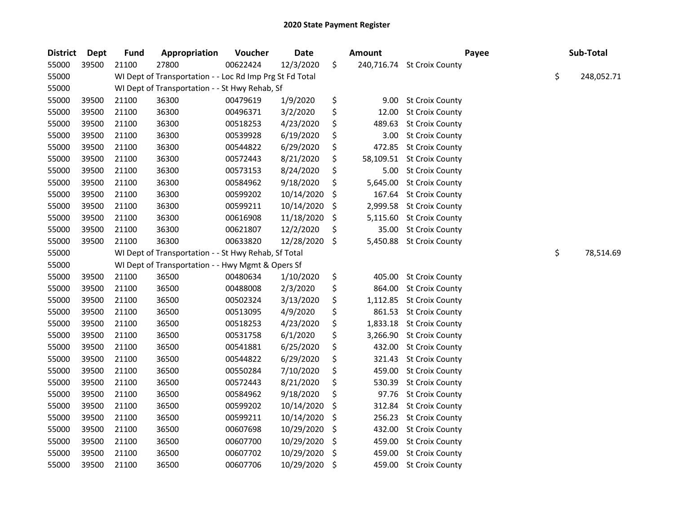| <b>District</b> | <b>Dept</b> | <b>Fund</b> | Appropriation                                            | Voucher  | Date       | <b>Amount</b>    | Payee                  | Sub-Total        |
|-----------------|-------------|-------------|----------------------------------------------------------|----------|------------|------------------|------------------------|------------------|
| 55000           | 39500       | 21100       | 27800                                                    | 00622424 | 12/3/2020  | \$<br>240,716.74 | <b>St Croix County</b> |                  |
| 55000           |             |             | WI Dept of Transportation - - Loc Rd Imp Prg St Fd Total |          |            |                  |                        | \$<br>248,052.71 |
| 55000           |             |             | WI Dept of Transportation - - St Hwy Rehab, Sf           |          |            |                  |                        |                  |
| 55000           | 39500       | 21100       | 36300                                                    | 00479619 | 1/9/2020   | \$<br>9.00       | <b>St Croix County</b> |                  |
| 55000           | 39500       | 21100       | 36300                                                    | 00496371 | 3/2/2020   | \$<br>12.00      | <b>St Croix County</b> |                  |
| 55000           | 39500       | 21100       | 36300                                                    | 00518253 | 4/23/2020  | \$<br>489.63     | <b>St Croix County</b> |                  |
| 55000           | 39500       | 21100       | 36300                                                    | 00539928 | 6/19/2020  | \$<br>3.00       | <b>St Croix County</b> |                  |
| 55000           | 39500       | 21100       | 36300                                                    | 00544822 | 6/29/2020  | \$<br>472.85     | <b>St Croix County</b> |                  |
| 55000           | 39500       | 21100       | 36300                                                    | 00572443 | 8/21/2020  | \$<br>58,109.51  | <b>St Croix County</b> |                  |
| 55000           | 39500       | 21100       | 36300                                                    | 00573153 | 8/24/2020  | \$<br>5.00       | <b>St Croix County</b> |                  |
| 55000           | 39500       | 21100       | 36300                                                    | 00584962 | 9/18/2020  | \$<br>5,645.00   | <b>St Croix County</b> |                  |
| 55000           | 39500       | 21100       | 36300                                                    | 00599202 | 10/14/2020 | \$<br>167.64     | <b>St Croix County</b> |                  |
| 55000           | 39500       | 21100       | 36300                                                    | 00599211 | 10/14/2020 | \$<br>2,999.58   | <b>St Croix County</b> |                  |
| 55000           | 39500       | 21100       | 36300                                                    | 00616908 | 11/18/2020 | \$<br>5,115.60   | <b>St Croix County</b> |                  |
| 55000           | 39500       | 21100       | 36300                                                    | 00621807 | 12/2/2020  | \$<br>35.00      | <b>St Croix County</b> |                  |
| 55000           | 39500       | 21100       | 36300                                                    | 00633820 | 12/28/2020 | \$<br>5,450.88   | <b>St Croix County</b> |                  |
| 55000           |             |             | WI Dept of Transportation - - St Hwy Rehab, Sf Total     |          |            |                  |                        | \$<br>78,514.69  |
| 55000           |             |             | WI Dept of Transportation - - Hwy Mgmt & Opers Sf        |          |            |                  |                        |                  |
| 55000           | 39500       | 21100       | 36500                                                    | 00480634 | 1/10/2020  | \$<br>405.00     | <b>St Croix County</b> |                  |
| 55000           | 39500       | 21100       | 36500                                                    | 00488008 | 2/3/2020   | \$<br>864.00     | <b>St Croix County</b> |                  |
| 55000           | 39500       | 21100       | 36500                                                    | 00502324 | 3/13/2020  | \$<br>1,112.85   | <b>St Croix County</b> |                  |
| 55000           | 39500       | 21100       | 36500                                                    | 00513095 | 4/9/2020   | \$<br>861.53     | <b>St Croix County</b> |                  |
| 55000           | 39500       | 21100       | 36500                                                    | 00518253 | 4/23/2020  | \$<br>1,833.18   | <b>St Croix County</b> |                  |
| 55000           | 39500       | 21100       | 36500                                                    | 00531758 | 6/1/2020   | \$<br>3,266.90   | <b>St Croix County</b> |                  |
| 55000           | 39500       | 21100       | 36500                                                    | 00541881 | 6/25/2020  | \$<br>432.00     | <b>St Croix County</b> |                  |
| 55000           | 39500       | 21100       | 36500                                                    | 00544822 | 6/29/2020  | \$<br>321.43     | <b>St Croix County</b> |                  |
| 55000           | 39500       | 21100       | 36500                                                    | 00550284 | 7/10/2020  | \$<br>459.00     | <b>St Croix County</b> |                  |
| 55000           | 39500       | 21100       | 36500                                                    | 00572443 | 8/21/2020  | \$<br>530.39     | <b>St Croix County</b> |                  |
| 55000           | 39500       | 21100       | 36500                                                    | 00584962 | 9/18/2020  | \$<br>97.76      | <b>St Croix County</b> |                  |
| 55000           | 39500       | 21100       | 36500                                                    | 00599202 | 10/14/2020 | \$<br>312.84     | <b>St Croix County</b> |                  |
| 55000           | 39500       | 21100       | 36500                                                    | 00599211 | 10/14/2020 | \$<br>256.23     | <b>St Croix County</b> |                  |
| 55000           | 39500       | 21100       | 36500                                                    | 00607698 | 10/29/2020 | \$<br>432.00     | <b>St Croix County</b> |                  |
| 55000           | 39500       | 21100       | 36500                                                    | 00607700 | 10/29/2020 | \$<br>459.00     | <b>St Croix County</b> |                  |
| 55000           | 39500       | 21100       | 36500                                                    | 00607702 | 10/29/2020 | \$<br>459.00     | <b>St Croix County</b> |                  |
| 55000           | 39500       | 21100       | 36500                                                    | 00607706 | 10/29/2020 | \$<br>459.00     | <b>St Croix County</b> |                  |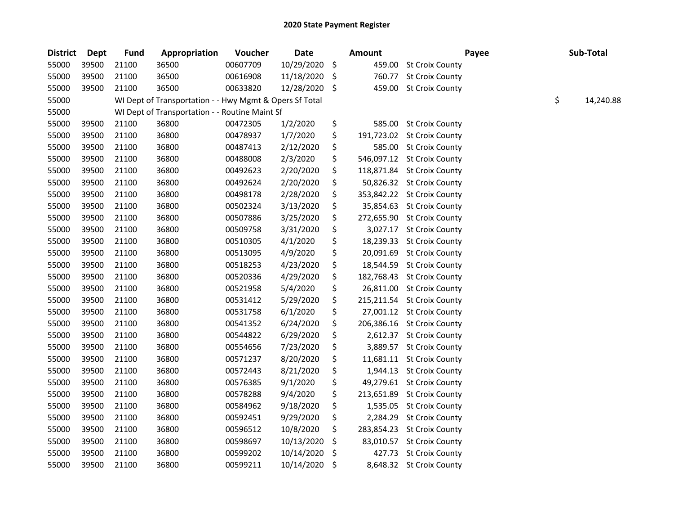| <b>District</b> | <b>Dept</b> | <b>Fund</b> | Appropriation                                           | Voucher  | <b>Date</b> |     | <b>Amount</b> | Payee                      |    | Sub-Total |
|-----------------|-------------|-------------|---------------------------------------------------------|----------|-------------|-----|---------------|----------------------------|----|-----------|
| 55000           | 39500       | 21100       | 36500                                                   | 00607709 | 10/29/2020  | \$  | 459.00        | <b>St Croix County</b>     |    |           |
| 55000           | 39500       | 21100       | 36500                                                   | 00616908 | 11/18/2020  | \$. | 760.77        | <b>St Croix County</b>     |    |           |
| 55000           | 39500       | 21100       | 36500                                                   | 00633820 | 12/28/2020  | \$  | 459.00        | <b>St Croix County</b>     |    |           |
| 55000           |             |             | WI Dept of Transportation - - Hwy Mgmt & Opers Sf Total |          |             |     |               |                            | \$ | 14,240.88 |
| 55000           |             |             | WI Dept of Transportation - - Routine Maint Sf          |          |             |     |               |                            |    |           |
| 55000           | 39500       | 21100       | 36800                                                   | 00472305 | 1/2/2020    | \$  | 585.00        | <b>St Croix County</b>     |    |           |
| 55000           | 39500       | 21100       | 36800                                                   | 00478937 | 1/7/2020    | \$  | 191,723.02    | <b>St Croix County</b>     |    |           |
| 55000           | 39500       | 21100       | 36800                                                   | 00487413 | 2/12/2020   | \$  | 585.00        | <b>St Croix County</b>     |    |           |
| 55000           | 39500       | 21100       | 36800                                                   | 00488008 | 2/3/2020    | \$  |               | 546,097.12 St Croix County |    |           |
| 55000           | 39500       | 21100       | 36800                                                   | 00492623 | 2/20/2020   | \$  | 118,871.84    | <b>St Croix County</b>     |    |           |
| 55000           | 39500       | 21100       | 36800                                                   | 00492624 | 2/20/2020   | \$  |               | 50,826.32 St Croix County  |    |           |
| 55000           | 39500       | 21100       | 36800                                                   | 00498178 | 2/28/2020   | \$  |               | 353,842.22 St Croix County |    |           |
| 55000           | 39500       | 21100       | 36800                                                   | 00502324 | 3/13/2020   | \$  | 35,854.63     | <b>St Croix County</b>     |    |           |
| 55000           | 39500       | 21100       | 36800                                                   | 00507886 | 3/25/2020   | \$  | 272,655.90    | <b>St Croix County</b>     |    |           |
| 55000           | 39500       | 21100       | 36800                                                   | 00509758 | 3/31/2020   | \$  | 3,027.17      | <b>St Croix County</b>     |    |           |
| 55000           | 39500       | 21100       | 36800                                                   | 00510305 | 4/1/2020    | \$  | 18,239.33     | <b>St Croix County</b>     |    |           |
| 55000           | 39500       | 21100       | 36800                                                   | 00513095 | 4/9/2020    | \$  | 20,091.69     | <b>St Croix County</b>     |    |           |
| 55000           | 39500       | 21100       | 36800                                                   | 00518253 | 4/23/2020   | \$  | 18,544.59     | <b>St Croix County</b>     |    |           |
| 55000           | 39500       | 21100       | 36800                                                   | 00520336 | 4/29/2020   | \$  | 182,768.43    | <b>St Croix County</b>     |    |           |
| 55000           | 39500       | 21100       | 36800                                                   | 00521958 | 5/4/2020    | \$  | 26,811.00     | <b>St Croix County</b>     |    |           |
| 55000           | 39500       | 21100       | 36800                                                   | 00531412 | 5/29/2020   | \$  | 215,211.54    | <b>St Croix County</b>     |    |           |
| 55000           | 39500       | 21100       | 36800                                                   | 00531758 | 6/1/2020    | \$  | 27,001.12     | <b>St Croix County</b>     |    |           |
| 55000           | 39500       | 21100       | 36800                                                   | 00541352 | 6/24/2020   | \$  | 206,386.16    | <b>St Croix County</b>     |    |           |
| 55000           | 39500       | 21100       | 36800                                                   | 00544822 | 6/29/2020   | \$  | 2,612.37      | <b>St Croix County</b>     |    |           |
| 55000           | 39500       | 21100       | 36800                                                   | 00554656 | 7/23/2020   | \$  | 3,889.57      | <b>St Croix County</b>     |    |           |
| 55000           | 39500       | 21100       | 36800                                                   | 00571237 | 8/20/2020   | \$  | 11,681.11     | <b>St Croix County</b>     |    |           |
| 55000           | 39500       | 21100       | 36800                                                   | 00572443 | 8/21/2020   | \$  | 1,944.13      | <b>St Croix County</b>     |    |           |
| 55000           | 39500       | 21100       | 36800                                                   | 00576385 | 9/1/2020    | \$  |               | 49,279.61 St Croix County  |    |           |
| 55000           | 39500       | 21100       | 36800                                                   | 00578288 | 9/4/2020    | \$  | 213,651.89    | <b>St Croix County</b>     |    |           |
| 55000           | 39500       | 21100       | 36800                                                   | 00584962 | 9/18/2020   | \$  | 1,535.05      | <b>St Croix County</b>     |    |           |
| 55000           | 39500       | 21100       | 36800                                                   | 00592451 | 9/29/2020   | \$  | 2,284.29      | <b>St Croix County</b>     |    |           |
| 55000           | 39500       | 21100       | 36800                                                   | 00596512 | 10/8/2020   | \$  | 283,854.23    | <b>St Croix County</b>     |    |           |
| 55000           | 39500       | 21100       | 36800                                                   | 00598697 | 10/13/2020  | \$  | 83,010.57     | <b>St Croix County</b>     |    |           |
| 55000           | 39500       | 21100       | 36800                                                   | 00599202 | 10/14/2020  | \$  | 427.73        | <b>St Croix County</b>     |    |           |
| 55000           | 39500       | 21100       | 36800                                                   | 00599211 | 10/14/2020  | \$  |               | 8,648.32 St Croix County   |    |           |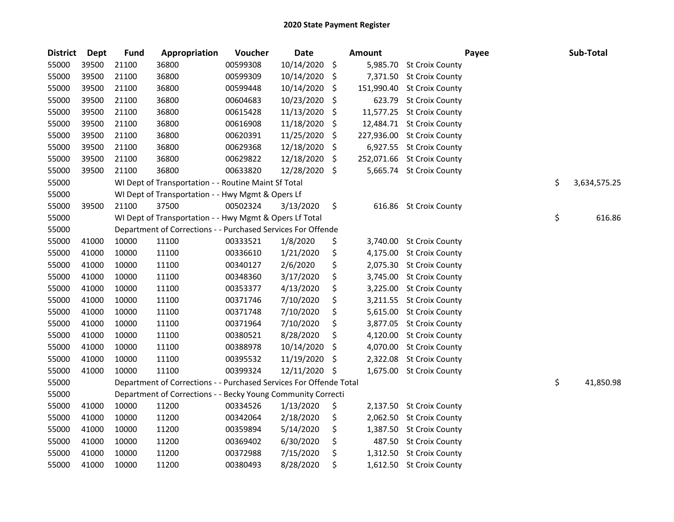| <b>District</b> | <b>Dept</b> | <b>Fund</b> | Appropriation                                                      | Voucher  | <b>Date</b> | <b>Amount</b>    |                          | Payee | Sub-Total    |
|-----------------|-------------|-------------|--------------------------------------------------------------------|----------|-------------|------------------|--------------------------|-------|--------------|
| 55000           | 39500       | 21100       | 36800                                                              | 00599308 | 10/14/2020  | \$<br>5,985.70   | <b>St Croix County</b>   |       |              |
| 55000           | 39500       | 21100       | 36800                                                              | 00599309 | 10/14/2020  | \$<br>7,371.50   | <b>St Croix County</b>   |       |              |
| 55000           | 39500       | 21100       | 36800                                                              | 00599448 | 10/14/2020  | \$<br>151,990.40 | <b>St Croix County</b>   |       |              |
| 55000           | 39500       | 21100       | 36800                                                              | 00604683 | 10/23/2020  | \$<br>623.79     | <b>St Croix County</b>   |       |              |
| 55000           | 39500       | 21100       | 36800                                                              | 00615428 | 11/13/2020  | \$<br>11,577.25  | <b>St Croix County</b>   |       |              |
| 55000           | 39500       | 21100       | 36800                                                              | 00616908 | 11/18/2020  | \$<br>12,484.71  | <b>St Croix County</b>   |       |              |
| 55000           | 39500       | 21100       | 36800                                                              | 00620391 | 11/25/2020  | \$<br>227,936.00 | <b>St Croix County</b>   |       |              |
| 55000           | 39500       | 21100       | 36800                                                              | 00629368 | 12/18/2020  | \$<br>6,927.55   | <b>St Croix County</b>   |       |              |
| 55000           | 39500       | 21100       | 36800                                                              | 00629822 | 12/18/2020  | \$<br>252,071.66 | <b>St Croix County</b>   |       |              |
| 55000           | 39500       | 21100       | 36800                                                              | 00633820 | 12/28/2020  | \$<br>5,665.74   | <b>St Croix County</b>   |       |              |
| 55000           |             |             | WI Dept of Transportation - - Routine Maint Sf Total               |          |             |                  |                          | \$    | 3,634,575.25 |
| 55000           |             |             | WI Dept of Transportation - - Hwy Mgmt & Opers Lf                  |          |             |                  |                          |       |              |
| 55000           | 39500       | 21100       | 37500                                                              | 00502324 | 3/13/2020   | \$<br>616.86     | <b>St Croix County</b>   |       |              |
| 55000           |             |             | WI Dept of Transportation - - Hwy Mgmt & Opers Lf Total            |          |             |                  |                          | \$    | 616.86       |
| 55000           |             |             | Department of Corrections - - Purchased Services For Offende       |          |             |                  |                          |       |              |
| 55000           | 41000       | 10000       | 11100                                                              | 00333521 | 1/8/2020    | \$<br>3,740.00   | <b>St Croix County</b>   |       |              |
| 55000           | 41000       | 10000       | 11100                                                              | 00336610 | 1/21/2020   | \$<br>4,175.00   | <b>St Croix County</b>   |       |              |
| 55000           | 41000       | 10000       | 11100                                                              | 00340127 | 2/6/2020    | \$<br>2,075.30   | <b>St Croix County</b>   |       |              |
| 55000           | 41000       | 10000       | 11100                                                              | 00348360 | 3/17/2020   | \$<br>3,745.00   | <b>St Croix County</b>   |       |              |
| 55000           | 41000       | 10000       | 11100                                                              | 00353377 | 4/13/2020   | \$<br>3,225.00   | <b>St Croix County</b>   |       |              |
| 55000           | 41000       | 10000       | 11100                                                              | 00371746 | 7/10/2020   | \$<br>3,211.55   | <b>St Croix County</b>   |       |              |
| 55000           | 41000       | 10000       | 11100                                                              | 00371748 | 7/10/2020   | \$<br>5,615.00   | <b>St Croix County</b>   |       |              |
| 55000           | 41000       | 10000       | 11100                                                              | 00371964 | 7/10/2020   | \$<br>3,877.05   | <b>St Croix County</b>   |       |              |
| 55000           | 41000       | 10000       | 11100                                                              | 00380521 | 8/28/2020   | \$<br>4,120.00   | <b>St Croix County</b>   |       |              |
| 55000           | 41000       | 10000       | 11100                                                              | 00388978 | 10/14/2020  | \$<br>4,070.00   | <b>St Croix County</b>   |       |              |
| 55000           | 41000       | 10000       | 11100                                                              | 00395532 | 11/19/2020  | \$<br>2,322.08   | <b>St Croix County</b>   |       |              |
| 55000           | 41000       | 10000       | 11100                                                              | 00399324 | 12/11/2020  | \$<br>1,675.00   | <b>St Croix County</b>   |       |              |
| 55000           |             |             | Department of Corrections - - Purchased Services For Offende Total |          |             |                  |                          | \$    | 41,850.98    |
| 55000           |             |             | Department of Corrections - - Becky Young Community Correcti       |          |             |                  |                          |       |              |
| 55000           | 41000       | 10000       | 11200                                                              | 00334526 | 1/13/2020   | \$<br>2,137.50   | <b>St Croix County</b>   |       |              |
| 55000           | 41000       | 10000       | 11200                                                              | 00342064 | 2/18/2020   | \$<br>2,062.50   | <b>St Croix County</b>   |       |              |
| 55000           | 41000       | 10000       | 11200                                                              | 00359894 | 5/14/2020   | \$<br>1,387.50   | <b>St Croix County</b>   |       |              |
| 55000           | 41000       | 10000       | 11200                                                              | 00369402 | 6/30/2020   | \$<br>487.50     | <b>St Croix County</b>   |       |              |
| 55000           | 41000       | 10000       | 11200                                                              | 00372988 | 7/15/2020   | \$<br>1,312.50   | <b>St Croix County</b>   |       |              |
| 55000           | 41000       | 10000       | 11200                                                              | 00380493 | 8/28/2020   | \$               | 1,612.50 St Croix County |       |              |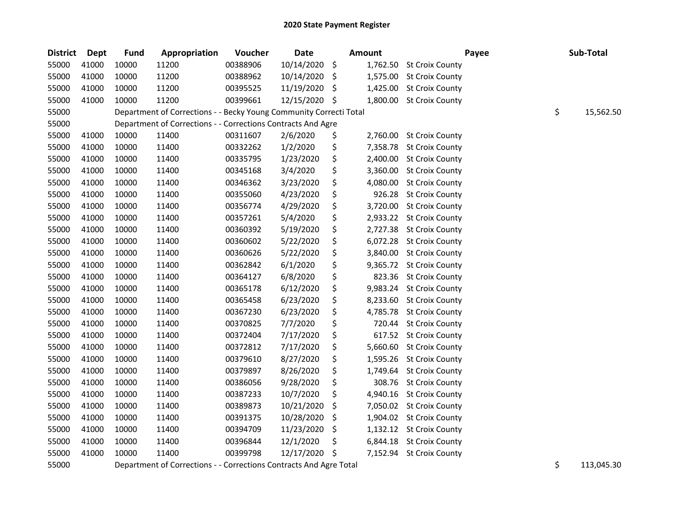| <b>District</b> | <b>Dept</b> | <b>Fund</b> | Appropriation                                                      | Voucher  | Date       |     | <b>Amount</b> | Payee                    |    | Sub-Total |
|-----------------|-------------|-------------|--------------------------------------------------------------------|----------|------------|-----|---------------|--------------------------|----|-----------|
| 55000           | 41000       | 10000       | 11200                                                              | 00388906 | 10/14/2020 | \$  | 1,762.50      | <b>St Croix County</b>   |    |           |
| 55000           | 41000       | 10000       | 11200                                                              | 00388962 | 10/14/2020 | \$. | 1,575.00      | <b>St Croix County</b>   |    |           |
| 55000           | 41000       | 10000       | 11200                                                              | 00395525 | 11/19/2020 | \$, | 1,425.00      | <b>St Croix County</b>   |    |           |
| 55000           | 41000       | 10000       | 11200                                                              | 00399661 | 12/15/2020 | \$. | 1,800.00      | <b>St Croix County</b>   |    |           |
| 55000           |             |             | Department of Corrections - - Becky Young Community Correcti Total |          |            |     |               |                          | \$ | 15,562.50 |
| 55000           |             |             | Department of Corrections - - Corrections Contracts And Agre       |          |            |     |               |                          |    |           |
| 55000           | 41000       | 10000       | 11400                                                              | 00311607 | 2/6/2020   | \$  | 2,760.00      | <b>St Croix County</b>   |    |           |
| 55000           | 41000       | 10000       | 11400                                                              | 00332262 | 1/2/2020   | \$  | 7,358.78      | <b>St Croix County</b>   |    |           |
| 55000           | 41000       | 10000       | 11400                                                              | 00335795 | 1/23/2020  | \$  | 2,400.00      | <b>St Croix County</b>   |    |           |
| 55000           | 41000       | 10000       | 11400                                                              | 00345168 | 3/4/2020   | \$  | 3,360.00      | <b>St Croix County</b>   |    |           |
| 55000           | 41000       | 10000       | 11400                                                              | 00346362 | 3/23/2020  | \$  | 4,080.00      | <b>St Croix County</b>   |    |           |
| 55000           | 41000       | 10000       | 11400                                                              | 00355060 | 4/23/2020  | \$  | 926.28        | <b>St Croix County</b>   |    |           |
| 55000           | 41000       | 10000       | 11400                                                              | 00356774 | 4/29/2020  | \$  | 3,720.00      | <b>St Croix County</b>   |    |           |
| 55000           | 41000       | 10000       | 11400                                                              | 00357261 | 5/4/2020   | \$  | 2,933.22      | <b>St Croix County</b>   |    |           |
| 55000           | 41000       | 10000       | 11400                                                              | 00360392 | 5/19/2020  | \$  | 2,727.38      | <b>St Croix County</b>   |    |           |
| 55000           | 41000       | 10000       | 11400                                                              | 00360602 | 5/22/2020  | \$  | 6,072.28      | <b>St Croix County</b>   |    |           |
| 55000           | 41000       | 10000       | 11400                                                              | 00360626 | 5/22/2020  | \$  | 3,840.00      | <b>St Croix County</b>   |    |           |
| 55000           | 41000       | 10000       | 11400                                                              | 00362842 | 6/1/2020   | \$  | 9,365.72      | <b>St Croix County</b>   |    |           |
| 55000           | 41000       | 10000       | 11400                                                              | 00364127 | 6/8/2020   | \$  | 823.36        | <b>St Croix County</b>   |    |           |
| 55000           | 41000       | 10000       | 11400                                                              | 00365178 | 6/12/2020  | \$  | 9,983.24      | <b>St Croix County</b>   |    |           |
| 55000           | 41000       | 10000       | 11400                                                              | 00365458 | 6/23/2020  | \$  | 8,233.60      | <b>St Croix County</b>   |    |           |
| 55000           | 41000       | 10000       | 11400                                                              | 00367230 | 6/23/2020  | \$  | 4,785.78      | <b>St Croix County</b>   |    |           |
| 55000           | 41000       | 10000       | 11400                                                              | 00370825 | 7/7/2020   | \$  | 720.44        | <b>St Croix County</b>   |    |           |
| 55000           | 41000       | 10000       | 11400                                                              | 00372404 | 7/17/2020  | \$  | 617.52        | <b>St Croix County</b>   |    |           |
| 55000           | 41000       | 10000       | 11400                                                              | 00372812 | 7/17/2020  | \$  | 5,660.60      | <b>St Croix County</b>   |    |           |
| 55000           | 41000       | 10000       | 11400                                                              | 00379610 | 8/27/2020  | \$  | 1,595.26      | <b>St Croix County</b>   |    |           |
| 55000           | 41000       | 10000       | 11400                                                              | 00379897 | 8/26/2020  | \$  | 1,749.64      | <b>St Croix County</b>   |    |           |
| 55000           | 41000       | 10000       | 11400                                                              | 00386056 | 9/28/2020  | \$  | 308.76        | <b>St Croix County</b>   |    |           |
| 55000           | 41000       | 10000       | 11400                                                              | 00387233 | 10/7/2020  | \$  | 4,940.16      | <b>St Croix County</b>   |    |           |
| 55000           | 41000       | 10000       | 11400                                                              | 00389873 | 10/21/2020 | \$  | 7,050.02      | <b>St Croix County</b>   |    |           |
| 55000           | 41000       | 10000       | 11400                                                              | 00391375 | 10/28/2020 | \$. | 1,904.02      | <b>St Croix County</b>   |    |           |
| 55000           | 41000       | 10000       | 11400                                                              | 00394709 | 11/23/2020 | \$  | 1,132.12      | <b>St Croix County</b>   |    |           |
| 55000           | 41000       | 10000       | 11400                                                              | 00396844 | 12/1/2020  | \$  | 6,844.18      | <b>St Croix County</b>   |    |           |
| 55000           | 41000       | 10000       | 11400                                                              | 00399798 | 12/17/2020 | \$  |               | 7,152.94 St Croix County |    |           |
|                 |             |             |                                                                    |          |            |     |               |                          |    |           |

55000 Department of Corrections - - Corrections Contracts And Agre Total 113,000 5 113,045.30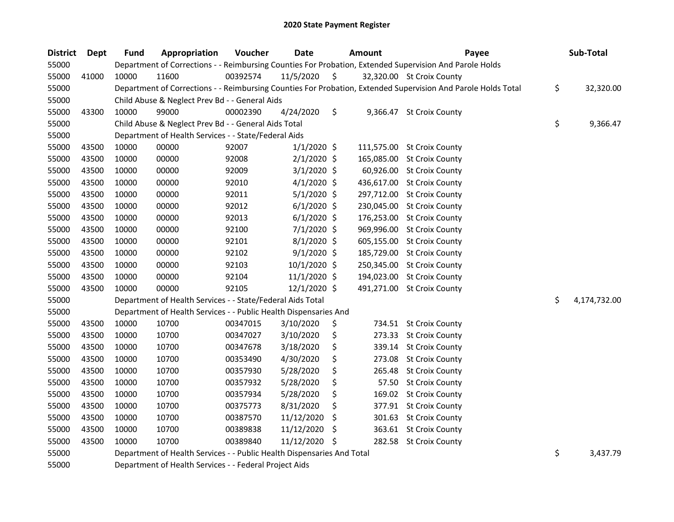| <b>District</b> | Dept  | <b>Fund</b> | Appropriation                                                          | Voucher  | <b>Date</b>   |     | Amount     | Payee                                                                                                         | Sub-Total          |
|-----------------|-------|-------------|------------------------------------------------------------------------|----------|---------------|-----|------------|---------------------------------------------------------------------------------------------------------------|--------------------|
| 55000           |       |             |                                                                        |          |               |     |            | Department of Corrections - - Reimbursing Counties For Probation, Extended Supervision And Parole Holds       |                    |
| 55000           | 41000 | 10000       | 11600                                                                  | 00392574 | 11/5/2020     | \$  |            | 32,320.00 St Croix County                                                                                     |                    |
| 55000           |       |             |                                                                        |          |               |     |            | Department of Corrections - - Reimbursing Counties For Probation, Extended Supervision And Parole Holds Total | \$<br>32,320.00    |
| 55000           |       |             | Child Abuse & Neglect Prev Bd - - General Aids                         |          |               |     |            |                                                                                                               |                    |
| 55000           | 43300 | 10000       | 99000                                                                  | 00002390 | 4/24/2020     | \$  |            | 9,366.47 St Croix County                                                                                      |                    |
| 55000           |       |             | Child Abuse & Neglect Prev Bd - - General Aids Total                   |          |               |     |            |                                                                                                               | \$<br>9,366.47     |
| 55000           |       |             | Department of Health Services - - State/Federal Aids                   |          |               |     |            |                                                                                                               |                    |
| 55000           | 43500 | 10000       | 00000                                                                  | 92007    | $1/1/2020$ \$ |     |            | 111,575.00 St Croix County                                                                                    |                    |
| 55000           | 43500 | 10000       | 00000                                                                  | 92008    | $2/1/2020$ \$ |     | 165,085.00 | <b>St Croix County</b>                                                                                        |                    |
| 55000           | 43500 | 10000       | 00000                                                                  | 92009    | $3/1/2020$ \$ |     |            | 60,926.00 St Croix County                                                                                     |                    |
| 55000           | 43500 | 10000       | 00000                                                                  | 92010    | $4/1/2020$ \$ |     | 436,617.00 | <b>St Croix County</b>                                                                                        |                    |
| 55000           | 43500 | 10000       | 00000                                                                  | 92011    | $5/1/2020$ \$ |     | 297,712.00 | <b>St Croix County</b>                                                                                        |                    |
| 55000           | 43500 | 10000       | 00000                                                                  | 92012    | $6/1/2020$ \$ |     | 230,045.00 | <b>St Croix County</b>                                                                                        |                    |
| 55000           | 43500 | 10000       | 00000                                                                  | 92013    | $6/1/2020$ \$ |     | 176,253.00 | <b>St Croix County</b>                                                                                        |                    |
| 55000           | 43500 | 10000       | 00000                                                                  | 92100    | $7/1/2020$ \$ |     | 969,996.00 | <b>St Croix County</b>                                                                                        |                    |
| 55000           | 43500 | 10000       | 00000                                                                  | 92101    | $8/1/2020$ \$ |     | 605,155.00 | <b>St Croix County</b>                                                                                        |                    |
| 55000           | 43500 | 10000       | 00000                                                                  | 92102    | $9/1/2020$ \$ |     | 185,729.00 | <b>St Croix County</b>                                                                                        |                    |
| 55000           | 43500 | 10000       | 00000                                                                  | 92103    | 10/1/2020 \$  |     | 250,345.00 | <b>St Croix County</b>                                                                                        |                    |
| 55000           | 43500 | 10000       | 00000                                                                  | 92104    | 11/1/2020 \$  |     | 194,023.00 | <b>St Croix County</b>                                                                                        |                    |
| 55000           | 43500 | 10000       | 00000                                                                  | 92105    | 12/1/2020 \$  |     | 491,271.00 | <b>St Croix County</b>                                                                                        |                    |
| 55000           |       |             | Department of Health Services - - State/Federal Aids Total             |          |               |     |            |                                                                                                               | \$<br>4,174,732.00 |
| 55000           |       |             | Department of Health Services - - Public Health Dispensaries And       |          |               |     |            |                                                                                                               |                    |
| 55000           | 43500 | 10000       | 10700                                                                  | 00347015 | 3/10/2020     | \$  |            | 734.51 St Croix County                                                                                        |                    |
| 55000           | 43500 | 10000       | 10700                                                                  | 00347027 | 3/10/2020     | \$  |            | 273.33 St Croix County                                                                                        |                    |
| 55000           | 43500 | 10000       | 10700                                                                  | 00347678 | 3/18/2020     | \$  |            | 339.14 St Croix County                                                                                        |                    |
| 55000           | 43500 | 10000       | 10700                                                                  | 00353490 | 4/30/2020     | \$  | 273.08     | <b>St Croix County</b>                                                                                        |                    |
| 55000           | 43500 | 10000       | 10700                                                                  | 00357930 | 5/28/2020     | \$  | 265.48     | <b>St Croix County</b>                                                                                        |                    |
| 55000           | 43500 | 10000       | 10700                                                                  | 00357932 | 5/28/2020     | \$  | 57.50      | <b>St Croix County</b>                                                                                        |                    |
| 55000           | 43500 | 10000       | 10700                                                                  | 00357934 | 5/28/2020     | \$  |            | 169.02 St Croix County                                                                                        |                    |
| 55000           | 43500 | 10000       | 10700                                                                  | 00375773 | 8/31/2020     | \$  |            | 377.91 St Croix County                                                                                        |                    |
| 55000           | 43500 | 10000       | 10700                                                                  | 00387570 | 11/12/2020    | \$  | 301.63     | <b>St Croix County</b>                                                                                        |                    |
| 55000           | 43500 | 10000       | 10700                                                                  | 00389838 | 11/12/2020    | \$, |            | 363.61 St Croix County                                                                                        |                    |
| 55000           | 43500 | 10000       | 10700                                                                  | 00389840 | 11/12/2020    | -\$ |            | 282.58 St Croix County                                                                                        |                    |
| 55000           |       |             | Department of Health Services - - Public Health Dispensaries And Total |          |               |     |            |                                                                                                               | \$<br>3,437.79     |
| 55000           |       |             | Department of Health Services - - Federal Project Aids                 |          |               |     |            |                                                                                                               |                    |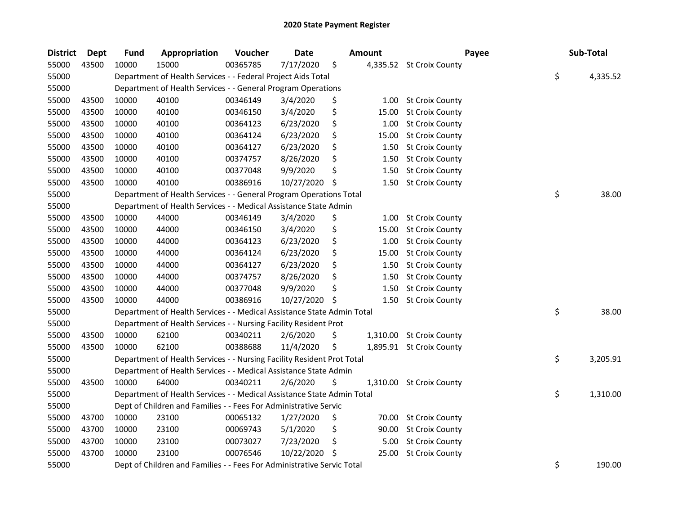| <b>District</b> | Dept  | <b>Fund</b> | Appropriation                                                          | Voucher  | <b>Date</b> |    | <b>Amount</b> | Payee                    | Sub-Total      |
|-----------------|-------|-------------|------------------------------------------------------------------------|----------|-------------|----|---------------|--------------------------|----------------|
| 55000           | 43500 | 10000       | 15000                                                                  | 00365785 | 7/17/2020   | \$ |               | 4,335.52 St Croix County |                |
| 55000           |       |             | Department of Health Services - - Federal Project Aids Total           |          |             |    |               |                          | \$<br>4,335.52 |
| 55000           |       |             | Department of Health Services - - General Program Operations           |          |             |    |               |                          |                |
| 55000           | 43500 | 10000       | 40100                                                                  | 00346149 | 3/4/2020    | \$ | 1.00          | <b>St Croix County</b>   |                |
| 55000           | 43500 | 10000       | 40100                                                                  | 00346150 | 3/4/2020    | \$ | 15.00         | <b>St Croix County</b>   |                |
| 55000           | 43500 | 10000       | 40100                                                                  | 00364123 | 6/23/2020   | \$ | 1.00          | <b>St Croix County</b>   |                |
| 55000           | 43500 | 10000       | 40100                                                                  | 00364124 | 6/23/2020   | \$ | 15.00         | <b>St Croix County</b>   |                |
| 55000           | 43500 | 10000       | 40100                                                                  | 00364127 | 6/23/2020   | \$ | 1.50          | <b>St Croix County</b>   |                |
| 55000           | 43500 | 10000       | 40100                                                                  | 00374757 | 8/26/2020   | \$ | 1.50          | <b>St Croix County</b>   |                |
| 55000           | 43500 | 10000       | 40100                                                                  | 00377048 | 9/9/2020    | \$ | 1.50          | <b>St Croix County</b>   |                |
| 55000           | 43500 | 10000       | 40100                                                                  | 00386916 | 10/27/2020  | \$ | 1.50          | <b>St Croix County</b>   |                |
| 55000           |       |             | Department of Health Services - - General Program Operations Total     |          |             |    |               |                          | \$<br>38.00    |
| 55000           |       |             | Department of Health Services - - Medical Assistance State Admin       |          |             |    |               |                          |                |
| 55000           | 43500 | 10000       | 44000                                                                  | 00346149 | 3/4/2020    | \$ | 1.00          | <b>St Croix County</b>   |                |
| 55000           | 43500 | 10000       | 44000                                                                  | 00346150 | 3/4/2020    | \$ | 15.00         | <b>St Croix County</b>   |                |
| 55000           | 43500 | 10000       | 44000                                                                  | 00364123 | 6/23/2020   | \$ | 1.00          | <b>St Croix County</b>   |                |
| 55000           | 43500 | 10000       | 44000                                                                  | 00364124 | 6/23/2020   | \$ | 15.00         | <b>St Croix County</b>   |                |
| 55000           | 43500 | 10000       | 44000                                                                  | 00364127 | 6/23/2020   | \$ | 1.50          | <b>St Croix County</b>   |                |
| 55000           | 43500 | 10000       | 44000                                                                  | 00374757 | 8/26/2020   | \$ | 1.50          | <b>St Croix County</b>   |                |
| 55000           | 43500 | 10000       | 44000                                                                  | 00377048 | 9/9/2020    | \$ | 1.50          | <b>St Croix County</b>   |                |
| 55000           | 43500 | 10000       | 44000                                                                  | 00386916 | 10/27/2020  | \$ | 1.50          | <b>St Croix County</b>   |                |
| 55000           |       |             | Department of Health Services - - Medical Assistance State Admin Total |          |             |    |               |                          | \$<br>38.00    |
| 55000           |       |             | Department of Health Services - - Nursing Facility Resident Prot       |          |             |    |               |                          |                |
| 55000           | 43500 | 10000       | 62100                                                                  | 00340211 | 2/6/2020    | \$ |               | 1,310.00 St Croix County |                |
| 55000           | 43500 | 10000       | 62100                                                                  | 00388688 | 11/4/2020   | \$ |               | 1,895.91 St Croix County |                |
| 55000           |       |             | Department of Health Services - - Nursing Facility Resident Prot Total |          |             |    |               |                          | \$<br>3,205.91 |
| 55000           |       |             | Department of Health Services - - Medical Assistance State Admin       |          |             |    |               |                          |                |
| 55000           | 43500 | 10000       | 64000                                                                  | 00340211 | 2/6/2020    | \$ |               | 1,310.00 St Croix County |                |
| 55000           |       |             | Department of Health Services - - Medical Assistance State Admin Total |          |             |    |               |                          | \$<br>1,310.00 |
| 55000           |       |             | Dept of Children and Families - - Fees For Administrative Servic       |          |             |    |               |                          |                |
| 55000           | 43700 | 10000       | 23100                                                                  | 00065132 | 1/27/2020   | \$ | 70.00         | <b>St Croix County</b>   |                |
| 55000           | 43700 | 10000       | 23100                                                                  | 00069743 | 5/1/2020    | \$ | 90.00         | <b>St Croix County</b>   |                |
| 55000           | 43700 | 10000       | 23100                                                                  | 00073027 | 7/23/2020   | \$ | 5.00          | <b>St Croix County</b>   |                |
| 55000           | 43700 | 10000       | 23100                                                                  | 00076546 | 10/22/2020  | S  | 25.00         | <b>St Croix County</b>   |                |
| 55000           |       |             | Dept of Children and Families - - Fees For Administrative Servic Total |          |             |    |               |                          | \$<br>190.00   |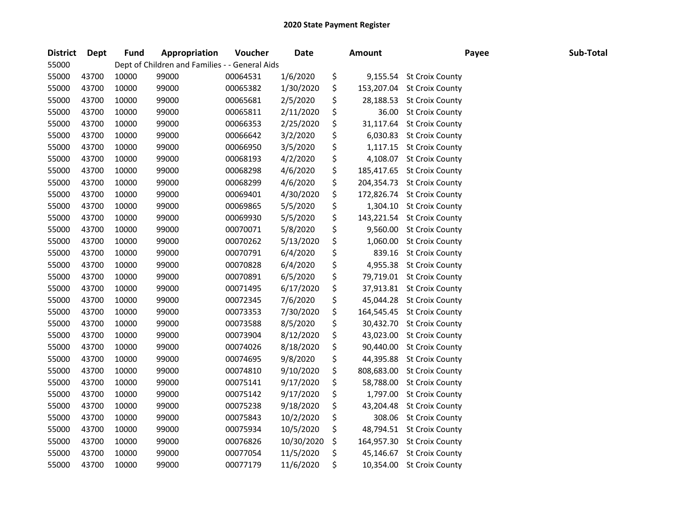| <b>District</b> | Dept  | <b>Fund</b> | Appropriation                                  | Voucher  | <b>Date</b> | <b>Amount</b>    |                            | Payee | Sub-Total |
|-----------------|-------|-------------|------------------------------------------------|----------|-------------|------------------|----------------------------|-------|-----------|
| 55000           |       |             | Dept of Children and Families - - General Aids |          |             |                  |                            |       |           |
| 55000           | 43700 | 10000       | 99000                                          | 00064531 | 1/6/2020    | \$               | 9,155.54 St Croix County   |       |           |
| 55000           | 43700 | 10000       | 99000                                          | 00065382 | 1/30/2020   | \$<br>153,207.04 | <b>St Croix County</b>     |       |           |
| 55000           | 43700 | 10000       | 99000                                          | 00065681 | 2/5/2020    | \$<br>28,188.53  | <b>St Croix County</b>     |       |           |
| 55000           | 43700 | 10000       | 99000                                          | 00065811 | 2/11/2020   | \$<br>36.00      | <b>St Croix County</b>     |       |           |
| 55000           | 43700 | 10000       | 99000                                          | 00066353 | 2/25/2020   | \$<br>31,117.64  | <b>St Croix County</b>     |       |           |
| 55000           | 43700 | 10000       | 99000                                          | 00066642 | 3/2/2020    | \$<br>6,030.83   | <b>St Croix County</b>     |       |           |
| 55000           | 43700 | 10000       | 99000                                          | 00066950 | 3/5/2020    | \$               | 1,117.15 St Croix County   |       |           |
| 55000           | 43700 | 10000       | 99000                                          | 00068193 | 4/2/2020    | \$<br>4,108.07   | <b>St Croix County</b>     |       |           |
| 55000           | 43700 | 10000       | 99000                                          | 00068298 | 4/6/2020    | \$               | 185,417.65 St Croix County |       |           |
| 55000           | 43700 | 10000       | 99000                                          | 00068299 | 4/6/2020    | \$               | 204,354.73 St Croix County |       |           |
| 55000           | 43700 | 10000       | 99000                                          | 00069401 | 4/30/2020   | \$               | 172,826.74 St Croix County |       |           |
| 55000           | 43700 | 10000       | 99000                                          | 00069865 | 5/5/2020    | \$<br>1,304.10   | <b>St Croix County</b>     |       |           |
| 55000           | 43700 | 10000       | 99000                                          | 00069930 | 5/5/2020    | \$<br>143,221.54 | <b>St Croix County</b>     |       |           |
| 55000           | 43700 | 10000       | 99000                                          | 00070071 | 5/8/2020    | \$<br>9,560.00   | <b>St Croix County</b>     |       |           |
| 55000           | 43700 | 10000       | 99000                                          | 00070262 | 5/13/2020   | \$<br>1,060.00   | <b>St Croix County</b>     |       |           |
| 55000           | 43700 | 10000       | 99000                                          | 00070791 | 6/4/2020    | \$               | 839.16 St Croix County     |       |           |
| 55000           | 43700 | 10000       | 99000                                          | 00070828 | 6/4/2020    | \$<br>4,955.38   | <b>St Croix County</b>     |       |           |
| 55000           | 43700 | 10000       | 99000                                          | 00070891 | 6/5/2020    | \$<br>79,719.01  | <b>St Croix County</b>     |       |           |
| 55000           | 43700 | 10000       | 99000                                          | 00071495 | 6/17/2020   | \$<br>37,913.81  | <b>St Croix County</b>     |       |           |
| 55000           | 43700 | 10000       | 99000                                          | 00072345 | 7/6/2020    | \$               | 45,044.28 St Croix County  |       |           |
| 55000           | 43700 | 10000       | 99000                                          | 00073353 | 7/30/2020   | \$               | 164,545.45 St Croix County |       |           |
| 55000           | 43700 | 10000       | 99000                                          | 00073588 | 8/5/2020    | \$               | 30,432.70 St Croix County  |       |           |
| 55000           | 43700 | 10000       | 99000                                          | 00073904 | 8/12/2020   | \$               | 43,023.00 St Croix County  |       |           |
| 55000           | 43700 | 10000       | 99000                                          | 00074026 | 8/18/2020   | \$<br>90,440.00  | <b>St Croix County</b>     |       |           |
| 55000           | 43700 | 10000       | 99000                                          | 00074695 | 9/8/2020    | \$<br>44,395.88  | <b>St Croix County</b>     |       |           |
| 55000           | 43700 | 10000       | 99000                                          | 00074810 | 9/10/2020   | \$<br>808,683.00 | <b>St Croix County</b>     |       |           |
| 55000           | 43700 | 10000       | 99000                                          | 00075141 | 9/17/2020   | \$<br>58,788.00  | <b>St Croix County</b>     |       |           |
| 55000           | 43700 | 10000       | 99000                                          | 00075142 | 9/17/2020   | \$<br>1,797.00   | <b>St Croix County</b>     |       |           |
| 55000           | 43700 | 10000       | 99000                                          | 00075238 | 9/18/2020   | \$<br>43,204.48  | <b>St Croix County</b>     |       |           |
| 55000           | 43700 | 10000       | 99000                                          | 00075843 | 10/2/2020   | \$<br>308.06     | <b>St Croix County</b>     |       |           |
| 55000           | 43700 | 10000       | 99000                                          | 00075934 | 10/5/2020   | \$               | 48,794.51 St Croix County  |       |           |
| 55000           | 43700 | 10000       | 99000                                          | 00076826 | 10/30/2020  | \$               | 164,957.30 St Croix County |       |           |
| 55000           | 43700 | 10000       | 99000                                          | 00077054 | 11/5/2020   | \$               | 45,146.67 St Croix County  |       |           |
| 55000           | 43700 | 10000       | 99000                                          | 00077179 | 11/6/2020   | \$               | 10,354.00 St Croix County  |       |           |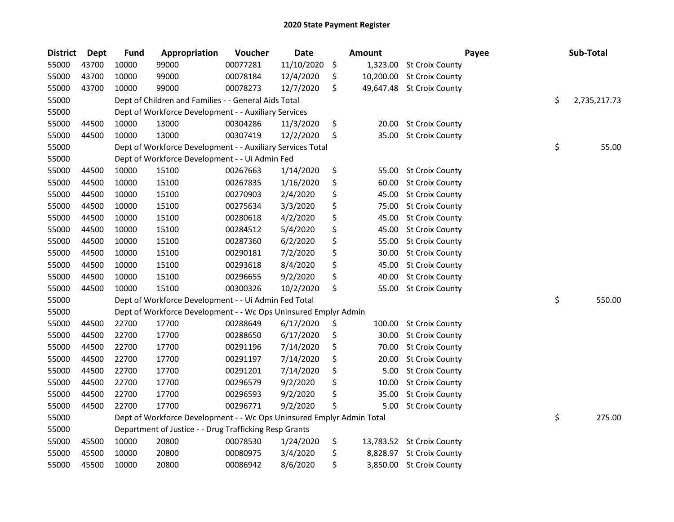| <b>District</b> | Dept  | <b>Fund</b> | Appropriation                                                         | Voucher  | <b>Date</b> | Amount          |                           | Payee | Sub-Total    |  |
|-----------------|-------|-------------|-----------------------------------------------------------------------|----------|-------------|-----------------|---------------------------|-------|--------------|--|
| 55000           | 43700 | 10000       | 99000                                                                 | 00077281 | 11/10/2020  | \$<br>1,323.00  | <b>St Croix County</b>    |       |              |  |
| 55000           | 43700 | 10000       | 99000                                                                 | 00078184 | 12/4/2020   | \$<br>10,200.00 | <b>St Croix County</b>    |       |              |  |
| 55000           | 43700 | 10000       | 99000                                                                 | 00078273 | 12/7/2020   | \$              | 49,647.48 St Croix County |       |              |  |
| 55000           |       |             | Dept of Children and Families - - General Aids Total                  |          |             |                 |                           | \$    | 2,735,217.73 |  |
| 55000           |       |             | Dept of Workforce Development - - Auxiliary Services                  |          |             |                 |                           |       |              |  |
| 55000           | 44500 | 10000       | 13000                                                                 | 00304286 | 11/3/2020   | \$<br>20.00     | <b>St Croix County</b>    |       |              |  |
| 55000           | 44500 | 10000       | 13000                                                                 | 00307419 | 12/2/2020   | \$<br>35.00     | <b>St Croix County</b>    |       |              |  |
| 55000           |       |             | Dept of Workforce Development - - Auxiliary Services Total            |          |             |                 |                           | \$    | 55.00        |  |
| 55000           |       |             | Dept of Workforce Development - - Ui Admin Fed                        |          |             |                 |                           |       |              |  |
| 55000           | 44500 | 10000       | 15100                                                                 | 00267663 | 1/14/2020   | \$<br>55.00     | <b>St Croix County</b>    |       |              |  |
| 55000           | 44500 | 10000       | 15100                                                                 | 00267835 | 1/16/2020   | \$<br>60.00     | <b>St Croix County</b>    |       |              |  |
| 55000           | 44500 | 10000       | 15100                                                                 | 00270903 | 2/4/2020    | \$<br>45.00     | <b>St Croix County</b>    |       |              |  |
| 55000           | 44500 | 10000       | 15100                                                                 | 00275634 | 3/3/2020    | \$<br>75.00     | <b>St Croix County</b>    |       |              |  |
| 55000           | 44500 | 10000       | 15100                                                                 | 00280618 | 4/2/2020    | \$<br>45.00     | <b>St Croix County</b>    |       |              |  |
| 55000           | 44500 | 10000       | 15100                                                                 | 00284512 | 5/4/2020    | \$<br>45.00     | <b>St Croix County</b>    |       |              |  |
| 55000           | 44500 | 10000       | 15100                                                                 | 00287360 | 6/2/2020    | \$<br>55.00     | <b>St Croix County</b>    |       |              |  |
| 55000           | 44500 | 10000       | 15100                                                                 | 00290181 | 7/2/2020    | \$<br>30.00     | <b>St Croix County</b>    |       |              |  |
| 55000           | 44500 | 10000       | 15100                                                                 | 00293618 | 8/4/2020    | \$<br>45.00     | <b>St Croix County</b>    |       |              |  |
| 55000           | 44500 | 10000       | 15100                                                                 | 00296655 | 9/2/2020    | \$<br>40.00     | <b>St Croix County</b>    |       |              |  |
| 55000           | 44500 | 10000       | 15100                                                                 | 00300326 | 10/2/2020   | \$<br>55.00     | <b>St Croix County</b>    |       |              |  |
| 55000           |       |             | Dept of Workforce Development - - Ui Admin Fed Total                  |          |             |                 |                           | \$    | 550.00       |  |
| 55000           |       |             | Dept of Workforce Development - - Wc Ops Uninsured Emplyr Admin       |          |             |                 |                           |       |              |  |
| 55000           | 44500 | 22700       | 17700                                                                 | 00288649 | 6/17/2020   | \$<br>100.00    | <b>St Croix County</b>    |       |              |  |
| 55000           | 44500 | 22700       | 17700                                                                 | 00288650 | 6/17/2020   | \$<br>30.00     | <b>St Croix County</b>    |       |              |  |
| 55000           | 44500 | 22700       | 17700                                                                 | 00291196 | 7/14/2020   | \$<br>70.00     | <b>St Croix County</b>    |       |              |  |
| 55000           | 44500 | 22700       | 17700                                                                 | 00291197 | 7/14/2020   | \$<br>20.00     | <b>St Croix County</b>    |       |              |  |
| 55000           | 44500 | 22700       | 17700                                                                 | 00291201 | 7/14/2020   | \$<br>5.00      | <b>St Croix County</b>    |       |              |  |
| 55000           | 44500 | 22700       | 17700                                                                 | 00296579 | 9/2/2020    | \$<br>10.00     | <b>St Croix County</b>    |       |              |  |
| 55000           | 44500 | 22700       | 17700                                                                 | 00296593 | 9/2/2020    | \$<br>35.00     | <b>St Croix County</b>    |       |              |  |
| 55000           | 44500 | 22700       | 17700                                                                 | 00296771 | 9/2/2020    | \$<br>5.00      | <b>St Croix County</b>    |       |              |  |
| 55000           |       |             | Dept of Workforce Development - - Wc Ops Uninsured Emplyr Admin Total |          |             |                 |                           | \$    | 275.00       |  |
| 55000           |       |             | Department of Justice - - Drug Trafficking Resp Grants                |          |             |                 |                           |       |              |  |
| 55000           | 45500 | 10000       | 20800                                                                 | 00078530 | 1/24/2020   | \$              | 13,783.52 St Croix County |       |              |  |
| 55000           | 45500 | 10000       | 20800                                                                 | 00080975 | 3/4/2020    | \$<br>8,828.97  | <b>St Croix County</b>    |       |              |  |
| 55000           | 45500 | 10000       | 20800                                                                 | 00086942 | 8/6/2020    | \$<br>3,850.00  | <b>St Croix County</b>    |       |              |  |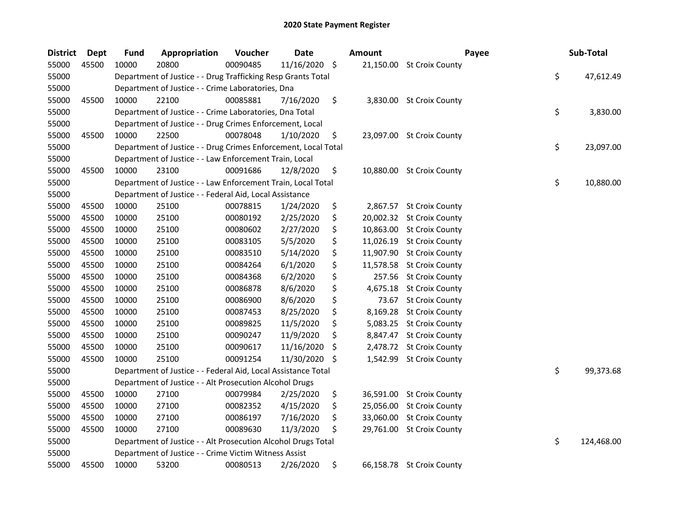| <b>District</b> | <b>Dept</b> | <b>Fund</b> | Appropriation                                                  | Voucher  | Date          | <b>Amount</b>   |                           | Payee | Sub-Total        |
|-----------------|-------------|-------------|----------------------------------------------------------------|----------|---------------|-----------------|---------------------------|-------|------------------|
| 55000           | 45500       | 10000       | 20800                                                          | 00090485 | 11/16/2020 \$ |                 | 21,150.00 St Croix County |       |                  |
| 55000           |             |             | Department of Justice - - Drug Trafficking Resp Grants Total   |          |               |                 |                           |       | \$<br>47,612.49  |
| 55000           |             |             | Department of Justice - - Crime Laboratories, Dna              |          |               |                 |                           |       |                  |
| 55000           | 45500       | 10000       | 22100                                                          | 00085881 | 7/16/2020     | \$              | 3,830.00 St Croix County  |       |                  |
| 55000           |             |             | Department of Justice - - Crime Laboratories, Dna Total        |          |               |                 |                           |       | \$<br>3,830.00   |
| 55000           |             |             | Department of Justice - - Drug Crimes Enforcement, Local       |          |               |                 |                           |       |                  |
| 55000           | 45500       | 10000       | 22500                                                          | 00078048 | 1/10/2020     | \$              | 23,097.00 St Croix County |       |                  |
| 55000           |             |             | Department of Justice - - Drug Crimes Enforcement, Local Total |          |               |                 |                           |       | \$<br>23,097.00  |
| 55000           |             |             | Department of Justice - - Law Enforcement Train, Local         |          |               |                 |                           |       |                  |
| 55000           | 45500       | 10000       | 23100                                                          | 00091686 | 12/8/2020     | \$              | 10,880.00 St Croix County |       |                  |
| 55000           |             |             | Department of Justice - - Law Enforcement Train, Local Total   |          |               |                 |                           |       | \$<br>10,880.00  |
| 55000           |             |             | Department of Justice - - Federal Aid, Local Assistance        |          |               |                 |                           |       |                  |
| 55000           | 45500       | 10000       | 25100                                                          | 00078815 | 1/24/2020     | \$<br>2,867.57  | <b>St Croix County</b>    |       |                  |
| 55000           | 45500       | 10000       | 25100                                                          | 00080192 | 2/25/2020     | \$<br>20,002.32 | <b>St Croix County</b>    |       |                  |
| 55000           | 45500       | 10000       | 25100                                                          | 00080602 | 2/27/2020     | \$<br>10,863.00 | <b>St Croix County</b>    |       |                  |
| 55000           | 45500       | 10000       | 25100                                                          | 00083105 | 5/5/2020      | \$<br>11,026.19 | <b>St Croix County</b>    |       |                  |
| 55000           | 45500       | 10000       | 25100                                                          | 00083510 | 5/14/2020     | \$<br>11,907.90 | <b>St Croix County</b>    |       |                  |
| 55000           | 45500       | 10000       | 25100                                                          | 00084264 | 6/1/2020      | \$<br>11,578.58 | <b>St Croix County</b>    |       |                  |
| 55000           | 45500       | 10000       | 25100                                                          | 00084368 | 6/2/2020      | \$<br>257.56    | <b>St Croix County</b>    |       |                  |
| 55000           | 45500       | 10000       | 25100                                                          | 00086878 | 8/6/2020      | \$<br>4,675.18  | <b>St Croix County</b>    |       |                  |
| 55000           | 45500       | 10000       | 25100                                                          | 00086900 | 8/6/2020      | \$<br>73.67     | <b>St Croix County</b>    |       |                  |
| 55000           | 45500       | 10000       | 25100                                                          | 00087453 | 8/25/2020     | \$<br>8,169.28  | <b>St Croix County</b>    |       |                  |
| 55000           | 45500       | 10000       | 25100                                                          | 00089825 | 11/5/2020     | \$<br>5,083.25  | <b>St Croix County</b>    |       |                  |
| 55000           | 45500       | 10000       | 25100                                                          | 00090247 | 11/9/2020     | \$<br>8,847.47  | <b>St Croix County</b>    |       |                  |
| 55000           | 45500       | 10000       | 25100                                                          | 00090617 | 11/16/2020    | \$<br>2,478.72  | <b>St Croix County</b>    |       |                  |
| 55000           | 45500       | 10000       | 25100                                                          | 00091254 | 11/30/2020    | \$<br>1,542.99  | <b>St Croix County</b>    |       |                  |
| 55000           |             |             | Department of Justice - - Federal Aid, Local Assistance Total  |          |               |                 |                           |       | \$<br>99,373.68  |
| 55000           |             |             | Department of Justice - - Alt Prosecution Alcohol Drugs        |          |               |                 |                           |       |                  |
| 55000           | 45500       | 10000       | 27100                                                          | 00079984 | 2/25/2020     | \$<br>36,591.00 | <b>St Croix County</b>    |       |                  |
| 55000           | 45500       | 10000       | 27100                                                          | 00082352 | 4/15/2020     | \$<br>25,056.00 | <b>St Croix County</b>    |       |                  |
| 55000           | 45500       | 10000       | 27100                                                          | 00086197 | 7/16/2020     | \$<br>33,060.00 | <b>St Croix County</b>    |       |                  |
| 55000           | 45500       | 10000       | 27100                                                          | 00089630 | 11/3/2020     | \$<br>29,761.00 | <b>St Croix County</b>    |       |                  |
| 55000           |             |             | Department of Justice - - Alt Prosecution Alcohol Drugs Total  |          |               |                 |                           |       | \$<br>124,468.00 |
| 55000           |             |             | Department of Justice - - Crime Victim Witness Assist          |          |               |                 |                           |       |                  |
| 55000           | 45500       | 10000       | 53200                                                          | 00080513 | 2/26/2020     | \$<br>66,158.78 | <b>St Croix County</b>    |       |                  |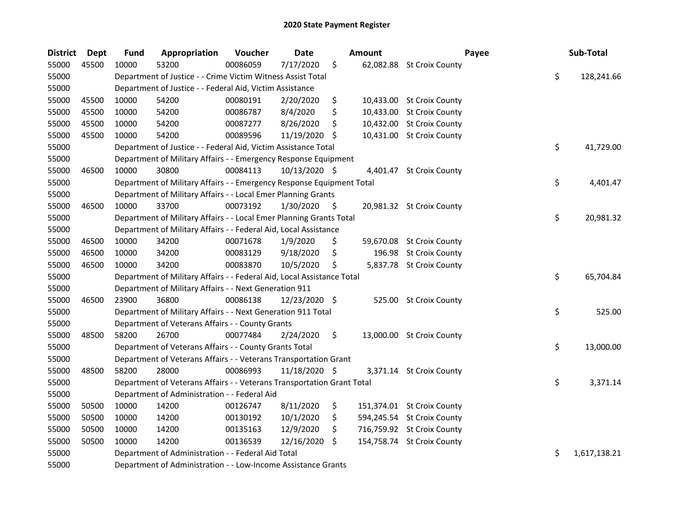| <b>District</b> | <b>Dept</b> | <b>Fund</b> | Appropriation                                                          | Voucher  | Date          |         | <b>Amount</b> |                            | Payee | Sub-Total          |
|-----------------|-------------|-------------|------------------------------------------------------------------------|----------|---------------|---------|---------------|----------------------------|-------|--------------------|
| 55000           | 45500       | 10000       | 53200                                                                  | 00086059 | 7/17/2020     | \$      |               | 62,082.88 St Croix County  |       |                    |
| 55000           |             |             | Department of Justice - - Crime Victim Witness Assist Total            |          |               |         |               |                            |       | \$<br>128,241.66   |
| 55000           |             |             | Department of Justice - - Federal Aid, Victim Assistance               |          |               |         |               |                            |       |                    |
| 55000           | 45500       | 10000       | 54200                                                                  | 00080191 | 2/20/2020     | \$      |               | 10,433.00 St Croix County  |       |                    |
| 55000           | 45500       | 10000       | 54200                                                                  | 00086787 | 8/4/2020      | \$      |               | 10,433.00 St Croix County  |       |                    |
| 55000           | 45500       | 10000       | 54200                                                                  | 00087277 | 8/26/2020     | \$      |               | 10,432.00 St Croix County  |       |                    |
| 55000           | 45500       | 10000       | 54200                                                                  | 00089596 | 11/19/2020    | -S      |               | 10,431.00 St Croix County  |       |                    |
| 55000           |             |             | Department of Justice - - Federal Aid, Victim Assistance Total         |          |               |         |               |                            |       | \$<br>41,729.00    |
| 55000           |             |             | Department of Military Affairs - - Emergency Response Equipment        |          |               |         |               |                            |       |                    |
| 55000           | 46500       | 10000       | 30800                                                                  | 00084113 | 10/13/2020 \$ |         | 4,401.47      | <b>St Croix County</b>     |       |                    |
| 55000           |             |             | Department of Military Affairs - - Emergency Response Equipment Total  |          |               |         |               |                            |       | \$<br>4,401.47     |
| 55000           |             |             | Department of Military Affairs - - Local Emer Planning Grants          |          |               |         |               |                            |       |                    |
| 55000           | 46500       | 10000       | 33700                                                                  | 00073192 | 1/30/2020     | S       |               | 20,981.32 St Croix County  |       |                    |
| 55000           |             |             | Department of Military Affairs - - Local Emer Planning Grants Total    |          |               |         |               |                            |       | \$<br>20,981.32    |
| 55000           |             |             | Department of Military Affairs - - Federal Aid, Local Assistance       |          |               |         |               |                            |       |                    |
| 55000           | 46500       | 10000       | 34200                                                                  | 00071678 | 1/9/2020      | \$      |               | 59,670.08 St Croix County  |       |                    |
| 55000           | 46500       | 10000       | 34200                                                                  | 00083129 | 9/18/2020     | \$      |               | 196.98 St Croix County     |       |                    |
| 55000           | 46500       | 10000       | 34200                                                                  | 00083870 | 10/5/2020     | \$      |               | 5,837.78 St Croix County   |       |                    |
| 55000           |             |             | Department of Military Affairs - - Federal Aid, Local Assistance Total |          |               |         |               |                            |       | \$<br>65,704.84    |
| 55000           |             |             | Department of Military Affairs - - Next Generation 911                 |          |               |         |               |                            |       |                    |
| 55000           | 46500       | 23900       | 36800                                                                  | 00086138 | 12/23/2020 \$ |         |               | 525.00 St Croix County     |       |                    |
| 55000           |             |             | Department of Military Affairs - - Next Generation 911 Total           |          |               |         |               |                            |       | \$<br>525.00       |
| 55000           |             |             | Department of Veterans Affairs - - County Grants                       |          |               |         |               |                            |       |                    |
| 55000           | 48500       | 58200       | 26700                                                                  | 00077484 | 2/24/2020     | \$      |               | 13,000.00 St Croix County  |       |                    |
| 55000           |             |             | Department of Veterans Affairs - - County Grants Total                 |          |               |         |               |                            |       | \$<br>13,000.00    |
| 55000           |             |             | Department of Veterans Affairs - - Veterans Transportation Grant       |          |               |         |               |                            |       |                    |
| 55000           | 48500       | 58200       | 28000                                                                  | 00086993 | 11/18/2020 \$ |         |               | 3,371.14 St Croix County   |       |                    |
| 55000           |             |             | Department of Veterans Affairs - - Veterans Transportation Grant Total |          |               |         |               |                            |       | \$<br>3,371.14     |
| 55000           |             |             | Department of Administration - - Federal Aid                           |          |               |         |               |                            |       |                    |
| 55000           | 50500       | 10000       | 14200                                                                  | 00126747 | 8/11/2020     | \$      |               | 151,374.01 St Croix County |       |                    |
| 55000           | 50500       | 10000       | 14200                                                                  | 00130192 | 10/1/2020     | \$      |               | 594,245.54 St Croix County |       |                    |
| 55000           | 50500       | 10000       | 14200                                                                  | 00135163 | 12/9/2020     | \$.     |               | 716,759.92 St Croix County |       |                    |
| 55000           | 50500       | 10000       | 14200                                                                  | 00136539 | 12/16/2020    | $\zeta$ |               | 154,758.74 St Croix County |       |                    |
| 55000           |             |             | Department of Administration - - Federal Aid Total                     |          |               |         |               |                            |       | \$<br>1,617,138.21 |
| 55000           |             |             | Department of Administration - - Low-Income Assistance Grants          |          |               |         |               |                            |       |                    |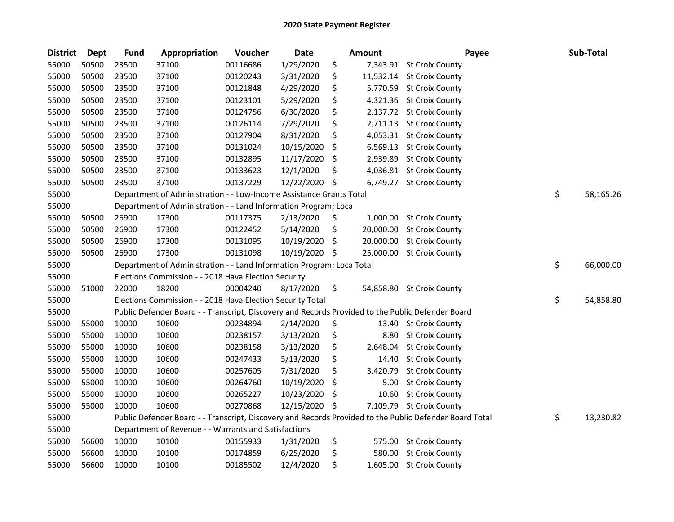| <b>District</b> | <b>Dept</b> | <b>Fund</b> | Appropriation                                                                                     | Voucher  | <b>Date</b> |     | <b>Amount</b> | Payee                                                                                                   | Sub-Total       |
|-----------------|-------------|-------------|---------------------------------------------------------------------------------------------------|----------|-------------|-----|---------------|---------------------------------------------------------------------------------------------------------|-----------------|
| 55000           | 50500       | 23500       | 37100                                                                                             | 00116686 | 1/29/2020   | \$  |               | 7,343.91 St Croix County                                                                                |                 |
| 55000           | 50500       | 23500       | 37100                                                                                             | 00120243 | 3/31/2020   | \$  | 11,532.14     | <b>St Croix County</b>                                                                                  |                 |
| 55000           | 50500       | 23500       | 37100                                                                                             | 00121848 | 4/29/2020   | \$  | 5,770.59      | <b>St Croix County</b>                                                                                  |                 |
| 55000           | 50500       | 23500       | 37100                                                                                             | 00123101 | 5/29/2020   | \$  | 4,321.36      | <b>St Croix County</b>                                                                                  |                 |
| 55000           | 50500       | 23500       | 37100                                                                                             | 00124756 | 6/30/2020   | \$  | 2,137.72      | <b>St Croix County</b>                                                                                  |                 |
| 55000           | 50500       | 23500       | 37100                                                                                             | 00126114 | 7/29/2020   | \$  | 2,711.13      | <b>St Croix County</b>                                                                                  |                 |
| 55000           | 50500       | 23500       | 37100                                                                                             | 00127904 | 8/31/2020   | \$  | 4,053.31      | <b>St Croix County</b>                                                                                  |                 |
| 55000           | 50500       | 23500       | 37100                                                                                             | 00131024 | 10/15/2020  | \$  | 6,569.13      | <b>St Croix County</b>                                                                                  |                 |
| 55000           | 50500       | 23500       | 37100                                                                                             | 00132895 | 11/17/2020  | \$  | 2,939.89      | <b>St Croix County</b>                                                                                  |                 |
| 55000           | 50500       | 23500       | 37100                                                                                             | 00133623 | 12/1/2020   | \$  | 4,036.81      | <b>St Croix County</b>                                                                                  |                 |
| 55000           | 50500       | 23500       | 37100                                                                                             | 00137229 | 12/22/2020  | \$  | 6,749.27      | <b>St Croix County</b>                                                                                  |                 |
| 55000           |             |             | Department of Administration - - Low-Income Assistance Grants Total                               |          |             |     |               |                                                                                                         | \$<br>58,165.26 |
| 55000           |             |             | Department of Administration - - Land Information Program; Loca                                   |          |             |     |               |                                                                                                         |                 |
| 55000           | 50500       | 26900       | 17300                                                                                             | 00117375 | 2/13/2020   | \$  | 1,000.00      | <b>St Croix County</b>                                                                                  |                 |
| 55000           | 50500       | 26900       | 17300                                                                                             | 00122452 | 5/14/2020   | \$  | 20,000.00     | <b>St Croix County</b>                                                                                  |                 |
| 55000           | 50500       | 26900       | 17300                                                                                             | 00131095 | 10/19/2020  | \$. | 20,000.00     | <b>St Croix County</b>                                                                                  |                 |
| 55000           | 50500       | 26900       | 17300                                                                                             | 00131098 | 10/19/2020  | \$  | 25,000.00     | <b>St Croix County</b>                                                                                  |                 |
| 55000           |             |             | Department of Administration - - Land Information Program; Loca Total                             |          |             |     |               |                                                                                                         | \$<br>66,000.00 |
| 55000           |             |             | Elections Commission - - 2018 Hava Election Security                                              |          |             |     |               |                                                                                                         |                 |
| 55000           | 51000       | 22000       | 18200                                                                                             | 00004240 | 8/17/2020   | \$  | 54,858.80     | <b>St Croix County</b>                                                                                  |                 |
| 55000           |             |             | Elections Commission - - 2018 Hava Election Security Total                                        |          |             |     |               |                                                                                                         | \$<br>54,858.80 |
| 55000           |             |             | Public Defender Board - - Transcript, Discovery and Records Provided to the Public Defender Board |          |             |     |               |                                                                                                         |                 |
| 55000           | 55000       | 10000       | 10600                                                                                             | 00234894 | 2/14/2020   | \$  |               | 13.40 St Croix County                                                                                   |                 |
| 55000           | 55000       | 10000       | 10600                                                                                             | 00238157 | 3/13/2020   | \$  | 8.80          | <b>St Croix County</b>                                                                                  |                 |
| 55000           | 55000       | 10000       | 10600                                                                                             | 00238158 | 3/13/2020   | \$  | 2,648.04      | <b>St Croix County</b>                                                                                  |                 |
| 55000           | 55000       | 10000       | 10600                                                                                             | 00247433 | 5/13/2020   | \$  | 14.40         | <b>St Croix County</b>                                                                                  |                 |
| 55000           | 55000       | 10000       | 10600                                                                                             | 00257605 | 7/31/2020   | \$  | 3,420.79      | <b>St Croix County</b>                                                                                  |                 |
| 55000           | 55000       | 10000       | 10600                                                                                             | 00264760 | 10/19/2020  | \$  | 5.00          | <b>St Croix County</b>                                                                                  |                 |
| 55000           | 55000       | 10000       | 10600                                                                                             | 00265227 | 10/23/2020  | \$  | 10.60         | <b>St Croix County</b>                                                                                  |                 |
| 55000           | 55000       | 10000       | 10600                                                                                             | 00270868 | 12/15/2020  | \$. |               | 7,109.79 St Croix County                                                                                |                 |
| 55000           |             |             |                                                                                                   |          |             |     |               | Public Defender Board - - Transcript, Discovery and Records Provided to the Public Defender Board Total | \$<br>13,230.82 |
| 55000           |             |             | Department of Revenue - - Warrants and Satisfactions                                              |          |             |     |               |                                                                                                         |                 |
| 55000           | 56600       | 10000       | 10100                                                                                             | 00155933 | 1/31/2020   | \$  | 575.00        | <b>St Croix County</b>                                                                                  |                 |
| 55000           | 56600       | 10000       | 10100                                                                                             | 00174859 | 6/25/2020   | \$  | 580.00        | <b>St Croix County</b>                                                                                  |                 |
| 55000           | 56600       | 10000       | 10100                                                                                             | 00185502 | 12/4/2020   | \$  |               | 1,605.00 St Croix County                                                                                |                 |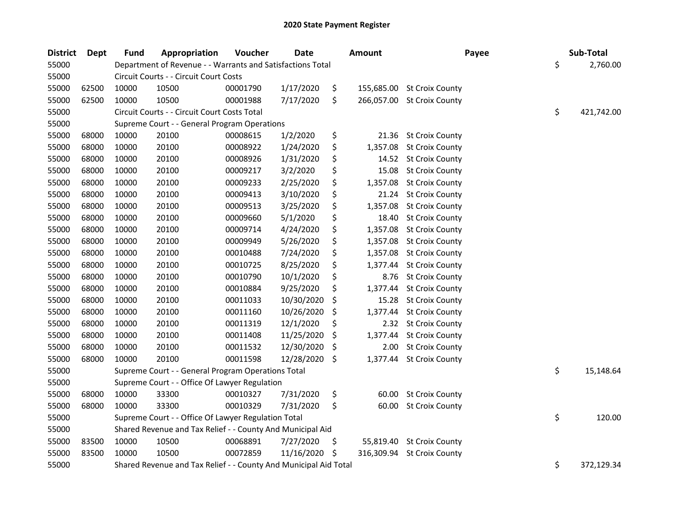| <b>District</b> | <b>Dept</b> | <b>Fund</b> | Appropriation                                                    | Voucher  | <b>Date</b> | <b>Amount</b>    | Payee                  | Sub-Total        |
|-----------------|-------------|-------------|------------------------------------------------------------------|----------|-------------|------------------|------------------------|------------------|
| 55000           |             |             | Department of Revenue - - Warrants and Satisfactions Total       |          |             |                  |                        | \$<br>2,760.00   |
| 55000           |             |             | Circuit Courts - - Circuit Court Costs                           |          |             |                  |                        |                  |
| 55000           | 62500       | 10000       | 10500                                                            | 00001790 | 1/17/2020   | \$<br>155,685.00 | <b>St Croix County</b> |                  |
| 55000           | 62500       | 10000       | 10500                                                            | 00001988 | 7/17/2020   | \$<br>266,057.00 | <b>St Croix County</b> |                  |
| 55000           |             |             | Circuit Courts - - Circuit Court Costs Total                     |          |             |                  |                        | \$<br>421,742.00 |
| 55000           |             |             | Supreme Court - - General Program Operations                     |          |             |                  |                        |                  |
| 55000           | 68000       | 10000       | 20100                                                            | 00008615 | 1/2/2020    | \$<br>21.36      | <b>St Croix County</b> |                  |
| 55000           | 68000       | 10000       | 20100                                                            | 00008922 | 1/24/2020   | \$<br>1,357.08   | <b>St Croix County</b> |                  |
| 55000           | 68000       | 10000       | 20100                                                            | 00008926 | 1/31/2020   | \$<br>14.52      | <b>St Croix County</b> |                  |
| 55000           | 68000       | 10000       | 20100                                                            | 00009217 | 3/2/2020    | \$<br>15.08      | <b>St Croix County</b> |                  |
| 55000           | 68000       | 10000       | 20100                                                            | 00009233 | 2/25/2020   | \$<br>1,357.08   | <b>St Croix County</b> |                  |
| 55000           | 68000       | 10000       | 20100                                                            | 00009413 | 3/10/2020   | \$<br>21.24      | <b>St Croix County</b> |                  |
| 55000           | 68000       | 10000       | 20100                                                            | 00009513 | 3/25/2020   | \$<br>1,357.08   | <b>St Croix County</b> |                  |
| 55000           | 68000       | 10000       | 20100                                                            | 00009660 | 5/1/2020    | \$<br>18.40      | <b>St Croix County</b> |                  |
| 55000           | 68000       | 10000       | 20100                                                            | 00009714 | 4/24/2020   | \$<br>1,357.08   | <b>St Croix County</b> |                  |
| 55000           | 68000       | 10000       | 20100                                                            | 00009949 | 5/26/2020   | \$<br>1,357.08   | <b>St Croix County</b> |                  |
| 55000           | 68000       | 10000       | 20100                                                            | 00010488 | 7/24/2020   | \$<br>1,357.08   | <b>St Croix County</b> |                  |
| 55000           | 68000       | 10000       | 20100                                                            | 00010725 | 8/25/2020   | \$<br>1,377.44   | <b>St Croix County</b> |                  |
| 55000           | 68000       | 10000       | 20100                                                            | 00010790 | 10/1/2020   | \$<br>8.76       | <b>St Croix County</b> |                  |
| 55000           | 68000       | 10000       | 20100                                                            | 00010884 | 9/25/2020   | \$<br>1,377.44   | <b>St Croix County</b> |                  |
| 55000           | 68000       | 10000       | 20100                                                            | 00011033 | 10/30/2020  | \$<br>15.28      | <b>St Croix County</b> |                  |
| 55000           | 68000       | 10000       | 20100                                                            | 00011160 | 10/26/2020  | \$<br>1,377.44   | <b>St Croix County</b> |                  |
| 55000           | 68000       | 10000       | 20100                                                            | 00011319 | 12/1/2020   | \$<br>2.32       | <b>St Croix County</b> |                  |
| 55000           | 68000       | 10000       | 20100                                                            | 00011408 | 11/25/2020  | \$<br>1,377.44   | <b>St Croix County</b> |                  |
| 55000           | 68000       | 10000       | 20100                                                            | 00011532 | 12/30/2020  | \$<br>2.00       | <b>St Croix County</b> |                  |
| 55000           | 68000       | 10000       | 20100                                                            | 00011598 | 12/28/2020  | \$<br>1,377.44   | <b>St Croix County</b> |                  |
| 55000           |             |             | Supreme Court - - General Program Operations Total               |          |             |                  |                        | \$<br>15,148.64  |
| 55000           |             |             | Supreme Court - - Office Of Lawyer Regulation                    |          |             |                  |                        |                  |
| 55000           | 68000       | 10000       | 33300                                                            | 00010327 | 7/31/2020   | \$<br>60.00      | <b>St Croix County</b> |                  |
| 55000           | 68000       | 10000       | 33300                                                            | 00010329 | 7/31/2020   | \$<br>60.00      | <b>St Croix County</b> |                  |
| 55000           |             |             | Supreme Court - - Office Of Lawyer Regulation Total              |          |             |                  |                        | \$<br>120.00     |
| 55000           |             |             | Shared Revenue and Tax Relief - - County And Municipal Aid       |          |             |                  |                        |                  |
| 55000           | 83500       | 10000       | 10500                                                            | 00068891 | 7/27/2020   | \$<br>55,819.40  | <b>St Croix County</b> |                  |
| 55000           | 83500       | 10000       | 10500                                                            | 00072859 | 11/16/2020  | \$<br>316,309.94 | <b>St Croix County</b> |                  |
| 55000           |             |             | Shared Revenue and Tax Relief - - County And Municipal Aid Total |          |             |                  |                        | \$<br>372,129.34 |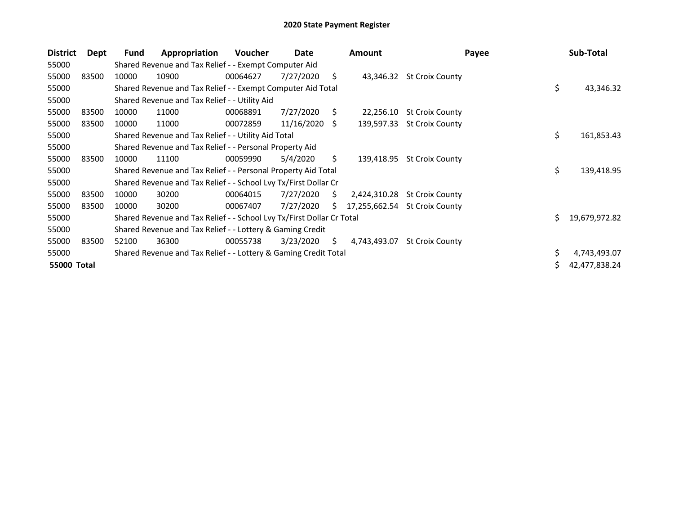| <b>District</b> | Dept  | Fund  | Appropriation                                                         | <b>Voucher</b> | Date       |    | <b>Amount</b> | Payee                         | Sub-Total        |
|-----------------|-------|-------|-----------------------------------------------------------------------|----------------|------------|----|---------------|-------------------------------|------------------|
| 55000           |       |       | Shared Revenue and Tax Relief - - Exempt Computer Aid                 |                |            |    |               |                               |                  |
| 55000           | 83500 | 10000 | 10900                                                                 | 00064627       | 7/27/2020  | S  |               | 43,346.32 St Croix County     |                  |
| 55000           |       |       | Shared Revenue and Tax Relief - - Exempt Computer Aid Total           |                |            |    |               |                               | \$<br>43,346.32  |
| 55000           |       |       | Shared Revenue and Tax Relief - - Utility Aid                         |                |            |    |               |                               |                  |
| 55000           | 83500 | 10000 | 11000                                                                 | 00068891       | 7/27/2020  | S. | 22,256.10     | <b>St Croix County</b>        |                  |
| 55000           | 83500 | 10000 | 11000                                                                 | 00072859       | 11/16/2020 | S. |               | 139,597.33 St Croix County    |                  |
| 55000           |       |       | Shared Revenue and Tax Relief - - Utility Aid Total                   |                |            |    |               |                               | \$<br>161,853.43 |
| 55000           |       |       | Shared Revenue and Tax Relief - - Personal Property Aid               |                |            |    |               |                               |                  |
| 55000           | 83500 | 10000 | 11100                                                                 | 00059990       | 5/4/2020   | Ś. | 139,418.95    | <b>St Croix County</b>        |                  |
| 55000           |       |       | Shared Revenue and Tax Relief - - Personal Property Aid Total         |                |            |    |               |                               | \$<br>139,418.95 |
| 55000           |       |       | Shared Revenue and Tax Relief - - School Lvy Tx/First Dollar Cr       |                |            |    |               |                               |                  |
| 55000           | 83500 | 10000 | 30200                                                                 | 00064015       | 7/27/2020  | S. |               | 2,424,310.28 St Croix County  |                  |
| 55000           | 83500 | 10000 | 30200                                                                 | 00067407       | 7/27/2020  | S. |               | 17,255,662.54 St Croix County |                  |
| 55000           |       |       | Shared Revenue and Tax Relief - - School Lvy Tx/First Dollar Cr Total |                |            |    |               |                               | 19,679,972.82    |
| 55000           |       |       | Shared Revenue and Tax Relief - - Lottery & Gaming Credit             |                |            |    |               |                               |                  |
| 55000           | 83500 | 52100 | 36300                                                                 | 00055738       | 3/23/2020  | S. | 4,743,493.07  | <b>St Croix County</b>        |                  |
| 55000           |       |       | Shared Revenue and Tax Relief - - Lottery & Gaming Credit Total       |                |            |    |               |                               | 4,743,493.07     |
| 55000 Total     |       |       |                                                                       |                |            |    |               |                               | 42,477,838.24    |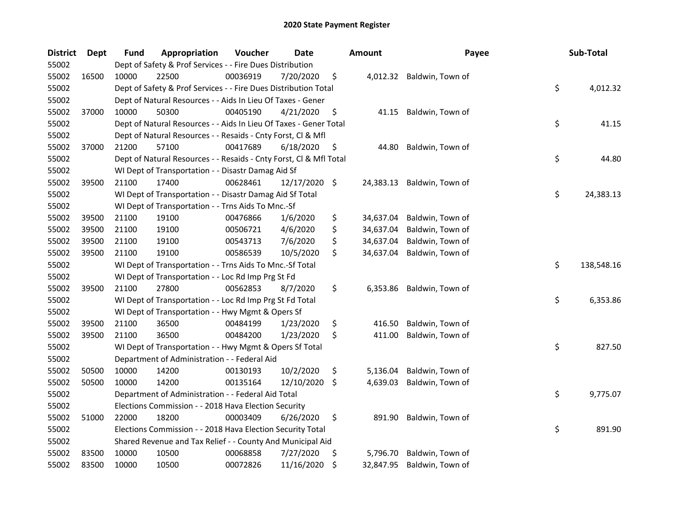| <b>District</b> | Dept  | Fund  | Appropriation                                                      | Voucher  | <b>Date</b>   | <b>Amount</b>   | Payee                      | Sub-Total        |
|-----------------|-------|-------|--------------------------------------------------------------------|----------|---------------|-----------------|----------------------------|------------------|
| 55002           |       |       | Dept of Safety & Prof Services - - Fire Dues Distribution          |          |               |                 |                            |                  |
| 55002           | 16500 | 10000 | 22500                                                              | 00036919 | 7/20/2020     | \$              | 4,012.32 Baldwin, Town of  |                  |
| 55002           |       |       | Dept of Safety & Prof Services - - Fire Dues Distribution Total    |          |               |                 |                            | \$<br>4,012.32   |
| 55002           |       |       | Dept of Natural Resources - - Aids In Lieu Of Taxes - Gener        |          |               |                 |                            |                  |
| 55002           | 37000 | 10000 | 50300                                                              | 00405190 | 4/21/2020     | \$<br>41.15     | Baldwin, Town of           |                  |
| 55002           |       |       | Dept of Natural Resources - - Aids In Lieu Of Taxes - Gener Total  |          |               |                 |                            | \$<br>41.15      |
| 55002           |       |       | Dept of Natural Resources - - Resaids - Cnty Forst, Cl & Mfl       |          |               |                 |                            |                  |
| 55002           | 37000 | 21200 | 57100                                                              | 00417689 | 6/18/2020     | \$<br>44.80     | Baldwin, Town of           |                  |
| 55002           |       |       | Dept of Natural Resources - - Resaids - Cnty Forst, Cl & Mfl Total |          |               |                 |                            | \$<br>44.80      |
| 55002           |       |       | WI Dept of Transportation - - Disastr Damag Aid Sf                 |          |               |                 |                            |                  |
| 55002           | 39500 | 21100 | 17400                                                              | 00628461 | 12/17/2020 \$ |                 | 24,383.13 Baldwin, Town of |                  |
| 55002           |       |       | WI Dept of Transportation - - Disastr Damag Aid Sf Total           |          |               |                 |                            | \$<br>24,383.13  |
| 55002           |       |       | WI Dept of Transportation - - Trns Aids To Mnc.-Sf                 |          |               |                 |                            |                  |
| 55002           | 39500 | 21100 | 19100                                                              | 00476866 | 1/6/2020      | \$<br>34,637.04 | Baldwin, Town of           |                  |
| 55002           | 39500 | 21100 | 19100                                                              | 00506721 | 4/6/2020      | \$<br>34,637.04 | Baldwin, Town of           |                  |
| 55002           | 39500 | 21100 | 19100                                                              | 00543713 | 7/6/2020      | \$<br>34,637.04 | Baldwin, Town of           |                  |
| 55002           | 39500 | 21100 | 19100                                                              | 00586539 | 10/5/2020     | \$<br>34,637.04 | Baldwin, Town of           |                  |
| 55002           |       |       | WI Dept of Transportation - - Trns Aids To Mnc.-Sf Total           |          |               |                 |                            | \$<br>138,548.16 |
| 55002           |       |       | WI Dept of Transportation - - Loc Rd Imp Prg St Fd                 |          |               |                 |                            |                  |
| 55002           | 39500 | 21100 | 27800                                                              | 00562853 | 8/7/2020      | \$<br>6,353.86  | Baldwin, Town of           |                  |
| 55002           |       |       | WI Dept of Transportation - - Loc Rd Imp Prg St Fd Total           |          |               |                 |                            | \$<br>6,353.86   |
| 55002           |       |       | WI Dept of Transportation - - Hwy Mgmt & Opers Sf                  |          |               |                 |                            |                  |
| 55002           | 39500 | 21100 | 36500                                                              | 00484199 | 1/23/2020     | \$<br>416.50    | Baldwin, Town of           |                  |
| 55002           | 39500 | 21100 | 36500                                                              | 00484200 | 1/23/2020     | \$<br>411.00    | Baldwin, Town of           |                  |
| 55002           |       |       | WI Dept of Transportation - - Hwy Mgmt & Opers Sf Total            |          |               |                 |                            | \$<br>827.50     |
| 55002           |       |       | Department of Administration - - Federal Aid                       |          |               |                 |                            |                  |
| 55002           | 50500 | 10000 | 14200                                                              | 00130193 | 10/2/2020     | \$<br>5,136.04  | Baldwin, Town of           |                  |
| 55002           | 50500 | 10000 | 14200                                                              | 00135164 | 12/10/2020    | \$<br>4,639.03  | Baldwin, Town of           |                  |
| 55002           |       |       | Department of Administration - - Federal Aid Total                 |          |               |                 |                            | \$<br>9,775.07   |
| 55002           |       |       | Elections Commission - - 2018 Hava Election Security               |          |               |                 |                            |                  |
| 55002           | 51000 | 22000 | 18200                                                              | 00003409 | 6/26/2020     | \$<br>891.90    | Baldwin, Town of           |                  |
| 55002           |       |       | Elections Commission - - 2018 Hava Election Security Total         |          |               |                 |                            | \$<br>891.90     |
| 55002           |       |       | Shared Revenue and Tax Relief - - County And Municipal Aid         |          |               |                 |                            |                  |
| 55002           | 83500 | 10000 | 10500                                                              | 00068858 | 7/27/2020     | \$<br>5,796.70  | Baldwin, Town of           |                  |
| 55002           | 83500 | 10000 | 10500                                                              | 00072826 | 11/16/2020    | \$<br>32,847.95 | Baldwin, Town of           |                  |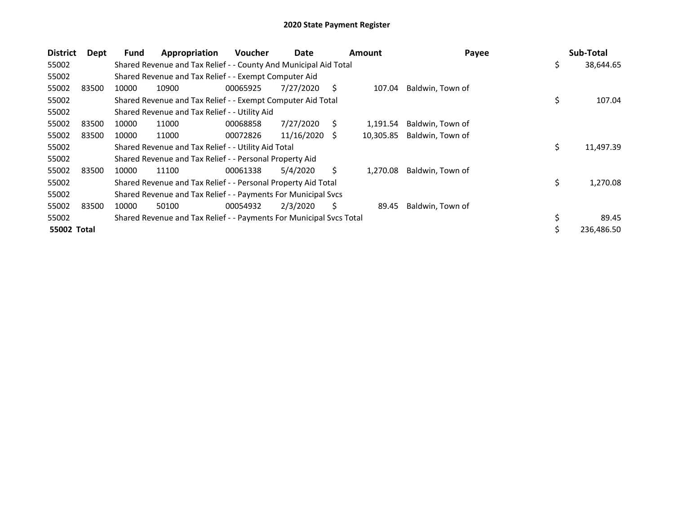| <b>District</b> | Dept  | <b>Fund</b> | Appropriation                                                       | <b>Voucher</b> | Date       |    | Amount    | Payee            | Sub-Total       |
|-----------------|-------|-------------|---------------------------------------------------------------------|----------------|------------|----|-----------|------------------|-----------------|
| 55002           |       |             | Shared Revenue and Tax Relief - - County And Municipal Aid Total    |                |            |    |           |                  | \$<br>38,644.65 |
| 55002           |       |             | Shared Revenue and Tax Relief - - Exempt Computer Aid               |                |            |    |           |                  |                 |
| 55002           | 83500 | 10000       | 10900                                                               | 00065925       | 7/27/2020  | S  | 107.04    | Baldwin, Town of |                 |
| 55002           |       |             | Shared Revenue and Tax Relief - - Exempt Computer Aid Total         |                |            |    |           |                  | \$<br>107.04    |
| 55002           |       |             | Shared Revenue and Tax Relief - - Utility Aid                       |                |            |    |           |                  |                 |
| 55002           | 83500 | 10000       | 11000                                                               | 00068858       | 7/27/2020  | S. | 1,191.54  | Baldwin, Town of |                 |
| 55002           | 83500 | 10000       | 11000                                                               | 00072826       | 11/16/2020 | S  | 10,305.85 | Baldwin, Town of |                 |
| 55002           |       |             | Shared Revenue and Tax Relief - - Utility Aid Total                 |                |            |    |           |                  | \$<br>11,497.39 |
| 55002           |       |             | Shared Revenue and Tax Relief - - Personal Property Aid             |                |            |    |           |                  |                 |
| 55002           | 83500 | 10000       | 11100                                                               | 00061338       | 5/4/2020   | Ś  | 1,270.08  | Baldwin, Town of |                 |
| 55002           |       |             | Shared Revenue and Tax Relief - - Personal Property Aid Total       |                |            |    |           |                  | \$<br>1,270.08  |
| 55002           |       |             | Shared Revenue and Tax Relief - - Payments For Municipal Svcs       |                |            |    |           |                  |                 |
| 55002           | 83500 | 10000       | 50100                                                               | 00054932       | 2/3/2020   | Ś  | 89.45     | Baldwin, Town of |                 |
| 55002           |       |             | Shared Revenue and Tax Relief - - Payments For Municipal Svcs Total |                |            |    |           |                  | \$<br>89.45     |
| 55002 Total     |       |             |                                                                     |                |            |    |           |                  | 236,486.50      |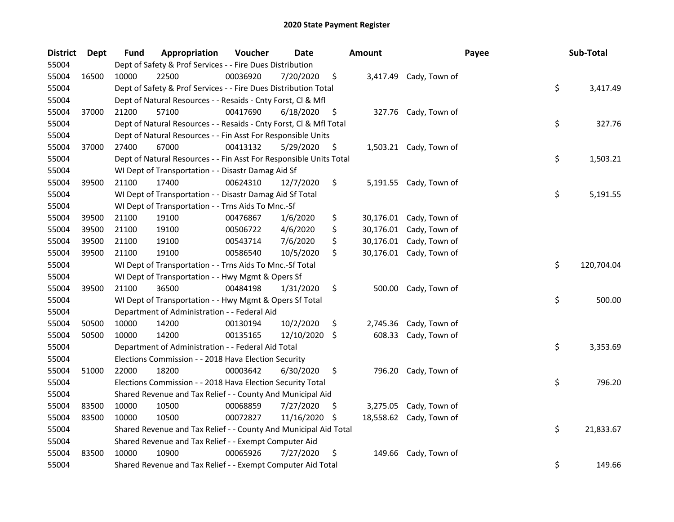| <b>District</b> | Dept  | Fund  | Appropriation                                                      | Voucher  | Date       |     | Amount    |                         | Payee | Sub-Total        |
|-----------------|-------|-------|--------------------------------------------------------------------|----------|------------|-----|-----------|-------------------------|-------|------------------|
| 55004           |       |       | Dept of Safety & Prof Services - - Fire Dues Distribution          |          |            |     |           |                         |       |                  |
| 55004           | 16500 | 10000 | 22500                                                              | 00036920 | 7/20/2020  | \$  |           | 3,417.49 Cady, Town of  |       |                  |
| 55004           |       |       | Dept of Safety & Prof Services - - Fire Dues Distribution Total    |          |            |     |           |                         |       | \$<br>3,417.49   |
| 55004           |       |       | Dept of Natural Resources - - Resaids - Cnty Forst, Cl & Mfl       |          |            |     |           |                         |       |                  |
| 55004           | 37000 | 21200 | 57100                                                              | 00417690 | 6/18/2020  | \$  |           | 327.76 Cady, Town of    |       |                  |
| 55004           |       |       | Dept of Natural Resources - - Resaids - Cnty Forst, Cl & Mfl Total |          |            |     |           |                         |       | \$<br>327.76     |
| 55004           |       |       | Dept of Natural Resources - - Fin Asst For Responsible Units       |          |            |     |           |                         |       |                  |
| 55004           | 37000 | 27400 | 67000                                                              | 00413132 | 5/29/2020  | \$  |           | 1,503.21 Cady, Town of  |       |                  |
| 55004           |       |       | Dept of Natural Resources - - Fin Asst For Responsible Units Total |          |            |     |           |                         |       | \$<br>1,503.21   |
| 55004           |       |       | WI Dept of Transportation - - Disastr Damag Aid Sf                 |          |            |     |           |                         |       |                  |
| 55004           | 39500 | 21100 | 17400                                                              | 00624310 | 12/7/2020  | \$  |           | 5,191.55 Cady, Town of  |       |                  |
| 55004           |       |       | WI Dept of Transportation - - Disastr Damag Aid Sf Total           |          |            |     |           |                         |       | \$<br>5,191.55   |
| 55004           |       |       | WI Dept of Transportation - - Trns Aids To Mnc.-Sf                 |          |            |     |           |                         |       |                  |
| 55004           | 39500 | 21100 | 19100                                                              | 00476867 | 1/6/2020   | \$  |           | 30,176.01 Cady, Town of |       |                  |
| 55004           | 39500 | 21100 | 19100                                                              | 00506722 | 4/6/2020   | \$  | 30,176.01 | Cady, Town of           |       |                  |
| 55004           | 39500 | 21100 | 19100                                                              | 00543714 | 7/6/2020   | \$  | 30,176.01 | Cady, Town of           |       |                  |
| 55004           | 39500 | 21100 | 19100                                                              | 00586540 | 10/5/2020  | \$  |           | 30,176.01 Cady, Town of |       |                  |
| 55004           |       |       | WI Dept of Transportation - - Trns Aids To Mnc.-Sf Total           |          |            |     |           |                         |       | \$<br>120,704.04 |
| 55004           |       |       | WI Dept of Transportation - - Hwy Mgmt & Opers Sf                  |          |            |     |           |                         |       |                  |
| 55004           | 39500 | 21100 | 36500                                                              | 00484198 | 1/31/2020  | \$  | 500.00    | Cady, Town of           |       |                  |
| 55004           |       |       | WI Dept of Transportation - - Hwy Mgmt & Opers Sf Total            |          |            |     |           |                         |       | \$<br>500.00     |
| 55004           |       |       | Department of Administration - - Federal Aid                       |          |            |     |           |                         |       |                  |
| 55004           | 50500 | 10000 | 14200                                                              | 00130194 | 10/2/2020  | \$  | 2,745.36  | Cady, Town of           |       |                  |
| 55004           | 50500 | 10000 | 14200                                                              | 00135165 | 12/10/2020 | \$  | 608.33    | Cady, Town of           |       |                  |
| 55004           |       |       | Department of Administration - - Federal Aid Total                 |          |            |     |           |                         |       | \$<br>3,353.69   |
| 55004           |       |       | Elections Commission - - 2018 Hava Election Security               |          |            |     |           |                         |       |                  |
| 55004           | 51000 | 22000 | 18200                                                              | 00003642 | 6/30/2020  | \$  | 796.20    | Cady, Town of           |       |                  |
| 55004           |       |       | Elections Commission - - 2018 Hava Election Security Total         |          |            |     |           |                         |       | \$<br>796.20     |
| 55004           |       |       | Shared Revenue and Tax Relief - - County And Municipal Aid         |          |            |     |           |                         |       |                  |
| 55004           | 83500 | 10000 | 10500                                                              | 00068859 | 7/27/2020  | \$  | 3,275.05  | Cady, Town of           |       |                  |
| 55004           | 83500 | 10000 | 10500                                                              | 00072827 | 11/16/2020 | \$. | 18,558.62 | Cady, Town of           |       |                  |
| 55004           |       |       | Shared Revenue and Tax Relief - - County And Municipal Aid Total   |          |            |     |           |                         |       | \$<br>21,833.67  |
| 55004           |       |       | Shared Revenue and Tax Relief - - Exempt Computer Aid              |          |            |     |           |                         |       |                  |
| 55004           | 83500 | 10000 | 10900                                                              | 00065926 | 7/27/2020  | \$  | 149.66    | Cady, Town of           |       |                  |
| 55004           |       |       | Shared Revenue and Tax Relief - - Exempt Computer Aid Total        |          |            |     |           |                         |       | \$<br>149.66     |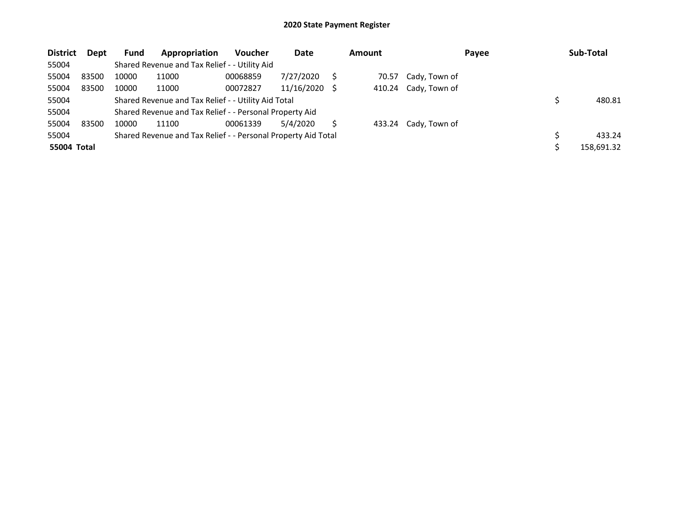| <b>District</b> | <b>Dept</b> | <b>Fund</b> | Appropriation                                                 | <b>Voucher</b> | Date       |     | <b>Amount</b> |               | Payee | Sub-Total  |
|-----------------|-------------|-------------|---------------------------------------------------------------|----------------|------------|-----|---------------|---------------|-------|------------|
| 55004           |             |             | Shared Revenue and Tax Relief - - Utility Aid                 |                |            |     |               |               |       |            |
| 55004           | 83500       | 10000       | 11000                                                         | 00068859       | 7/27/2020  |     | 70.57         | Cady, Town of |       |            |
| 55004           | 83500       | 10000       | 11000                                                         | 00072827       | 11/16/2020 | - S | 410.24        | Cady, Town of |       |            |
| 55004           |             |             | Shared Revenue and Tax Relief - - Utility Aid Total           |                |            |     |               |               |       | 480.81     |
| 55004           |             |             | Shared Revenue and Tax Relief - - Personal Property Aid       |                |            |     |               |               |       |            |
| 55004           | 83500       | 10000       | 11100                                                         | 00061339       | 5/4/2020   |     | 433.24        | Cady, Town of |       |            |
| 55004           |             |             | Shared Revenue and Tax Relief - - Personal Property Aid Total |                |            |     |               |               |       | 433.24     |
| 55004 Total     |             |             |                                                               |                |            |     |               |               |       | 158,691.32 |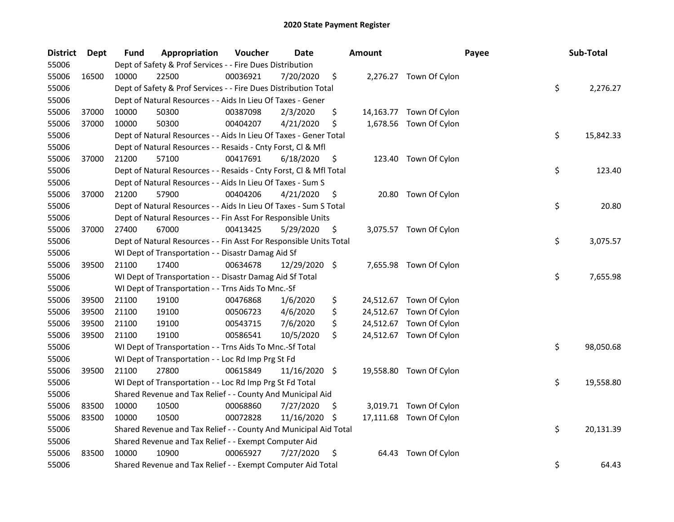| District | Dept  | Fund  | Appropriation                                                      | Voucher  | <b>Date</b>   |     | <b>Amount</b> | Payee                   | Sub-Total       |
|----------|-------|-------|--------------------------------------------------------------------|----------|---------------|-----|---------------|-------------------------|-----------------|
| 55006    |       |       | Dept of Safety & Prof Services - - Fire Dues Distribution          |          |               |     |               |                         |                 |
| 55006    | 16500 | 10000 | 22500                                                              | 00036921 | 7/20/2020     | \$  |               | 2,276.27 Town Of Cylon  |                 |
| 55006    |       |       | Dept of Safety & Prof Services - - Fire Dues Distribution Total    |          |               |     |               |                         | \$<br>2,276.27  |
| 55006    |       |       | Dept of Natural Resources - - Aids In Lieu Of Taxes - Gener        |          |               |     |               |                         |                 |
| 55006    | 37000 | 10000 | 50300                                                              | 00387098 | 2/3/2020      | \$  |               | 14,163.77 Town Of Cylon |                 |
| 55006    | 37000 | 10000 | 50300                                                              | 00404207 | 4/21/2020     | \$  | 1,678.56      | Town Of Cylon           |                 |
| 55006    |       |       | Dept of Natural Resources - - Aids In Lieu Of Taxes - Gener Total  |          |               |     |               |                         | \$<br>15,842.33 |
| 55006    |       |       | Dept of Natural Resources - - Resaids - Cnty Forst, Cl & Mfl       |          |               |     |               |                         |                 |
| 55006    | 37000 | 21200 | 57100                                                              | 00417691 | 6/18/2020     | \$  |               | 123.40 Town Of Cylon    |                 |
| 55006    |       |       | Dept of Natural Resources - - Resaids - Cnty Forst, Cl & Mfl Total |          |               |     |               |                         | \$<br>123.40    |
| 55006    |       |       | Dept of Natural Resources - - Aids In Lieu Of Taxes - Sum S        |          |               |     |               |                         |                 |
| 55006    | 37000 | 21200 | 57900                                                              | 00404206 | 4/21/2020     | \$  |               | 20.80 Town Of Cylon     |                 |
| 55006    |       |       | Dept of Natural Resources - - Aids In Lieu Of Taxes - Sum S Total  |          |               |     |               |                         | \$<br>20.80     |
| 55006    |       |       | Dept of Natural Resources - - Fin Asst For Responsible Units       |          |               |     |               |                         |                 |
| 55006    | 37000 | 27400 | 67000                                                              | 00413425 | 5/29/2020     | \$  |               | 3,075.57 Town Of Cylon  |                 |
| 55006    |       |       | Dept of Natural Resources - - Fin Asst For Responsible Units Total |          |               |     |               |                         | \$<br>3,075.57  |
| 55006    |       |       | WI Dept of Transportation - - Disastr Damag Aid Sf                 |          |               |     |               |                         |                 |
| 55006    | 39500 | 21100 | 17400                                                              | 00634678 | 12/29/2020 \$ |     |               | 7,655.98 Town Of Cylon  |                 |
| 55006    |       |       | WI Dept of Transportation - - Disastr Damag Aid Sf Total           |          |               |     |               |                         | \$<br>7,655.98  |
| 55006    |       |       | WI Dept of Transportation - - Trns Aids To Mnc.-Sf                 |          |               |     |               |                         |                 |
| 55006    | 39500 | 21100 | 19100                                                              | 00476868 | 1/6/2020      | \$  |               | 24,512.67 Town Of Cylon |                 |
| 55006    | 39500 | 21100 | 19100                                                              | 00506723 | 4/6/2020      | \$  |               | 24,512.67 Town Of Cylon |                 |
| 55006    | 39500 | 21100 | 19100                                                              | 00543715 | 7/6/2020      | \$  |               | 24,512.67 Town Of Cylon |                 |
| 55006    | 39500 | 21100 | 19100                                                              | 00586541 | 10/5/2020     | \$  |               | 24,512.67 Town Of Cylon |                 |
| 55006    |       |       | WI Dept of Transportation - - Trns Aids To Mnc.-Sf Total           |          |               |     |               |                         | \$<br>98,050.68 |
| 55006    |       |       | WI Dept of Transportation - - Loc Rd Imp Prg St Fd                 |          |               |     |               |                         |                 |
| 55006    | 39500 | 21100 | 27800                                                              | 00615849 | 11/16/2020 \$ |     |               | 19,558.80 Town Of Cylon |                 |
| 55006    |       |       | WI Dept of Transportation - - Loc Rd Imp Prg St Fd Total           |          |               |     |               |                         | \$<br>19,558.80 |
| 55006    |       |       | Shared Revenue and Tax Relief - - County And Municipal Aid         |          |               |     |               |                         |                 |
| 55006    | 83500 | 10000 | 10500                                                              | 00068860 | 7/27/2020     | \$  |               | 3,019.71 Town Of Cylon  |                 |
| 55006    | 83500 | 10000 | 10500                                                              | 00072828 | 11/16/2020    | \$. |               | 17,111.68 Town Of Cylon |                 |
| 55006    |       |       | Shared Revenue and Tax Relief - - County And Municipal Aid Total   |          |               |     |               |                         | \$<br>20,131.39 |
| 55006    |       |       | Shared Revenue and Tax Relief - - Exempt Computer Aid              |          |               |     |               |                         |                 |
| 55006    | 83500 | 10000 | 10900                                                              | 00065927 | 7/27/2020     | \$  | 64.43         | Town Of Cylon           |                 |
| 55006    |       |       | Shared Revenue and Tax Relief - - Exempt Computer Aid Total        |          |               |     |               |                         | \$<br>64.43     |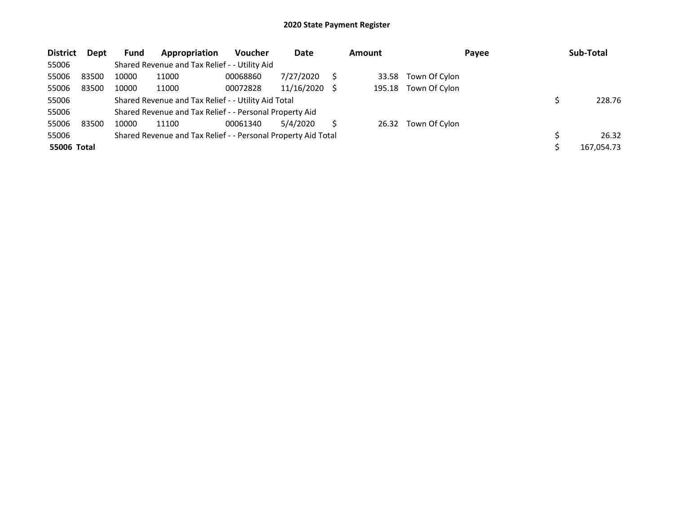| <b>District</b> | <b>Dept</b> | <b>Fund</b> | Appropriation                                                 | <b>Voucher</b> | Date       | <b>Amount</b> |               | Payee | Sub-Total  |
|-----------------|-------------|-------------|---------------------------------------------------------------|----------------|------------|---------------|---------------|-------|------------|
| 55006           |             |             | Shared Revenue and Tax Relief - - Utility Aid                 |                |            |               |               |       |            |
| 55006           | 83500       | 10000       | 11000                                                         | 00068860       | 7/27/2020  | 33.58         | Town Of Cylon |       |            |
| 55006           | 83500       | 10000       | 11000                                                         | 00072828       | 11/16/2020 | 195.18        | Town Of Cylon |       |            |
| 55006           |             |             | Shared Revenue and Tax Relief - - Utility Aid Total           |                |            |               |               |       | 228.76     |
| 55006           |             |             | Shared Revenue and Tax Relief - - Personal Property Aid       |                |            |               |               |       |            |
| 55006           | 83500       | 10000       | 11100                                                         | 00061340       | 5/4/2020   | 26.32         | Town Of Cylon |       |            |
| 55006           |             |             | Shared Revenue and Tax Relief - - Personal Property Aid Total |                |            |               |               |       | 26.32      |
| 55006 Total     |             |             |                                                               |                |            |               |               |       | 167,054.73 |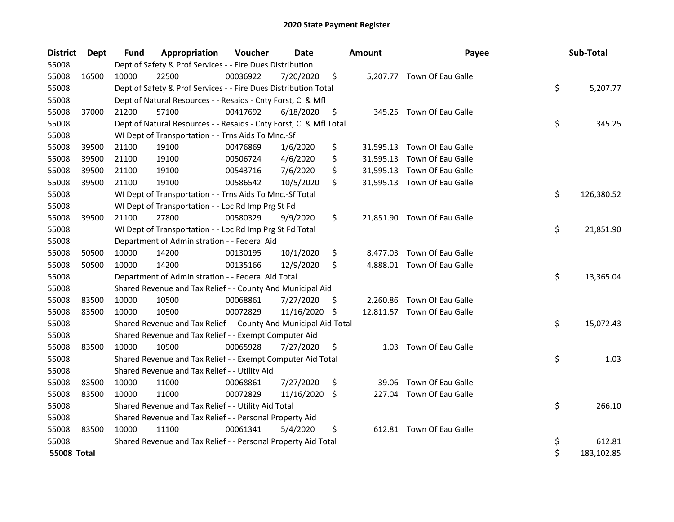| <b>District</b>    | Dept  | Fund  | Appropriation                                                      | Voucher  | <b>Date</b>   |     | <b>Amount</b> | Payee                       | Sub-Total        |
|--------------------|-------|-------|--------------------------------------------------------------------|----------|---------------|-----|---------------|-----------------------------|------------------|
| 55008              |       |       | Dept of Safety & Prof Services - - Fire Dues Distribution          |          |               |     |               |                             |                  |
| 55008              | 16500 | 10000 | 22500                                                              | 00036922 | 7/20/2020     | \$  |               | 5,207.77 Town Of Eau Galle  |                  |
| 55008              |       |       | Dept of Safety & Prof Services - - Fire Dues Distribution Total    |          |               |     |               |                             | \$<br>5,207.77   |
| 55008              |       |       | Dept of Natural Resources - - Resaids - Cnty Forst, Cl & Mfl       |          |               |     |               |                             |                  |
| 55008              | 37000 | 21200 | 57100                                                              | 00417692 | 6/18/2020     | \$  |               | 345.25 Town Of Eau Galle    |                  |
| 55008              |       |       | Dept of Natural Resources - - Resaids - Cnty Forst, Cl & Mfl Total |          |               |     |               |                             | \$<br>345.25     |
| 55008              |       |       | WI Dept of Transportation - - Trns Aids To Mnc.-Sf                 |          |               |     |               |                             |                  |
| 55008              | 39500 | 21100 | 19100                                                              | 00476869 | 1/6/2020      | \$  |               | 31,595.13 Town Of Eau Galle |                  |
| 55008              | 39500 | 21100 | 19100                                                              | 00506724 | 4/6/2020      | \$  |               | 31,595.13 Town Of Eau Galle |                  |
| 55008              | 39500 | 21100 | 19100                                                              | 00543716 | 7/6/2020      | \$  |               | 31,595.13 Town Of Eau Galle |                  |
| 55008              | 39500 | 21100 | 19100                                                              | 00586542 | 10/5/2020     | \$  |               | 31,595.13 Town Of Eau Galle |                  |
| 55008              |       |       | WI Dept of Transportation - - Trns Aids To Mnc.-Sf Total           |          |               |     |               |                             | \$<br>126,380.52 |
| 55008              |       |       | WI Dept of Transportation - - Loc Rd Imp Prg St Fd                 |          |               |     |               |                             |                  |
| 55008              | 39500 | 21100 | 27800                                                              | 00580329 | 9/9/2020      | \$  |               | 21,851.90 Town Of Eau Galle |                  |
| 55008              |       |       | WI Dept of Transportation - - Loc Rd Imp Prg St Fd Total           |          |               |     |               |                             | \$<br>21,851.90  |
| 55008              |       |       | Department of Administration - - Federal Aid                       |          |               |     |               |                             |                  |
| 55008              | 50500 | 10000 | 14200                                                              | 00130195 | 10/1/2020     | \$  |               | 8,477.03 Town Of Eau Galle  |                  |
| 55008              | 50500 | 10000 | 14200                                                              | 00135166 | 12/9/2020     | \$  |               | 4,888.01 Town Of Eau Galle  |                  |
| 55008              |       |       | Department of Administration - - Federal Aid Total                 |          |               |     |               |                             | \$<br>13,365.04  |
| 55008              |       |       | Shared Revenue and Tax Relief - - County And Municipal Aid         |          |               |     |               |                             |                  |
| 55008              | 83500 | 10000 | 10500                                                              | 00068861 | 7/27/2020     | \$. |               | 2,260.86 Town Of Eau Galle  |                  |
| 55008              | 83500 | 10000 | 10500                                                              | 00072829 | 11/16/2020    | \$  |               | 12,811.57 Town Of Eau Galle |                  |
| 55008              |       |       | Shared Revenue and Tax Relief - - County And Municipal Aid Total   |          |               |     |               |                             | \$<br>15,072.43  |
| 55008              |       |       | Shared Revenue and Tax Relief - - Exempt Computer Aid              |          |               |     |               |                             |                  |
| 55008              | 83500 | 10000 | 10900                                                              | 00065928 | 7/27/2020     | \$  | 1.03          | Town Of Eau Galle           |                  |
| 55008              |       |       | Shared Revenue and Tax Relief - - Exempt Computer Aid Total        |          |               |     |               |                             | \$<br>1.03       |
| 55008              |       |       | Shared Revenue and Tax Relief - - Utility Aid                      |          |               |     |               |                             |                  |
| 55008              | 83500 | 10000 | 11000                                                              | 00068861 | 7/27/2020     | \$  | 39.06         | Town Of Eau Galle           |                  |
| 55008              | 83500 | 10000 | 11000                                                              | 00072829 | 11/16/2020 \$ |     |               | 227.04 Town Of Eau Galle    |                  |
| 55008              |       |       | Shared Revenue and Tax Relief - - Utility Aid Total                |          |               |     |               |                             | \$<br>266.10     |
| 55008              |       |       | Shared Revenue and Tax Relief - - Personal Property Aid            |          |               |     |               |                             |                  |
| 55008              | 83500 | 10000 | 11100                                                              | 00061341 | 5/4/2020      | \$  |               | 612.81 Town Of Eau Galle    |                  |
| 55008              |       |       | Shared Revenue and Tax Relief - - Personal Property Aid Total      |          |               |     |               |                             | \$<br>612.81     |
| <b>55008 Total</b> |       |       |                                                                    |          |               |     |               |                             | \$<br>183,102.85 |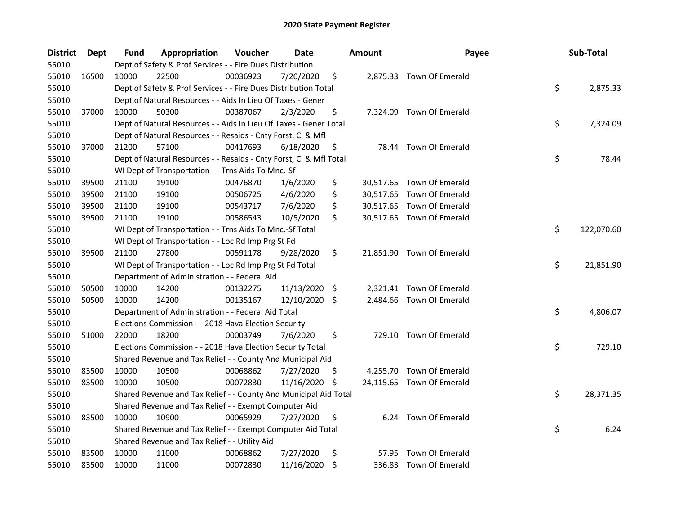| <b>District</b> | Dept  | Fund  | Appropriation                                                      | Voucher  | Date       |     | <b>Amount</b> | Payee                     | Sub-Total        |
|-----------------|-------|-------|--------------------------------------------------------------------|----------|------------|-----|---------------|---------------------------|------------------|
| 55010           |       |       | Dept of Safety & Prof Services - - Fire Dues Distribution          |          |            |     |               |                           |                  |
| 55010           | 16500 | 10000 | 22500                                                              | 00036923 | 7/20/2020  | \$  |               | 2,875.33 Town Of Emerald  |                  |
| 55010           |       |       | Dept of Safety & Prof Services - - Fire Dues Distribution Total    |          |            |     |               |                           | \$<br>2,875.33   |
| 55010           |       |       | Dept of Natural Resources - - Aids In Lieu Of Taxes - Gener        |          |            |     |               |                           |                  |
| 55010           | 37000 | 10000 | 50300                                                              | 00387067 | 2/3/2020   | \$  |               | 7,324.09 Town Of Emerald  |                  |
| 55010           |       |       | Dept of Natural Resources - - Aids In Lieu Of Taxes - Gener Total  |          |            |     |               |                           | \$<br>7,324.09   |
| 55010           |       |       | Dept of Natural Resources - - Resaids - Cnty Forst, Cl & Mfl       |          |            |     |               |                           |                  |
| 55010           | 37000 | 21200 | 57100                                                              | 00417693 | 6/18/2020  | \$  |               | 78.44 Town Of Emerald     |                  |
| 55010           |       |       | Dept of Natural Resources - - Resaids - Cnty Forst, Cl & Mfl Total |          |            |     |               |                           | \$<br>78.44      |
| 55010           |       |       | WI Dept of Transportation - - Trns Aids To Mnc.-Sf                 |          |            |     |               |                           |                  |
| 55010           | 39500 | 21100 | 19100                                                              | 00476870 | 1/6/2020   | \$  |               | 30,517.65 Town Of Emerald |                  |
| 55010           | 39500 | 21100 | 19100                                                              | 00506725 | 4/6/2020   | \$  |               | 30,517.65 Town Of Emerald |                  |
| 55010           | 39500 | 21100 | 19100                                                              | 00543717 | 7/6/2020   | \$  |               | 30,517.65 Town Of Emerald |                  |
| 55010           | 39500 | 21100 | 19100                                                              | 00586543 | 10/5/2020  | \$  |               | 30,517.65 Town Of Emerald |                  |
| 55010           |       |       | WI Dept of Transportation - - Trns Aids To Mnc.-Sf Total           |          |            |     |               |                           | \$<br>122,070.60 |
| 55010           |       |       | WI Dept of Transportation - - Loc Rd Imp Prg St Fd                 |          |            |     |               |                           |                  |
| 55010           | 39500 | 21100 | 27800                                                              | 00591178 | 9/28/2020  | \$  |               | 21,851.90 Town Of Emerald |                  |
| 55010           |       |       | WI Dept of Transportation - - Loc Rd Imp Prg St Fd Total           |          |            |     |               |                           | \$<br>21,851.90  |
| 55010           |       |       | Department of Administration - - Federal Aid                       |          |            |     |               |                           |                  |
| 55010           | 50500 | 10000 | 14200                                                              | 00132275 | 11/13/2020 | \$  |               | 2,321.41 Town Of Emerald  |                  |
| 55010           | 50500 | 10000 | 14200                                                              | 00135167 | 12/10/2020 | \$  |               | 2,484.66 Town Of Emerald  |                  |
| 55010           |       |       | Department of Administration - - Federal Aid Total                 |          |            |     |               |                           | \$<br>4,806.07   |
| 55010           |       |       | Elections Commission - - 2018 Hava Election Security               |          |            |     |               |                           |                  |
| 55010           | 51000 | 22000 | 18200                                                              | 00003749 | 7/6/2020   | \$  |               | 729.10 Town Of Emerald    |                  |
| 55010           |       |       | Elections Commission - - 2018 Hava Election Security Total         |          |            |     |               |                           | \$<br>729.10     |
| 55010           |       |       | Shared Revenue and Tax Relief - - County And Municipal Aid         |          |            |     |               |                           |                  |
| 55010           | 83500 | 10000 | 10500                                                              | 00068862 | 7/27/2020  | \$. |               | 4,255.70 Town Of Emerald  |                  |
| 55010           | 83500 | 10000 | 10500                                                              | 00072830 | 11/16/2020 | S   |               | 24,115.65 Town Of Emerald |                  |
| 55010           |       |       | Shared Revenue and Tax Relief - - County And Municipal Aid Total   |          |            |     |               |                           | \$<br>28,371.35  |
| 55010           |       |       | Shared Revenue and Tax Relief - - Exempt Computer Aid              |          |            |     |               |                           |                  |
| 55010           | 83500 | 10000 | 10900                                                              | 00065929 | 7/27/2020  | \$  |               | 6.24 Town Of Emerald      |                  |
| 55010           |       |       | Shared Revenue and Tax Relief - - Exempt Computer Aid Total        |          |            |     |               |                           | \$<br>6.24       |
| 55010           |       |       | Shared Revenue and Tax Relief - - Utility Aid                      |          |            |     |               |                           |                  |
| 55010           | 83500 | 10000 | 11000                                                              | 00068862 | 7/27/2020  | \$  |               | 57.95 Town Of Emerald     |                  |
| 55010           | 83500 | 10000 | 11000                                                              | 00072830 | 11/16/2020 | \$  |               | 336.83 Town Of Emerald    |                  |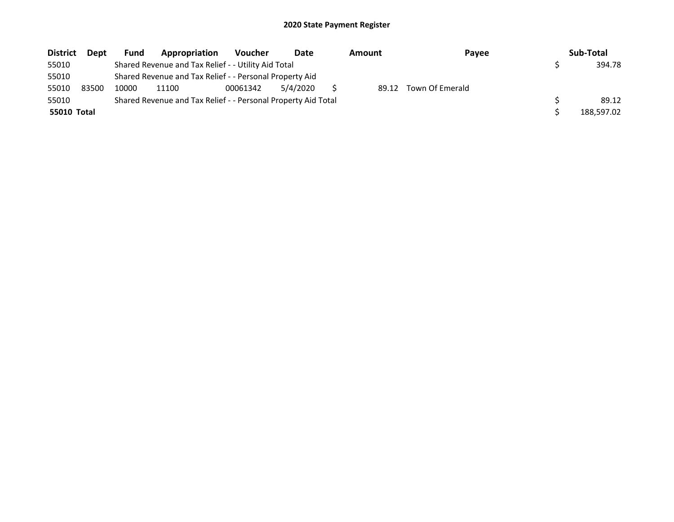| <b>District</b>    | <b>Dept</b> | Fund  | Appropriation                                                 | <b>Voucher</b> | Date     | Amount | Payee                 | Sub-Total  |
|--------------------|-------------|-------|---------------------------------------------------------------|----------------|----------|--------|-----------------------|------------|
| 55010              |             |       | Shared Revenue and Tax Relief - - Utility Aid Total           |                |          |        |                       | 394.78     |
| 55010              |             |       | Shared Revenue and Tax Relief - - Personal Property Aid       |                |          |        |                       |            |
| 55010              | 83500       | 10000 | 11100                                                         | 00061342       | 5/4/2020 |        | 89.12 Town Of Emerald |            |
| 55010              |             |       | Shared Revenue and Tax Relief - - Personal Property Aid Total |                |          |        |                       | 89.12      |
| <b>55010 Total</b> |             |       |                                                               |                |          |        |                       | 188,597.02 |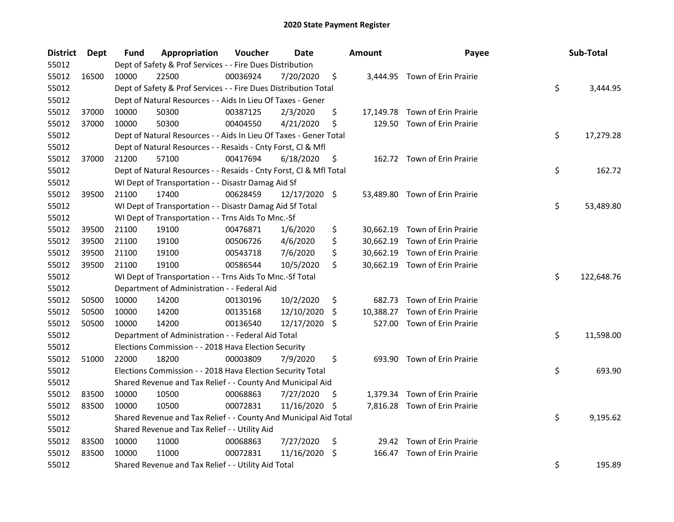| <b>District</b> | Dept  | Fund  | Appropriation                                                      | Voucher  | Date          |     | <b>Amount</b> | Payee                          | Sub-Total        |
|-----------------|-------|-------|--------------------------------------------------------------------|----------|---------------|-----|---------------|--------------------------------|------------------|
| 55012           |       |       | Dept of Safety & Prof Services - - Fire Dues Distribution          |          |               |     |               |                                |                  |
| 55012           | 16500 | 10000 | 22500                                                              | 00036924 | 7/20/2020     | \$  |               | 3,444.95 Town of Erin Prairie  |                  |
| 55012           |       |       | Dept of Safety & Prof Services - - Fire Dues Distribution Total    |          |               |     |               |                                | \$<br>3,444.95   |
| 55012           |       |       | Dept of Natural Resources - - Aids In Lieu Of Taxes - Gener        |          |               |     |               |                                |                  |
| 55012           | 37000 | 10000 | 50300                                                              | 00387125 | 2/3/2020      | \$  |               | 17,149.78 Town of Erin Prairie |                  |
| 55012           | 37000 | 10000 | 50300                                                              | 00404550 | 4/21/2020     | \$  | 129.50        | Town of Erin Prairie           |                  |
| 55012           |       |       | Dept of Natural Resources - - Aids In Lieu Of Taxes - Gener Total  |          |               |     |               |                                | \$<br>17,279.28  |
| 55012           |       |       | Dept of Natural Resources - - Resaids - Cnty Forst, Cl & Mfl       |          |               |     |               |                                |                  |
| 55012           | 37000 | 21200 | 57100                                                              | 00417694 | 6/18/2020     | \$  |               | 162.72 Town of Erin Prairie    |                  |
| 55012           |       |       | Dept of Natural Resources - - Resaids - Cnty Forst, Cl & Mfl Total |          |               |     |               |                                | \$<br>162.72     |
| 55012           |       |       | WI Dept of Transportation - - Disastr Damag Aid Sf                 |          |               |     |               |                                |                  |
| 55012           | 39500 | 21100 | 17400                                                              | 00628459 | 12/17/2020 \$ |     |               | 53,489.80 Town of Erin Prairie |                  |
| 55012           |       |       | WI Dept of Transportation - - Disastr Damag Aid Sf Total           |          |               |     |               |                                | \$<br>53,489.80  |
| 55012           |       |       | WI Dept of Transportation - - Trns Aids To Mnc.-Sf                 |          |               |     |               |                                |                  |
| 55012           | 39500 | 21100 | 19100                                                              | 00476871 | 1/6/2020      | \$  |               | 30,662.19 Town of Erin Prairie |                  |
| 55012           | 39500 | 21100 | 19100                                                              | 00506726 | 4/6/2020      | \$  |               | 30,662.19 Town of Erin Prairie |                  |
| 55012           | 39500 | 21100 | 19100                                                              | 00543718 | 7/6/2020      | \$  |               | 30,662.19 Town of Erin Prairie |                  |
| 55012           | 39500 | 21100 | 19100                                                              | 00586544 | 10/5/2020     | \$  |               | 30,662.19 Town of Erin Prairie |                  |
| 55012           |       |       | WI Dept of Transportation - - Trns Aids To Mnc.-Sf Total           |          |               |     |               |                                | \$<br>122,648.76 |
| 55012           |       |       | Department of Administration - - Federal Aid                       |          |               |     |               |                                |                  |
| 55012           | 50500 | 10000 | 14200                                                              | 00130196 | 10/2/2020     | \$  |               | 682.73 Town of Erin Prairie    |                  |
| 55012           | 50500 | 10000 | 14200                                                              | 00135168 | 12/10/2020    | \$. |               | 10,388.27 Town of Erin Prairie |                  |
| 55012           | 50500 | 10000 | 14200                                                              | 00136540 | 12/17/2020 \$ |     | 527.00        | Town of Erin Prairie           |                  |
| 55012           |       |       | Department of Administration - - Federal Aid Total                 |          |               |     |               |                                | \$<br>11,598.00  |
| 55012           |       |       | Elections Commission - - 2018 Hava Election Security               |          |               |     |               |                                |                  |
| 55012           | 51000 | 22000 | 18200                                                              | 00003809 | 7/9/2020      | \$  |               | 693.90 Town of Erin Prairie    |                  |
| 55012           |       |       | Elections Commission - - 2018 Hava Election Security Total         |          |               |     |               |                                | \$<br>693.90     |
| 55012           |       |       | Shared Revenue and Tax Relief - - County And Municipal Aid         |          |               |     |               |                                |                  |
| 55012           | 83500 | 10000 | 10500                                                              | 00068863 | 7/27/2020     | \$  |               | 1,379.34 Town of Erin Prairie  |                  |
| 55012           | 83500 | 10000 | 10500                                                              | 00072831 | 11/16/2020 \$ |     |               | 7,816.28 Town of Erin Prairie  |                  |
| 55012           |       |       | Shared Revenue and Tax Relief - - County And Municipal Aid Total   |          |               |     |               |                                | \$<br>9,195.62   |
| 55012           |       |       | Shared Revenue and Tax Relief - - Utility Aid                      |          |               |     |               |                                |                  |
| 55012           | 83500 | 10000 | 11000                                                              | 00068863 | 7/27/2020     | \$  |               | 29.42 Town of Erin Prairie     |                  |
| 55012           | 83500 | 10000 | 11000                                                              | 00072831 | 11/16/2020    | \$  | 166.47        | Town of Erin Prairie           |                  |
| 55012           |       |       | Shared Revenue and Tax Relief - - Utility Aid Total                |          |               |     |               |                                | \$<br>195.89     |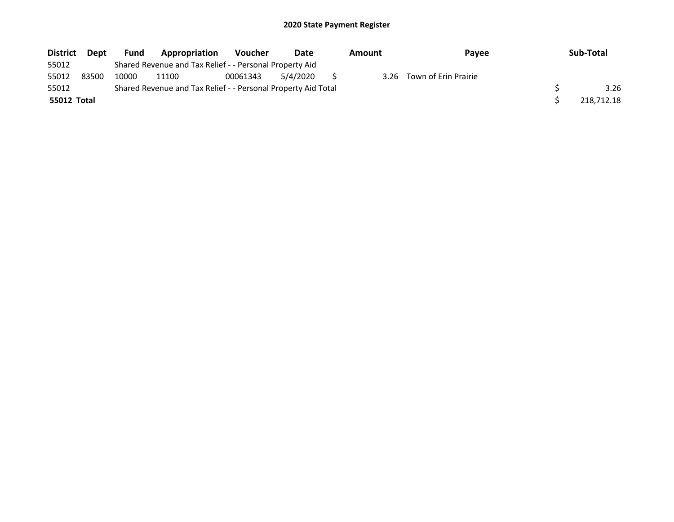| <b>District</b>    | <b>Dept</b> | <b>Fund</b> | Appropriation                                                 | <b>Voucher</b> | Date     | Amount | <b>Pavee</b>              | Sub-Total  |
|--------------------|-------------|-------------|---------------------------------------------------------------|----------------|----------|--------|---------------------------|------------|
| 55012              |             |             | Shared Revenue and Tax Relief - - Personal Property Aid       |                |          |        |                           |            |
| 55012              | 83500       | 10000       | 11100                                                         | 00061343       | 5/4/2020 |        | 3.26 Town of Erin Prairie |            |
| 55012              |             |             | Shared Revenue and Tax Relief - - Personal Property Aid Total |                |          |        |                           | 3.26       |
| <b>55012 Total</b> |             |             |                                                               |                |          |        |                           | 218.712.18 |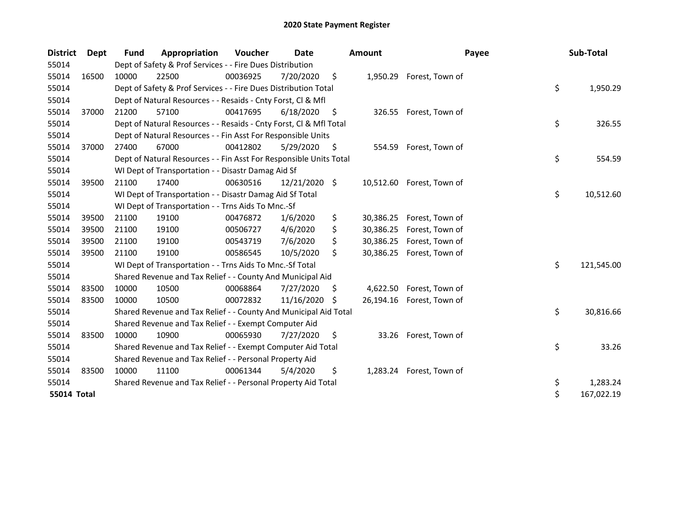| <b>District</b> | Dept  | Fund  | Appropriation                                                      | Voucher  | Date          |     | <b>Amount</b> | Payee                     | Sub-Total        |
|-----------------|-------|-------|--------------------------------------------------------------------|----------|---------------|-----|---------------|---------------------------|------------------|
| 55014           |       |       | Dept of Safety & Prof Services - - Fire Dues Distribution          |          |               |     |               |                           |                  |
| 55014           | 16500 | 10000 | 22500                                                              | 00036925 | 7/20/2020     | \$  | 1,950.29      | Forest, Town of           |                  |
| 55014           |       |       | Dept of Safety & Prof Services - - Fire Dues Distribution Total    |          |               |     |               |                           | \$<br>1,950.29   |
| 55014           |       |       | Dept of Natural Resources - - Resaids - Cnty Forst, Cl & Mfl       |          |               |     |               |                           |                  |
| 55014           | 37000 | 21200 | 57100                                                              | 00417695 | 6/18/2020     | \$  |               | 326.55 Forest, Town of    |                  |
| 55014           |       |       | Dept of Natural Resources - - Resaids - Cnty Forst, CI & Mfl Total |          |               |     |               |                           | \$<br>326.55     |
| 55014           |       |       | Dept of Natural Resources - - Fin Asst For Responsible Units       |          |               |     |               |                           |                  |
| 55014           | 37000 | 27400 | 67000                                                              | 00412802 | 5/29/2020     | \$  | 554.59        | Forest, Town of           |                  |
| 55014           |       |       | Dept of Natural Resources - - Fin Asst For Responsible Units Total |          |               |     |               |                           | \$<br>554.59     |
| 55014           |       |       | WI Dept of Transportation - - Disastr Damag Aid Sf                 |          |               |     |               |                           |                  |
| 55014           | 39500 | 21100 | 17400                                                              | 00630516 | 12/21/2020 \$ |     |               | 10,512.60 Forest, Town of |                  |
| 55014           |       |       | WI Dept of Transportation - - Disastr Damag Aid Sf Total           |          |               |     |               |                           | \$<br>10,512.60  |
| 55014           |       |       | WI Dept of Transportation - - Trns Aids To Mnc.-Sf                 |          |               |     |               |                           |                  |
| 55014           | 39500 | 21100 | 19100                                                              | 00476872 | 1/6/2020      | \$  | 30,386.25     | Forest, Town of           |                  |
| 55014           | 39500 | 21100 | 19100                                                              | 00506727 | 4/6/2020      | \$  | 30,386.25     | Forest, Town of           |                  |
| 55014           | 39500 | 21100 | 19100                                                              | 00543719 | 7/6/2020      | \$  | 30,386.25     | Forest, Town of           |                  |
| 55014           | 39500 | 21100 | 19100                                                              | 00586545 | 10/5/2020     | Ś.  | 30,386.25     | Forest, Town of           |                  |
| 55014           |       |       | WI Dept of Transportation - - Trns Aids To Mnc.-Sf Total           |          |               |     |               |                           | \$<br>121,545.00 |
| 55014           |       |       | Shared Revenue and Tax Relief - - County And Municipal Aid         |          |               |     |               |                           |                  |
| 55014           | 83500 | 10000 | 10500                                                              | 00068864 | 7/27/2020     | \$. | 4,622.50      | Forest, Town of           |                  |
| 55014           | 83500 | 10000 | 10500                                                              | 00072832 | 11/16/2020    | S.  |               | 26,194.16 Forest, Town of |                  |
| 55014           |       |       | Shared Revenue and Tax Relief - - County And Municipal Aid Total   |          |               |     |               |                           | \$<br>30,816.66  |
| 55014           |       |       | Shared Revenue and Tax Relief - - Exempt Computer Aid              |          |               |     |               |                           |                  |
| 55014           | 83500 | 10000 | 10900                                                              | 00065930 | 7/27/2020     | \$  |               | 33.26 Forest, Town of     |                  |
| 55014           |       |       | Shared Revenue and Tax Relief - - Exempt Computer Aid Total        |          |               |     |               |                           | \$<br>33.26      |
| 55014           |       |       | Shared Revenue and Tax Relief - - Personal Property Aid            |          |               |     |               |                           |                  |
| 55014           | 83500 | 10000 | 11100                                                              | 00061344 | 5/4/2020      | \$  |               | 1,283.24 Forest, Town of  |                  |
| 55014           |       |       | Shared Revenue and Tax Relief - - Personal Property Aid Total      |          |               |     |               |                           | \$<br>1,283.24   |
| 55014 Total     |       |       |                                                                    |          |               |     |               |                           | \$<br>167,022.19 |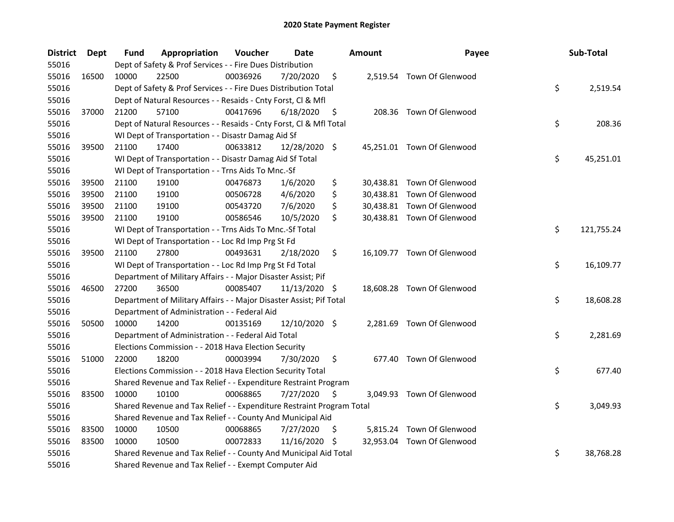| <b>District</b> | Dept  | <b>Fund</b> | Appropriation                                                         | Voucher  | Date          |     | Amount | Payee                      | Sub-Total        |
|-----------------|-------|-------------|-----------------------------------------------------------------------|----------|---------------|-----|--------|----------------------------|------------------|
| 55016           |       |             | Dept of Safety & Prof Services - - Fire Dues Distribution             |          |               |     |        |                            |                  |
| 55016           | 16500 | 10000       | 22500                                                                 | 00036926 | 7/20/2020     | \$  |        | 2,519.54 Town Of Glenwood  |                  |
| 55016           |       |             | Dept of Safety & Prof Services - - Fire Dues Distribution Total       |          |               |     |        |                            | \$<br>2,519.54   |
| 55016           |       |             | Dept of Natural Resources - - Resaids - Cnty Forst, Cl & Mfl          |          |               |     |        |                            |                  |
| 55016           | 37000 | 21200       | 57100                                                                 | 00417696 | 6/18/2020     | \$  |        | 208.36 Town Of Glenwood    |                  |
| 55016           |       |             | Dept of Natural Resources - - Resaids - Cnty Forst, Cl & Mfl Total    |          |               |     |        |                            | \$<br>208.36     |
| 55016           |       |             | WI Dept of Transportation - - Disastr Damag Aid Sf                    |          |               |     |        |                            |                  |
| 55016           | 39500 | 21100       | 17400                                                                 | 00633812 | 12/28/2020 \$ |     |        | 45,251.01 Town Of Glenwood |                  |
| 55016           |       |             | WI Dept of Transportation - - Disastr Damag Aid Sf Total              |          |               |     |        |                            | \$<br>45,251.01  |
| 55016           |       |             | WI Dept of Transportation - - Trns Aids To Mnc.-Sf                    |          |               |     |        |                            |                  |
| 55016           | 39500 | 21100       | 19100                                                                 | 00476873 | 1/6/2020      | \$  |        | 30,438.81 Town Of Glenwood |                  |
| 55016           | 39500 | 21100       | 19100                                                                 | 00506728 | 4/6/2020      | \$  |        | 30,438.81 Town Of Glenwood |                  |
| 55016           | 39500 | 21100       | 19100                                                                 | 00543720 | 7/6/2020      | \$  |        | 30,438.81 Town Of Glenwood |                  |
| 55016           | 39500 | 21100       | 19100                                                                 | 00586546 | 10/5/2020     | \$  |        | 30,438.81 Town Of Glenwood |                  |
| 55016           |       |             | WI Dept of Transportation - - Trns Aids To Mnc.-Sf Total              |          |               |     |        |                            | \$<br>121,755.24 |
| 55016           |       |             | WI Dept of Transportation - - Loc Rd Imp Prg St Fd                    |          |               |     |        |                            |                  |
| 55016           | 39500 | 21100       | 27800                                                                 | 00493631 | 2/18/2020     | \$  |        | 16,109.77 Town Of Glenwood |                  |
| 55016           |       |             | WI Dept of Transportation - - Loc Rd Imp Prg St Fd Total              |          |               |     |        |                            | \$<br>16,109.77  |
| 55016           |       |             | Department of Military Affairs - - Major Disaster Assist; Pif         |          |               |     |        |                            |                  |
| 55016           | 46500 | 27200       | 36500                                                                 | 00085407 | 11/13/2020 \$ |     |        | 18,608.28 Town Of Glenwood |                  |
| 55016           |       |             | Department of Military Affairs - - Major Disaster Assist; Pif Total   |          |               |     |        |                            | \$<br>18,608.28  |
| 55016           |       |             | Department of Administration - - Federal Aid                          |          |               |     |        |                            |                  |
| 55016           | 50500 | 10000       | 14200                                                                 | 00135169 | 12/10/2020 \$ |     |        | 2,281.69 Town Of Glenwood  |                  |
| 55016           |       |             | Department of Administration - - Federal Aid Total                    |          |               |     |        |                            | \$<br>2,281.69   |
| 55016           |       |             | Elections Commission - - 2018 Hava Election Security                  |          |               |     |        |                            |                  |
| 55016           | 51000 | 22000       | 18200                                                                 | 00003994 | 7/30/2020     | \$  |        | 677.40 Town Of Glenwood    |                  |
| 55016           |       |             | Elections Commission - - 2018 Hava Election Security Total            |          |               |     |        |                            | \$<br>677.40     |
| 55016           |       |             | Shared Revenue and Tax Relief - - Expenditure Restraint Program       |          |               |     |        |                            |                  |
| 55016           | 83500 | 10000       | 10100                                                                 | 00068865 | 7/27/2020     | \$, |        | 3,049.93 Town Of Glenwood  |                  |
| 55016           |       |             | Shared Revenue and Tax Relief - - Expenditure Restraint Program Total |          |               |     |        |                            | \$<br>3,049.93   |
| 55016           |       |             | Shared Revenue and Tax Relief - - County And Municipal Aid            |          |               |     |        |                            |                  |
| 55016           | 83500 | 10000       | 10500                                                                 | 00068865 | 7/27/2020     | \$  |        | 5,815.24 Town Of Glenwood  |                  |
| 55016           | 83500 | 10000       | 10500                                                                 | 00072833 | 11/16/2020    | \$. |        | 32,953.04 Town Of Glenwood |                  |
| 55016           |       |             | Shared Revenue and Tax Relief - - County And Municipal Aid Total      |          |               |     |        |                            | \$<br>38,768.28  |
| 55016           |       |             | Shared Revenue and Tax Relief - - Exempt Computer Aid                 |          |               |     |        |                            |                  |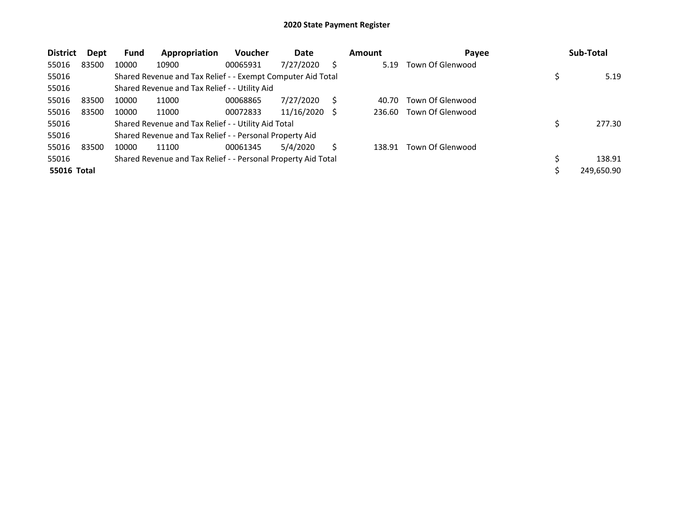| <b>District</b>    | Dept  | <b>Fund</b> | Appropriation                                                 | <b>Voucher</b> | Date       |    | <b>Amount</b> | Payee            | Sub-Total  |
|--------------------|-------|-------------|---------------------------------------------------------------|----------------|------------|----|---------------|------------------|------------|
| 55016              | 83500 | 10000       | 10900                                                         | 00065931       | 7/27/2020  | S  | 5.19          | Town Of Glenwood |            |
| 55016              |       |             | Shared Revenue and Tax Relief - - Exempt Computer Aid Total   |                |            |    |               |                  | 5.19       |
| 55016              |       |             | Shared Revenue and Tax Relief - - Utility Aid                 |                |            |    |               |                  |            |
| 55016              | 83500 | 10000       | 11000                                                         | 00068865       | 7/27/2020  | S  | 40.70         | Town Of Glenwood |            |
| 55016              | 83500 | 10000       | 11000                                                         | 00072833       | 11/16/2020 | -S | 236.60        | Town Of Glenwood |            |
| 55016              |       |             | Shared Revenue and Tax Relief - - Utility Aid Total           |                |            |    |               |                  | 277.30     |
| 55016              |       |             | Shared Revenue and Tax Relief - - Personal Property Aid       |                |            |    |               |                  |            |
| 55016              | 83500 | 10000       | 11100                                                         | 00061345       | 5/4/2020   | ς  | 138.91        | Town Of Glenwood |            |
| 55016              |       |             | Shared Revenue and Tax Relief - - Personal Property Aid Total |                |            |    |               |                  | 138.91     |
| <b>55016 Total</b> |       |             |                                                               |                |            |    |               |                  | 249,650.90 |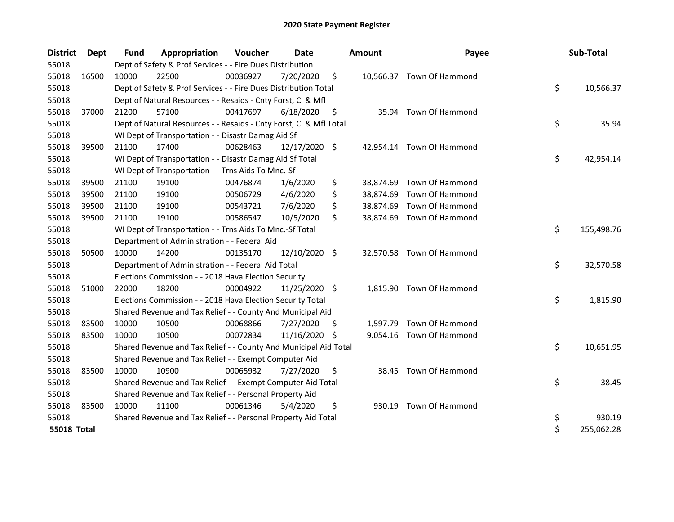| <b>District</b>    | Dept  | <b>Fund</b> | Appropriation                                                      | Voucher  | Date          |    | <b>Amount</b> | Payee                     | Sub-Total        |
|--------------------|-------|-------------|--------------------------------------------------------------------|----------|---------------|----|---------------|---------------------------|------------------|
| 55018              |       |             | Dept of Safety & Prof Services - - Fire Dues Distribution          |          |               |    |               |                           |                  |
| 55018              | 16500 | 10000       | 22500                                                              | 00036927 | 7/20/2020     | \$ |               | 10,566.37 Town Of Hammond |                  |
| 55018              |       |             | Dept of Safety & Prof Services - - Fire Dues Distribution Total    |          |               |    |               |                           | \$<br>10,566.37  |
| 55018              |       |             | Dept of Natural Resources - - Resaids - Cnty Forst, Cl & Mfl       |          |               |    |               |                           |                  |
| 55018              | 37000 | 21200       | 57100                                                              | 00417697 | 6/18/2020     | \$ |               | 35.94 Town Of Hammond     |                  |
| 55018              |       |             | Dept of Natural Resources - - Resaids - Cnty Forst, Cl & Mfl Total |          |               |    |               |                           | \$<br>35.94      |
| 55018              |       |             | WI Dept of Transportation - - Disastr Damag Aid Sf                 |          |               |    |               |                           |                  |
| 55018              | 39500 | 21100       | 17400                                                              | 00628463 | 12/17/2020    | \$ |               | 42,954.14 Town Of Hammond |                  |
| 55018              |       |             | WI Dept of Transportation - - Disastr Damag Aid Sf Total           |          |               |    |               |                           | \$<br>42,954.14  |
| 55018              |       |             | WI Dept of Transportation - - Trns Aids To Mnc.-Sf                 |          |               |    |               |                           |                  |
| 55018              | 39500 | 21100       | 19100                                                              | 00476874 | 1/6/2020      | \$ | 38,874.69     | <b>Town Of Hammond</b>    |                  |
| 55018              | 39500 | 21100       | 19100                                                              | 00506729 | 4/6/2020      | \$ |               | 38,874.69 Town Of Hammond |                  |
| 55018              | 39500 | 21100       | 19100                                                              | 00543721 | 7/6/2020      | \$ |               | 38,874.69 Town Of Hammond |                  |
| 55018              | 39500 | 21100       | 19100                                                              | 00586547 | 10/5/2020     | \$ |               | 38,874.69 Town Of Hammond |                  |
| 55018              |       |             | WI Dept of Transportation - - Trns Aids To Mnc.-Sf Total           |          |               |    |               |                           | \$<br>155,498.76 |
| 55018              |       |             | Department of Administration - - Federal Aid                       |          |               |    |               |                           |                  |
| 55018              | 50500 | 10000       | 14200                                                              | 00135170 | 12/10/2020 \$ |    |               | 32,570.58 Town Of Hammond |                  |
| 55018              |       |             | Department of Administration - - Federal Aid Total                 |          |               |    |               |                           | \$<br>32,570.58  |
| 55018              |       |             | Elections Commission - - 2018 Hava Election Security               |          |               |    |               |                           |                  |
| 55018              | 51000 | 22000       | 18200                                                              | 00004922 | 11/25/2020 \$ |    | 1,815.90      | Town Of Hammond           |                  |
| 55018              |       |             | Elections Commission - - 2018 Hava Election Security Total         |          |               |    |               |                           | \$<br>1,815.90   |
| 55018              |       |             | Shared Revenue and Tax Relief - - County And Municipal Aid         |          |               |    |               |                           |                  |
| 55018              | 83500 | 10000       | 10500                                                              | 00068866 | 7/27/2020     | S. |               | 1,597.79 Town Of Hammond  |                  |
| 55018              | 83500 | 10000       | 10500                                                              | 00072834 | 11/16/2020    | -S |               | 9,054.16 Town Of Hammond  |                  |
| 55018              |       |             | Shared Revenue and Tax Relief - - County And Municipal Aid Total   |          |               |    |               |                           | \$<br>10,651.95  |
| 55018              |       |             | Shared Revenue and Tax Relief - - Exempt Computer Aid              |          |               |    |               |                           |                  |
| 55018              | 83500 | 10000       | 10900                                                              | 00065932 | 7/27/2020     | \$ | 38.45         | Town Of Hammond           |                  |
| 55018              |       |             | Shared Revenue and Tax Relief - - Exempt Computer Aid Total        |          |               |    |               |                           | \$<br>38.45      |
| 55018              |       |             | Shared Revenue and Tax Relief - - Personal Property Aid            |          |               |    |               |                           |                  |
| 55018              | 83500 | 10000       | 11100                                                              | 00061346 | 5/4/2020      | \$ |               | 930.19 Town Of Hammond    |                  |
| 55018              |       |             | Shared Revenue and Tax Relief - - Personal Property Aid Total      |          |               |    |               |                           | \$<br>930.19     |
| <b>55018 Total</b> |       |             |                                                                    |          |               |    |               |                           | \$<br>255,062.28 |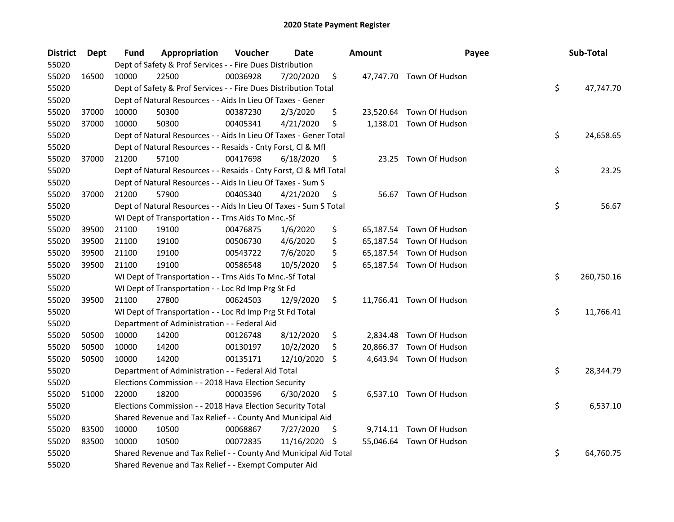| <b>District</b> | Dept  | Fund  | Appropriation                                                      | Voucher  | Date       |    | <b>Amount</b> | Payee                    | Sub-Total        |
|-----------------|-------|-------|--------------------------------------------------------------------|----------|------------|----|---------------|--------------------------|------------------|
| 55020           |       |       | Dept of Safety & Prof Services - - Fire Dues Distribution          |          |            |    |               |                          |                  |
| 55020           | 16500 | 10000 | 22500                                                              | 00036928 | 7/20/2020  | \$ |               | 47,747.70 Town Of Hudson |                  |
| 55020           |       |       | Dept of Safety & Prof Services - - Fire Dues Distribution Total    |          |            |    |               |                          | \$<br>47,747.70  |
| 55020           |       |       | Dept of Natural Resources - - Aids In Lieu Of Taxes - Gener        |          |            |    |               |                          |                  |
| 55020           | 37000 | 10000 | 50300                                                              | 00387230 | 2/3/2020   | \$ |               | 23,520.64 Town Of Hudson |                  |
| 55020           | 37000 | 10000 | 50300                                                              | 00405341 | 4/21/2020  | \$ |               | 1,138.01 Town Of Hudson  |                  |
| 55020           |       |       | Dept of Natural Resources - - Aids In Lieu Of Taxes - Gener Total  |          |            |    |               |                          | \$<br>24,658.65  |
| 55020           |       |       | Dept of Natural Resources - - Resaids - Cnty Forst, CI & Mfl       |          |            |    |               |                          |                  |
| 55020           | 37000 | 21200 | 57100                                                              | 00417698 | 6/18/2020  | \$ |               | 23.25 Town Of Hudson     |                  |
| 55020           |       |       | Dept of Natural Resources - - Resaids - Cnty Forst, Cl & Mfl Total |          |            |    |               |                          | \$<br>23.25      |
| 55020           |       |       | Dept of Natural Resources - - Aids In Lieu Of Taxes - Sum S        |          |            |    |               |                          |                  |
| 55020           | 37000 | 21200 | 57900                                                              | 00405340 | 4/21/2020  | \$ |               | 56.67 Town Of Hudson     |                  |
| 55020           |       |       | Dept of Natural Resources - - Aids In Lieu Of Taxes - Sum S Total  |          |            |    |               |                          | \$<br>56.67      |
| 55020           |       |       | WI Dept of Transportation - - Trns Aids To Mnc.-Sf                 |          |            |    |               |                          |                  |
| 55020           | 39500 | 21100 | 19100                                                              | 00476875 | 1/6/2020   | \$ |               | 65,187.54 Town Of Hudson |                  |
| 55020           | 39500 | 21100 | 19100                                                              | 00506730 | 4/6/2020   | \$ |               | 65,187.54 Town Of Hudson |                  |
| 55020           | 39500 | 21100 | 19100                                                              | 00543722 | 7/6/2020   | \$ |               | 65,187.54 Town Of Hudson |                  |
| 55020           | 39500 | 21100 | 19100                                                              | 00586548 | 10/5/2020  | \$ |               | 65,187.54 Town Of Hudson |                  |
| 55020           |       |       | WI Dept of Transportation - - Trns Aids To Mnc.-Sf Total           |          |            |    |               |                          | \$<br>260,750.16 |
| 55020           |       |       | WI Dept of Transportation - - Loc Rd Imp Prg St Fd                 |          |            |    |               |                          |                  |
| 55020           | 39500 | 21100 | 27800                                                              | 00624503 | 12/9/2020  | \$ |               | 11,766.41 Town Of Hudson |                  |
| 55020           |       |       | WI Dept of Transportation - - Loc Rd Imp Prg St Fd Total           |          |            |    |               |                          | \$<br>11,766.41  |
| 55020           |       |       | Department of Administration - - Federal Aid                       |          |            |    |               |                          |                  |
| 55020           | 50500 | 10000 | 14200                                                              | 00126748 | 8/12/2020  | \$ |               | 2,834.48 Town Of Hudson  |                  |
| 55020           | 50500 | 10000 | 14200                                                              | 00130197 | 10/2/2020  | \$ |               | 20,866.37 Town Of Hudson |                  |
| 55020           | 50500 | 10000 | 14200                                                              | 00135171 | 12/10/2020 | \$ |               | 4,643.94 Town Of Hudson  |                  |
| 55020           |       |       | Department of Administration - - Federal Aid Total                 |          |            |    |               |                          | \$<br>28,344.79  |
| 55020           |       |       | Elections Commission - - 2018 Hava Election Security               |          |            |    |               |                          |                  |
| 55020           | 51000 | 22000 | 18200                                                              | 00003596 | 6/30/2020  | \$ |               | 6,537.10 Town Of Hudson  |                  |
| 55020           |       |       | Elections Commission - - 2018 Hava Election Security Total         |          |            |    |               |                          | \$<br>6,537.10   |
| 55020           |       |       | Shared Revenue and Tax Relief - - County And Municipal Aid         |          |            |    |               |                          |                  |
| 55020           | 83500 | 10000 | 10500                                                              | 00068867 | 7/27/2020  | Ş. |               | 9,714.11 Town Of Hudson  |                  |
| 55020           | 83500 | 10000 | 10500                                                              | 00072835 | 11/16/2020 | \$ |               | 55,046.64 Town Of Hudson |                  |
| 55020           |       |       | Shared Revenue and Tax Relief - - County And Municipal Aid Total   |          |            |    |               |                          | \$<br>64,760.75  |
| 55020           |       |       | Shared Revenue and Tax Relief - - Exempt Computer Aid              |          |            |    |               |                          |                  |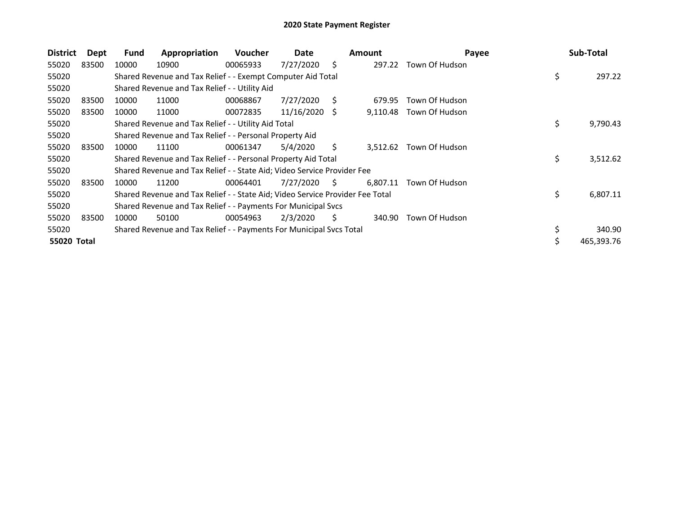| <b>District</b> | Dept  | Fund  | Appropriation                                                                 | <b>Voucher</b> | Date       |    | Amount   | Payee          | Sub-Total      |
|-----------------|-------|-------|-------------------------------------------------------------------------------|----------------|------------|----|----------|----------------|----------------|
| 55020           | 83500 | 10000 | 10900                                                                         | 00065933       | 7/27/2020  | Ś. | 297.22   | Town Of Hudson |                |
| 55020           |       |       | Shared Revenue and Tax Relief - - Exempt Computer Aid Total                   |                |            |    |          |                | \$<br>297.22   |
| 55020           |       |       | Shared Revenue and Tax Relief - - Utility Aid                                 |                |            |    |          |                |                |
| 55020           | 83500 | 10000 | 11000                                                                         | 00068867       | 7/27/2020  | S  | 679.95   | Town Of Hudson |                |
| 55020           | 83500 | 10000 | 11000                                                                         | 00072835       | 11/16/2020 | -S | 9,110.48 | Town Of Hudson |                |
| 55020           |       |       | Shared Revenue and Tax Relief - - Utility Aid Total                           |                |            |    |          |                | \$<br>9,790.43 |
| 55020           |       |       | Shared Revenue and Tax Relief - - Personal Property Aid                       |                |            |    |          |                |                |
| 55020           | 83500 | 10000 | 11100                                                                         | 00061347       | 5/4/2020   | S. | 3,512.62 | Town Of Hudson |                |
| 55020           |       |       | Shared Revenue and Tax Relief - - Personal Property Aid Total                 |                |            |    |          |                | \$<br>3,512.62 |
| 55020           |       |       | Shared Revenue and Tax Relief - - State Aid; Video Service Provider Fee       |                |            |    |          |                |                |
| 55020           | 83500 | 10000 | 11200                                                                         | 00064401       | 7/27/2020  | S. | 6.807.11 | Town Of Hudson |                |
| 55020           |       |       | Shared Revenue and Tax Relief - - State Aid; Video Service Provider Fee Total |                |            |    |          |                | \$<br>6,807.11 |
| 55020           |       |       | Shared Revenue and Tax Relief - - Payments For Municipal Svcs                 |                |            |    |          |                |                |
| 55020           | 83500 | 10000 | 50100                                                                         | 00054963       | 2/3/2020   | S  | 340.90   | Town Of Hudson |                |
| 55020           |       |       | Shared Revenue and Tax Relief - - Payments For Municipal Svcs Total           |                |            |    |          |                | \$<br>340.90   |
| 55020 Total     |       |       |                                                                               |                |            |    |          |                | 465,393.76     |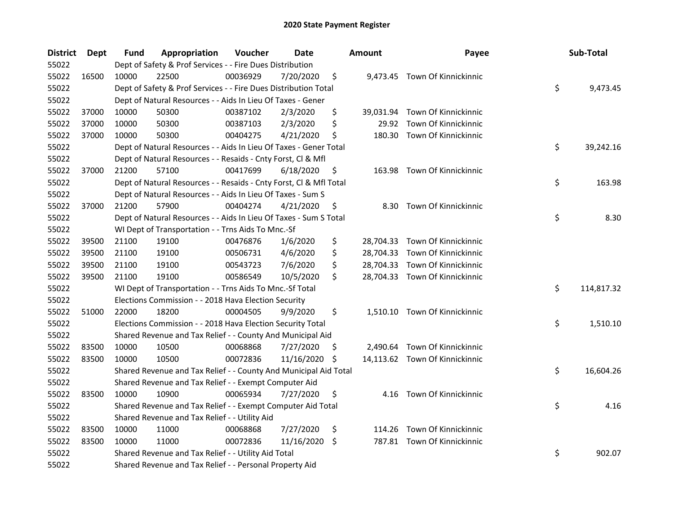| <b>District</b> | Dept  | Fund  | Appropriation                                                      | Voucher  | <b>Date</b> |     | <b>Amount</b> | Payee                          | Sub-Total        |
|-----------------|-------|-------|--------------------------------------------------------------------|----------|-------------|-----|---------------|--------------------------------|------------------|
| 55022           |       |       | Dept of Safety & Prof Services - - Fire Dues Distribution          |          |             |     |               |                                |                  |
| 55022           | 16500 | 10000 | 22500                                                              | 00036929 | 7/20/2020   | \$  |               | 9,473.45 Town Of Kinnickinnic  |                  |
| 55022           |       |       | Dept of Safety & Prof Services - - Fire Dues Distribution Total    |          |             |     |               |                                | \$<br>9,473.45   |
| 55022           |       |       | Dept of Natural Resources - - Aids In Lieu Of Taxes - Gener        |          |             |     |               |                                |                  |
| 55022           | 37000 | 10000 | 50300                                                              | 00387102 | 2/3/2020    | \$  |               | 39,031.94 Town Of Kinnickinnic |                  |
| 55022           | 37000 | 10000 | 50300                                                              | 00387103 | 2/3/2020    | \$  | 29.92         | Town Of Kinnickinnic           |                  |
| 55022           | 37000 | 10000 | 50300                                                              | 00404275 | 4/21/2020   | \$  | 180.30        | Town Of Kinnickinnic           |                  |
| 55022           |       |       | Dept of Natural Resources - - Aids In Lieu Of Taxes - Gener Total  |          |             |     |               |                                | \$<br>39,242.16  |
| 55022           |       |       | Dept of Natural Resources - - Resaids - Cnty Forst, Cl & Mfl       |          |             |     |               |                                |                  |
| 55022           | 37000 | 21200 | 57100                                                              | 00417699 | 6/18/2020   | \$  |               | 163.98 Town Of Kinnickinnic    |                  |
| 55022           |       |       | Dept of Natural Resources - - Resaids - Cnty Forst, Cl & Mfl Total |          |             |     |               |                                | \$<br>163.98     |
| 55022           |       |       | Dept of Natural Resources - - Aids In Lieu Of Taxes - Sum S        |          |             |     |               |                                |                  |
| 55022           | 37000 | 21200 | 57900                                                              | 00404274 | 4/21/2020   | \$  | 8.30          | Town Of Kinnickinnic           |                  |
| 55022           |       |       | Dept of Natural Resources - - Aids In Lieu Of Taxes - Sum S Total  |          |             |     |               |                                | \$<br>8.30       |
| 55022           |       |       | WI Dept of Transportation - - Trns Aids To Mnc.-Sf                 |          |             |     |               |                                |                  |
| 55022           | 39500 | 21100 | 19100                                                              | 00476876 | 1/6/2020    | \$  |               | 28,704.33 Town Of Kinnickinnic |                  |
| 55022           | 39500 | 21100 | 19100                                                              | 00506731 | 4/6/2020    | \$  |               | 28,704.33 Town Of Kinnickinnic |                  |
| 55022           | 39500 | 21100 | 19100                                                              | 00543723 | 7/6/2020    | \$  |               | 28,704.33 Town Of Kinnickinnic |                  |
| 55022           | 39500 | 21100 | 19100                                                              | 00586549 | 10/5/2020   | \$  |               | 28,704.33 Town Of Kinnickinnic |                  |
| 55022           |       |       | WI Dept of Transportation - - Trns Aids To Mnc.-Sf Total           |          |             |     |               |                                | \$<br>114,817.32 |
| 55022           |       |       | Elections Commission - - 2018 Hava Election Security               |          |             |     |               |                                |                  |
| 55022           | 51000 | 22000 | 18200                                                              | 00004505 | 9/9/2020    | \$  |               | 1,510.10 Town Of Kinnickinnic  |                  |
| 55022           |       |       | Elections Commission - - 2018 Hava Election Security Total         |          |             |     |               |                                | \$<br>1,510.10   |
| 55022           |       |       | Shared Revenue and Tax Relief - - County And Municipal Aid         |          |             |     |               |                                |                  |
| 55022           | 83500 | 10000 | 10500                                                              | 00068868 | 7/27/2020   | \$. |               | 2,490.64 Town Of Kinnickinnic  |                  |
| 55022           | 83500 | 10000 | 10500                                                              | 00072836 | 11/16/2020  | \$  |               | 14,113.62 Town Of Kinnickinnic |                  |
| 55022           |       |       | Shared Revenue and Tax Relief - - County And Municipal Aid Total   |          |             |     |               |                                | \$<br>16,604.26  |
| 55022           |       |       | Shared Revenue and Tax Relief - - Exempt Computer Aid              |          |             |     |               |                                |                  |
| 55022           | 83500 | 10000 | 10900                                                              | 00065934 | 7/27/2020   | \$  |               | 4.16 Town Of Kinnickinnic      |                  |
| 55022           |       |       | Shared Revenue and Tax Relief - - Exempt Computer Aid Total        |          |             |     |               |                                | \$<br>4.16       |
| 55022           |       |       | Shared Revenue and Tax Relief - - Utility Aid                      |          |             |     |               |                                |                  |
| 55022           | 83500 | 10000 | 11000                                                              | 00068868 | 7/27/2020   | \$  | 114.26        | Town Of Kinnickinnic           |                  |
| 55022           | 83500 | 10000 | 11000                                                              | 00072836 | 11/16/2020  | \$. |               | 787.81 Town Of Kinnickinnic    |                  |
| 55022           |       |       | Shared Revenue and Tax Relief - - Utility Aid Total                |          |             |     |               |                                | \$<br>902.07     |
| 55022           |       |       | Shared Revenue and Tax Relief - - Personal Property Aid            |          |             |     |               |                                |                  |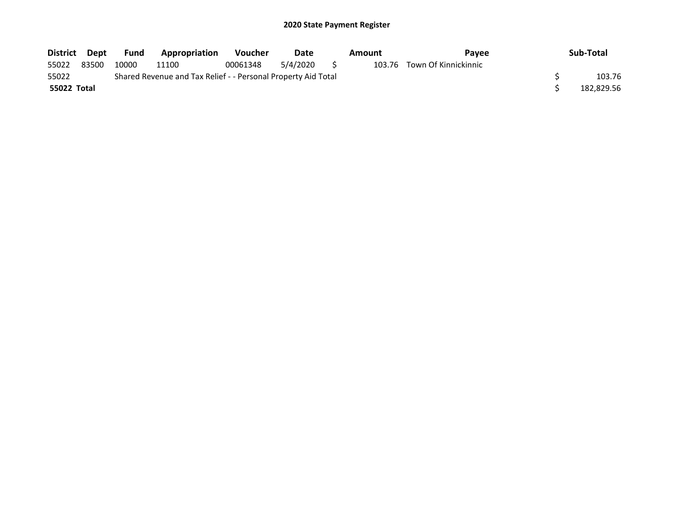| District Dept |       | Fund  | Appropriation                                                 | <b>Voucher</b> | Date        | Amount | <b>Pavee</b>                | Sub-Total  |
|---------------|-------|-------|---------------------------------------------------------------|----------------|-------------|--------|-----------------------------|------------|
| 55022         | 83500 | 10000 | 11100                                                         | 00061348       | 5/4/2020 \$ |        | 103.76 Town Of Kinnickinnic |            |
| 55022         |       |       | Shared Revenue and Tax Relief - - Personal Property Aid Total |                |             |        |                             | 103.76     |
| 55022 Total   |       |       |                                                               |                |             |        |                             | 182,829.56 |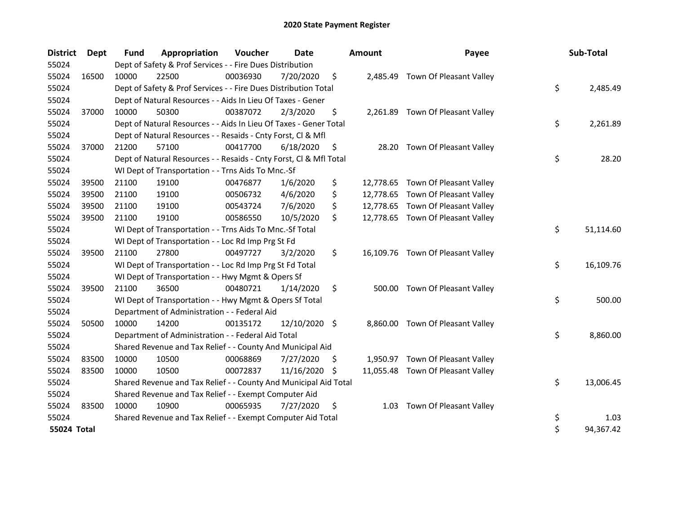| <b>District</b> | Dept  | <b>Fund</b> | Appropriation                                                      | Voucher  | <b>Date</b>   |     | <b>Amount</b> | Payee                             | Sub-Total       |
|-----------------|-------|-------------|--------------------------------------------------------------------|----------|---------------|-----|---------------|-----------------------------------|-----------------|
| 55024           |       |             | Dept of Safety & Prof Services - - Fire Dues Distribution          |          |               |     |               |                                   |                 |
| 55024           | 16500 | 10000       | 22500                                                              | 00036930 | 7/20/2020     | \$  |               | 2,485.49 Town Of Pleasant Valley  |                 |
| 55024           |       |             | Dept of Safety & Prof Services - - Fire Dues Distribution Total    |          |               |     |               |                                   | \$<br>2,485.49  |
| 55024           |       |             | Dept of Natural Resources - - Aids In Lieu Of Taxes - Gener        |          |               |     |               |                                   |                 |
| 55024           | 37000 | 10000       | 50300                                                              | 00387072 | 2/3/2020      | \$  |               | 2,261.89 Town Of Pleasant Valley  |                 |
| 55024           |       |             | Dept of Natural Resources - - Aids In Lieu Of Taxes - Gener Total  |          |               |     |               |                                   | \$<br>2,261.89  |
| 55024           |       |             | Dept of Natural Resources - - Resaids - Cnty Forst, Cl & Mfl       |          |               |     |               |                                   |                 |
| 55024           | 37000 | 21200       | 57100                                                              | 00417700 | 6/18/2020     | \$  | 28.20         | Town Of Pleasant Valley           |                 |
| 55024           |       |             | Dept of Natural Resources - - Resaids - Cnty Forst, Cl & Mfl Total |          |               |     |               |                                   | \$<br>28.20     |
| 55024           |       |             | WI Dept of Transportation - - Trns Aids To Mnc.-Sf                 |          |               |     |               |                                   |                 |
| 55024           | 39500 | 21100       | 19100                                                              | 00476877 | 1/6/2020      | \$  |               | 12,778.65 Town Of Pleasant Valley |                 |
| 55024           | 39500 | 21100       | 19100                                                              | 00506732 | 4/6/2020      | \$  |               | 12,778.65 Town Of Pleasant Valley |                 |
| 55024           | 39500 | 21100       | 19100                                                              | 00543724 | 7/6/2020      | \$  |               | 12,778.65 Town Of Pleasant Valley |                 |
| 55024           | 39500 | 21100       | 19100                                                              | 00586550 | 10/5/2020     | \$  |               | 12,778.65 Town Of Pleasant Valley |                 |
| 55024           |       |             | WI Dept of Transportation - - Trns Aids To Mnc.-Sf Total           |          |               |     |               |                                   | \$<br>51,114.60 |
| 55024           |       |             | WI Dept of Transportation - - Loc Rd Imp Prg St Fd                 |          |               |     |               |                                   |                 |
| 55024           | 39500 | 21100       | 27800                                                              | 00497727 | 3/2/2020      | \$  |               | 16,109.76 Town Of Pleasant Valley |                 |
| 55024           |       |             | WI Dept of Transportation - - Loc Rd Imp Prg St Fd Total           |          |               |     |               |                                   | \$<br>16,109.76 |
| 55024           |       |             | WI Dept of Transportation - - Hwy Mgmt & Opers Sf                  |          |               |     |               |                                   |                 |
| 55024           | 39500 | 21100       | 36500                                                              | 00480721 | 1/14/2020     | \$  |               | 500.00 Town Of Pleasant Valley    |                 |
| 55024           |       |             | WI Dept of Transportation - - Hwy Mgmt & Opers Sf Total            |          |               |     |               |                                   | \$<br>500.00    |
| 55024           |       |             | Department of Administration - - Federal Aid                       |          |               |     |               |                                   |                 |
| 55024           | 50500 | 10000       | 14200                                                              | 00135172 | 12/10/2020 \$ |     |               | 8,860.00 Town Of Pleasant Valley  |                 |
| 55024           |       |             | Department of Administration - - Federal Aid Total                 |          |               |     |               |                                   | \$<br>8,860.00  |
| 55024           |       |             | Shared Revenue and Tax Relief - - County And Municipal Aid         |          |               |     |               |                                   |                 |
| 55024           | 83500 | 10000       | 10500                                                              | 00068869 | 7/27/2020     | -S  | 1,950.97      | Town Of Pleasant Valley           |                 |
| 55024           | 83500 | 10000       | 10500                                                              | 00072837 | 11/16/2020    | -\$ |               | 11,055.48 Town Of Pleasant Valley |                 |
| 55024           |       |             | Shared Revenue and Tax Relief - - County And Municipal Aid Total   |          |               |     |               |                                   | \$<br>13,006.45 |
| 55024           |       |             | Shared Revenue and Tax Relief - - Exempt Computer Aid              |          |               |     |               |                                   |                 |
| 55024           | 83500 | 10000       | 10900                                                              | 00065935 | 7/27/2020     | \$. |               | 1.03 Town Of Pleasant Valley      |                 |
| 55024           |       |             | Shared Revenue and Tax Relief - - Exempt Computer Aid Total        |          |               |     |               |                                   | \$<br>1.03      |
| 55024 Total     |       |             |                                                                    |          |               |     |               |                                   | \$<br>94,367.42 |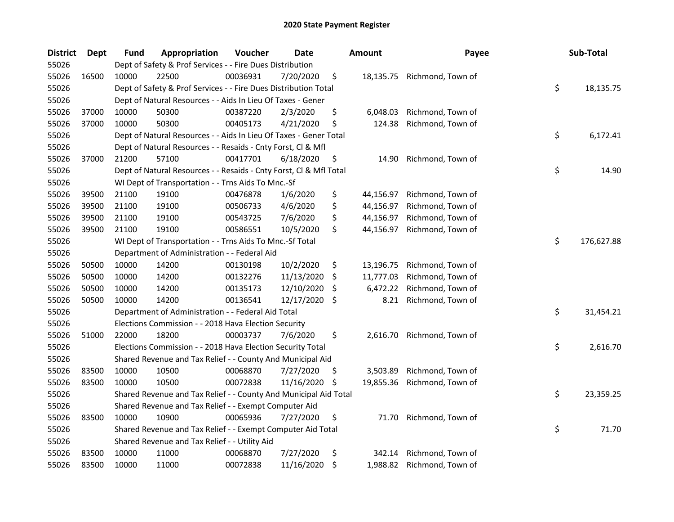| <b>District</b> | Dept  | Fund  | Appropriation                                                      | Voucher  | Date       |     | <b>Amount</b> | Payee             | Sub-Total        |
|-----------------|-------|-------|--------------------------------------------------------------------|----------|------------|-----|---------------|-------------------|------------------|
| 55026           |       |       | Dept of Safety & Prof Services - - Fire Dues Distribution          |          |            |     |               |                   |                  |
| 55026           | 16500 | 10000 | 22500                                                              | 00036931 | 7/20/2020  | \$  | 18,135.75     | Richmond, Town of |                  |
| 55026           |       |       | Dept of Safety & Prof Services - - Fire Dues Distribution Total    |          |            |     |               |                   | \$<br>18,135.75  |
| 55026           |       |       | Dept of Natural Resources - - Aids In Lieu Of Taxes - Gener        |          |            |     |               |                   |                  |
| 55026           | 37000 | 10000 | 50300                                                              | 00387220 | 2/3/2020   | \$  | 6,048.03      | Richmond, Town of |                  |
| 55026           | 37000 | 10000 | 50300                                                              | 00405173 | 4/21/2020  | \$  | 124.38        | Richmond, Town of |                  |
| 55026           |       |       | Dept of Natural Resources - - Aids In Lieu Of Taxes - Gener Total  |          |            |     |               |                   | \$<br>6,172.41   |
| 55026           |       |       | Dept of Natural Resources - - Resaids - Cnty Forst, Cl & Mfl       |          |            |     |               |                   |                  |
| 55026           | 37000 | 21200 | 57100                                                              | 00417701 | 6/18/2020  | \$  | 14.90         | Richmond, Town of |                  |
| 55026           |       |       | Dept of Natural Resources - - Resaids - Cnty Forst, Cl & Mfl Total |          |            |     |               |                   | \$<br>14.90      |
| 55026           |       |       | WI Dept of Transportation - - Trns Aids To Mnc.-Sf                 |          |            |     |               |                   |                  |
| 55026           | 39500 | 21100 | 19100                                                              | 00476878 | 1/6/2020   | \$  | 44,156.97     | Richmond, Town of |                  |
| 55026           | 39500 | 21100 | 19100                                                              | 00506733 | 4/6/2020   | \$  | 44,156.97     | Richmond, Town of |                  |
| 55026           | 39500 | 21100 | 19100                                                              | 00543725 | 7/6/2020   | \$  | 44,156.97     | Richmond, Town of |                  |
| 55026           | 39500 | 21100 | 19100                                                              | 00586551 | 10/5/2020  | \$  | 44,156.97     | Richmond, Town of |                  |
| 55026           |       |       | WI Dept of Transportation - - Trns Aids To Mnc.-Sf Total           |          |            |     |               |                   | \$<br>176,627.88 |
| 55026           |       |       | Department of Administration - - Federal Aid                       |          |            |     |               |                   |                  |
| 55026           | 50500 | 10000 | 14200                                                              | 00130198 | 10/2/2020  | \$  | 13,196.75     | Richmond, Town of |                  |
| 55026           | 50500 | 10000 | 14200                                                              | 00132276 | 11/13/2020 | \$  | 11,777.03     | Richmond, Town of |                  |
| 55026           | 50500 | 10000 | 14200                                                              | 00135173 | 12/10/2020 | \$  | 6,472.22      | Richmond, Town of |                  |
| 55026           | 50500 | 10000 | 14200                                                              | 00136541 | 12/17/2020 | \$  | 8.21          | Richmond, Town of |                  |
| 55026           |       |       | Department of Administration - - Federal Aid Total                 |          |            |     |               |                   | \$<br>31,454.21  |
| 55026           |       |       | Elections Commission - - 2018 Hava Election Security               |          |            |     |               |                   |                  |
| 55026           | 51000 | 22000 | 18200                                                              | 00003737 | 7/6/2020   | \$  | 2,616.70      | Richmond, Town of |                  |
| 55026           |       |       | Elections Commission - - 2018 Hava Election Security Total         |          |            |     |               |                   | \$<br>2,616.70   |
| 55026           |       |       | Shared Revenue and Tax Relief - - County And Municipal Aid         |          |            |     |               |                   |                  |
| 55026           | 83500 | 10000 | 10500                                                              | 00068870 | 7/27/2020  | \$, | 3,503.89      | Richmond, Town of |                  |
| 55026           | 83500 | 10000 | 10500                                                              | 00072838 | 11/16/2020 | \$  | 19,855.36     | Richmond, Town of |                  |
| 55026           |       |       | Shared Revenue and Tax Relief - - County And Municipal Aid Total   |          |            |     |               |                   | \$<br>23,359.25  |
| 55026           |       |       | Shared Revenue and Tax Relief - - Exempt Computer Aid              |          |            |     |               |                   |                  |
| 55026           | 83500 | 10000 | 10900                                                              | 00065936 | 7/27/2020  | \$  | 71.70         | Richmond, Town of |                  |
| 55026           |       |       | Shared Revenue and Tax Relief - - Exempt Computer Aid Total        |          |            |     |               |                   | \$<br>71.70      |
| 55026           |       |       | Shared Revenue and Tax Relief - - Utility Aid                      |          |            |     |               |                   |                  |
| 55026           | 83500 | 10000 | 11000                                                              | 00068870 | 7/27/2020  | \$  | 342.14        | Richmond, Town of |                  |
| 55026           | 83500 | 10000 | 11000                                                              | 00072838 | 11/16/2020 | \$  | 1,988.82      | Richmond, Town of |                  |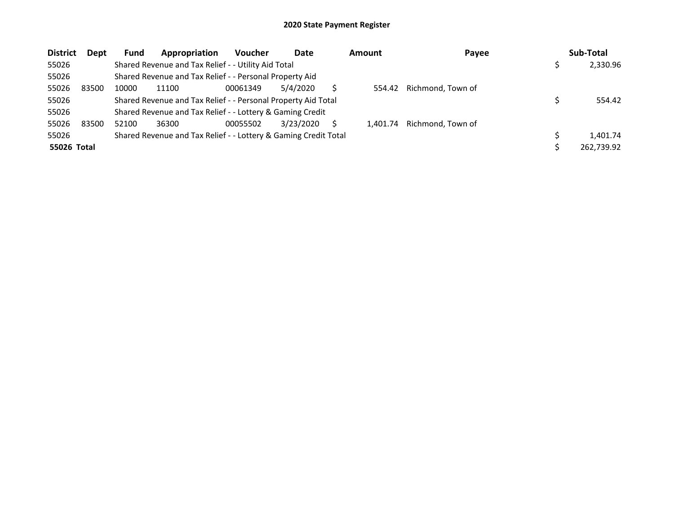| <b>District</b> | <b>Dept</b> | <b>Fund</b> | Appropriation                                                   | <b>Voucher</b> | Date      | <b>Amount</b> | Payee             | Sub-Total  |
|-----------------|-------------|-------------|-----------------------------------------------------------------|----------------|-----------|---------------|-------------------|------------|
| 55026           |             |             | Shared Revenue and Tax Relief - - Utility Aid Total             |                |           |               |                   | 2,330.96   |
| 55026           |             |             | Shared Revenue and Tax Relief - - Personal Property Aid         |                |           |               |                   |            |
| 55026           | 83500       | 10000       | 11100                                                           | 00061349       | 5/4/2020  | 554.42        | Richmond, Town of |            |
| 55026           |             |             | Shared Revenue and Tax Relief - - Personal Property Aid Total   |                |           |               |                   | 554.42     |
| 55026           |             |             | Shared Revenue and Tax Relief - - Lottery & Gaming Credit       |                |           |               |                   |            |
| 55026           | 83500       | 52100       | 36300                                                           | 00055502       | 3/23/2020 | 1.401.74      | Richmond. Town of |            |
| 55026           |             |             | Shared Revenue and Tax Relief - - Lottery & Gaming Credit Total |                |           |               |                   | 1.401.74   |
| 55026 Total     |             |             |                                                                 |                |           |               |                   | 262,739.92 |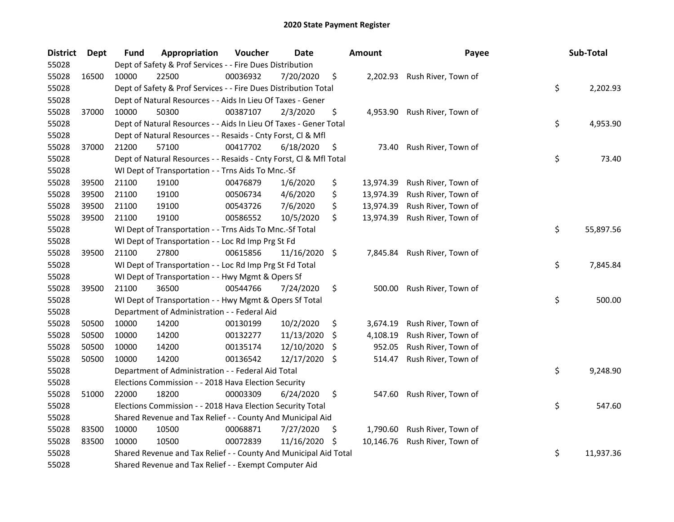| <b>District</b> | <b>Dept</b> | Fund  | Appropriation                                                      | Voucher  | <b>Date</b>   |     | <b>Amount</b> | Payee               | Sub-Total       |
|-----------------|-------------|-------|--------------------------------------------------------------------|----------|---------------|-----|---------------|---------------------|-----------------|
| 55028           |             |       | Dept of Safety & Prof Services - - Fire Dues Distribution          |          |               |     |               |                     |                 |
| 55028           | 16500       | 10000 | 22500                                                              | 00036932 | 7/20/2020     | \$  | 2,202.93      | Rush River, Town of |                 |
| 55028           |             |       | Dept of Safety & Prof Services - - Fire Dues Distribution Total    |          |               |     |               |                     | \$<br>2,202.93  |
| 55028           |             |       | Dept of Natural Resources - - Aids In Lieu Of Taxes - Gener        |          |               |     |               |                     |                 |
| 55028           | 37000       | 10000 | 50300                                                              | 00387107 | 2/3/2020      | \$  | 4,953.90      | Rush River, Town of |                 |
| 55028           |             |       | Dept of Natural Resources - - Aids In Lieu Of Taxes - Gener Total  |          |               |     |               |                     | \$<br>4,953.90  |
| 55028           |             |       | Dept of Natural Resources - - Resaids - Cnty Forst, Cl & Mfl       |          |               |     |               |                     |                 |
| 55028           | 37000       | 21200 | 57100                                                              | 00417702 | 6/18/2020     | \$  | 73.40         | Rush River, Town of |                 |
| 55028           |             |       | Dept of Natural Resources - - Resaids - Cnty Forst, Cl & Mfl Total |          |               |     |               |                     | \$<br>73.40     |
| 55028           |             |       | WI Dept of Transportation - - Trns Aids To Mnc.-Sf                 |          |               |     |               |                     |                 |
| 55028           | 39500       | 21100 | 19100                                                              | 00476879 | 1/6/2020      | \$  | 13,974.39     | Rush River, Town of |                 |
| 55028           | 39500       | 21100 | 19100                                                              | 00506734 | 4/6/2020      | \$  | 13,974.39     | Rush River, Town of |                 |
| 55028           | 39500       | 21100 | 19100                                                              | 00543726 | 7/6/2020      | \$  | 13,974.39     | Rush River, Town of |                 |
| 55028           | 39500       | 21100 | 19100                                                              | 00586552 | 10/5/2020     | \$  | 13,974.39     | Rush River, Town of |                 |
| 55028           |             |       | WI Dept of Transportation - - Trns Aids To Mnc.-Sf Total           |          |               |     |               |                     | \$<br>55,897.56 |
| 55028           |             |       | WI Dept of Transportation - - Loc Rd Imp Prg St Fd                 |          |               |     |               |                     |                 |
| 55028           | 39500       | 21100 | 27800                                                              | 00615856 | 11/16/2020 \$ |     | 7,845.84      | Rush River, Town of |                 |
| 55028           |             |       | WI Dept of Transportation - - Loc Rd Imp Prg St Fd Total           |          |               |     |               |                     | \$<br>7,845.84  |
| 55028           |             |       | WI Dept of Transportation - - Hwy Mgmt & Opers Sf                  |          |               |     |               |                     |                 |
| 55028           | 39500       | 21100 | 36500                                                              | 00544766 | 7/24/2020     | \$  | 500.00        | Rush River, Town of |                 |
| 55028           |             |       | WI Dept of Transportation - - Hwy Mgmt & Opers Sf Total            |          |               |     |               |                     | \$<br>500.00    |
| 55028           |             |       | Department of Administration - - Federal Aid                       |          |               |     |               |                     |                 |
| 55028           | 50500       | 10000 | 14200                                                              | 00130199 | 10/2/2020     | \$  | 3,674.19      | Rush River, Town of |                 |
| 55028           | 50500       | 10000 | 14200                                                              | 00132277 | 11/13/2020    | \$  | 4,108.19      | Rush River, Town of |                 |
| 55028           | 50500       | 10000 | 14200                                                              | 00135174 | 12/10/2020    | \$. | 952.05        | Rush River, Town of |                 |
| 55028           | 50500       | 10000 | 14200                                                              | 00136542 | 12/17/2020 \$ |     | 514.47        | Rush River, Town of |                 |
| 55028           |             |       | Department of Administration - - Federal Aid Total                 |          |               |     |               |                     | \$<br>9,248.90  |
| 55028           |             |       | Elections Commission - - 2018 Hava Election Security               |          |               |     |               |                     |                 |
| 55028           | 51000       | 22000 | 18200                                                              | 00003309 | 6/24/2020     | \$  | 547.60        | Rush River, Town of |                 |
| 55028           |             |       | Elections Commission - - 2018 Hava Election Security Total         |          |               |     |               |                     | \$<br>547.60    |
| 55028           |             |       | Shared Revenue and Tax Relief - - County And Municipal Aid         |          |               |     |               |                     |                 |
| 55028           | 83500       | 10000 | 10500                                                              | 00068871 | 7/27/2020     | \$. | 1,790.60      | Rush River, Town of |                 |
| 55028           | 83500       | 10000 | 10500                                                              | 00072839 | 11/16/2020    | S.  | 10,146.76     | Rush River, Town of |                 |
| 55028           |             |       | Shared Revenue and Tax Relief - - County And Municipal Aid Total   |          |               |     |               |                     | \$<br>11,937.36 |
| 55028           |             |       | Shared Revenue and Tax Relief - - Exempt Computer Aid              |          |               |     |               |                     |                 |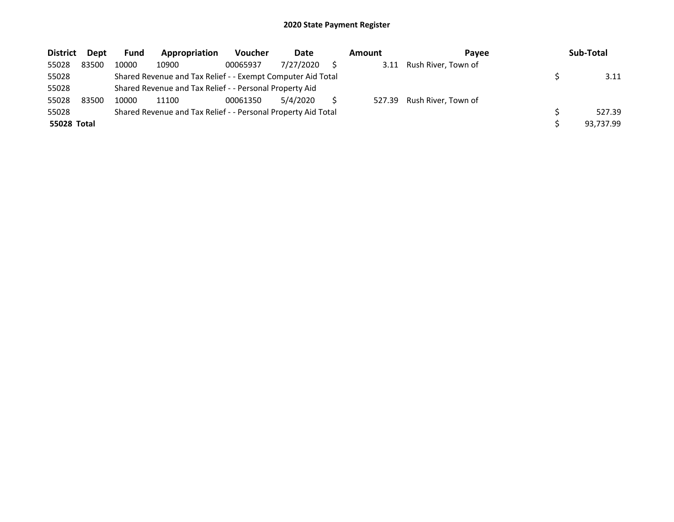| <b>District</b> | Dept  | <b>Fund</b> | Appropriation                                                 | Voucher  | Date      | Amount | Payee               | Sub-Total |
|-----------------|-------|-------------|---------------------------------------------------------------|----------|-----------|--------|---------------------|-----------|
| 55028           | 83500 | 10000       | 10900                                                         | 00065937 | 7/27/2020 | 3.11   | Rush River, Town of |           |
| 55028           |       |             | Shared Revenue and Tax Relief - - Exempt Computer Aid Total   |          |           |        |                     | 3.11      |
| 55028           |       |             | Shared Revenue and Tax Relief - - Personal Property Aid       |          |           |        |                     |           |
| 55028           | 83500 | 10000       | 11100                                                         | 00061350 | 5/4/2020  | 527.39 | Rush River, Town of |           |
| 55028           |       |             | Shared Revenue and Tax Relief - - Personal Property Aid Total |          |           |        |                     | 527.39    |
| 55028 Total     |       |             |                                                               |          |           |        |                     | 93,737.99 |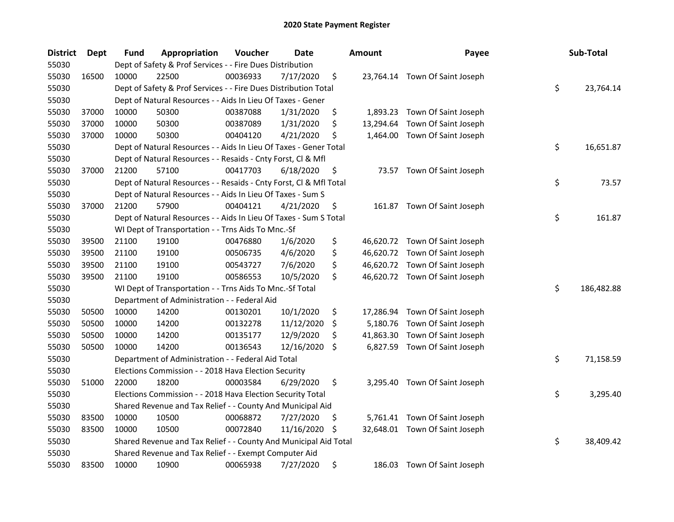| <b>District</b> | <b>Dept</b> | Fund  | Appropriation                                                      | Voucher  | Date       |    | <b>Amount</b> | Payee                          | Sub-Total        |
|-----------------|-------------|-------|--------------------------------------------------------------------|----------|------------|----|---------------|--------------------------------|------------------|
| 55030           |             |       | Dept of Safety & Prof Services - - Fire Dues Distribution          |          |            |    |               |                                |                  |
| 55030           | 16500       | 10000 | 22500                                                              | 00036933 | 7/17/2020  | \$ |               | 23,764.14 Town Of Saint Joseph |                  |
| 55030           |             |       | Dept of Safety & Prof Services - - Fire Dues Distribution Total    |          |            |    |               |                                | \$<br>23,764.14  |
| 55030           |             |       | Dept of Natural Resources - - Aids In Lieu Of Taxes - Gener        |          |            |    |               |                                |                  |
| 55030           | 37000       | 10000 | 50300                                                              | 00387088 | 1/31/2020  | \$ |               | 1,893.23 Town Of Saint Joseph  |                  |
| 55030           | 37000       | 10000 | 50300                                                              | 00387089 | 1/31/2020  | \$ | 13,294.64     | Town Of Saint Joseph           |                  |
| 55030           | 37000       | 10000 | 50300                                                              | 00404120 | 4/21/2020  | \$ | 1,464.00      | Town Of Saint Joseph           |                  |
| 55030           |             |       | Dept of Natural Resources - - Aids In Lieu Of Taxes - Gener Total  |          |            |    |               |                                | \$<br>16,651.87  |
| 55030           |             |       | Dept of Natural Resources - - Resaids - Cnty Forst, Cl & Mfl       |          |            |    |               |                                |                  |
| 55030           | 37000       | 21200 | 57100                                                              | 00417703 | 6/18/2020  | \$ |               | 73.57 Town Of Saint Joseph     |                  |
| 55030           |             |       | Dept of Natural Resources - - Resaids - Cnty Forst, Cl & Mfl Total |          |            |    |               |                                | \$<br>73.57      |
| 55030           |             |       | Dept of Natural Resources - - Aids In Lieu Of Taxes - Sum S        |          |            |    |               |                                |                  |
| 55030           | 37000       | 21200 | 57900                                                              | 00404121 | 4/21/2020  | \$ | 161.87        | Town Of Saint Joseph           |                  |
| 55030           |             |       | Dept of Natural Resources - - Aids In Lieu Of Taxes - Sum S Total  |          |            |    |               |                                | \$<br>161.87     |
| 55030           |             |       | WI Dept of Transportation - - Trns Aids To Mnc.-Sf                 |          |            |    |               |                                |                  |
| 55030           | 39500       | 21100 | 19100                                                              | 00476880 | 1/6/2020   | \$ |               | 46,620.72 Town Of Saint Joseph |                  |
| 55030           | 39500       | 21100 | 19100                                                              | 00506735 | 4/6/2020   | \$ |               | 46,620.72 Town Of Saint Joseph |                  |
| 55030           | 39500       | 21100 | 19100                                                              | 00543727 | 7/6/2020   | \$ |               | 46,620.72 Town Of Saint Joseph |                  |
| 55030           | 39500       | 21100 | 19100                                                              | 00586553 | 10/5/2020  | \$ |               | 46,620.72 Town Of Saint Joseph |                  |
| 55030           |             |       | WI Dept of Transportation - - Trns Aids To Mnc.-Sf Total           |          |            |    |               |                                | \$<br>186,482.88 |
| 55030           |             |       | Department of Administration - - Federal Aid                       |          |            |    |               |                                |                  |
| 55030           | 50500       | 10000 | 14200                                                              | 00130201 | 10/1/2020  | \$ |               | 17,286.94 Town Of Saint Joseph |                  |
| 55030           | 50500       | 10000 | 14200                                                              | 00132278 | 11/12/2020 | \$ | 5,180.76      | Town Of Saint Joseph           |                  |
| 55030           | 50500       | 10000 | 14200                                                              | 00135177 | 12/9/2020  | \$ | 41,863.30     | Town Of Saint Joseph           |                  |
| 55030           | 50500       | 10000 | 14200                                                              | 00136543 | 12/16/2020 | \$ | 6,827.59      | Town Of Saint Joseph           |                  |
| 55030           |             |       | Department of Administration - - Federal Aid Total                 |          |            |    |               |                                | \$<br>71,158.59  |
| 55030           |             |       | Elections Commission - - 2018 Hava Election Security               |          |            |    |               |                                |                  |
| 55030           | 51000       | 22000 | 18200                                                              | 00003584 | 6/29/2020  | \$ | 3,295.40      | Town Of Saint Joseph           |                  |
| 55030           |             |       | Elections Commission - - 2018 Hava Election Security Total         |          |            |    |               |                                | \$<br>3,295.40   |
| 55030           |             |       | Shared Revenue and Tax Relief - - County And Municipal Aid         |          |            |    |               |                                |                  |
| 55030           | 83500       | 10000 | 10500                                                              | 00068872 | 7/27/2020  | \$ |               | 5,761.41 Town Of Saint Joseph  |                  |
| 55030           | 83500       | 10000 | 10500                                                              | 00072840 | 11/16/2020 | S  |               | 32,648.01 Town Of Saint Joseph |                  |
| 55030           |             |       | Shared Revenue and Tax Relief - - County And Municipal Aid Total   |          |            |    |               |                                | \$<br>38,409.42  |
| 55030           |             |       | Shared Revenue and Tax Relief - - Exempt Computer Aid              |          |            |    |               |                                |                  |
| 55030           | 83500       | 10000 | 10900                                                              | 00065938 | 7/27/2020  | \$ | 186.03        | Town Of Saint Joseph           |                  |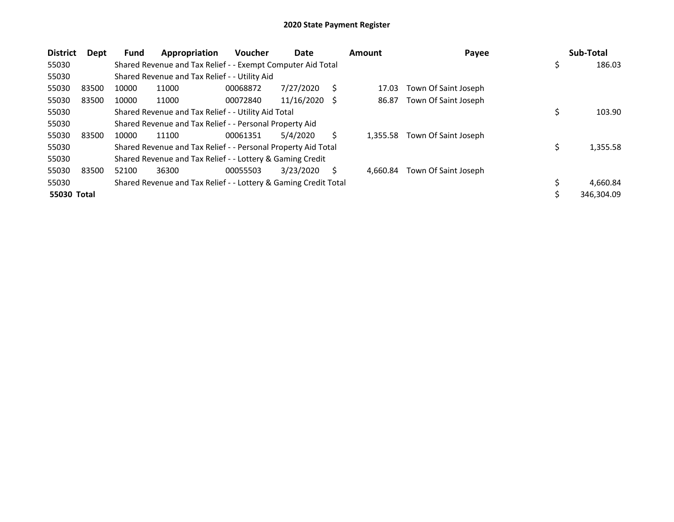| <b>District</b> | Dept  | <b>Fund</b> | Appropriation                                                   | <b>Voucher</b> | Date       |    | <b>Amount</b> | Payee                |     | Sub-Total  |
|-----------------|-------|-------------|-----------------------------------------------------------------|----------------|------------|----|---------------|----------------------|-----|------------|
| 55030           |       |             | Shared Revenue and Tax Relief - - Exempt Computer Aid Total     |                |            |    |               |                      | \$. | 186.03     |
| 55030           |       |             | Shared Revenue and Tax Relief - - Utility Aid                   |                |            |    |               |                      |     |            |
| 55030           | 83500 | 10000       | 11000                                                           | 00068872       | 7/27/2020  | S  | 17.03         | Town Of Saint Joseph |     |            |
| 55030           | 83500 | 10000       | 11000                                                           | 00072840       | 11/16/2020 | -S | 86.87         | Town Of Saint Joseph |     |            |
| 55030           |       |             | Shared Revenue and Tax Relief - - Utility Aid Total             |                |            |    |               |                      | \$  | 103.90     |
| 55030           |       |             | Shared Revenue and Tax Relief - - Personal Property Aid         |                |            |    |               |                      |     |            |
| 55030           | 83500 | 10000       | 11100                                                           | 00061351       | 5/4/2020   |    | 1.355.58      | Town Of Saint Joseph |     |            |
| 55030           |       |             | Shared Revenue and Tax Relief - - Personal Property Aid Total   |                |            |    |               |                      | \$  | 1,355.58   |
| 55030           |       |             | Shared Revenue and Tax Relief - - Lottery & Gaming Credit       |                |            |    |               |                      |     |            |
| 55030           | 83500 | 52100       | 36300                                                           | 00055503       | 3/23/2020  | S  | 4,660.84      | Town Of Saint Joseph |     |            |
| 55030           |       |             | Shared Revenue and Tax Relief - - Lottery & Gaming Credit Total |                |            |    |               |                      | \$  | 4,660.84   |
| 55030 Total     |       |             |                                                                 |                |            |    |               |                      |     | 346,304.09 |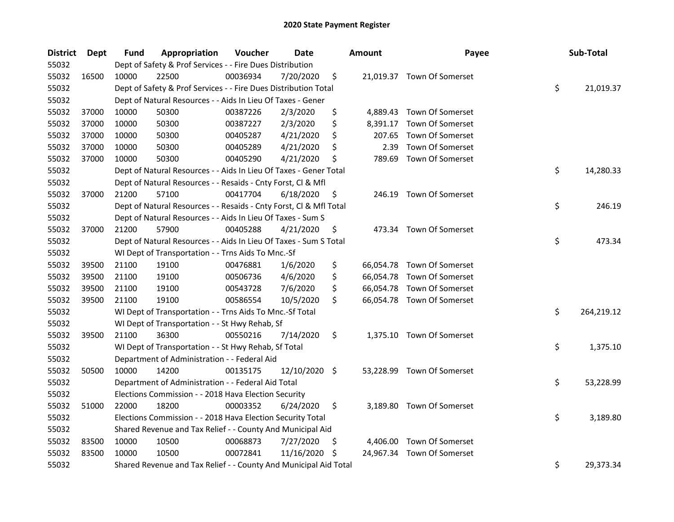| <b>District</b> | Dept  | Fund  | Appropriation                                                      | Voucher  | Date          |     | <b>Amount</b> | Payee                      | Sub-Total        |
|-----------------|-------|-------|--------------------------------------------------------------------|----------|---------------|-----|---------------|----------------------------|------------------|
| 55032           |       |       | Dept of Safety & Prof Services - - Fire Dues Distribution          |          |               |     |               |                            |                  |
| 55032           | 16500 | 10000 | 22500                                                              | 00036934 | 7/20/2020     | \$  |               | 21,019.37 Town Of Somerset |                  |
| 55032           |       |       | Dept of Safety & Prof Services - - Fire Dues Distribution Total    |          |               |     |               |                            | \$<br>21,019.37  |
| 55032           |       |       | Dept of Natural Resources - - Aids In Lieu Of Taxes - Gener        |          |               |     |               |                            |                  |
| 55032           | 37000 | 10000 | 50300                                                              | 00387226 | 2/3/2020      | \$  |               | 4,889.43 Town Of Somerset  |                  |
| 55032           | 37000 | 10000 | 50300                                                              | 00387227 | 2/3/2020      | \$  | 8,391.17      | Town Of Somerset           |                  |
| 55032           | 37000 | 10000 | 50300                                                              | 00405287 | 4/21/2020     | \$  | 207.65        | Town Of Somerset           |                  |
| 55032           | 37000 | 10000 | 50300                                                              | 00405289 | 4/21/2020     | \$  | 2.39          | Town Of Somerset           |                  |
| 55032           | 37000 | 10000 | 50300                                                              | 00405290 | 4/21/2020     | \$  | 789.69        | Town Of Somerset           |                  |
| 55032           |       |       | Dept of Natural Resources - - Aids In Lieu Of Taxes - Gener Total  |          |               |     |               |                            | \$<br>14,280.33  |
| 55032           |       |       | Dept of Natural Resources - - Resaids - Cnty Forst, Cl & Mfl       |          |               |     |               |                            |                  |
| 55032           | 37000 | 21200 | 57100                                                              | 00417704 | 6/18/2020     | \$  | 246.19        | Town Of Somerset           |                  |
| 55032           |       |       | Dept of Natural Resources - - Resaids - Cnty Forst, Cl & Mfl Total |          |               |     |               |                            | \$<br>246.19     |
| 55032           |       |       | Dept of Natural Resources - - Aids In Lieu Of Taxes - Sum S        |          |               |     |               |                            |                  |
| 55032           | 37000 | 21200 | 57900                                                              | 00405288 | 4/21/2020     | \$, |               | 473.34 Town Of Somerset    |                  |
| 55032           |       |       | Dept of Natural Resources - - Aids In Lieu Of Taxes - Sum S Total  |          |               |     |               |                            | \$<br>473.34     |
| 55032           |       |       | WI Dept of Transportation - - Trns Aids To Mnc.-Sf                 |          |               |     |               |                            |                  |
| 55032           | 39500 | 21100 | 19100                                                              | 00476881 | 1/6/2020      | \$  |               | 66,054.78 Town Of Somerset |                  |
| 55032           | 39500 | 21100 | 19100                                                              | 00506736 | 4/6/2020      | \$  |               | 66,054.78 Town Of Somerset |                  |
| 55032           | 39500 | 21100 | 19100                                                              | 00543728 | 7/6/2020      | \$  |               | 66,054.78 Town Of Somerset |                  |
| 55032           | 39500 | 21100 | 19100                                                              | 00586554 | 10/5/2020     | \$  |               | 66,054.78 Town Of Somerset |                  |
| 55032           |       |       | WI Dept of Transportation - - Trns Aids To Mnc.-Sf Total           |          |               |     |               |                            | \$<br>264,219.12 |
| 55032           |       |       | WI Dept of Transportation - - St Hwy Rehab, Sf                     |          |               |     |               |                            |                  |
| 55032           | 39500 | 21100 | 36300                                                              | 00550216 | 7/14/2020     | \$  |               | 1,375.10 Town Of Somerset  |                  |
| 55032           |       |       | WI Dept of Transportation - - St Hwy Rehab, Sf Total               |          |               |     |               |                            | \$<br>1,375.10   |
| 55032           |       |       | Department of Administration - - Federal Aid                       |          |               |     |               |                            |                  |
| 55032           | 50500 | 10000 | 14200                                                              | 00135175 | 12/10/2020 \$ |     |               | 53,228.99 Town Of Somerset |                  |
| 55032           |       |       | Department of Administration - - Federal Aid Total                 |          |               |     |               |                            | \$<br>53,228.99  |
| 55032           |       |       | Elections Commission - - 2018 Hava Election Security               |          |               |     |               |                            |                  |
| 55032           | 51000 | 22000 | 18200                                                              | 00003352 | 6/24/2020     | \$  |               | 3,189.80 Town Of Somerset  |                  |
| 55032           |       |       | Elections Commission - - 2018 Hava Election Security Total         |          |               |     |               |                            | \$<br>3,189.80   |
| 55032           |       |       | Shared Revenue and Tax Relief - - County And Municipal Aid         |          |               |     |               |                            |                  |
| 55032           | 83500 | 10000 | 10500                                                              | 00068873 | 7/27/2020     | \$. |               | 4,406.00 Town Of Somerset  |                  |
| 55032           | 83500 | 10000 | 10500                                                              | 00072841 | 11/16/2020    | S   |               | 24,967.34 Town Of Somerset |                  |
| 55032           |       |       | Shared Revenue and Tax Relief - - County And Municipal Aid Total   |          |               |     |               |                            | \$<br>29,373.34  |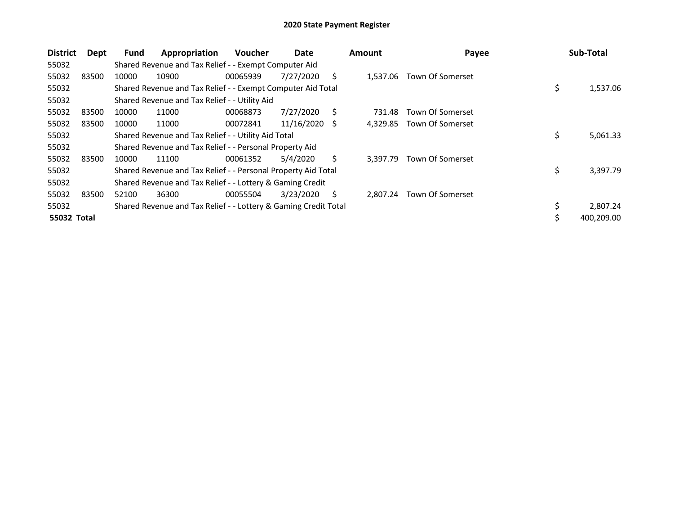| <b>District</b>    | Dept  | <b>Fund</b> | Appropriation                                                   | <b>Voucher</b> | Date       |    | <b>Amount</b> | Payee            | Sub-Total        |
|--------------------|-------|-------------|-----------------------------------------------------------------|----------------|------------|----|---------------|------------------|------------------|
| 55032              |       |             | Shared Revenue and Tax Relief - - Exempt Computer Aid           |                |            |    |               |                  |                  |
| 55032              | 83500 | 10000       | 10900                                                           | 00065939       | 7/27/2020  | S  | 1.537.06      | Town Of Somerset |                  |
| 55032              |       |             | Shared Revenue and Tax Relief - - Exempt Computer Aid Total     |                |            |    |               |                  | \$<br>1,537.06   |
| 55032              |       |             | Shared Revenue and Tax Relief - - Utility Aid                   |                |            |    |               |                  |                  |
| 55032              | 83500 | 10000       | 11000                                                           | 00068873       | 7/27/2020  | S. | 731.48        | Town Of Somerset |                  |
| 55032              | 83500 | 10000       | 11000                                                           | 00072841       | 11/16/2020 | -S | 4,329.85      | Town Of Somerset |                  |
| 55032              |       |             | Shared Revenue and Tax Relief - - Utility Aid Total             |                |            |    |               |                  | \$<br>5,061.33   |
| 55032              |       |             | Shared Revenue and Tax Relief - - Personal Property Aid         |                |            |    |               |                  |                  |
| 55032              | 83500 | 10000       | 11100                                                           | 00061352       | 5/4/2020   | Ś. | 3.397.79      | Town Of Somerset |                  |
| 55032              |       |             | Shared Revenue and Tax Relief - - Personal Property Aid Total   |                |            |    |               |                  | \$<br>3,397.79   |
| 55032              |       |             | Shared Revenue and Tax Relief - - Lottery & Gaming Credit       |                |            |    |               |                  |                  |
| 55032              | 83500 | 52100       | 36300                                                           | 00055504       | 3/23/2020  | S  | 2.807.24      | Town Of Somerset |                  |
| 55032              |       |             | Shared Revenue and Tax Relief - - Lottery & Gaming Credit Total |                |            |    |               |                  | \$<br>2,807.24   |
| <b>55032 Total</b> |       |             |                                                                 |                |            |    |               |                  | \$<br>400,209.00 |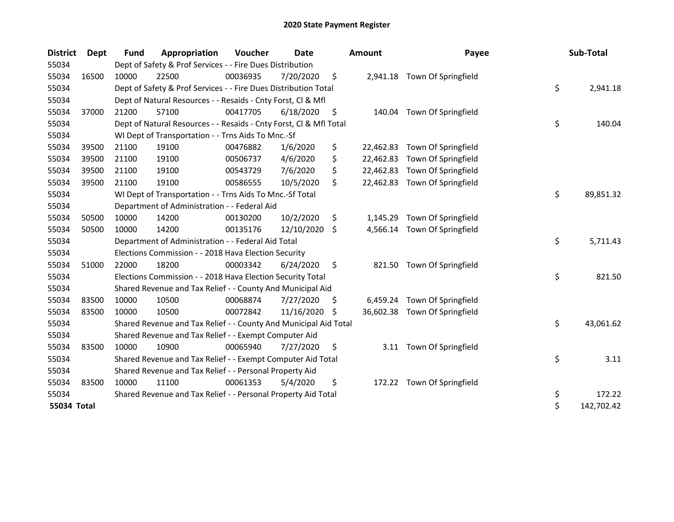| <b>District</b> | <b>Dept</b> | <b>Fund</b> | Appropriation                                                      | Voucher  | Date       |     | Amount    | Payee                         | Sub-Total        |
|-----------------|-------------|-------------|--------------------------------------------------------------------|----------|------------|-----|-----------|-------------------------------|------------------|
| 55034           |             |             | Dept of Safety & Prof Services - - Fire Dues Distribution          |          |            |     |           |                               |                  |
| 55034           | 16500       | 10000       | 22500                                                              | 00036935 | 7/20/2020  | \$  |           | 2,941.18 Town Of Springfield  |                  |
| 55034           |             |             | Dept of Safety & Prof Services - - Fire Dues Distribution Total    |          |            |     |           |                               | \$<br>2,941.18   |
| 55034           |             |             | Dept of Natural Resources - - Resaids - Cnty Forst, Cl & Mfl       |          |            |     |           |                               |                  |
| 55034           | 37000       | 21200       | 57100                                                              | 00417705 | 6/18/2020  | \$  | 140.04    | Town Of Springfield           |                  |
| 55034           |             |             | Dept of Natural Resources - - Resaids - Cnty Forst, Cl & Mfl Total |          |            |     |           |                               | \$<br>140.04     |
| 55034           |             |             | WI Dept of Transportation - - Trns Aids To Mnc.-Sf                 |          |            |     |           |                               |                  |
| 55034           | 39500       | 21100       | 19100                                                              | 00476882 | 1/6/2020   | \$  | 22,462.83 | Town Of Springfield           |                  |
| 55034           | 39500       | 21100       | 19100                                                              | 00506737 | 4/6/2020   | \$  | 22,462.83 | Town Of Springfield           |                  |
| 55034           | 39500       | 21100       | 19100                                                              | 00543729 | 7/6/2020   | \$  | 22,462.83 | Town Of Springfield           |                  |
| 55034           | 39500       | 21100       | 19100                                                              | 00586555 | 10/5/2020  | \$  |           | 22,462.83 Town Of Springfield |                  |
| 55034           |             |             | WI Dept of Transportation - - Trns Aids To Mnc.-Sf Total           |          |            |     |           |                               | \$<br>89,851.32  |
| 55034           |             |             | Department of Administration - - Federal Aid                       |          |            |     |           |                               |                  |
| 55034           | 50500       | 10000       | 14200                                                              | 00130200 | 10/2/2020  | \$  | 1,145.29  | Town Of Springfield           |                  |
| 55034           | 50500       | 10000       | 14200                                                              | 00135176 | 12/10/2020 | Ŝ.  | 4,566.14  | Town Of Springfield           |                  |
| 55034           |             |             | Department of Administration - - Federal Aid Total                 |          |            |     |           |                               | \$<br>5,711.43   |
| 55034           |             |             | Elections Commission - - 2018 Hava Election Security               |          |            |     |           |                               |                  |
| 55034           | 51000       | 22000       | 18200                                                              | 00003342 | 6/24/2020  | \$  | 821.50    | Town Of Springfield           |                  |
| 55034           |             |             | Elections Commission - - 2018 Hava Election Security Total         |          |            |     |           |                               | \$<br>821.50     |
| 55034           |             |             | Shared Revenue and Tax Relief - - County And Municipal Aid         |          |            |     |           |                               |                  |
| 55034           | 83500       | 10000       | 10500                                                              | 00068874 | 7/27/2020  | \$. |           | 6,459.24 Town Of Springfield  |                  |
| 55034           | 83500       | 10000       | 10500                                                              | 00072842 | 11/16/2020 | \$  | 36,602.38 | Town Of Springfield           |                  |
| 55034           |             |             | Shared Revenue and Tax Relief - - County And Municipal Aid Total   |          |            |     |           |                               | \$<br>43,061.62  |
| 55034           |             |             | Shared Revenue and Tax Relief - - Exempt Computer Aid              |          |            |     |           |                               |                  |
| 55034           | 83500       | 10000       | 10900                                                              | 00065940 | 7/27/2020  | \$  | 3.11      | Town Of Springfield           |                  |
| 55034           |             |             | Shared Revenue and Tax Relief - - Exempt Computer Aid Total        |          |            |     |           |                               | \$<br>3.11       |
| 55034           |             |             | Shared Revenue and Tax Relief - - Personal Property Aid            |          |            |     |           |                               |                  |
| 55034           | 83500       | 10000       | 11100                                                              | 00061353 | 5/4/2020   | \$  |           | 172.22 Town Of Springfield    |                  |
| 55034           |             |             | Shared Revenue and Tax Relief - - Personal Property Aid Total      |          |            |     |           |                               | \$<br>172.22     |
| 55034 Total     |             |             |                                                                    |          |            |     |           |                               | \$<br>142,702.42 |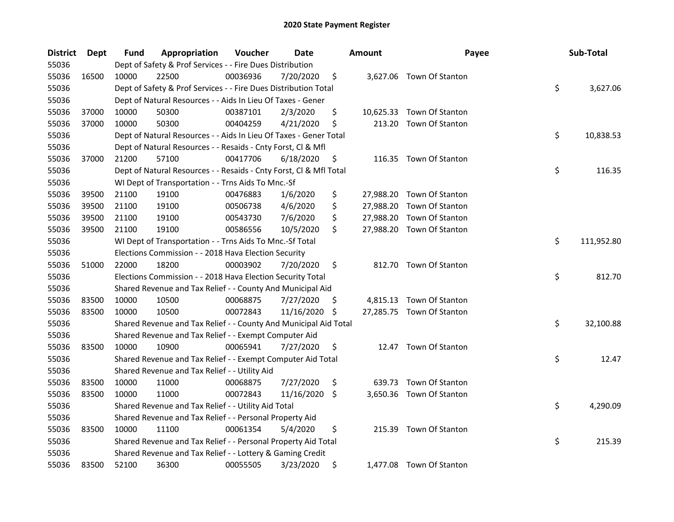| <b>District</b> | Dept  | Fund  | Appropriation                                                      | Voucher  | Date          |     | <b>Amount</b> | Payee                     | Sub-Total        |
|-----------------|-------|-------|--------------------------------------------------------------------|----------|---------------|-----|---------------|---------------------------|------------------|
| 55036           |       |       | Dept of Safety & Prof Services - - Fire Dues Distribution          |          |               |     |               |                           |                  |
| 55036           | 16500 | 10000 | 22500                                                              | 00036936 | 7/20/2020     | \$  |               | 3,627.06 Town Of Stanton  |                  |
| 55036           |       |       | Dept of Safety & Prof Services - - Fire Dues Distribution Total    |          |               |     |               |                           | \$<br>3,627.06   |
| 55036           |       |       | Dept of Natural Resources - - Aids In Lieu Of Taxes - Gener        |          |               |     |               |                           |                  |
| 55036           | 37000 | 10000 | 50300                                                              | 00387101 | 2/3/2020      | \$  |               | 10,625.33 Town Of Stanton |                  |
| 55036           | 37000 | 10000 | 50300                                                              | 00404259 | 4/21/2020     | \$  | 213.20        | Town Of Stanton           |                  |
| 55036           |       |       | Dept of Natural Resources - - Aids In Lieu Of Taxes - Gener Total  |          |               |     |               |                           | \$<br>10,838.53  |
| 55036           |       |       | Dept of Natural Resources - - Resaids - Cnty Forst, Cl & Mfl       |          |               |     |               |                           |                  |
| 55036           | 37000 | 21200 | 57100                                                              | 00417706 | 6/18/2020     | \$  |               | 116.35 Town Of Stanton    |                  |
| 55036           |       |       | Dept of Natural Resources - - Resaids - Cnty Forst, Cl & Mfl Total |          |               |     |               |                           | \$<br>116.35     |
| 55036           |       |       | WI Dept of Transportation - - Trns Aids To Mnc.-Sf                 |          |               |     |               |                           |                  |
| 55036           | 39500 | 21100 | 19100                                                              | 00476883 | 1/6/2020      | \$  |               | 27,988.20 Town Of Stanton |                  |
| 55036           | 39500 | 21100 | 19100                                                              | 00506738 | 4/6/2020      | \$  | 27,988.20     | Town Of Stanton           |                  |
| 55036           | 39500 | 21100 | 19100                                                              | 00543730 | 7/6/2020      | \$  | 27,988.20     | Town Of Stanton           |                  |
| 55036           | 39500 | 21100 | 19100                                                              | 00586556 | 10/5/2020     | \$  | 27,988.20     | Town Of Stanton           |                  |
| 55036           |       |       | WI Dept of Transportation - - Trns Aids To Mnc.-Sf Total           |          |               |     |               |                           | \$<br>111,952.80 |
| 55036           |       |       | Elections Commission - - 2018 Hava Election Security               |          |               |     |               |                           |                  |
| 55036           | 51000 | 22000 | 18200                                                              | 00003902 | 7/20/2020     | \$  |               | 812.70 Town Of Stanton    |                  |
| 55036           |       |       | Elections Commission - - 2018 Hava Election Security Total         |          |               |     |               |                           | \$<br>812.70     |
| 55036           |       |       | Shared Revenue and Tax Relief - - County And Municipal Aid         |          |               |     |               |                           |                  |
| 55036           | 83500 | 10000 | 10500                                                              | 00068875 | 7/27/2020     | \$. |               | 4,815.13 Town Of Stanton  |                  |
| 55036           | 83500 | 10000 | 10500                                                              | 00072843 | 11/16/2020 \$ |     |               | 27,285.75 Town Of Stanton |                  |
| 55036           |       |       | Shared Revenue and Tax Relief - - County And Municipal Aid Total   |          |               |     |               |                           | \$<br>32,100.88  |
| 55036           |       |       | Shared Revenue and Tax Relief - - Exempt Computer Aid              |          |               |     |               |                           |                  |
| 55036           | 83500 | 10000 | 10900                                                              | 00065941 | 7/27/2020     | \$  |               | 12.47 Town Of Stanton     |                  |
| 55036           |       |       | Shared Revenue and Tax Relief - - Exempt Computer Aid Total        |          |               |     |               |                           | \$<br>12.47      |
| 55036           |       |       | Shared Revenue and Tax Relief - - Utility Aid                      |          |               |     |               |                           |                  |
| 55036           | 83500 | 10000 | 11000                                                              | 00068875 | 7/27/2020     | \$  |               | 639.73 Town Of Stanton    |                  |
| 55036           | 83500 | 10000 | 11000                                                              | 00072843 | 11/16/2020    | \$  |               | 3,650.36 Town Of Stanton  |                  |
| 55036           |       |       | Shared Revenue and Tax Relief - - Utility Aid Total                |          |               |     |               |                           | \$<br>4,290.09   |
| 55036           |       |       | Shared Revenue and Tax Relief - - Personal Property Aid            |          |               |     |               |                           |                  |
| 55036           | 83500 | 10000 | 11100                                                              | 00061354 | 5/4/2020      | \$  |               | 215.39 Town Of Stanton    |                  |
| 55036           |       |       | Shared Revenue and Tax Relief - - Personal Property Aid Total      |          |               |     |               |                           | \$<br>215.39     |
| 55036           |       |       | Shared Revenue and Tax Relief - - Lottery & Gaming Credit          |          |               |     |               |                           |                  |
| 55036           | 83500 | 52100 | 36300                                                              | 00055505 | 3/23/2020     | \$  |               | 1,477.08 Town Of Stanton  |                  |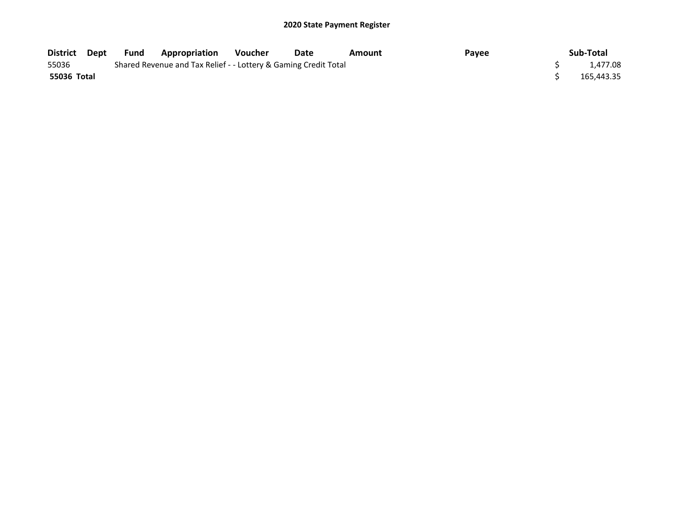| District Dept | Fund | <b>Appropriation</b>                                            | <b>Voucher</b> | Date | Amount | Payee | Sub-Total  |
|---------------|------|-----------------------------------------------------------------|----------------|------|--------|-------|------------|
| 55036         |      | Shared Revenue and Tax Relief - - Lottery & Gaming Credit Total |                |      |        |       | 1.477.08   |
| 55036 Total   |      |                                                                 |                |      |        |       | 165,443.35 |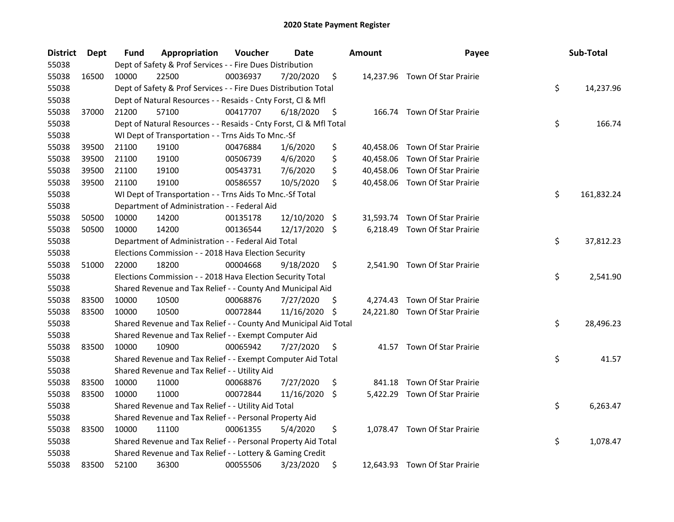| <b>District</b> | <b>Dept</b> | Fund  | Appropriation                                                      | Voucher  | Date          |     | <b>Amount</b> | Payee                          | Sub-Total        |
|-----------------|-------------|-------|--------------------------------------------------------------------|----------|---------------|-----|---------------|--------------------------------|------------------|
| 55038           |             |       | Dept of Safety & Prof Services - - Fire Dues Distribution          |          |               |     |               |                                |                  |
| 55038           | 16500       | 10000 | 22500                                                              | 00036937 | 7/20/2020     | \$  |               | 14,237.96 Town Of Star Prairie |                  |
| 55038           |             |       | Dept of Safety & Prof Services - - Fire Dues Distribution Total    |          |               |     |               |                                | \$<br>14,237.96  |
| 55038           |             |       | Dept of Natural Resources - - Resaids - Cnty Forst, Cl & Mfl       |          |               |     |               |                                |                  |
| 55038           | 37000       | 21200 | 57100                                                              | 00417707 | 6/18/2020     | \$  |               | 166.74 Town Of Star Prairie    |                  |
| 55038           |             |       | Dept of Natural Resources - - Resaids - Cnty Forst, Cl & Mfl Total |          |               |     |               |                                | \$<br>166.74     |
| 55038           |             |       | WI Dept of Transportation - - Trns Aids To Mnc.-Sf                 |          |               |     |               |                                |                  |
| 55038           | 39500       | 21100 | 19100                                                              | 00476884 | 1/6/2020      | \$  |               | 40,458.06 Town Of Star Prairie |                  |
| 55038           | 39500       | 21100 | 19100                                                              | 00506739 | 4/6/2020      | \$  |               | 40,458.06 Town Of Star Prairie |                  |
| 55038           | 39500       | 21100 | 19100                                                              | 00543731 | 7/6/2020      | \$  |               | 40,458.06 Town Of Star Prairie |                  |
| 55038           | 39500       | 21100 | 19100                                                              | 00586557 | 10/5/2020     | \$  |               | 40,458.06 Town Of Star Prairie |                  |
| 55038           |             |       | WI Dept of Transportation - - Trns Aids To Mnc.-Sf Total           |          |               |     |               |                                | \$<br>161,832.24 |
| 55038           |             |       | Department of Administration - - Federal Aid                       |          |               |     |               |                                |                  |
| 55038           | 50500       | 10000 | 14200                                                              | 00135178 | 12/10/2020    | -\$ |               | 31,593.74 Town Of Star Prairie |                  |
| 55038           | 50500       | 10000 | 14200                                                              | 00136544 | 12/17/2020    | \$  | 6.218.49      | Town Of Star Prairie           |                  |
| 55038           |             |       | Department of Administration - - Federal Aid Total                 |          |               |     |               |                                | \$<br>37,812.23  |
| 55038           |             |       | Elections Commission - - 2018 Hava Election Security               |          |               |     |               |                                |                  |
| 55038           | 51000       | 22000 | 18200                                                              | 00004668 | 9/18/2020     | \$  | 2,541.90      | Town Of Star Prairie           |                  |
| 55038           |             |       | Elections Commission - - 2018 Hava Election Security Total         |          |               |     |               |                                | \$<br>2,541.90   |
| 55038           |             |       | Shared Revenue and Tax Relief - - County And Municipal Aid         |          |               |     |               |                                |                  |
| 55038           | 83500       | 10000 | 10500                                                              | 00068876 | 7/27/2020     | \$. |               | 4,274.43 Town Of Star Prairie  |                  |
| 55038           | 83500       | 10000 | 10500                                                              | 00072844 | 11/16/2020 \$ |     |               | 24,221.80 Town Of Star Prairie |                  |
| 55038           |             |       | Shared Revenue and Tax Relief - - County And Municipal Aid Total   |          |               |     |               |                                | \$<br>28,496.23  |
| 55038           |             |       | Shared Revenue and Tax Relief - - Exempt Computer Aid              |          |               |     |               |                                |                  |
| 55038           | 83500       | 10000 | 10900                                                              | 00065942 | 7/27/2020     | \$  |               | 41.57 Town Of Star Prairie     |                  |
| 55038           |             |       | Shared Revenue and Tax Relief - - Exempt Computer Aid Total        |          |               |     |               |                                | \$<br>41.57      |
| 55038           |             |       | Shared Revenue and Tax Relief - - Utility Aid                      |          |               |     |               |                                |                  |
| 55038           | 83500       | 10000 | 11000                                                              | 00068876 | 7/27/2020     | \$  |               | 841.18 Town Of Star Prairie    |                  |
| 55038           | 83500       | 10000 | 11000                                                              | 00072844 | 11/16/2020    | \$. |               | 5,422.29 Town Of Star Prairie  |                  |
| 55038           |             |       | Shared Revenue and Tax Relief - - Utility Aid Total                |          |               |     |               |                                | \$<br>6,263.47   |
| 55038           |             |       | Shared Revenue and Tax Relief - - Personal Property Aid            |          |               |     |               |                                |                  |
| 55038           | 83500       | 10000 | 11100                                                              | 00061355 | 5/4/2020      | \$  |               | 1,078.47 Town Of Star Prairie  |                  |
| 55038           |             |       | Shared Revenue and Tax Relief - - Personal Property Aid Total      |          |               |     |               |                                | \$<br>1,078.47   |
| 55038           |             |       | Shared Revenue and Tax Relief - - Lottery & Gaming Credit          |          |               |     |               |                                |                  |
| 55038           | 83500       | 52100 | 36300                                                              | 00055506 | 3/23/2020     | \$  |               | 12,643.93 Town Of Star Prairie |                  |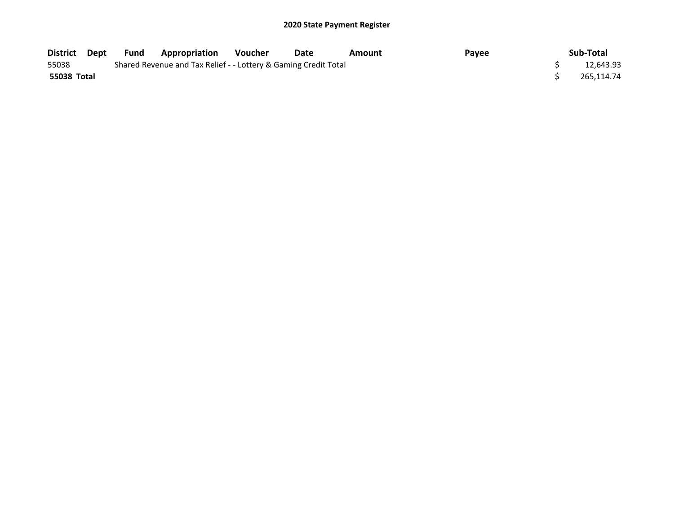| District Dept | Fund | <b>Appropriation</b>                                            | <b>Voucher</b> | Date | Amount | Payee | Sub-Total  |
|---------------|------|-----------------------------------------------------------------|----------------|------|--------|-------|------------|
| 55038         |      | Shared Revenue and Tax Relief - - Lottery & Gaming Credit Total |                |      |        |       | 12,643.93  |
| 55038 Total   |      |                                                                 |                |      |        |       | 265.114.74 |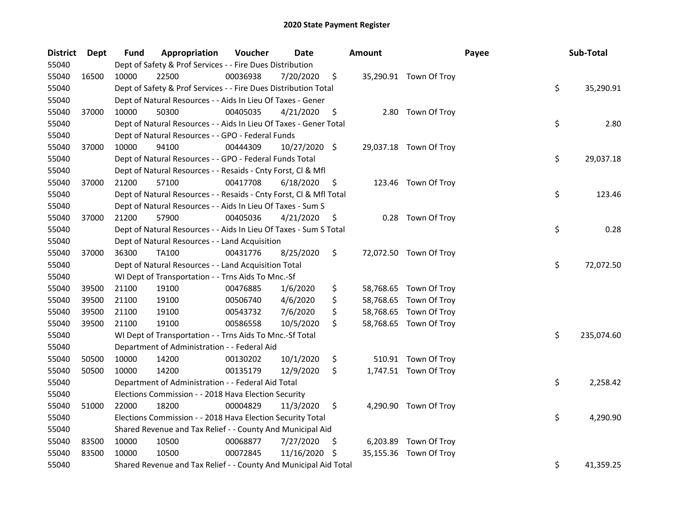| District | <b>Dept</b> | Fund  | Appropriation                                                      | Voucher  | Date          |     | <b>Amount</b> |                        | Payee | Sub-Total        |
|----------|-------------|-------|--------------------------------------------------------------------|----------|---------------|-----|---------------|------------------------|-------|------------------|
| 55040    |             |       | Dept of Safety & Prof Services - - Fire Dues Distribution          |          |               |     |               |                        |       |                  |
| 55040    | 16500       | 10000 | 22500                                                              | 00036938 | 7/20/2020     | \$  |               | 35,290.91 Town Of Troy |       |                  |
| 55040    |             |       | Dept of Safety & Prof Services - - Fire Dues Distribution Total    |          |               |     |               |                        |       | \$<br>35,290.91  |
| 55040    |             |       | Dept of Natural Resources - - Aids In Lieu Of Taxes - Gener        |          |               |     |               |                        |       |                  |
| 55040    | 37000       | 10000 | 50300                                                              | 00405035 | 4/21/2020     | \$  |               | 2.80 Town Of Troy      |       |                  |
| 55040    |             |       | Dept of Natural Resources - - Aids In Lieu Of Taxes - Gener Total  |          |               |     |               |                        |       | \$<br>2.80       |
| 55040    |             |       | Dept of Natural Resources - - GPO - Federal Funds                  |          |               |     |               |                        |       |                  |
| 55040    | 37000       | 10000 | 94100                                                              | 00444309 | 10/27/2020 \$ |     |               | 29,037.18 Town Of Troy |       |                  |
| 55040    |             |       | Dept of Natural Resources - - GPO - Federal Funds Total            |          |               |     |               |                        |       | \$<br>29,037.18  |
| 55040    |             |       | Dept of Natural Resources - - Resaids - Cnty Forst, Cl & Mfl       |          |               |     |               |                        |       |                  |
| 55040    | 37000       | 21200 | 57100                                                              | 00417708 | 6/18/2020     | \$  |               | 123.46 Town Of Troy    |       |                  |
| 55040    |             |       | Dept of Natural Resources - - Resaids - Cnty Forst, Cl & Mfl Total |          |               |     |               |                        |       | \$<br>123.46     |
| 55040    |             |       | Dept of Natural Resources - - Aids In Lieu Of Taxes - Sum S        |          |               |     |               |                        |       |                  |
| 55040    | 37000       | 21200 | 57900                                                              | 00405036 | 4/21/2020     | \$. |               | 0.28 Town Of Troy      |       |                  |
| 55040    |             |       | Dept of Natural Resources - - Aids In Lieu Of Taxes - Sum S Total  |          |               |     |               |                        |       | \$<br>0.28       |
| 55040    |             |       | Dept of Natural Resources - - Land Acquisition                     |          |               |     |               |                        |       |                  |
| 55040    | 37000       | 36300 | <b>TA100</b>                                                       | 00431776 | 8/25/2020     | \$  |               | 72,072.50 Town Of Troy |       |                  |
| 55040    |             |       | Dept of Natural Resources - - Land Acquisition Total               |          |               |     |               |                        |       | \$<br>72,072.50  |
| 55040    |             |       | WI Dept of Transportation - - Trns Aids To Mnc.-Sf                 |          |               |     |               |                        |       |                  |
| 55040    | 39500       | 21100 | 19100                                                              | 00476885 | 1/6/2020      | \$  |               | 58,768.65 Town Of Troy |       |                  |
| 55040    | 39500       | 21100 | 19100                                                              | 00506740 | 4/6/2020      | \$  |               | 58,768.65 Town Of Troy |       |                  |
| 55040    | 39500       | 21100 | 19100                                                              | 00543732 | 7/6/2020      | \$  |               | 58,768.65 Town Of Troy |       |                  |
| 55040    | 39500       | 21100 | 19100                                                              | 00586558 | 10/5/2020     | \$  |               | 58,768.65 Town Of Troy |       |                  |
| 55040    |             |       | WI Dept of Transportation - - Trns Aids To Mnc.-Sf Total           |          |               |     |               |                        |       | \$<br>235,074.60 |
| 55040    |             |       | Department of Administration - - Federal Aid                       |          |               |     |               |                        |       |                  |
| 55040    | 50500       | 10000 | 14200                                                              | 00130202 | 10/1/2020     | \$  |               | 510.91 Town Of Troy    |       |                  |
| 55040    | 50500       | 10000 | 14200                                                              | 00135179 | 12/9/2020     | \$  |               | 1,747.51 Town Of Troy  |       |                  |
| 55040    |             |       | Department of Administration - - Federal Aid Total                 |          |               |     |               |                        |       | \$<br>2,258.42   |
| 55040    |             |       | Elections Commission - - 2018 Hava Election Security               |          |               |     |               |                        |       |                  |
| 55040    | 51000       | 22000 | 18200                                                              | 00004829 | 11/3/2020     | \$  |               | 4,290.90 Town Of Troy  |       |                  |
| 55040    |             |       | Elections Commission - - 2018 Hava Election Security Total         |          |               |     |               |                        |       | \$<br>4,290.90   |
| 55040    |             |       | Shared Revenue and Tax Relief - - County And Municipal Aid         |          |               |     |               |                        |       |                  |
| 55040    | 83500       | 10000 | 10500                                                              | 00068877 | 7/27/2020     | \$. |               | 6,203.89 Town Of Troy  |       |                  |
| 55040    | 83500       | 10000 | 10500                                                              | 00072845 | 11/16/2020    | \$. |               | 35,155.36 Town Of Troy |       |                  |
| 55040    |             |       | Shared Revenue and Tax Relief - - County And Municipal Aid Total   |          |               |     |               |                        |       | \$<br>41,359.25  |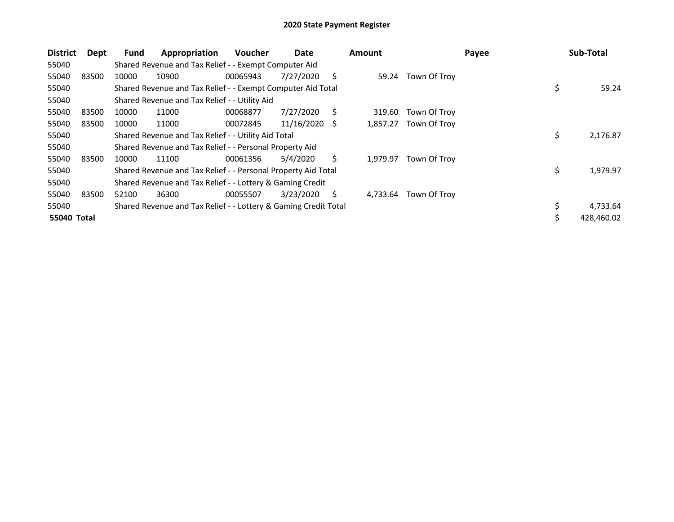| <b>District</b>    | Dept  | Fund  | Appropriation                                                   | <b>Voucher</b> | Date            |    | <b>Amount</b> |              | Payee | Sub-Total        |
|--------------------|-------|-------|-----------------------------------------------------------------|----------------|-----------------|----|---------------|--------------|-------|------------------|
| 55040              |       |       | Shared Revenue and Tax Relief - - Exempt Computer Aid           |                |                 |    |               |              |       |                  |
| 55040              | 83500 | 10000 | 10900                                                           | 00065943       | 7/27/2020       | S  | 59.24         | Town Of Troy |       |                  |
| 55040              |       |       | Shared Revenue and Tax Relief - - Exempt Computer Aid Total     |                |                 |    |               |              |       | \$<br>59.24      |
| 55040              |       |       | Shared Revenue and Tax Relief - - Utility Aid                   |                |                 |    |               |              |       |                  |
| 55040              | 83500 | 10000 | 11000                                                           | 00068877       | 7/27/2020       | S. | 319.60        | Town Of Troy |       |                  |
| 55040              | 83500 | 10000 | 11000                                                           | 00072845       | $11/16/2020$ \$ |    | 1,857.27      | Town Of Troy |       |                  |
| 55040              |       |       | Shared Revenue and Tax Relief - - Utility Aid Total             |                |                 |    |               |              |       | \$<br>2,176.87   |
| 55040              |       |       | Shared Revenue and Tax Relief - - Personal Property Aid         |                |                 |    |               |              |       |                  |
| 55040              | 83500 | 10000 | 11100                                                           | 00061356       | 5/4/2020        | S  | 1,979.97      | Town Of Troy |       |                  |
| 55040              |       |       | Shared Revenue and Tax Relief - - Personal Property Aid Total   |                |                 |    |               |              |       | \$<br>1,979.97   |
| 55040              |       |       | Shared Revenue and Tax Relief - - Lottery & Gaming Credit       |                |                 |    |               |              |       |                  |
| 55040              | 83500 | 52100 | 36300                                                           | 00055507       | 3/23/2020       | S  | 4,733.64      | Town Of Troy |       |                  |
| 55040              |       |       | Shared Revenue and Tax Relief - - Lottery & Gaming Credit Total |                |                 |    |               |              |       | 4,733.64         |
| <b>55040 Total</b> |       |       |                                                                 |                |                 |    |               |              |       | \$<br>428,460.02 |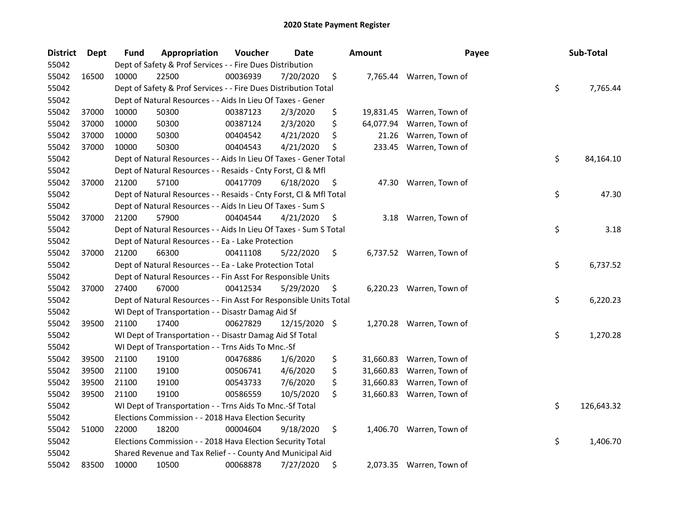| <b>District</b> | Dept  | Fund  | Appropriation                                                      | Voucher  | Date          | <b>Amount</b>   | Payee                     | Sub-Total        |
|-----------------|-------|-------|--------------------------------------------------------------------|----------|---------------|-----------------|---------------------------|------------------|
| 55042           |       |       | Dept of Safety & Prof Services - - Fire Dues Distribution          |          |               |                 |                           |                  |
| 55042           | 16500 | 10000 | 22500                                                              | 00036939 | 7/20/2020     | \$              | 7,765.44 Warren, Town of  |                  |
| 55042           |       |       | Dept of Safety & Prof Services - - Fire Dues Distribution Total    |          |               |                 |                           | \$<br>7,765.44   |
| 55042           |       |       | Dept of Natural Resources - - Aids In Lieu Of Taxes - Gener        |          |               |                 |                           |                  |
| 55042           | 37000 | 10000 | 50300                                                              | 00387123 | 2/3/2020      | \$              | 19,831.45 Warren, Town of |                  |
| 55042           | 37000 | 10000 | 50300                                                              | 00387124 | 2/3/2020      | \$<br>64,077.94 | Warren, Town of           |                  |
| 55042           | 37000 | 10000 | 50300                                                              | 00404542 | 4/21/2020     | \$<br>21.26     | Warren, Town of           |                  |
| 55042           | 37000 | 10000 | 50300                                                              | 00404543 | 4/21/2020     | \$              | 233.45 Warren, Town of    |                  |
| 55042           |       |       | Dept of Natural Resources - - Aids In Lieu Of Taxes - Gener Total  |          |               |                 |                           | \$<br>84,164.10  |
| 55042           |       |       | Dept of Natural Resources - - Resaids - Cnty Forst, Cl & Mfl       |          |               |                 |                           |                  |
| 55042           | 37000 | 21200 | 57100                                                              | 00417709 | 6/18/2020     | \$              | 47.30 Warren, Town of     |                  |
| 55042           |       |       | Dept of Natural Resources - - Resaids - Cnty Forst, Cl & Mfl Total |          |               |                 |                           | \$<br>47.30      |
| 55042           |       |       | Dept of Natural Resources - - Aids In Lieu Of Taxes - Sum S        |          |               |                 |                           |                  |
| 55042           | 37000 | 21200 | 57900                                                              | 00404544 | 4/21/2020     | \$              | 3.18 Warren, Town of      |                  |
| 55042           |       |       | Dept of Natural Resources - - Aids In Lieu Of Taxes - Sum S Total  |          |               |                 |                           | \$<br>3.18       |
| 55042           |       |       | Dept of Natural Resources - - Ea - Lake Protection                 |          |               |                 |                           |                  |
| 55042           | 37000 | 21200 | 66300                                                              | 00411108 | 5/22/2020     | \$              | 6,737.52 Warren, Town of  |                  |
| 55042           |       |       | Dept of Natural Resources - - Ea - Lake Protection Total           |          |               |                 |                           | \$<br>6,737.52   |
| 55042           |       |       | Dept of Natural Resources - - Fin Asst For Responsible Units       |          |               |                 |                           |                  |
| 55042           | 37000 | 27400 | 67000                                                              | 00412534 | 5/29/2020     | \$              | 6,220.23 Warren, Town of  |                  |
| 55042           |       |       | Dept of Natural Resources - - Fin Asst For Responsible Units Total |          |               |                 |                           | \$<br>6,220.23   |
| 55042           |       |       | WI Dept of Transportation - - Disastr Damag Aid Sf                 |          |               |                 |                           |                  |
| 55042           | 39500 | 21100 | 17400                                                              | 00627829 | 12/15/2020 \$ |                 | 1,270.28 Warren, Town of  |                  |
| 55042           |       |       | WI Dept of Transportation - - Disastr Damag Aid Sf Total           |          |               |                 |                           | \$<br>1,270.28   |
| 55042           |       |       | WI Dept of Transportation - - Trns Aids To Mnc.-Sf                 |          |               |                 |                           |                  |
| 55042           | 39500 | 21100 | 19100                                                              | 00476886 | 1/6/2020      | \$              | 31,660.83 Warren, Town of |                  |
| 55042           | 39500 | 21100 | 19100                                                              | 00506741 | 4/6/2020      | \$<br>31,660.83 | Warren, Town of           |                  |
| 55042           | 39500 | 21100 | 19100                                                              | 00543733 | 7/6/2020      | \$<br>31,660.83 | Warren, Town of           |                  |
| 55042           | 39500 | 21100 | 19100                                                              | 00586559 | 10/5/2020     | \$              | 31,660.83 Warren, Town of |                  |
| 55042           |       |       | WI Dept of Transportation - - Trns Aids To Mnc.-Sf Total           |          |               |                 |                           | \$<br>126,643.32 |
| 55042           |       |       | Elections Commission - - 2018 Hava Election Security               |          |               |                 |                           |                  |
| 55042           | 51000 | 22000 | 18200                                                              | 00004604 | 9/18/2020     | \$              | 1,406.70 Warren, Town of  |                  |
| 55042           |       |       | Elections Commission - - 2018 Hava Election Security Total         |          |               |                 |                           | \$<br>1,406.70   |
| 55042           |       |       | Shared Revenue and Tax Relief - - County And Municipal Aid         |          |               |                 |                           |                  |
| 55042           | 83500 | 10000 | 10500                                                              | 00068878 | 7/27/2020     | \$              | 2,073.35 Warren, Town of  |                  |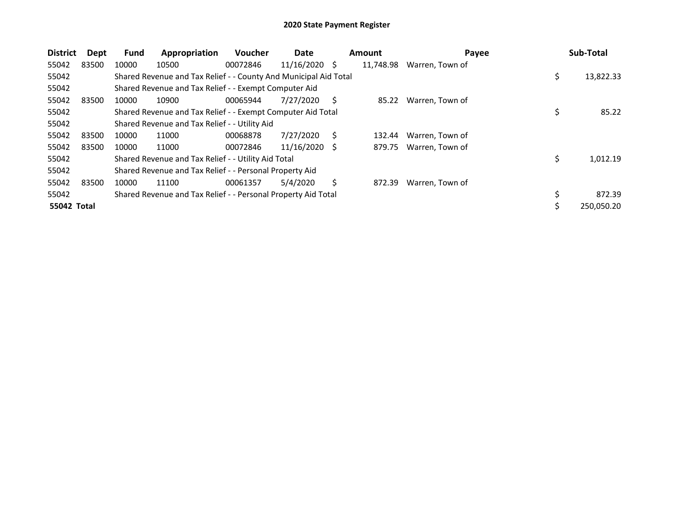| <b>District</b>    | <b>Dept</b> | Fund  | Appropriation                                                    | <b>Voucher</b> | Date            |   | <b>Amount</b> | Payee           | Sub-Total        |
|--------------------|-------------|-------|------------------------------------------------------------------|----------------|-----------------|---|---------------|-----------------|------------------|
| 55042              | 83500       | 10000 | 10500                                                            | 00072846       | $11/16/2020$ \$ |   | 11,748.98     | Warren, Town of |                  |
| 55042              |             |       | Shared Revenue and Tax Relief - - County And Municipal Aid Total |                |                 |   |               |                 | \$<br>13,822.33  |
| 55042              |             |       | Shared Revenue and Tax Relief - - Exempt Computer Aid            |                |                 |   |               |                 |                  |
| 55042              | 83500       | 10000 | 10900                                                            | 00065944       | 7/27/2020       | S | 85.22         | Warren, Town of |                  |
| 55042              |             |       | Shared Revenue and Tax Relief - - Exempt Computer Aid Total      |                |                 |   |               |                 | \$<br>85.22      |
| 55042              |             |       | Shared Revenue and Tax Relief - - Utility Aid                    |                |                 |   |               |                 |                  |
| 55042              | 83500       | 10000 | 11000                                                            | 00068878       | 7/27/2020       | S | 132.44        | Warren, Town of |                  |
| 55042              | 83500       | 10000 | 11000                                                            | 00072846       | 11/16/2020      | S | 879.75        | Warren, Town of |                  |
| 55042              |             |       | Shared Revenue and Tax Relief - - Utility Aid Total              |                |                 |   |               |                 | \$<br>1,012.19   |
| 55042              |             |       | Shared Revenue and Tax Relief - - Personal Property Aid          |                |                 |   |               |                 |                  |
| 55042              | 83500       | 10000 | 11100                                                            | 00061357       | 5/4/2020        | Ś | 872.39        | Warren, Town of |                  |
| 55042              |             |       | Shared Revenue and Tax Relief - - Personal Property Aid Total    |                |                 |   |               |                 | \$<br>872.39     |
| <b>55042 Total</b> |             |       |                                                                  |                |                 |   |               |                 | \$<br>250,050.20 |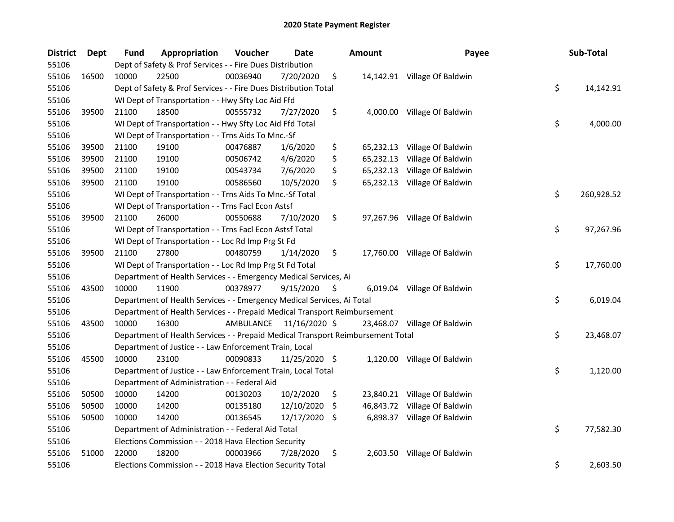| District | Dept  | Fund  | Appropriation                                                                   | Voucher  | <b>Date</b>             |     | <b>Amount</b> | Payee                        | Sub-Total        |
|----------|-------|-------|---------------------------------------------------------------------------------|----------|-------------------------|-----|---------------|------------------------------|------------------|
| 55106    |       |       | Dept of Safety & Prof Services - - Fire Dues Distribution                       |          |                         |     |               |                              |                  |
| 55106    | 16500 | 10000 | 22500                                                                           | 00036940 | 7/20/2020               | \$  |               | 14,142.91 Village Of Baldwin |                  |
| 55106    |       |       | Dept of Safety & Prof Services - - Fire Dues Distribution Total                 |          |                         |     |               |                              | \$<br>14,142.91  |
| 55106    |       |       | WI Dept of Transportation - - Hwy Sfty Loc Aid Ffd                              |          |                         |     |               |                              |                  |
| 55106    | 39500 | 21100 | 18500                                                                           | 00555732 | 7/27/2020               | \$  |               | 4,000.00 Village Of Baldwin  |                  |
| 55106    |       |       | WI Dept of Transportation - - Hwy Sfty Loc Aid Ffd Total                        |          |                         |     |               |                              | \$<br>4,000.00   |
| 55106    |       |       | WI Dept of Transportation - - Trns Aids To Mnc.-Sf                              |          |                         |     |               |                              |                  |
| 55106    | 39500 | 21100 | 19100                                                                           | 00476887 | 1/6/2020                | \$  |               | 65,232.13 Village Of Baldwin |                  |
| 55106    | 39500 | 21100 | 19100                                                                           | 00506742 | 4/6/2020                | \$  |               | 65,232.13 Village Of Baldwin |                  |
| 55106    | 39500 | 21100 | 19100                                                                           | 00543734 | 7/6/2020                | \$  |               | 65,232.13 Village Of Baldwin |                  |
| 55106    | 39500 | 21100 | 19100                                                                           | 00586560 | 10/5/2020               | \$  |               | 65,232.13 Village Of Baldwin |                  |
| 55106    |       |       | WI Dept of Transportation - - Trns Aids To Mnc.-Sf Total                        |          |                         |     |               |                              | \$<br>260,928.52 |
| 55106    |       |       | WI Dept of Transportation - - Trns Facl Econ Astsf                              |          |                         |     |               |                              |                  |
| 55106    | 39500 | 21100 | 26000                                                                           | 00550688 | 7/10/2020               | \$  |               | 97,267.96 Village Of Baldwin |                  |
| 55106    |       |       | WI Dept of Transportation - - Trns Facl Econ Astsf Total                        |          |                         |     |               |                              | \$<br>97,267.96  |
| 55106    |       |       | WI Dept of Transportation - - Loc Rd Imp Prg St Fd                              |          |                         |     |               |                              |                  |
| 55106    | 39500 | 21100 | 27800                                                                           | 00480759 | 1/14/2020               | \$  |               | 17,760.00 Village Of Baldwin |                  |
| 55106    |       |       | WI Dept of Transportation - - Loc Rd Imp Prg St Fd Total                        |          |                         |     |               |                              | \$<br>17,760.00  |
| 55106    |       |       | Department of Health Services - - Emergency Medical Services, Ai                |          |                         |     |               |                              |                  |
| 55106    | 43500 | 10000 | 11900                                                                           | 00378977 | 9/15/2020               | \$  |               | 6,019.04 Village Of Baldwin  |                  |
| 55106    |       |       | Department of Health Services - - Emergency Medical Services, Ai Total          |          |                         |     |               |                              | \$<br>6,019.04   |
| 55106    |       |       | Department of Health Services - - Prepaid Medical Transport Reimbursement       |          |                         |     |               |                              |                  |
| 55106    | 43500 | 10000 | 16300                                                                           |          | AMBULANCE 11/16/2020 \$ |     |               | 23,468.07 Village Of Baldwin |                  |
| 55106    |       |       | Department of Health Services - - Prepaid Medical Transport Reimbursement Total |          |                         |     |               |                              | \$<br>23,468.07  |
| 55106    |       |       | Department of Justice - - Law Enforcement Train, Local                          |          |                         |     |               |                              |                  |
| 55106    | 45500 | 10000 | 23100                                                                           | 00090833 | 11/25/2020 \$           |     |               | 1,120.00 Village Of Baldwin  |                  |
| 55106    |       |       | Department of Justice - - Law Enforcement Train, Local Total                    |          |                         |     |               |                              | \$<br>1,120.00   |
| 55106    |       |       | Department of Administration - - Federal Aid                                    |          |                         |     |               |                              |                  |
| 55106    | 50500 | 10000 | 14200                                                                           | 00130203 | 10/2/2020               | \$  |               | 23,840.21 Village Of Baldwin |                  |
| 55106    | 50500 | 10000 | 14200                                                                           | 00135180 | 12/10/2020              | \$. |               | 46,843.72 Village Of Baldwin |                  |
| 55106    | 50500 | 10000 | 14200                                                                           | 00136545 | 12/17/2020              | \$. |               | 6,898.37 Village Of Baldwin  |                  |
| 55106    |       |       | Department of Administration - - Federal Aid Total                              |          |                         |     |               |                              | \$<br>77,582.30  |
| 55106    |       |       | Elections Commission - - 2018 Hava Election Security                            |          |                         |     |               |                              |                  |
| 55106    | 51000 | 22000 | 18200                                                                           | 00003966 | 7/28/2020               | \$  |               | 2,603.50 Village Of Baldwin  |                  |
| 55106    |       |       | Elections Commission - - 2018 Hava Election Security Total                      |          |                         |     |               |                              | \$<br>2,603.50   |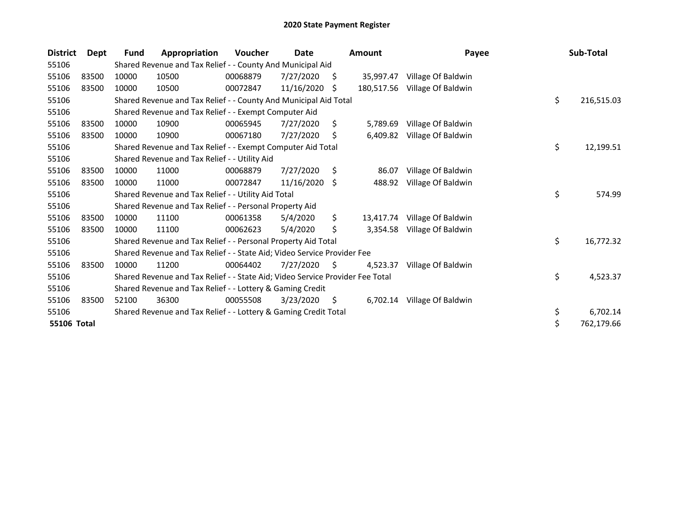| <b>District</b>    | Dept  | <b>Fund</b> | Appropriation                                                                 | <b>Voucher</b> | Date       |    | <b>Amount</b> | Payee              | Sub-Total        |
|--------------------|-------|-------------|-------------------------------------------------------------------------------|----------------|------------|----|---------------|--------------------|------------------|
| 55106              |       |             | Shared Revenue and Tax Relief - - County And Municipal Aid                    |                |            |    |               |                    |                  |
| 55106              | 83500 | 10000       | 10500                                                                         | 00068879       | 7/27/2020  | Ŝ. | 35.997.47     | Village Of Baldwin |                  |
| 55106              | 83500 | 10000       | 10500                                                                         | 00072847       | 11/16/2020 | S. | 180,517.56    | Village Of Baldwin |                  |
| 55106              |       |             | Shared Revenue and Tax Relief - - County And Municipal Aid Total              |                |            |    |               |                    | \$<br>216,515.03 |
| 55106              |       |             | Shared Revenue and Tax Relief - - Exempt Computer Aid                         |                |            |    |               |                    |                  |
| 55106              | 83500 | 10000       | 10900                                                                         | 00065945       | 7/27/2020  | \$ | 5,789.69      | Village Of Baldwin |                  |
| 55106              | 83500 | 10000       | 10900                                                                         | 00067180       | 7/27/2020  | S  | 6,409.82      | Village Of Baldwin |                  |
| 55106              |       |             | Shared Revenue and Tax Relief - - Exempt Computer Aid Total                   |                |            |    |               |                    | \$<br>12,199.51  |
| 55106              |       |             | Shared Revenue and Tax Relief - - Utility Aid                                 |                |            |    |               |                    |                  |
| 55106              | 83500 | 10000       | 11000                                                                         | 00068879       | 7/27/2020  | S  | 86.07         | Village Of Baldwin |                  |
| 55106              | 83500 | 10000       | 11000                                                                         | 00072847       | 11/16/2020 | -S | 488.92        | Village Of Baldwin |                  |
| 55106              |       |             | Shared Revenue and Tax Relief - - Utility Aid Total                           |                |            |    |               |                    | \$<br>574.99     |
| 55106              |       |             | Shared Revenue and Tax Relief - - Personal Property Aid                       |                |            |    |               |                    |                  |
| 55106              | 83500 | 10000       | 11100                                                                         | 00061358       | 5/4/2020   | \$ | 13,417.74     | Village Of Baldwin |                  |
| 55106              | 83500 | 10000       | 11100                                                                         | 00062623       | 5/4/2020   | \$ | 3,354.58      | Village Of Baldwin |                  |
| 55106              |       |             | Shared Revenue and Tax Relief - - Personal Property Aid Total                 |                |            |    |               |                    | \$<br>16,772.32  |
| 55106              |       |             | Shared Revenue and Tax Relief - - State Aid; Video Service Provider Fee       |                |            |    |               |                    |                  |
| 55106              | 83500 | 10000       | 11200                                                                         | 00064402       | 7/27/2020  | S. | 4,523.37      | Village Of Baldwin |                  |
| 55106              |       |             | Shared Revenue and Tax Relief - - State Aid; Video Service Provider Fee Total |                |            |    |               |                    | \$<br>4,523.37   |
| 55106              |       |             | Shared Revenue and Tax Relief - - Lottery & Gaming Credit                     |                |            |    |               |                    |                  |
| 55106              | 83500 | 52100       | 36300                                                                         | 00055508       | 3/23/2020  | \$ | 6,702.14      | Village Of Baldwin |                  |
| 55106              |       |             | Shared Revenue and Tax Relief - - Lottery & Gaming Credit Total               |                |            |    |               |                    | \$<br>6,702.14   |
| <b>55106 Total</b> |       |             |                                                                               |                |            |    |               |                    | \$<br>762,179.66 |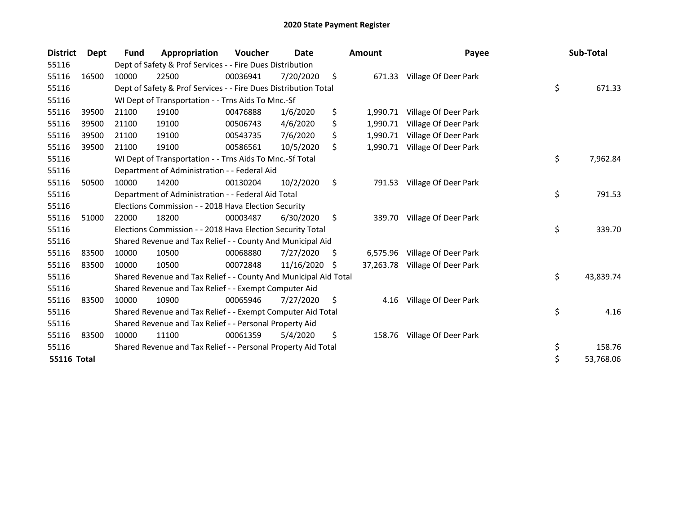| <b>District</b> | <b>Dept</b> | <b>Fund</b> | Appropriation                                                    | Voucher  | Date       |     | <b>Amount</b> | Payee                          | Sub-Total       |
|-----------------|-------------|-------------|------------------------------------------------------------------|----------|------------|-----|---------------|--------------------------------|-----------------|
| 55116           |             |             | Dept of Safety & Prof Services - - Fire Dues Distribution        |          |            |     |               |                                |                 |
| 55116           | 16500       | 10000       | 22500                                                            | 00036941 | 7/20/2020  | \$  |               | 671.33 Village Of Deer Park    |                 |
| 55116           |             |             | Dept of Safety & Prof Services - - Fire Dues Distribution Total  |          |            |     |               |                                | \$<br>671.33    |
| 55116           |             |             | WI Dept of Transportation - - Trns Aids To Mnc.-Sf               |          |            |     |               |                                |                 |
| 55116           | 39500       | 21100       | 19100                                                            | 00476888 | 1/6/2020   | \$  | 1,990.71      | Village Of Deer Park           |                 |
| 55116           | 39500       | 21100       | 19100                                                            | 00506743 | 4/6/2020   | \$  | 1,990.71      | Village Of Deer Park           |                 |
| 55116           | 39500       | 21100       | 19100                                                            | 00543735 | 7/6/2020   | \$  | 1,990.71      | Village Of Deer Park           |                 |
| 55116           | 39500       | 21100       | 19100                                                            | 00586561 | 10/5/2020  | \$  | 1,990.71      | Village Of Deer Park           |                 |
| 55116           |             |             | WI Dept of Transportation - - Trns Aids To Mnc.-Sf Total         |          |            |     |               |                                | \$<br>7,962.84  |
| 55116           |             |             | Department of Administration - - Federal Aid                     |          |            |     |               |                                |                 |
| 55116           | 50500       | 10000       | 14200                                                            | 00130204 | 10/2/2020  | \$  |               | 791.53 Village Of Deer Park    |                 |
| 55116           |             |             | Department of Administration - - Federal Aid Total               |          |            |     |               |                                | \$<br>791.53    |
| 55116           |             |             | Elections Commission - - 2018 Hava Election Security             |          |            |     |               |                                |                 |
| 55116           | 51000       | 22000       | 18200                                                            | 00003487 | 6/30/2020  | \$  | 339.70        | Village Of Deer Park           |                 |
| 55116           |             |             | Elections Commission - - 2018 Hava Election Security Total       |          |            |     |               |                                | \$<br>339.70    |
| 55116           |             |             | Shared Revenue and Tax Relief - - County And Municipal Aid       |          |            |     |               |                                |                 |
| 55116           | 83500       | 10000       | 10500                                                            | 00068880 | 7/27/2020  | \$, | 6,575.96      | Village Of Deer Park           |                 |
| 55116           | 83500       | 10000       | 10500                                                            | 00072848 | 11/16/2020 | S   |               | 37,263.78 Village Of Deer Park |                 |
| 55116           |             |             | Shared Revenue and Tax Relief - - County And Municipal Aid Total |          |            |     |               |                                | \$<br>43,839.74 |
| 55116           |             |             | Shared Revenue and Tax Relief - - Exempt Computer Aid            |          |            |     |               |                                |                 |
| 55116           | 83500       | 10000       | 10900                                                            | 00065946 | 7/27/2020  | \$. | 4.16          | Village Of Deer Park           |                 |
| 55116           |             |             | Shared Revenue and Tax Relief - - Exempt Computer Aid Total      |          |            |     |               |                                | \$<br>4.16      |
| 55116           |             |             | Shared Revenue and Tax Relief - - Personal Property Aid          |          |            |     |               |                                |                 |
| 55116           | 83500       | 10000       | 11100                                                            | 00061359 | 5/4/2020   | \$  |               | 158.76 Village Of Deer Park    |                 |
| 55116           |             |             | Shared Revenue and Tax Relief - - Personal Property Aid Total    |          |            |     |               |                                | \$<br>158.76    |
| 55116 Total     |             |             |                                                                  |          |            |     |               |                                | \$<br>53,768.06 |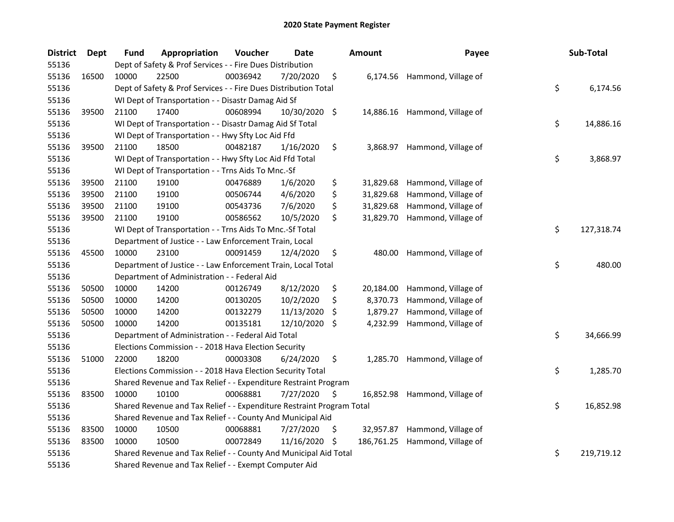| <b>District</b> | Dept  | <b>Fund</b> | Appropriation                                                         | Voucher  | Date          |     | <b>Amount</b> | Payee                         | Sub-Total        |
|-----------------|-------|-------------|-----------------------------------------------------------------------|----------|---------------|-----|---------------|-------------------------------|------------------|
| 55136           |       |             | Dept of Safety & Prof Services - - Fire Dues Distribution             |          |               |     |               |                               |                  |
| 55136           | 16500 | 10000       | 22500                                                                 | 00036942 | 7/20/2020     | \$  |               | 6,174.56 Hammond, Village of  |                  |
| 55136           |       |             | Dept of Safety & Prof Services - - Fire Dues Distribution Total       |          |               |     |               |                               | \$<br>6,174.56   |
| 55136           |       |             | WI Dept of Transportation - - Disastr Damag Aid Sf                    |          |               |     |               |                               |                  |
| 55136           | 39500 | 21100       | 17400                                                                 | 00608994 | 10/30/2020 \$ |     |               | 14,886.16 Hammond, Village of |                  |
| 55136           |       |             | WI Dept of Transportation - - Disastr Damag Aid Sf Total              |          |               |     |               |                               | \$<br>14,886.16  |
| 55136           |       |             | WI Dept of Transportation - - Hwy Sfty Loc Aid Ffd                    |          |               |     |               |                               |                  |
| 55136           | 39500 | 21100       | 18500                                                                 | 00482187 | 1/16/2020     | \$  |               | 3,868.97 Hammond, Village of  |                  |
| 55136           |       |             | WI Dept of Transportation - - Hwy Sfty Loc Aid Ffd Total              |          |               |     |               |                               | \$<br>3,868.97   |
| 55136           |       |             | WI Dept of Transportation - - Trns Aids To Mnc.-Sf                    |          |               |     |               |                               |                  |
| 55136           | 39500 | 21100       | 19100                                                                 | 00476889 | 1/6/2020      | \$  | 31,829.68     | Hammond, Village of           |                  |
| 55136           | 39500 | 21100       | 19100                                                                 | 00506744 | 4/6/2020      | \$  | 31,829.68     | Hammond, Village of           |                  |
| 55136           | 39500 | 21100       | 19100                                                                 | 00543736 | 7/6/2020      | \$  | 31,829.68     | Hammond, Village of           |                  |
| 55136           | 39500 | 21100       | 19100                                                                 | 00586562 | 10/5/2020     | \$  | 31,829.70     | Hammond, Village of           |                  |
| 55136           |       |             | WI Dept of Transportation - - Trns Aids To Mnc.-Sf Total              |          |               |     |               |                               | \$<br>127,318.74 |
| 55136           |       |             | Department of Justice - - Law Enforcement Train, Local                |          |               |     |               |                               |                  |
| 55136           | 45500 | 10000       | 23100                                                                 | 00091459 | 12/4/2020     | \$  | 480.00        | Hammond, Village of           |                  |
| 55136           |       |             | Department of Justice - - Law Enforcement Train, Local Total          |          |               |     |               |                               | \$<br>480.00     |
| 55136           |       |             | Department of Administration - - Federal Aid                          |          |               |     |               |                               |                  |
| 55136           | 50500 | 10000       | 14200                                                                 | 00126749 | 8/12/2020     | \$  | 20,184.00     | Hammond, Village of           |                  |
| 55136           | 50500 | 10000       | 14200                                                                 | 00130205 | 10/2/2020     | \$  | 8,370.73      | Hammond, Village of           |                  |
| 55136           | 50500 | 10000       | 14200                                                                 | 00132279 | 11/13/2020    | \$. | 1,879.27      | Hammond, Village of           |                  |
| 55136           | 50500 | 10000       | 14200                                                                 | 00135181 | 12/10/2020 \$ |     | 4,232.99      | Hammond, Village of           |                  |
| 55136           |       |             | Department of Administration - - Federal Aid Total                    |          |               |     |               |                               | \$<br>34,666.99  |
| 55136           |       |             | Elections Commission - - 2018 Hava Election Security                  |          |               |     |               |                               |                  |
| 55136           | 51000 | 22000       | 18200                                                                 | 00003308 | 6/24/2020     | \$  | 1,285.70      | Hammond, Village of           |                  |
| 55136           |       |             | Elections Commission - - 2018 Hava Election Security Total            |          |               |     |               |                               | \$<br>1,285.70   |
| 55136           |       |             | Shared Revenue and Tax Relief - - Expenditure Restraint Program       |          |               |     |               |                               |                  |
| 55136           | 83500 | 10000       | 10100                                                                 | 00068881 | 7/27/2020     | \$, | 16,852.98     | Hammond, Village of           |                  |
| 55136           |       |             | Shared Revenue and Tax Relief - - Expenditure Restraint Program Total |          |               |     |               |                               | \$<br>16,852.98  |
| 55136           |       |             | Shared Revenue and Tax Relief - - County And Municipal Aid            |          |               |     |               |                               |                  |
| 55136           | 83500 | 10000       | 10500                                                                 | 00068881 | 7/27/2020     | \$  | 32,957.87     | Hammond, Village of           |                  |
| 55136           | 83500 | 10000       | 10500                                                                 | 00072849 | 11/16/2020    | -\$ | 186,761.25    | Hammond, Village of           |                  |
| 55136           |       |             | Shared Revenue and Tax Relief - - County And Municipal Aid Total      |          |               |     |               |                               | \$<br>219,719.12 |
| 55136           |       |             | Shared Revenue and Tax Relief - - Exempt Computer Aid                 |          |               |     |               |                               |                  |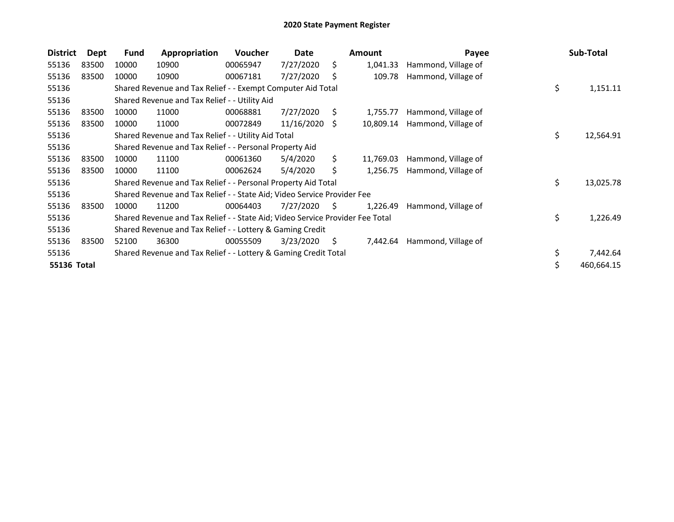| <b>District</b> | Dept  | Fund  | Appropriation                                                                 | Voucher  | Date            |     | <b>Amount</b> | Payee                         | Sub-Total       |
|-----------------|-------|-------|-------------------------------------------------------------------------------|----------|-----------------|-----|---------------|-------------------------------|-----------------|
| 55136           | 83500 | 10000 | 10900                                                                         | 00065947 | 7/27/2020       | \$  | 1,041.33      | Hammond, Village of           |                 |
| 55136           | 83500 | 10000 | 10900                                                                         | 00067181 | 7/27/2020       | S   | 109.78        | Hammond, Village of           |                 |
| 55136           |       |       | Shared Revenue and Tax Relief - - Exempt Computer Aid Total                   |          |                 |     |               |                               | \$<br>1,151.11  |
| 55136           |       |       | Shared Revenue and Tax Relief - - Utility Aid                                 |          |                 |     |               |                               |                 |
| 55136           | 83500 | 10000 | 11000                                                                         | 00068881 | 7/27/2020       | S.  | 1,755.77      | Hammond, Village of           |                 |
| 55136           | 83500 | 10000 | 11000                                                                         | 00072849 | $11/16/2020$ \$ |     |               | 10,809.14 Hammond, Village of |                 |
| 55136           |       |       | Shared Revenue and Tax Relief - - Utility Aid Total                           |          |                 |     |               |                               | \$<br>12,564.91 |
| 55136           |       |       | Shared Revenue and Tax Relief - - Personal Property Aid                       |          |                 |     |               |                               |                 |
| 55136           | 83500 | 10000 | 11100                                                                         | 00061360 | 5/4/2020        | Ŝ.  | 11,769.03     | Hammond, Village of           |                 |
| 55136           | 83500 | 10000 | 11100                                                                         | 00062624 | 5/4/2020        | \$  | 1,256.75      | Hammond, Village of           |                 |
| 55136           |       |       | Shared Revenue and Tax Relief - - Personal Property Aid Total                 |          |                 |     |               |                               | \$<br>13,025.78 |
| 55136           |       |       | Shared Revenue and Tax Relief - - State Aid; Video Service Provider Fee       |          |                 |     |               |                               |                 |
| 55136           | 83500 | 10000 | 11200                                                                         | 00064403 | 7/27/2020       | -\$ | 1,226.49      | Hammond, Village of           |                 |
| 55136           |       |       | Shared Revenue and Tax Relief - - State Aid; Video Service Provider Fee Total |          |                 |     |               |                               | \$<br>1,226.49  |
| 55136           |       |       | Shared Revenue and Tax Relief - - Lottery & Gaming Credit                     |          |                 |     |               |                               |                 |
| 55136           | 83500 | 52100 | 36300                                                                         | 00055509 | 3/23/2020       | \$. | 7,442.64      | Hammond, Village of           |                 |
| 55136           |       |       | Shared Revenue and Tax Relief - - Lottery & Gaming Credit Total               |          |                 |     |               |                               | \$<br>7,442.64  |
| 55136 Total     |       |       |                                                                               |          |                 |     |               |                               | 460,664.15      |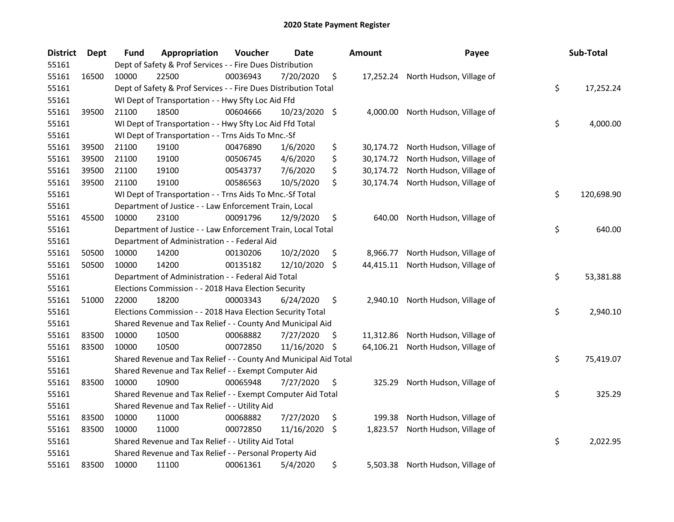| <b>District</b> | <b>Dept</b> | Fund  | Appropriation                                                    | Voucher  | Date       |     | <b>Amount</b> | Payee                              | Sub-Total        |
|-----------------|-------------|-------|------------------------------------------------------------------|----------|------------|-----|---------------|------------------------------------|------------------|
| 55161           |             |       | Dept of Safety & Prof Services - - Fire Dues Distribution        |          |            |     |               |                                    |                  |
| 55161           | 16500       | 10000 | 22500                                                            | 00036943 | 7/20/2020  | \$  |               | 17,252.24 North Hudson, Village of |                  |
| 55161           |             |       | Dept of Safety & Prof Services - - Fire Dues Distribution Total  |          |            |     |               |                                    | \$<br>17,252.24  |
| 55161           |             |       | WI Dept of Transportation - - Hwy Sfty Loc Aid Ffd               |          |            |     |               |                                    |                  |
| 55161           | 39500       | 21100 | 18500                                                            | 00604666 | 10/23/2020 | \$  | 4,000.00      | North Hudson, Village of           |                  |
| 55161           |             |       | WI Dept of Transportation - - Hwy Sfty Loc Aid Ffd Total         |          |            |     |               |                                    | \$<br>4,000.00   |
| 55161           |             |       | WI Dept of Transportation - - Trns Aids To Mnc.-Sf               |          |            |     |               |                                    |                  |
| 55161           | 39500       | 21100 | 19100                                                            | 00476890 | 1/6/2020   | \$  | 30,174.72     | North Hudson, Village of           |                  |
| 55161           | 39500       | 21100 | 19100                                                            | 00506745 | 4/6/2020   | \$  | 30,174.72     | North Hudson, Village of           |                  |
| 55161           | 39500       | 21100 | 19100                                                            | 00543737 | 7/6/2020   | \$  | 30,174.72     | North Hudson, Village of           |                  |
| 55161           | 39500       | 21100 | 19100                                                            | 00586563 | 10/5/2020  | \$  | 30,174.74     | North Hudson, Village of           |                  |
| 55161           |             |       | WI Dept of Transportation - - Trns Aids To Mnc.-Sf Total         |          |            |     |               |                                    | \$<br>120,698.90 |
| 55161           |             |       | Department of Justice - - Law Enforcement Train, Local           |          |            |     |               |                                    |                  |
| 55161           | 45500       | 10000 | 23100                                                            | 00091796 | 12/9/2020  | \$  | 640.00        | North Hudson, Village of           |                  |
| 55161           |             |       | Department of Justice - - Law Enforcement Train, Local Total     |          |            |     |               |                                    | \$<br>640.00     |
| 55161           |             |       | Department of Administration - - Federal Aid                     |          |            |     |               |                                    |                  |
| 55161           | 50500       | 10000 | 14200                                                            | 00130206 | 10/2/2020  | \$  | 8,966.77      | North Hudson, Village of           |                  |
| 55161           | 50500       | 10000 | 14200                                                            | 00135182 | 12/10/2020 | \$  | 44,415.11     | North Hudson, Village of           |                  |
| 55161           |             |       | Department of Administration - - Federal Aid Total               |          |            |     |               |                                    | \$<br>53,381.88  |
| 55161           |             |       | Elections Commission - - 2018 Hava Election Security             |          |            |     |               |                                    |                  |
| 55161           | 51000       | 22000 | 18200                                                            | 00003343 | 6/24/2020  | \$  | 2,940.10      | North Hudson, Village of           |                  |
| 55161           |             |       | Elections Commission - - 2018 Hava Election Security Total       |          |            |     |               |                                    | \$<br>2,940.10   |
| 55161           |             |       | Shared Revenue and Tax Relief - - County And Municipal Aid       |          |            |     |               |                                    |                  |
| 55161           | 83500       | 10000 | 10500                                                            | 00068882 | 7/27/2020  | \$, | 11,312.86     | North Hudson, Village of           |                  |
| 55161           | 83500       | 10000 | 10500                                                            | 00072850 | 11/16/2020 | \$  | 64,106.21     | North Hudson, Village of           |                  |
| 55161           |             |       | Shared Revenue and Tax Relief - - County And Municipal Aid Total |          |            |     |               |                                    | \$<br>75,419.07  |
| 55161           |             |       | Shared Revenue and Tax Relief - - Exempt Computer Aid            |          |            |     |               |                                    |                  |
| 55161           | 83500       | 10000 | 10900                                                            | 00065948 | 7/27/2020  | \$  | 325.29        | North Hudson, Village of           |                  |
| 55161           |             |       | Shared Revenue and Tax Relief - - Exempt Computer Aid Total      |          |            |     |               |                                    | \$<br>325.29     |
| 55161           |             |       | Shared Revenue and Tax Relief - - Utility Aid                    |          |            |     |               |                                    |                  |
| 55161           | 83500       | 10000 | 11000                                                            | 00068882 | 7/27/2020  | \$  | 199.38        | North Hudson, Village of           |                  |
| 55161           | 83500       | 10000 | 11000                                                            | 00072850 | 11/16/2020 | \$  | 1,823.57      | North Hudson, Village of           |                  |
| 55161           |             |       | Shared Revenue and Tax Relief - - Utility Aid Total              |          |            |     |               |                                    | \$<br>2,022.95   |
| 55161           |             |       | Shared Revenue and Tax Relief - - Personal Property Aid          |          |            |     |               |                                    |                  |
| 55161           | 83500       | 10000 | 11100                                                            | 00061361 | 5/4/2020   | \$  |               | 5,503.38 North Hudson, Village of  |                  |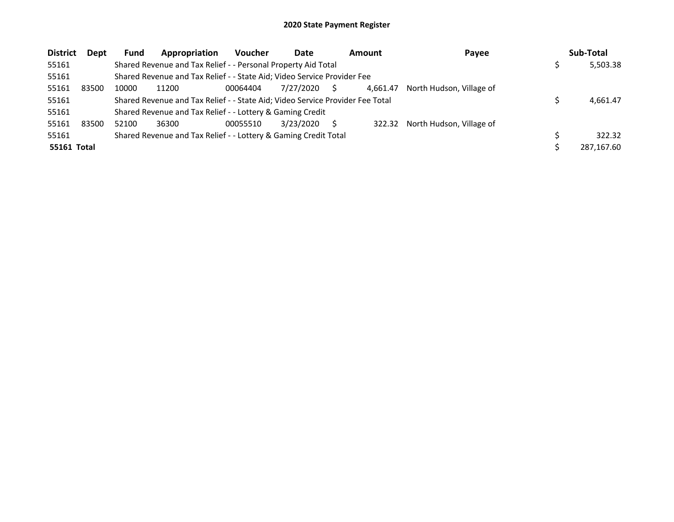| <b>District</b> | Dept  | <b>Fund</b> | Appropriation                                                                 | <b>Voucher</b> | Date      | Amount         | Payee                    | Sub-Total  |
|-----------------|-------|-------------|-------------------------------------------------------------------------------|----------------|-----------|----------------|--------------------------|------------|
| 55161           |       |             | Shared Revenue and Tax Relief - - Personal Property Aid Total                 |                |           |                |                          | 5,503.38   |
| 55161           |       |             | Shared Revenue and Tax Relief - - State Aid; Video Service Provider Fee       |                |           |                |                          |            |
| 55161           | 83500 | 10000       | 11200                                                                         | 00064404       | 7/27/2020 | 4.661.47<br>S. | North Hudson, Village of |            |
| 55161           |       |             | Shared Revenue and Tax Relief - - State Aid; Video Service Provider Fee Total |                |           |                |                          | 4,661.47   |
| 55161           |       |             | Shared Revenue and Tax Relief - - Lottery & Gaming Credit                     |                |           |                |                          |            |
| 55161           | 83500 | 52100       | 36300                                                                         | 00055510       | 3/23/2020 | 322.32         | North Hudson, Village of |            |
| 55161           |       |             | Shared Revenue and Tax Relief - - Lottery & Gaming Credit Total               |                |           |                |                          | 322.32     |
| 55161 Total     |       |             |                                                                               |                |           |                |                          | 287,167.60 |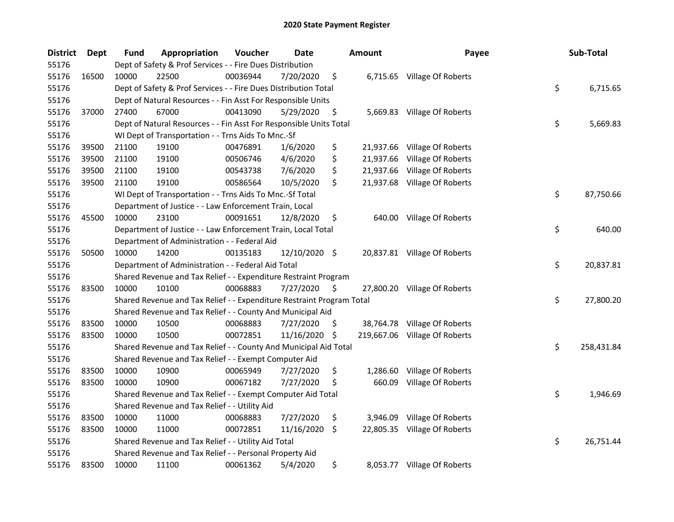| <b>District</b> | Dept  | <b>Fund</b> | <b>Appropriation</b>                                                  | Voucher  | Date          |     | <b>Amount</b> | Payee                         | Sub-Total        |
|-----------------|-------|-------------|-----------------------------------------------------------------------|----------|---------------|-----|---------------|-------------------------------|------------------|
| 55176           |       |             | Dept of Safety & Prof Services - - Fire Dues Distribution             |          |               |     |               |                               |                  |
| 55176           | 16500 | 10000       | 22500                                                                 | 00036944 | 7/20/2020     | \$  |               | 6,715.65 Village Of Roberts   |                  |
| 55176           |       |             | Dept of Safety & Prof Services - - Fire Dues Distribution Total       |          |               |     |               |                               | \$<br>6,715.65   |
| 55176           |       |             | Dept of Natural Resources - - Fin Asst For Responsible Units          |          |               |     |               |                               |                  |
| 55176           | 37000 | 27400       | 67000                                                                 | 00413090 | 5/29/2020     | \$  |               | 5,669.83 Village Of Roberts   |                  |
| 55176           |       |             | Dept of Natural Resources - - Fin Asst For Responsible Units Total    |          |               |     |               |                               | \$<br>5,669.83   |
| 55176           |       |             | WI Dept of Transportation - - Trns Aids To Mnc.-Sf                    |          |               |     |               |                               |                  |
| 55176           | 39500 | 21100       | 19100                                                                 | 00476891 | 1/6/2020      | \$  |               | 21,937.66 Village Of Roberts  |                  |
| 55176           | 39500 | 21100       | 19100                                                                 | 00506746 | 4/6/2020      | \$  |               | 21,937.66 Village Of Roberts  |                  |
| 55176           | 39500 | 21100       | 19100                                                                 | 00543738 | 7/6/2020      | \$  |               | 21,937.66 Village Of Roberts  |                  |
| 55176           | 39500 | 21100       | 19100                                                                 | 00586564 | 10/5/2020     | \$  |               | 21,937.68 Village Of Roberts  |                  |
| 55176           |       |             | WI Dept of Transportation - - Trns Aids To Mnc.-Sf Total              |          |               |     |               |                               | \$<br>87,750.66  |
| 55176           |       |             | Department of Justice - - Law Enforcement Train, Local                |          |               |     |               |                               |                  |
| 55176           | 45500 | 10000       | 23100                                                                 | 00091651 | 12/8/2020     | \$  |               | 640.00 Village Of Roberts     |                  |
| 55176           |       |             | Department of Justice - - Law Enforcement Train, Local Total          |          |               |     |               |                               | \$<br>640.00     |
| 55176           |       |             | Department of Administration - - Federal Aid                          |          |               |     |               |                               |                  |
| 55176           | 50500 | 10000       | 14200                                                                 | 00135183 | 12/10/2020 \$ |     |               | 20,837.81 Village Of Roberts  |                  |
| 55176           |       |             | Department of Administration - - Federal Aid Total                    |          |               |     |               |                               | \$<br>20,837.81  |
| 55176           |       |             | Shared Revenue and Tax Relief - - Expenditure Restraint Program       |          |               |     |               |                               |                  |
| 55176           | 83500 | 10000       | 10100                                                                 | 00068883 | 7/27/2020     | \$  |               | 27,800.20 Village Of Roberts  |                  |
| 55176           |       |             | Shared Revenue and Tax Relief - - Expenditure Restraint Program Total |          |               |     |               |                               | \$<br>27,800.20  |
| 55176           |       |             | Shared Revenue and Tax Relief - - County And Municipal Aid            |          |               |     |               |                               |                  |
| 55176           | 83500 | 10000       | 10500                                                                 | 00068883 | 7/27/2020     | \$. |               | 38,764.78 Village Of Roberts  |                  |
| 55176           | 83500 | 10000       | 10500                                                                 | 00072851 | 11/16/2020    | \$  |               | 219,667.06 Village Of Roberts |                  |
| 55176           |       |             | Shared Revenue and Tax Relief - - County And Municipal Aid Total      |          |               |     |               |                               | \$<br>258,431.84 |
| 55176           |       |             | Shared Revenue and Tax Relief - - Exempt Computer Aid                 |          |               |     |               |                               |                  |
| 55176           | 83500 | 10000       | 10900                                                                 | 00065949 | 7/27/2020     | \$  | 1,286.60      | Village Of Roberts            |                  |
| 55176           | 83500 | 10000       | 10900                                                                 | 00067182 | 7/27/2020     | \$  | 660.09        | Village Of Roberts            |                  |
| 55176           |       |             | Shared Revenue and Tax Relief - - Exempt Computer Aid Total           |          |               |     |               |                               | \$<br>1,946.69   |
| 55176           |       |             | Shared Revenue and Tax Relief - - Utility Aid                         |          |               |     |               |                               |                  |
| 55176           | 83500 | 10000       | 11000                                                                 | 00068883 | 7/27/2020     | \$  | 3,946.09      | Village Of Roberts            |                  |
| 55176           | 83500 | 10000       | 11000                                                                 | 00072851 | 11/16/2020    | \$  |               | 22,805.35 Village Of Roberts  |                  |
| 55176           |       |             | Shared Revenue and Tax Relief - - Utility Aid Total                   |          |               |     |               |                               | \$<br>26,751.44  |
| 55176           |       |             | Shared Revenue and Tax Relief - - Personal Property Aid               |          |               |     |               |                               |                  |
| 55176           | 83500 | 10000       | 11100                                                                 | 00061362 | 5/4/2020      | \$  |               | 8,053.77 Village Of Roberts   |                  |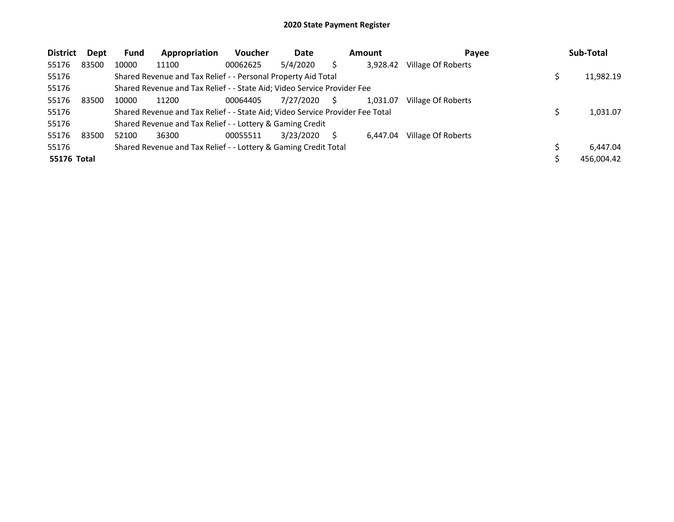| <b>District</b>    | Dept  | <b>Fund</b> | Appropriation                                                                 | Voucher  | Date      | <b>Amount</b> | Payee              | Sub-Total  |
|--------------------|-------|-------------|-------------------------------------------------------------------------------|----------|-----------|---------------|--------------------|------------|
| 55176              | 83500 | 10000       | 11100                                                                         | 00062625 | 5/4/2020  | 3,928.42      | Village Of Roberts |            |
| 55176              |       |             | Shared Revenue and Tax Relief - - Personal Property Aid Total                 |          |           |               |                    | 11,982.19  |
| 55176              |       |             | Shared Revenue and Tax Relief - - State Aid; Video Service Provider Fee       |          |           |               |                    |            |
| 55176              | 83500 | 10000       | 11200                                                                         | 00064405 | 7/27/2020 | 1,031.07      | Village Of Roberts |            |
| 55176              |       |             | Shared Revenue and Tax Relief - - State Aid; Video Service Provider Fee Total |          |           |               |                    | 1,031.07   |
| 55176              |       |             | Shared Revenue and Tax Relief - - Lottery & Gaming Credit                     |          |           |               |                    |            |
| 55176              | 83500 | 52100       | 36300                                                                         | 00055511 | 3/23/2020 | 6.447.04      | Village Of Roberts |            |
| 55176              |       |             | Shared Revenue and Tax Relief - - Lottery & Gaming Credit Total               |          |           |               |                    | 6,447.04   |
| <b>55176 Total</b> |       |             |                                                                               |          |           |               |                    | 456.004.42 |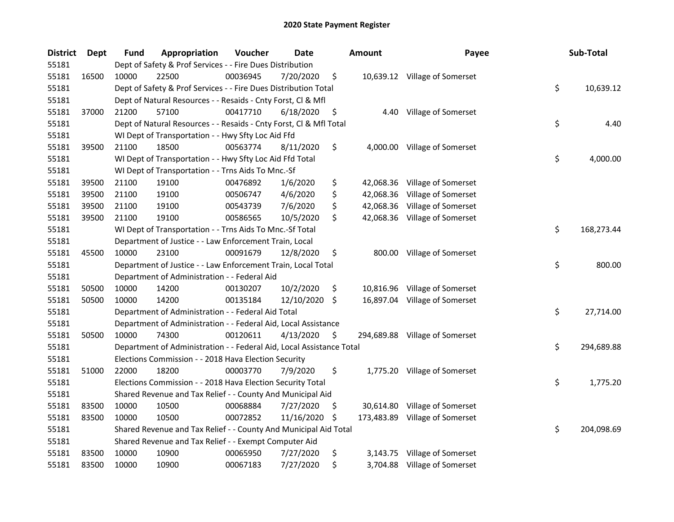| <b>District</b> | <b>Dept</b> | Fund  | Appropriation                                                        | Voucher  | Date          |     | <b>Amount</b> | Payee                          | Sub-Total        |
|-----------------|-------------|-------|----------------------------------------------------------------------|----------|---------------|-----|---------------|--------------------------------|------------------|
| 55181           |             |       | Dept of Safety & Prof Services - - Fire Dues Distribution            |          |               |     |               |                                |                  |
| 55181           | 16500       | 10000 | 22500                                                                | 00036945 | 7/20/2020     | \$  |               | 10,639.12 Village of Somerset  |                  |
| 55181           |             |       | Dept of Safety & Prof Services - - Fire Dues Distribution Total      |          |               |     |               |                                | \$<br>10,639.12  |
| 55181           |             |       | Dept of Natural Resources - - Resaids - Cnty Forst, Cl & Mfl         |          |               |     |               |                                |                  |
| 55181           | 37000       | 21200 | 57100                                                                | 00417710 | 6/18/2020     | \$  | 4.40          | Village of Somerset            |                  |
| 55181           |             |       | Dept of Natural Resources - - Resaids - Cnty Forst, Cl & Mfl Total   |          |               |     |               |                                | \$<br>4.40       |
| 55181           |             |       | WI Dept of Transportation - - Hwy Sfty Loc Aid Ffd                   |          |               |     |               |                                |                  |
| 55181           | 39500       | 21100 | 18500                                                                | 00563774 | 8/11/2020     | \$  |               | 4,000.00 Village of Somerset   |                  |
| 55181           |             |       | WI Dept of Transportation - - Hwy Sfty Loc Aid Ffd Total             |          |               |     |               |                                | \$<br>4,000.00   |
| 55181           |             |       | WI Dept of Transportation - - Trns Aids To Mnc.-Sf                   |          |               |     |               |                                |                  |
| 55181           | 39500       | 21100 | 19100                                                                | 00476892 | 1/6/2020      | \$  |               | 42,068.36 Village of Somerset  |                  |
| 55181           | 39500       | 21100 | 19100                                                                | 00506747 | 4/6/2020      | \$  |               | 42,068.36 Village of Somerset  |                  |
| 55181           | 39500       | 21100 | 19100                                                                | 00543739 | 7/6/2020      | \$  |               | 42,068.36 Village of Somerset  |                  |
| 55181           | 39500       | 21100 | 19100                                                                | 00586565 | 10/5/2020     | \$  |               | 42,068.36 Village of Somerset  |                  |
| 55181           |             |       | WI Dept of Transportation - - Trns Aids To Mnc.-Sf Total             |          |               |     |               |                                | \$<br>168,273.44 |
| 55181           |             |       | Department of Justice - - Law Enforcement Train, Local               |          |               |     |               |                                |                  |
| 55181           | 45500       | 10000 | 23100                                                                | 00091679 | 12/8/2020     | \$  | 800.00        | Village of Somerset            |                  |
| 55181           |             |       | Department of Justice - - Law Enforcement Train, Local Total         |          |               |     |               |                                | \$<br>800.00     |
| 55181           |             |       | Department of Administration - - Federal Aid                         |          |               |     |               |                                |                  |
| 55181           | 50500       | 10000 | 14200                                                                | 00130207 | 10/2/2020     | \$  |               | 10,816.96 Village of Somerset  |                  |
| 55181           | 50500       | 10000 | 14200                                                                | 00135184 | 12/10/2020 \$ |     |               | 16,897.04 Village of Somerset  |                  |
| 55181           |             |       | Department of Administration - - Federal Aid Total                   |          |               |     |               |                                | \$<br>27,714.00  |
| 55181           |             |       | Department of Administration - - Federal Aid, Local Assistance       |          |               |     |               |                                |                  |
| 55181           | 50500       | 10000 | 74300                                                                | 00120611 | 4/13/2020     | \$  |               | 294,689.88 Village of Somerset |                  |
| 55181           |             |       | Department of Administration - - Federal Aid, Local Assistance Total |          |               |     |               |                                | \$<br>294,689.88 |
| 55181           |             |       | Elections Commission - - 2018 Hava Election Security                 |          |               |     |               |                                |                  |
| 55181           | 51000       | 22000 | 18200                                                                | 00003770 | 7/9/2020      | \$  |               | 1,775.20 Village of Somerset   |                  |
| 55181           |             |       | Elections Commission - - 2018 Hava Election Security Total           |          |               |     |               |                                | \$<br>1,775.20   |
| 55181           |             |       | Shared Revenue and Tax Relief - - County And Municipal Aid           |          |               |     |               |                                |                  |
| 55181           | 83500       | 10000 | 10500                                                                | 00068884 | 7/27/2020     | \$. | 30,614.80     | Village of Somerset            |                  |
| 55181           | 83500       | 10000 | 10500                                                                | 00072852 | 11/16/2020    | \$. |               | 173,483.89 Village of Somerset |                  |
| 55181           |             |       | Shared Revenue and Tax Relief - - County And Municipal Aid Total     |          |               |     |               |                                | \$<br>204,098.69 |
| 55181           |             |       | Shared Revenue and Tax Relief - - Exempt Computer Aid                |          |               |     |               |                                |                  |
| 55181           | 83500       | 10000 | 10900                                                                | 00065950 | 7/27/2020     | \$  |               | 3,143.75 Village of Somerset   |                  |
| 55181           | 83500       | 10000 | 10900                                                                | 00067183 | 7/27/2020     | \$  |               | 3,704.88 Village of Somerset   |                  |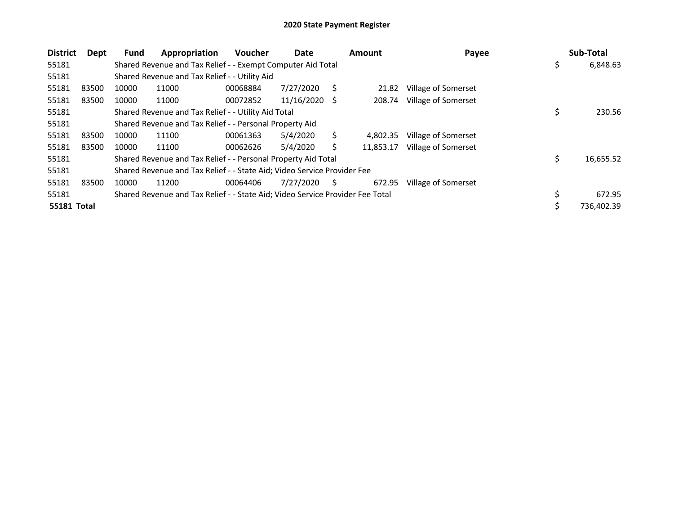| <b>District</b>    | Dept  | <b>Fund</b> | Appropriation                                                                 | <b>Voucher</b> | Date       |     | <b>Amount</b> | Payee               | Sub-Total        |
|--------------------|-------|-------------|-------------------------------------------------------------------------------|----------------|------------|-----|---------------|---------------------|------------------|
| 55181              |       |             | Shared Revenue and Tax Relief - - Exempt Computer Aid Total                   |                |            |     |               |                     | \$<br>6,848.63   |
| 55181              |       |             | Shared Revenue and Tax Relief - - Utility Aid                                 |                |            |     |               |                     |                  |
| 55181              | 83500 | 10000       | 11000                                                                         | 00068884       | 7/27/2020  | S   | 21.82         | Village of Somerset |                  |
| 55181              | 83500 | 10000       | 11000                                                                         | 00072852       | 11/16/2020 | - S | 208.74        | Village of Somerset |                  |
| 55181              |       |             | Shared Revenue and Tax Relief - - Utility Aid Total                           |                |            |     |               |                     | \$<br>230.56     |
| 55181              |       |             | Shared Revenue and Tax Relief - - Personal Property Aid                       |                |            |     |               |                     |                  |
| 55181              | 83500 | 10000       | 11100                                                                         | 00061363       | 5/4/2020   | Ś.  | 4.802.35      | Village of Somerset |                  |
| 55181              | 83500 | 10000       | 11100                                                                         | 00062626       | 5/4/2020   | Ś   | 11,853.17     | Village of Somerset |                  |
| 55181              |       |             | Shared Revenue and Tax Relief - - Personal Property Aid Total                 |                |            |     |               |                     | \$<br>16,655.52  |
| 55181              |       |             | Shared Revenue and Tax Relief - - State Aid; Video Service Provider Fee       |                |            |     |               |                     |                  |
| 55181              | 83500 | 10000       | 11200                                                                         | 00064406       | 7/27/2020  | S   | 672.95        | Village of Somerset |                  |
| 55181              |       |             | Shared Revenue and Tax Relief - - State Aid; Video Service Provider Fee Total |                |            |     |               |                     | \$<br>672.95     |
| <b>55181 Total</b> |       |             |                                                                               |                |            |     |               |                     | \$<br>736,402.39 |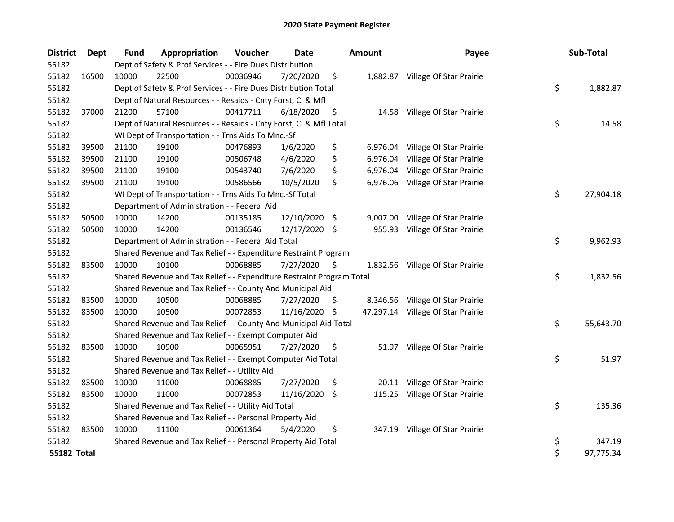| <b>District</b>    | <b>Dept</b> | Fund  | Appropriation                                                         | Voucher  | <b>Date</b>   |     | <b>Amount</b> | Payee                             | Sub-Total       |
|--------------------|-------------|-------|-----------------------------------------------------------------------|----------|---------------|-----|---------------|-----------------------------------|-----------------|
| 55182              |             |       | Dept of Safety & Prof Services - - Fire Dues Distribution             |          |               |     |               |                                   |                 |
| 55182              | 16500       | 10000 | 22500                                                                 | 00036946 | 7/20/2020     | \$. |               | 1,882.87 Village Of Star Prairie  |                 |
| 55182              |             |       | Dept of Safety & Prof Services - - Fire Dues Distribution Total       |          |               |     |               |                                   | \$<br>1,882.87  |
| 55182              |             |       | Dept of Natural Resources - - Resaids - Cnty Forst, CI & Mfl          |          |               |     |               |                                   |                 |
| 55182              | 37000       | 21200 | 57100                                                                 | 00417711 | 6/18/2020     | \$  |               | 14.58 Village Of Star Prairie     |                 |
| 55182              |             |       | Dept of Natural Resources - - Resaids - Cnty Forst, Cl & Mfl Total    |          |               |     |               |                                   | \$<br>14.58     |
| 55182              |             |       | WI Dept of Transportation - - Trns Aids To Mnc.-Sf                    |          |               |     |               |                                   |                 |
| 55182              | 39500       | 21100 | 19100                                                                 | 00476893 | 1/6/2020      | \$  | 6,976.04      | Village Of Star Prairie           |                 |
| 55182              | 39500       | 21100 | 19100                                                                 | 00506748 | 4/6/2020      | \$  | 6,976.04      | Village Of Star Prairie           |                 |
| 55182              | 39500       | 21100 | 19100                                                                 | 00543740 | 7/6/2020      | \$  | 6,976.04      | Village Of Star Prairie           |                 |
| 55182              | 39500       | 21100 | 19100                                                                 | 00586566 | 10/5/2020     | \$  |               | 6,976.06 Village Of Star Prairie  |                 |
| 55182              |             |       | WI Dept of Transportation - - Trns Aids To Mnc.-Sf Total              |          |               |     |               |                                   | \$<br>27,904.18 |
| 55182              |             |       | Department of Administration - - Federal Aid                          |          |               |     |               |                                   |                 |
| 55182              | 50500       | 10000 | 14200                                                                 | 00135185 | 12/10/2020    | -\$ | 9,007.00      | Village Of Star Prairie           |                 |
| 55182              | 50500       | 10000 | 14200                                                                 | 00136546 | 12/17/2020 \$ |     | 955.93        | Village Of Star Prairie           |                 |
| 55182              |             |       | Department of Administration - - Federal Aid Total                    |          |               |     |               |                                   | \$<br>9,962.93  |
| 55182              |             |       | Shared Revenue and Tax Relief - - Expenditure Restraint Program       |          |               |     |               |                                   |                 |
| 55182              | 83500       | 10000 | 10100                                                                 | 00068885 | 7/27/2020     | \$. |               | 1,832.56 Village Of Star Prairie  |                 |
| 55182              |             |       | Shared Revenue and Tax Relief - - Expenditure Restraint Program Total |          |               |     |               |                                   | \$<br>1,832.56  |
| 55182              |             |       | Shared Revenue and Tax Relief - - County And Municipal Aid            |          |               |     |               |                                   |                 |
| 55182              | 83500       | 10000 | 10500                                                                 | 00068885 | 7/27/2020     | \$. | 8,346.56      | Village Of Star Prairie           |                 |
| 55182              | 83500       | 10000 | 10500                                                                 | 00072853 | 11/16/2020    | S.  |               | 47,297.14 Village Of Star Prairie |                 |
| 55182              |             |       | Shared Revenue and Tax Relief - - County And Municipal Aid Total      |          |               |     |               |                                   | \$<br>55,643.70 |
| 55182              |             |       | Shared Revenue and Tax Relief - - Exempt Computer Aid                 |          |               |     |               |                                   |                 |
| 55182              | 83500       | 10000 | 10900                                                                 | 00065951 | 7/27/2020     | \$  |               | 51.97 Village Of Star Prairie     |                 |
| 55182              |             |       | Shared Revenue and Tax Relief - - Exempt Computer Aid Total           |          |               |     |               |                                   | \$<br>51.97     |
| 55182              |             |       | Shared Revenue and Tax Relief - - Utility Aid                         |          |               |     |               |                                   |                 |
| 55182              | 83500       | 10000 | 11000                                                                 | 00068885 | 7/27/2020     | \$  | 20.11         | Village Of Star Prairie           |                 |
| 55182              | 83500       | 10000 | 11000                                                                 | 00072853 | 11/16/2020    | \$. | 115.25        | Village Of Star Prairie           |                 |
| 55182              |             |       | Shared Revenue and Tax Relief - - Utility Aid Total                   |          |               |     |               |                                   | \$<br>135.36    |
| 55182              |             |       | Shared Revenue and Tax Relief - - Personal Property Aid               |          |               |     |               |                                   |                 |
| 55182              | 83500       | 10000 | 11100                                                                 | 00061364 | 5/4/2020      | \$  | 347.19        | Village Of Star Prairie           |                 |
| 55182              |             |       | Shared Revenue and Tax Relief - - Personal Property Aid Total         |          |               |     |               |                                   | \$<br>347.19    |
| <b>55182 Total</b> |             |       |                                                                       |          |               |     |               |                                   | \$<br>97,775.34 |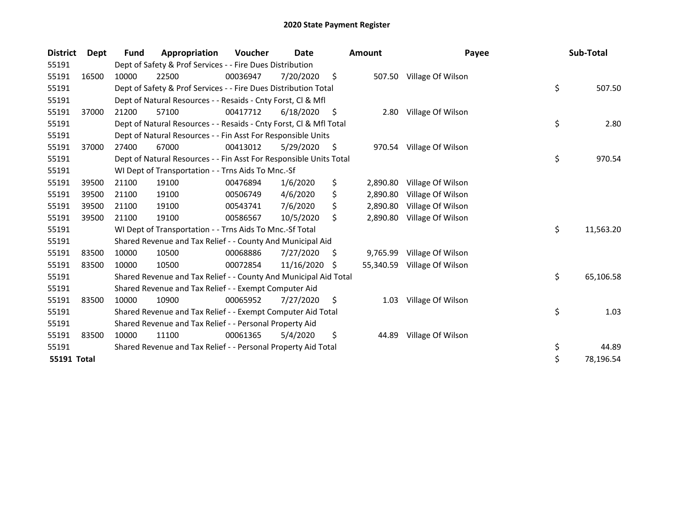| <b>District</b>    | <b>Dept</b> | Fund  | Appropriation                                                      | Voucher  | Date       |    | <b>Amount</b> | Payee                    | Sub-Total       |
|--------------------|-------------|-------|--------------------------------------------------------------------|----------|------------|----|---------------|--------------------------|-----------------|
| 55191              |             |       | Dept of Safety & Prof Services - - Fire Dues Distribution          |          |            |    |               |                          |                 |
| 55191              | 16500       | 10000 | 22500                                                              | 00036947 | 7/20/2020  | \$ |               | 507.50 Village Of Wilson |                 |
| 55191              |             |       | Dept of Safety & Prof Services - - Fire Dues Distribution Total    |          |            |    |               |                          | \$<br>507.50    |
| 55191              |             |       | Dept of Natural Resources - - Resaids - Cnty Forst, Cl & Mfl       |          |            |    |               |                          |                 |
| 55191              | 37000       | 21200 | 57100                                                              | 00417712 | 6/18/2020  | \$ | 2.80          | Village Of Wilson        |                 |
| 55191              |             |       | Dept of Natural Resources - - Resaids - Cnty Forst, Cl & Mfl Total |          |            |    |               |                          | \$<br>2.80      |
| 55191              |             |       | Dept of Natural Resources - - Fin Asst For Responsible Units       |          |            |    |               |                          |                 |
| 55191              | 37000       | 27400 | 67000                                                              | 00413012 | 5/29/2020  | \$ |               | 970.54 Village Of Wilson |                 |
| 55191              |             |       | Dept of Natural Resources - - Fin Asst For Responsible Units Total |          |            |    |               |                          | \$<br>970.54    |
| 55191              |             |       | WI Dept of Transportation - - Trns Aids To Mnc.-Sf                 |          |            |    |               |                          |                 |
| 55191              | 39500       | 21100 | 19100                                                              | 00476894 | 1/6/2020   | \$ | 2,890.80      | Village Of Wilson        |                 |
| 55191              | 39500       | 21100 | 19100                                                              | 00506749 | 4/6/2020   | \$ | 2,890.80      | Village Of Wilson        |                 |
| 55191              | 39500       | 21100 | 19100                                                              | 00543741 | 7/6/2020   |    | 2,890.80      | Village Of Wilson        |                 |
| 55191              | 39500       | 21100 | 19100                                                              | 00586567 | 10/5/2020  | \$ | 2,890.80      | Village Of Wilson        |                 |
| 55191              |             |       | WI Dept of Transportation - - Trns Aids To Mnc.-Sf Total           |          |            |    |               |                          | \$<br>11,563.20 |
| 55191              |             |       | Shared Revenue and Tax Relief - - County And Municipal Aid         |          |            |    |               |                          |                 |
| 55191              | 83500       | 10000 | 10500                                                              | 00068886 | 7/27/2020  | \$ | 9,765.99      | Village Of Wilson        |                 |
| 55191              | 83500       | 10000 | 10500                                                              | 00072854 | 11/16/2020 | S  | 55,340.59     | Village Of Wilson        |                 |
| 55191              |             |       | Shared Revenue and Tax Relief - - County And Municipal Aid Total   |          |            |    |               |                          | \$<br>65,106.58 |
| 55191              |             |       | Shared Revenue and Tax Relief - - Exempt Computer Aid              |          |            |    |               |                          |                 |
| 55191              | 83500       | 10000 | 10900                                                              | 00065952 | 7/27/2020  | \$ | 1.03          | Village Of Wilson        |                 |
| 55191              |             |       | Shared Revenue and Tax Relief - - Exempt Computer Aid Total        |          |            |    |               |                          | \$<br>1.03      |
| 55191              |             |       | Shared Revenue and Tax Relief - - Personal Property Aid            |          |            |    |               |                          |                 |
| 55191              | 83500       | 10000 | 11100                                                              | 00061365 | 5/4/2020   | \$ | 44.89         | Village Of Wilson        |                 |
| 55191              |             |       | Shared Revenue and Tax Relief - - Personal Property Aid Total      |          |            |    |               |                          | \$<br>44.89     |
| <b>55191 Total</b> |             |       |                                                                    |          |            |    |               |                          | \$<br>78,196.54 |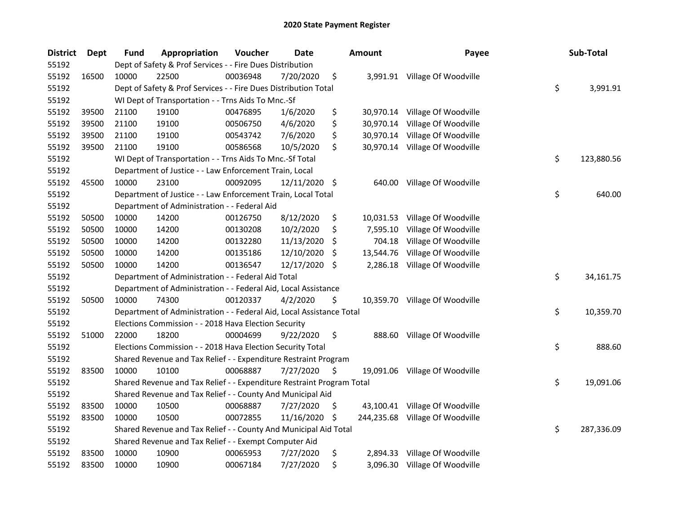| <b>District</b> | <b>Dept</b> | Fund  | Appropriation                                                         | Voucher  | Date          |     | <b>Amount</b> | Payee                           | Sub-Total        |
|-----------------|-------------|-------|-----------------------------------------------------------------------|----------|---------------|-----|---------------|---------------------------------|------------------|
| 55192           |             |       | Dept of Safety & Prof Services - - Fire Dues Distribution             |          |               |     |               |                                 |                  |
| 55192           | 16500       | 10000 | 22500                                                                 | 00036948 | 7/20/2020     | \$  |               | 3,991.91 Village Of Woodville   |                  |
| 55192           |             |       | Dept of Safety & Prof Services - - Fire Dues Distribution Total       |          |               |     |               |                                 | \$<br>3,991.91   |
| 55192           |             |       | WI Dept of Transportation - - Trns Aids To Mnc.-Sf                    |          |               |     |               |                                 |                  |
| 55192           | 39500       | 21100 | 19100                                                                 | 00476895 | 1/6/2020      | \$  |               | 30,970.14 Village Of Woodville  |                  |
| 55192           | 39500       | 21100 | 19100                                                                 | 00506750 | 4/6/2020      | \$  |               | 30,970.14 Village Of Woodville  |                  |
| 55192           | 39500       | 21100 | 19100                                                                 | 00543742 | 7/6/2020      | \$  |               | 30,970.14 Village Of Woodville  |                  |
| 55192           | 39500       | 21100 | 19100                                                                 | 00586568 | 10/5/2020     | \$  |               | 30,970.14 Village Of Woodville  |                  |
| 55192           |             |       | WI Dept of Transportation - - Trns Aids To Mnc.-Sf Total              |          |               |     |               |                                 | \$<br>123,880.56 |
| 55192           |             |       | Department of Justice - - Law Enforcement Train, Local                |          |               |     |               |                                 |                  |
| 55192           | 45500       | 10000 | 23100                                                                 | 00092095 | 12/11/2020 \$ |     | 640.00        | Village Of Woodville            |                  |
| 55192           |             |       | Department of Justice - - Law Enforcement Train, Local Total          |          |               |     |               |                                 | \$<br>640.00     |
| 55192           |             |       | Department of Administration - - Federal Aid                          |          |               |     |               |                                 |                  |
| 55192           | 50500       | 10000 | 14200                                                                 | 00126750 | 8/12/2020     | \$  | 10,031.53     | Village Of Woodville            |                  |
| 55192           | 50500       | 10000 | 14200                                                                 | 00130208 | 10/2/2020     | \$  | 7,595.10      | Village Of Woodville            |                  |
| 55192           | 50500       | 10000 | 14200                                                                 | 00132280 | 11/13/2020    | S   | 704.18        | Village Of Woodville            |                  |
| 55192           | 50500       | 10000 | 14200                                                                 | 00135186 | 12/10/2020    | \$. | 13,544.76     | Village Of Woodville            |                  |
| 55192           | 50500       | 10000 | 14200                                                                 | 00136547 | 12/17/2020    | \$  |               | 2,286.18 Village Of Woodville   |                  |
| 55192           |             |       | Department of Administration - - Federal Aid Total                    |          |               |     |               |                                 | \$<br>34,161.75  |
| 55192           |             |       | Department of Administration - - Federal Aid, Local Assistance        |          |               |     |               |                                 |                  |
| 55192           | 50500       | 10000 | 74300                                                                 | 00120337 | 4/2/2020      | \$  |               | 10,359.70 Village Of Woodville  |                  |
| 55192           |             |       | Department of Administration - - Federal Aid, Local Assistance Total  |          |               |     |               |                                 | \$<br>10,359.70  |
| 55192           |             |       | Elections Commission - - 2018 Hava Election Security                  |          |               |     |               |                                 |                  |
| 55192           | 51000       | 22000 | 18200                                                                 | 00004699 | 9/22/2020     | \$  | 888.60        | Village Of Woodville            |                  |
| 55192           |             |       | Elections Commission - - 2018 Hava Election Security Total            |          |               |     |               |                                 | \$<br>888.60     |
| 55192           |             |       | Shared Revenue and Tax Relief - - Expenditure Restraint Program       |          |               |     |               |                                 |                  |
| 55192           | 83500       | 10000 | 10100                                                                 | 00068887 | 7/27/2020     | \$  |               | 19,091.06 Village Of Woodville  |                  |
| 55192           |             |       | Shared Revenue and Tax Relief - - Expenditure Restraint Program Total |          |               |     |               |                                 | \$<br>19,091.06  |
| 55192           |             |       | Shared Revenue and Tax Relief - - County And Municipal Aid            |          |               |     |               |                                 |                  |
| 55192           | 83500       | 10000 | 10500                                                                 | 00068887 | 7/27/2020     | \$  |               | 43,100.41 Village Of Woodville  |                  |
| 55192           | 83500       | 10000 | 10500                                                                 | 00072855 | 11/16/2020    | \$  |               | 244,235.68 Village Of Woodville |                  |
| 55192           |             |       | Shared Revenue and Tax Relief - - County And Municipal Aid Total      |          |               |     |               |                                 | \$<br>287,336.09 |
| 55192           |             |       | Shared Revenue and Tax Relief - - Exempt Computer Aid                 |          |               |     |               |                                 |                  |
| 55192           | 83500       | 10000 | 10900                                                                 | 00065953 | 7/27/2020     | \$  |               | 2,894.33 Village Of Woodville   |                  |
| 55192           | 83500       | 10000 | 10900                                                                 | 00067184 | 7/27/2020     | \$  |               | 3,096.30 Village Of Woodville   |                  |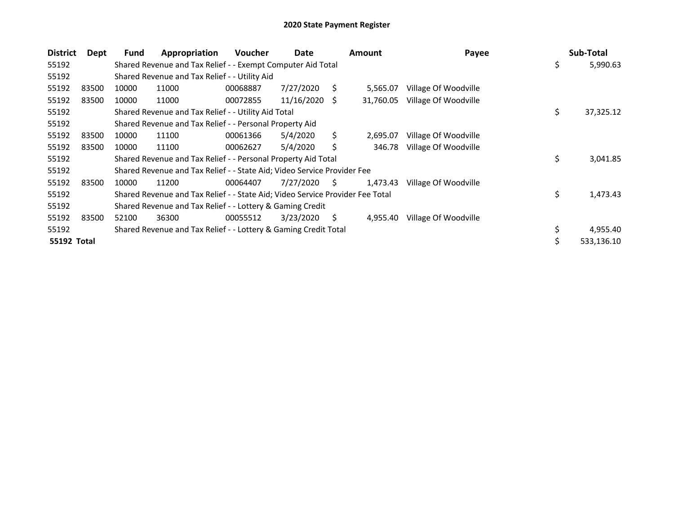| <b>District</b> | Dept  | Fund  | Appropriation                                                                 | <b>Voucher</b> | Date            |    | <b>Amount</b> | Payee                | Sub-Total       |
|-----------------|-------|-------|-------------------------------------------------------------------------------|----------------|-----------------|----|---------------|----------------------|-----------------|
| 55192           |       |       | Shared Revenue and Tax Relief - - Exempt Computer Aid Total                   |                |                 |    |               |                      | \$<br>5,990.63  |
| 55192           |       |       | Shared Revenue and Tax Relief - - Utility Aid                                 |                |                 |    |               |                      |                 |
| 55192           | 83500 | 10000 | 11000                                                                         | 00068887       | 7/27/2020       | Ś. | 5,565.07      | Village Of Woodville |                 |
| 55192           | 83500 | 10000 | 11000                                                                         | 00072855       | $11/16/2020$ \$ |    | 31,760.05     | Village Of Woodville |                 |
| 55192           |       |       | Shared Revenue and Tax Relief - - Utility Aid Total                           |                |                 |    |               |                      | \$<br>37,325.12 |
| 55192           |       |       | Shared Revenue and Tax Relief - - Personal Property Aid                       |                |                 |    |               |                      |                 |
| 55192           | 83500 | 10000 | 11100                                                                         | 00061366       | 5/4/2020        | Ŝ. | 2,695.07      | Village Of Woodville |                 |
| 55192           | 83500 | 10000 | 11100                                                                         | 00062627       | 5/4/2020        |    | 346.78        | Village Of Woodville |                 |
| 55192           |       |       | Shared Revenue and Tax Relief - - Personal Property Aid Total                 |                |                 |    |               |                      | \$<br>3,041.85  |
| 55192           |       |       | Shared Revenue and Tax Relief - - State Aid; Video Service Provider Fee       |                |                 |    |               |                      |                 |
| 55192           | 83500 | 10000 | 11200                                                                         | 00064407       | 7/27/2020       | S. | 1,473.43      | Village Of Woodville |                 |
| 55192           |       |       | Shared Revenue and Tax Relief - - State Aid; Video Service Provider Fee Total |                |                 |    |               |                      | \$<br>1,473.43  |
| 55192           |       |       | Shared Revenue and Tax Relief - - Lottery & Gaming Credit                     |                |                 |    |               |                      |                 |
| 55192           | 83500 | 52100 | 36300                                                                         | 00055512       | 3/23/2020       | S  | 4,955.40      | Village Of Woodville |                 |
| 55192           |       |       | Shared Revenue and Tax Relief - - Lottery & Gaming Credit Total               |                |                 |    |               |                      | 4,955.40        |
| 55192 Total     |       |       |                                                                               |                |                 |    |               |                      | 533,136.10      |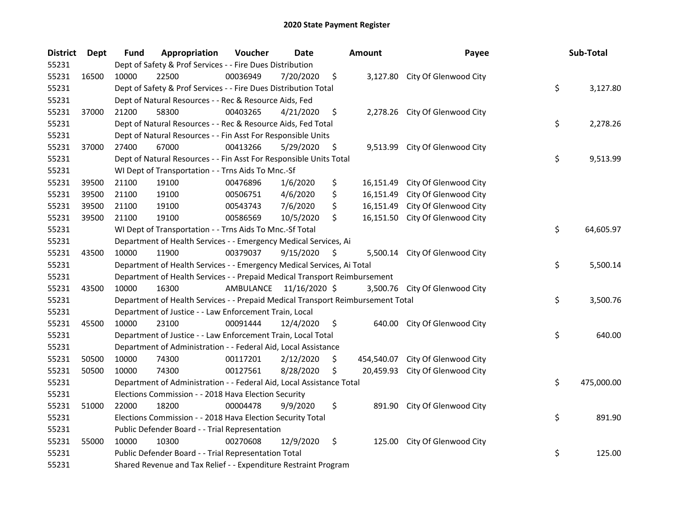| <b>District</b><br><b>Dept</b> | Fund  | Appropriation | Voucher  | <b>Date</b> |                                                                                                                                                                                                                                                                                                                                                                                                                                                                                                                                 |                                                                                                                                                                                                                                                                                                                                                              | Payee                                                                                                                                                                                                                                                                                                                                                                                                                                                     |                                                                                                                                                                                                                            | Sub-Total  |
|--------------------------------|-------|---------------|----------|-------------|---------------------------------------------------------------------------------------------------------------------------------------------------------------------------------------------------------------------------------------------------------------------------------------------------------------------------------------------------------------------------------------------------------------------------------------------------------------------------------------------------------------------------------|--------------------------------------------------------------------------------------------------------------------------------------------------------------------------------------------------------------------------------------------------------------------------------------------------------------------------------------------------------------|-----------------------------------------------------------------------------------------------------------------------------------------------------------------------------------------------------------------------------------------------------------------------------------------------------------------------------------------------------------------------------------------------------------------------------------------------------------|----------------------------------------------------------------------------------------------------------------------------------------------------------------------------------------------------------------------------|------------|
|                                |       |               |          |             |                                                                                                                                                                                                                                                                                                                                                                                                                                                                                                                                 |                                                                                                                                                                                                                                                                                                                                                              |                                                                                                                                                                                                                                                                                                                                                                                                                                                           |                                                                                                                                                                                                                            |            |
| 16500                          | 10000 | 22500         | 00036949 | 7/20/2020   | \$                                                                                                                                                                                                                                                                                                                                                                                                                                                                                                                              |                                                                                                                                                                                                                                                                                                                                                              |                                                                                                                                                                                                                                                                                                                                                                                                                                                           |                                                                                                                                                                                                                            |            |
|                                |       |               |          |             |                                                                                                                                                                                                                                                                                                                                                                                                                                                                                                                                 |                                                                                                                                                                                                                                                                                                                                                              |                                                                                                                                                                                                                                                                                                                                                                                                                                                           | \$                                                                                                                                                                                                                         | 3,127.80   |
|                                |       |               |          |             |                                                                                                                                                                                                                                                                                                                                                                                                                                                                                                                                 |                                                                                                                                                                                                                                                                                                                                                              |                                                                                                                                                                                                                                                                                                                                                                                                                                                           |                                                                                                                                                                                                                            |            |
| 37000                          | 21200 | 58300         | 00403265 | 4/21/2020   | \$                                                                                                                                                                                                                                                                                                                                                                                                                                                                                                                              |                                                                                                                                                                                                                                                                                                                                                              |                                                                                                                                                                                                                                                                                                                                                                                                                                                           |                                                                                                                                                                                                                            |            |
|                                |       |               |          |             |                                                                                                                                                                                                                                                                                                                                                                                                                                                                                                                                 |                                                                                                                                                                                                                                                                                                                                                              |                                                                                                                                                                                                                                                                                                                                                                                                                                                           | \$                                                                                                                                                                                                                         | 2,278.26   |
|                                |       |               |          |             |                                                                                                                                                                                                                                                                                                                                                                                                                                                                                                                                 |                                                                                                                                                                                                                                                                                                                                                              |                                                                                                                                                                                                                                                                                                                                                                                                                                                           |                                                                                                                                                                                                                            |            |
| 37000                          | 27400 | 67000         | 00413266 | 5/29/2020   | \$                                                                                                                                                                                                                                                                                                                                                                                                                                                                                                                              |                                                                                                                                                                                                                                                                                                                                                              |                                                                                                                                                                                                                                                                                                                                                                                                                                                           |                                                                                                                                                                                                                            |            |
|                                |       |               |          |             |                                                                                                                                                                                                                                                                                                                                                                                                                                                                                                                                 |                                                                                                                                                                                                                                                                                                                                                              |                                                                                                                                                                                                                                                                                                                                                                                                                                                           | \$                                                                                                                                                                                                                         | 9,513.99   |
|                                |       |               |          |             |                                                                                                                                                                                                                                                                                                                                                                                                                                                                                                                                 |                                                                                                                                                                                                                                                                                                                                                              |                                                                                                                                                                                                                                                                                                                                                                                                                                                           |                                                                                                                                                                                                                            |            |
| 39500                          | 21100 | 19100         | 00476896 | 1/6/2020    | \$                                                                                                                                                                                                                                                                                                                                                                                                                                                                                                                              | 16,151.49                                                                                                                                                                                                                                                                                                                                                    | City Of Glenwood City                                                                                                                                                                                                                                                                                                                                                                                                                                     |                                                                                                                                                                                                                            |            |
| 39500                          | 21100 | 19100         | 00506751 | 4/6/2020    | \$                                                                                                                                                                                                                                                                                                                                                                                                                                                                                                                              | 16,151.49                                                                                                                                                                                                                                                                                                                                                    | City Of Glenwood City                                                                                                                                                                                                                                                                                                                                                                                                                                     |                                                                                                                                                                                                                            |            |
| 39500                          | 21100 | 19100         | 00543743 | 7/6/2020    | \$                                                                                                                                                                                                                                                                                                                                                                                                                                                                                                                              | 16,151.49                                                                                                                                                                                                                                                                                                                                                    | City Of Glenwood City                                                                                                                                                                                                                                                                                                                                                                                                                                     |                                                                                                                                                                                                                            |            |
| 39500                          | 21100 | 19100         | 00586569 | 10/5/2020   | \$                                                                                                                                                                                                                                                                                                                                                                                                                                                                                                                              | 16,151.50                                                                                                                                                                                                                                                                                                                                                    | City Of Glenwood City                                                                                                                                                                                                                                                                                                                                                                                                                                     |                                                                                                                                                                                                                            |            |
|                                |       |               |          |             |                                                                                                                                                                                                                                                                                                                                                                                                                                                                                                                                 |                                                                                                                                                                                                                                                                                                                                                              |                                                                                                                                                                                                                                                                                                                                                                                                                                                           | \$                                                                                                                                                                                                                         | 64,605.97  |
|                                |       |               |          |             |                                                                                                                                                                                                                                                                                                                                                                                                                                                                                                                                 |                                                                                                                                                                                                                                                                                                                                                              |                                                                                                                                                                                                                                                                                                                                                                                                                                                           |                                                                                                                                                                                                                            |            |
| 43500                          | 10000 | 11900         | 00379037 | 9/15/2020   | \$                                                                                                                                                                                                                                                                                                                                                                                                                                                                                                                              | 5,500.14                                                                                                                                                                                                                                                                                                                                                     | City Of Glenwood City                                                                                                                                                                                                                                                                                                                                                                                                                                     |                                                                                                                                                                                                                            |            |
|                                |       |               |          |             |                                                                                                                                                                                                                                                                                                                                                                                                                                                                                                                                 |                                                                                                                                                                                                                                                                                                                                                              |                                                                                                                                                                                                                                                                                                                                                                                                                                                           | \$                                                                                                                                                                                                                         | 5,500.14   |
|                                |       |               |          |             |                                                                                                                                                                                                                                                                                                                                                                                                                                                                                                                                 |                                                                                                                                                                                                                                                                                                                                                              |                                                                                                                                                                                                                                                                                                                                                                                                                                                           |                                                                                                                                                                                                                            |            |
| 43500                          | 10000 | 16300         |          |             |                                                                                                                                                                                                                                                                                                                                                                                                                                                                                                                                 |                                                                                                                                                                                                                                                                                                                                                              | City Of Glenwood City                                                                                                                                                                                                                                                                                                                                                                                                                                     |                                                                                                                                                                                                                            |            |
|                                |       |               |          |             |                                                                                                                                                                                                                                                                                                                                                                                                                                                                                                                                 |                                                                                                                                                                                                                                                                                                                                                              |                                                                                                                                                                                                                                                                                                                                                                                                                                                           | \$                                                                                                                                                                                                                         | 3,500.76   |
|                                |       |               |          |             |                                                                                                                                                                                                                                                                                                                                                                                                                                                                                                                                 |                                                                                                                                                                                                                                                                                                                                                              |                                                                                                                                                                                                                                                                                                                                                                                                                                                           |                                                                                                                                                                                                                            |            |
| 45500                          | 10000 | 23100         | 00091444 | 12/4/2020   | \$                                                                                                                                                                                                                                                                                                                                                                                                                                                                                                                              | 640.00                                                                                                                                                                                                                                                                                                                                                       |                                                                                                                                                                                                                                                                                                                                                                                                                                                           |                                                                                                                                                                                                                            |            |
|                                |       |               |          |             |                                                                                                                                                                                                                                                                                                                                                                                                                                                                                                                                 |                                                                                                                                                                                                                                                                                                                                                              |                                                                                                                                                                                                                                                                                                                                                                                                                                                           | \$                                                                                                                                                                                                                         | 640.00     |
|                                |       |               |          |             |                                                                                                                                                                                                                                                                                                                                                                                                                                                                                                                                 |                                                                                                                                                                                                                                                                                                                                                              |                                                                                                                                                                                                                                                                                                                                                                                                                                                           |                                                                                                                                                                                                                            |            |
| 50500                          | 10000 | 74300         | 00117201 | 2/12/2020   | \$.                                                                                                                                                                                                                                                                                                                                                                                                                                                                                                                             | 454,540.07                                                                                                                                                                                                                                                                                                                                                   | City Of Glenwood City                                                                                                                                                                                                                                                                                                                                                                                                                                     |                                                                                                                                                                                                                            |            |
| 50500                          | 10000 | 74300         | 00127561 | 8/28/2020   | \$                                                                                                                                                                                                                                                                                                                                                                                                                                                                                                                              | 20,459.93                                                                                                                                                                                                                                                                                                                                                    | City Of Glenwood City                                                                                                                                                                                                                                                                                                                                                                                                                                     |                                                                                                                                                                                                                            |            |
|                                |       |               |          |             |                                                                                                                                                                                                                                                                                                                                                                                                                                                                                                                                 |                                                                                                                                                                                                                                                                                                                                                              |                                                                                                                                                                                                                                                                                                                                                                                                                                                           | \$                                                                                                                                                                                                                         | 475,000.00 |
|                                |       |               |          |             |                                                                                                                                                                                                                                                                                                                                                                                                                                                                                                                                 |                                                                                                                                                                                                                                                                                                                                                              |                                                                                                                                                                                                                                                                                                                                                                                                                                                           |                                                                                                                                                                                                                            |            |
| 51000                          | 22000 | 18200         | 00004478 | 9/9/2020    | \$                                                                                                                                                                                                                                                                                                                                                                                                                                                                                                                              | 891.90                                                                                                                                                                                                                                                                                                                                                       | City Of Glenwood City                                                                                                                                                                                                                                                                                                                                                                                                                                     |                                                                                                                                                                                                                            |            |
|                                |       |               |          |             |                                                                                                                                                                                                                                                                                                                                                                                                                                                                                                                                 |                                                                                                                                                                                                                                                                                                                                                              |                                                                                                                                                                                                                                                                                                                                                                                                                                                           | \$                                                                                                                                                                                                                         | 891.90     |
|                                |       |               |          |             |                                                                                                                                                                                                                                                                                                                                                                                                                                                                                                                                 |                                                                                                                                                                                                                                                                                                                                                              |                                                                                                                                                                                                                                                                                                                                                                                                                                                           |                                                                                                                                                                                                                            |            |
| 55000                          | 10000 | 10300         | 00270608 | 12/9/2020   | \$                                                                                                                                                                                                                                                                                                                                                                                                                                                                                                                              | 125.00                                                                                                                                                                                                                                                                                                                                                       | City Of Glenwood City                                                                                                                                                                                                                                                                                                                                                                                                                                     |                                                                                                                                                                                                                            |            |
|                                |       |               |          |             |                                                                                                                                                                                                                                                                                                                                                                                                                                                                                                                                 |                                                                                                                                                                                                                                                                                                                                                              |                                                                                                                                                                                                                                                                                                                                                                                                                                                           | \$                                                                                                                                                                                                                         | 125.00     |
|                                |       |               |          |             |                                                                                                                                                                                                                                                                                                                                                                                                                                                                                                                                 |                                                                                                                                                                                                                                                                                                                                                              |                                                                                                                                                                                                                                                                                                                                                                                                                                                           |                                                                                                                                                                                                                            |            |
|                                |       |               |          |             | Dept of Safety & Prof Services - - Fire Dues Distribution<br>Dept of Natural Resources - - Rec & Resource Aids, Fed<br>WI Dept of Transportation - - Trns Aids To Mnc.-Sf<br>WI Dept of Transportation - - Trns Aids To Mnc.-Sf Total<br>Department of Justice - - Law Enforcement Train, Local<br>Elections Commission - - 2018 Hava Election Security<br>Elections Commission - - 2018 Hava Election Security Total<br>Public Defender Board - - Trial Representation<br>Public Defender Board - - Trial Representation Total | Dept of Safety & Prof Services - - Fire Dues Distribution Total<br>Dept of Natural Resources - - Rec & Resource Aids, Fed Total<br>Dept of Natural Resources - - Fin Asst For Responsible Units<br>AMBULANCE 11/16/2020 \$<br>Department of Justice - - Law Enforcement Train, Local Total<br>Department of Administration - - Federal Aid, Local Assistance | <b>Amount</b><br>Dept of Natural Resources - - Fin Asst For Responsible Units Total<br>Department of Health Services - - Emergency Medical Services, Ai<br>Department of Health Services - - Emergency Medical Services, Ai Total<br>Department of Health Services - - Prepaid Medical Transport Reimbursement<br>Department of Administration - - Federal Aid, Local Assistance Total<br>Shared Revenue and Tax Relief - - Expenditure Restraint Program | 3,127.80 City Of Glenwood City<br>2,278.26 City Of Glenwood City<br>9,513.99 City Of Glenwood City<br>3,500.76<br>Department of Health Services - - Prepaid Medical Transport Reimbursement Total<br>City Of Glenwood City |            |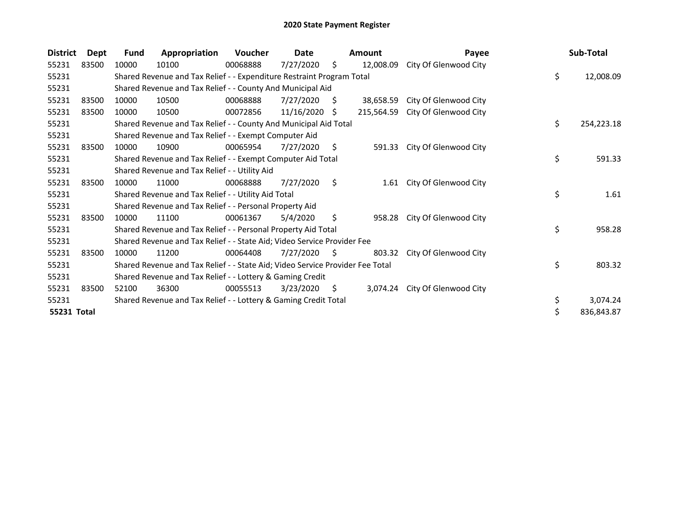| <b>District</b> | Dept  | <b>Fund</b> | Appropriation                                                                 | Voucher  | Date       |     | <b>Amount</b> | Payee                 | Sub-Total        |
|-----------------|-------|-------------|-------------------------------------------------------------------------------|----------|------------|-----|---------------|-----------------------|------------------|
| 55231           | 83500 | 10000       | 10100                                                                         | 00068888 | 7/27/2020  | \$. | 12,008.09     | City Of Glenwood City |                  |
| 55231           |       |             | Shared Revenue and Tax Relief - - Expenditure Restraint Program Total         |          |            |     |               |                       | \$<br>12,008.09  |
| 55231           |       |             | Shared Revenue and Tax Relief - - County And Municipal Aid                    |          |            |     |               |                       |                  |
| 55231           | 83500 | 10000       | 10500                                                                         | 00068888 | 7/27/2020  | S   | 38,658.59     | City Of Glenwood City |                  |
| 55231           | 83500 | 10000       | 10500                                                                         | 00072856 | 11/16/2020 | -S  | 215,564.59    | City Of Glenwood City |                  |
| 55231           |       |             | Shared Revenue and Tax Relief - - County And Municipal Aid Total              |          |            |     |               |                       | \$<br>254,223.18 |
| 55231           |       |             | Shared Revenue and Tax Relief - - Exempt Computer Aid                         |          |            |     |               |                       |                  |
| 55231           | 83500 | 10000       | 10900                                                                         | 00065954 | 7/27/2020  | \$. | 591.33        | City Of Glenwood City |                  |
| 55231           |       |             | Shared Revenue and Tax Relief - - Exempt Computer Aid Total                   |          |            |     |               |                       | \$<br>591.33     |
| 55231           |       |             | Shared Revenue and Tax Relief - - Utility Aid                                 |          |            |     |               |                       |                  |
| 55231           | 83500 | 10000       | 11000                                                                         | 00068888 | 7/27/2020  | \$  | 1.61          | City Of Glenwood City |                  |
| 55231           |       |             | Shared Revenue and Tax Relief - - Utility Aid Total                           |          |            |     |               |                       | \$<br>1.61       |
| 55231           |       |             | Shared Revenue and Tax Relief - - Personal Property Aid                       |          |            |     |               |                       |                  |
| 55231           | 83500 | 10000       | 11100                                                                         | 00061367 | 5/4/2020   | \$  | 958.28        | City Of Glenwood City |                  |
| 55231           |       |             | Shared Revenue and Tax Relief - - Personal Property Aid Total                 |          |            |     |               |                       | \$<br>958.28     |
| 55231           |       |             | Shared Revenue and Tax Relief - - State Aid; Video Service Provider Fee       |          |            |     |               |                       |                  |
| 55231           | 83500 | 10000       | 11200                                                                         | 00064408 | 7/27/2020  | S   | 803.32        | City Of Glenwood City |                  |
| 55231           |       |             | Shared Revenue and Tax Relief - - State Aid; Video Service Provider Fee Total |          |            |     |               |                       | \$<br>803.32     |
| 55231           |       |             | Shared Revenue and Tax Relief - - Lottery & Gaming Credit                     |          |            |     |               |                       |                  |
| 55231           | 83500 | 52100       | 36300                                                                         | 00055513 | 3/23/2020  | \$. | 3,074.24      | City Of Glenwood City |                  |
| 55231           |       |             | Shared Revenue and Tax Relief - - Lottery & Gaming Credit Total               |          |            |     |               |                       | \$<br>3,074.24   |
| 55231 Total     |       |             |                                                                               |          |            |     |               |                       | \$<br>836,843.87 |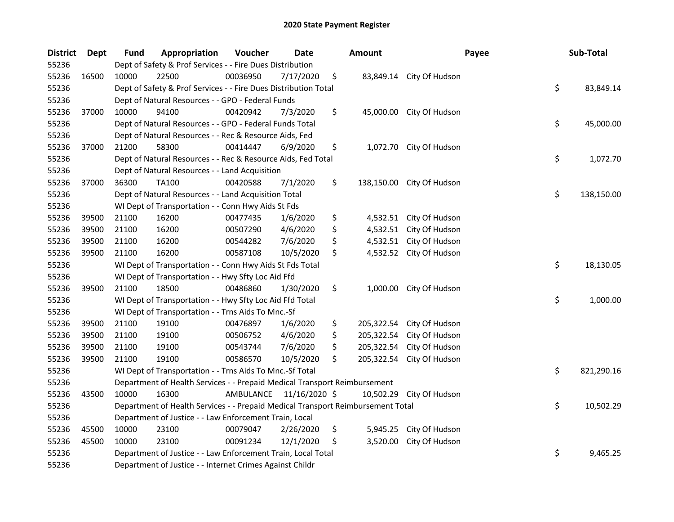| <b>Dept</b> | <b>Fund</b>     | Appropriation | Voucher   | <b>Date</b> |                                                                                                                                                                                                                                                                                                                                                                                                                                                                                                                                                                                                                                                                                                                                                                                                                           | <b>Amount</b>                                                                                                                                                                                                    | Payee                                                                     |                                                                                                                                                                                              | Sub-Total  |
|-------------|-----------------|---------------|-----------|-------------|---------------------------------------------------------------------------------------------------------------------------------------------------------------------------------------------------------------------------------------------------------------------------------------------------------------------------------------------------------------------------------------------------------------------------------------------------------------------------------------------------------------------------------------------------------------------------------------------------------------------------------------------------------------------------------------------------------------------------------------------------------------------------------------------------------------------------|------------------------------------------------------------------------------------------------------------------------------------------------------------------------------------------------------------------|---------------------------------------------------------------------------|----------------------------------------------------------------------------------------------------------------------------------------------------------------------------------------------|------------|
|             |                 |               |           |             |                                                                                                                                                                                                                                                                                                                                                                                                                                                                                                                                                                                                                                                                                                                                                                                                                           |                                                                                                                                                                                                                  |                                                                           |                                                                                                                                                                                              |            |
| 16500       | 10000           | 22500         | 00036950  | 7/17/2020   | \$                                                                                                                                                                                                                                                                                                                                                                                                                                                                                                                                                                                                                                                                                                                                                                                                                        |                                                                                                                                                                                                                  | City Of Hudson                                                            |                                                                                                                                                                                              |            |
|             |                 |               |           |             |                                                                                                                                                                                                                                                                                                                                                                                                                                                                                                                                                                                                                                                                                                                                                                                                                           |                                                                                                                                                                                                                  |                                                                           | \$                                                                                                                                                                                           | 83,849.14  |
|             |                 |               |           |             |                                                                                                                                                                                                                                                                                                                                                                                                                                                                                                                                                                                                                                                                                                                                                                                                                           |                                                                                                                                                                                                                  |                                                                           |                                                                                                                                                                                              |            |
| 37000       | 10000           | 94100         | 00420942  | 7/3/2020    | \$                                                                                                                                                                                                                                                                                                                                                                                                                                                                                                                                                                                                                                                                                                                                                                                                                        |                                                                                                                                                                                                                  |                                                                           |                                                                                                                                                                                              |            |
|             |                 |               |           |             |                                                                                                                                                                                                                                                                                                                                                                                                                                                                                                                                                                                                                                                                                                                                                                                                                           |                                                                                                                                                                                                                  |                                                                           | \$                                                                                                                                                                                           | 45,000.00  |
|             |                 |               |           |             |                                                                                                                                                                                                                                                                                                                                                                                                                                                                                                                                                                                                                                                                                                                                                                                                                           |                                                                                                                                                                                                                  |                                                                           |                                                                                                                                                                                              |            |
| 37000       | 21200           | 58300         | 00414447  | 6/9/2020    | \$                                                                                                                                                                                                                                                                                                                                                                                                                                                                                                                                                                                                                                                                                                                                                                                                                        |                                                                                                                                                                                                                  |                                                                           |                                                                                                                                                                                              |            |
|             |                 |               |           |             |                                                                                                                                                                                                                                                                                                                                                                                                                                                                                                                                                                                                                                                                                                                                                                                                                           |                                                                                                                                                                                                                  |                                                                           | \$                                                                                                                                                                                           | 1,072.70   |
|             |                 |               |           |             |                                                                                                                                                                                                                                                                                                                                                                                                                                                                                                                                                                                                                                                                                                                                                                                                                           |                                                                                                                                                                                                                  |                                                                           |                                                                                                                                                                                              |            |
| 37000       | 36300           | <b>TA100</b>  | 00420588  | 7/1/2020    | \$                                                                                                                                                                                                                                                                                                                                                                                                                                                                                                                                                                                                                                                                                                                                                                                                                        |                                                                                                                                                                                                                  |                                                                           |                                                                                                                                                                                              |            |
|             |                 |               |           |             |                                                                                                                                                                                                                                                                                                                                                                                                                                                                                                                                                                                                                                                                                                                                                                                                                           |                                                                                                                                                                                                                  |                                                                           | \$                                                                                                                                                                                           | 138,150.00 |
|             |                 |               |           |             |                                                                                                                                                                                                                                                                                                                                                                                                                                                                                                                                                                                                                                                                                                                                                                                                                           |                                                                                                                                                                                                                  |                                                                           |                                                                                                                                                                                              |            |
| 39500       | 21100           | 16200         | 00477435  | 1/6/2020    | \$                                                                                                                                                                                                                                                                                                                                                                                                                                                                                                                                                                                                                                                                                                                                                                                                                        | 4,532.51                                                                                                                                                                                                         | City Of Hudson                                                            |                                                                                                                                                                                              |            |
| 39500       | 21100           | 16200         | 00507290  | 4/6/2020    | \$                                                                                                                                                                                                                                                                                                                                                                                                                                                                                                                                                                                                                                                                                                                                                                                                                        | 4,532.51                                                                                                                                                                                                         | City Of Hudson                                                            |                                                                                                                                                                                              |            |
| 39500       | 21100           | 16200         | 00544282  | 7/6/2020    | \$                                                                                                                                                                                                                                                                                                                                                                                                                                                                                                                                                                                                                                                                                                                                                                                                                        | 4,532.51                                                                                                                                                                                                         | City Of Hudson                                                            |                                                                                                                                                                                              |            |
| 39500       | 21100           | 16200         | 00587108  | 10/5/2020   | \$                                                                                                                                                                                                                                                                                                                                                                                                                                                                                                                                                                                                                                                                                                                                                                                                                        |                                                                                                                                                                                                                  | City Of Hudson                                                            |                                                                                                                                                                                              |            |
|             |                 |               |           |             |                                                                                                                                                                                                                                                                                                                                                                                                                                                                                                                                                                                                                                                                                                                                                                                                                           |                                                                                                                                                                                                                  |                                                                           | \$                                                                                                                                                                                           | 18,130.05  |
|             |                 |               |           |             |                                                                                                                                                                                                                                                                                                                                                                                                                                                                                                                                                                                                                                                                                                                                                                                                                           |                                                                                                                                                                                                                  |                                                                           |                                                                                                                                                                                              |            |
| 39500       | 21100           | 18500         | 00486860  | 1/30/2020   | \$                                                                                                                                                                                                                                                                                                                                                                                                                                                                                                                                                                                                                                                                                                                                                                                                                        | 1,000.00                                                                                                                                                                                                         | City Of Hudson                                                            |                                                                                                                                                                                              |            |
|             |                 |               |           |             |                                                                                                                                                                                                                                                                                                                                                                                                                                                                                                                                                                                                                                                                                                                                                                                                                           |                                                                                                                                                                                                                  |                                                                           | \$                                                                                                                                                                                           | 1,000.00   |
|             |                 |               |           |             |                                                                                                                                                                                                                                                                                                                                                                                                                                                                                                                                                                                                                                                                                                                                                                                                                           |                                                                                                                                                                                                                  |                                                                           |                                                                                                                                                                                              |            |
| 39500       | 21100           | 19100         | 00476897  | 1/6/2020    | \$                                                                                                                                                                                                                                                                                                                                                                                                                                                                                                                                                                                                                                                                                                                                                                                                                        | 205,322.54                                                                                                                                                                                                       | City Of Hudson                                                            |                                                                                                                                                                                              |            |
| 39500       | 21100           | 19100         | 00506752  | 4/6/2020    | \$                                                                                                                                                                                                                                                                                                                                                                                                                                                                                                                                                                                                                                                                                                                                                                                                                        | 205,322.54                                                                                                                                                                                                       | City Of Hudson                                                            |                                                                                                                                                                                              |            |
| 39500       | 21100           | 19100         | 00543744  | 7/6/2020    | \$                                                                                                                                                                                                                                                                                                                                                                                                                                                                                                                                                                                                                                                                                                                                                                                                                        | 205,322.54                                                                                                                                                                                                       | City Of Hudson                                                            |                                                                                                                                                                                              |            |
| 39500       | 21100           | 19100         | 00586570  | 10/5/2020   | \$                                                                                                                                                                                                                                                                                                                                                                                                                                                                                                                                                                                                                                                                                                                                                                                                                        | 205,322.54                                                                                                                                                                                                       | City Of Hudson                                                            |                                                                                                                                                                                              |            |
|             |                 |               |           |             |                                                                                                                                                                                                                                                                                                                                                                                                                                                                                                                                                                                                                                                                                                                                                                                                                           |                                                                                                                                                                                                                  |                                                                           | \$                                                                                                                                                                                           | 821,290.16 |
|             |                 |               |           |             |                                                                                                                                                                                                                                                                                                                                                                                                                                                                                                                                                                                                                                                                                                                                                                                                                           |                                                                                                                                                                                                                  |                                                                           |                                                                                                                                                                                              |            |
| 43500       | 10000           | 16300         | AMBULANCE |             |                                                                                                                                                                                                                                                                                                                                                                                                                                                                                                                                                                                                                                                                                                                                                                                                                           | 10,502.29                                                                                                                                                                                                        | City Of Hudson                                                            |                                                                                                                                                                                              |            |
|             |                 |               |           |             |                                                                                                                                                                                                                                                                                                                                                                                                                                                                                                                                                                                                                                                                                                                                                                                                                           |                                                                                                                                                                                                                  |                                                                           | \$                                                                                                                                                                                           | 10,502.29  |
|             |                 |               |           |             |                                                                                                                                                                                                                                                                                                                                                                                                                                                                                                                                                                                                                                                                                                                                                                                                                           |                                                                                                                                                                                                                  |                                                                           |                                                                                                                                                                                              |            |
| 45500       | 10000           | 23100         | 00079047  | 2/26/2020   | \$                                                                                                                                                                                                                                                                                                                                                                                                                                                                                                                                                                                                                                                                                                                                                                                                                        | 5,945.25                                                                                                                                                                                                         | City Of Hudson                                                            |                                                                                                                                                                                              |            |
| 45500       | 10000           | 23100         | 00091234  | 12/1/2020   | \$                                                                                                                                                                                                                                                                                                                                                                                                                                                                                                                                                                                                                                                                                                                                                                                                                        | 3,520.00                                                                                                                                                                                                         | City Of Hudson                                                            |                                                                                                                                                                                              |            |
|             |                 |               |           |             |                                                                                                                                                                                                                                                                                                                                                                                                                                                                                                                                                                                                                                                                                                                                                                                                                           |                                                                                                                                                                                                                  |                                                                           | \$                                                                                                                                                                                           | 9,465.25   |
|             |                 |               |           |             |                                                                                                                                                                                                                                                                                                                                                                                                                                                                                                                                                                                                                                                                                                                                                                                                                           |                                                                                                                                                                                                                  |                                                                           |                                                                                                                                                                                              |            |
|             | <b>District</b> |               |           |             | Dept of Safety & Prof Services - - Fire Dues Distribution<br>Dept of Natural Resources - - GPO - Federal Funds<br>Dept of Natural Resources - - GPO - Federal Funds Total<br>Dept of Natural Resources - - Rec & Resource Aids, Fed<br>Dept of Natural Resources - - Land Acquisition<br>Dept of Natural Resources - - Land Acquisition Total<br>WI Dept of Transportation - - Conn Hwy Aids St Fds<br>WI Dept of Transportation - - Conn Hwy Aids St Fds Total<br>WI Dept of Transportation - - Hwy Sfty Loc Aid Ffd<br>WI Dept of Transportation - - Hwy Sfty Loc Aid Ffd Total<br>WI Dept of Transportation - - Trns Aids To Mnc.-Sf<br>WI Dept of Transportation - - Trns Aids To Mnc.-Sf Total<br>Department of Justice - - Law Enforcement Train, Local<br>Department of Justice - - Internet Crimes Against Childr | Dept of Safety & Prof Services - - Fire Dues Distribution Total<br>Dept of Natural Resources - - Rec & Resource Aids, Fed Total<br>11/16/2020 \$<br>Department of Justice - - Law Enforcement Train, Local Total | Department of Health Services - - Prepaid Medical Transport Reimbursement | 83,849.14<br>45,000.00 City Of Hudson<br>1,072.70 City Of Hudson<br>138,150.00 City Of Hudson<br>4,532.52<br>Department of Health Services - - Prepaid Medical Transport Reimbursement Total |            |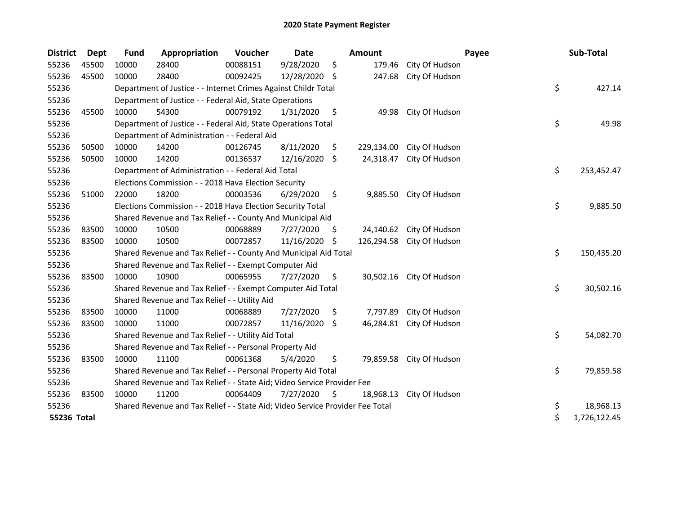| <b>District</b> | <b>Dept</b> | <b>Fund</b> | Appropriation                                                                 | Voucher  | Date          |      | <b>Amount</b> |                          | Payee | Sub-Total          |
|-----------------|-------------|-------------|-------------------------------------------------------------------------------|----------|---------------|------|---------------|--------------------------|-------|--------------------|
| 55236           | 45500       | 10000       | 28400                                                                         | 00088151 | 9/28/2020     | \$   | 179.46        | City Of Hudson           |       |                    |
| 55236           | 45500       | 10000       | 28400                                                                         | 00092425 | 12/28/2020 \$ |      | 247.68        | City Of Hudson           |       |                    |
| 55236           |             |             | Department of Justice - - Internet Crimes Against Childr Total                |          |               |      |               |                          |       | \$<br>427.14       |
| 55236           |             |             | Department of Justice - - Federal Aid, State Operations                       |          |               |      |               |                          |       |                    |
| 55236           | 45500       | 10000       | 54300                                                                         | 00079192 | 1/31/2020     | \$   | 49.98         | City Of Hudson           |       |                    |
| 55236           |             |             | Department of Justice - - Federal Aid, State Operations Total                 |          |               |      |               |                          |       | \$<br>49.98        |
| 55236           |             |             | Department of Administration - - Federal Aid                                  |          |               |      |               |                          |       |                    |
| 55236           | 50500       | 10000       | 14200                                                                         | 00126745 | 8/11/2020     | \$   | 229,134.00    | City Of Hudson           |       |                    |
| 55236           | 50500       | 10000       | 14200                                                                         | 00136537 | 12/16/2020    | \$   | 24,318.47     | City Of Hudson           |       |                    |
| 55236           |             |             | Department of Administration - - Federal Aid Total                            |          |               |      |               |                          |       | \$<br>253,452.47   |
| 55236           |             |             | Elections Commission - - 2018 Hava Election Security                          |          |               |      |               |                          |       |                    |
| 55236           | 51000       | 22000       | 18200                                                                         | 00003536 | 6/29/2020     | \$   | 9,885.50      | City Of Hudson           |       |                    |
| 55236           |             |             | Elections Commission - - 2018 Hava Election Security Total                    |          |               |      |               |                          |       | \$<br>9,885.50     |
| 55236           |             |             | Shared Revenue and Tax Relief - - County And Municipal Aid                    |          |               |      |               |                          |       |                    |
| 55236           | 83500       | 10000       | 10500                                                                         | 00068889 | 7/27/2020     | \$.  | 24,140.62     | City Of Hudson           |       |                    |
| 55236           | 83500       | 10000       | 10500                                                                         | 00072857 | 11/16/2020    | -\$  | 126,294.58    | City Of Hudson           |       |                    |
| 55236           |             |             | Shared Revenue and Tax Relief - - County And Municipal Aid Total              |          |               |      |               |                          |       | \$<br>150,435.20   |
| 55236           |             |             | Shared Revenue and Tax Relief - - Exempt Computer Aid                         |          |               |      |               |                          |       |                    |
| 55236           | 83500       | 10000       | 10900                                                                         | 00065955 | 7/27/2020     | S.   |               | 30,502.16 City Of Hudson |       |                    |
| 55236           |             |             | Shared Revenue and Tax Relief - - Exempt Computer Aid Total                   |          |               |      |               |                          |       | \$<br>30,502.16    |
| 55236           |             |             | Shared Revenue and Tax Relief - - Utility Aid                                 |          |               |      |               |                          |       |                    |
| 55236           | 83500       | 10000       | 11000                                                                         | 00068889 | 7/27/2020     | \$   | 7,797.89      | City Of Hudson           |       |                    |
| 55236           | 83500       | 10000       | 11000                                                                         | 00072857 | 11/16/2020 \$ |      | 46,284.81     | City Of Hudson           |       |                    |
| 55236           |             |             | Shared Revenue and Tax Relief - - Utility Aid Total                           |          |               |      |               |                          |       | \$<br>54,082.70    |
| 55236           |             |             | Shared Revenue and Tax Relief - - Personal Property Aid                       |          |               |      |               |                          |       |                    |
| 55236           | 83500       | 10000       | 11100                                                                         | 00061368 | 5/4/2020      | \$   |               | 79,859.58 City Of Hudson |       |                    |
| 55236           |             |             | Shared Revenue and Tax Relief - - Personal Property Aid Total                 |          |               |      |               |                          |       | \$<br>79,859.58    |
| 55236           |             |             | Shared Revenue and Tax Relief - - State Aid; Video Service Provider Fee       |          |               |      |               |                          |       |                    |
| 55236           | 83500       | 10000       | 11200                                                                         | 00064409 | 7/27/2020     | - \$ | 18,968.13     | City Of Hudson           |       |                    |
| 55236           |             |             | Shared Revenue and Tax Relief - - State Aid; Video Service Provider Fee Total |          |               |      |               |                          |       | \$<br>18,968.13    |
| 55236 Total     |             |             |                                                                               |          |               |      |               |                          |       | \$<br>1,726,122.45 |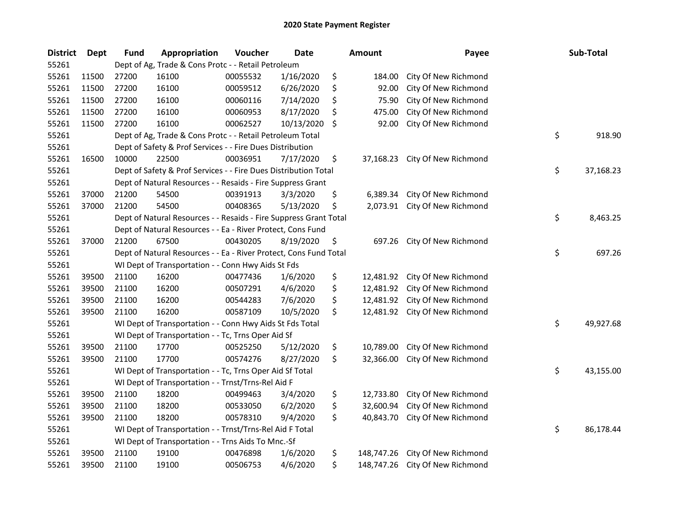## 2020 State Payment Register

| <b>District</b> | <b>Dept</b> | <b>Fund</b> | Appropriation                                                     | Voucher  | <b>Date</b> | <b>Amount</b>    | Payee                          | Sub-Total       |
|-----------------|-------------|-------------|-------------------------------------------------------------------|----------|-------------|------------------|--------------------------------|-----------------|
| 55261           |             |             | Dept of Ag, Trade & Cons Protc - - Retail Petroleum               |          |             |                  |                                |                 |
| 55261           | 11500       | 27200       | 16100                                                             | 00055532 | 1/16/2020   | \$<br>184.00     | City Of New Richmond           |                 |
| 55261           | 11500       | 27200       | 16100                                                             | 00059512 | 6/26/2020   | \$<br>92.00      | City Of New Richmond           |                 |
| 55261           | 11500       | 27200       | 16100                                                             | 00060116 | 7/14/2020   | \$<br>75.90      | City Of New Richmond           |                 |
| 55261           | 11500       | 27200       | 16100                                                             | 00060953 | 8/17/2020   | \$<br>475.00     | City Of New Richmond           |                 |
| 55261           | 11500       | 27200       | 16100                                                             | 00062527 | 10/13/2020  | \$<br>92.00      | City Of New Richmond           |                 |
| 55261           |             |             | Dept of Ag, Trade & Cons Protc - - Retail Petroleum Total         |          |             |                  |                                | \$<br>918.90    |
| 55261           |             |             | Dept of Safety & Prof Services - - Fire Dues Distribution         |          |             |                  |                                |                 |
| 55261           | 16500       | 10000       | 22500                                                             | 00036951 | 7/17/2020   | \$               | 37,168.23 City Of New Richmond |                 |
| 55261           |             |             | Dept of Safety & Prof Services - - Fire Dues Distribution Total   |          |             |                  |                                | \$<br>37,168.23 |
| 55261           |             |             | Dept of Natural Resources - - Resaids - Fire Suppress Grant       |          |             |                  |                                |                 |
| 55261           | 37000       | 21200       | 54500                                                             | 00391913 | 3/3/2020    | \$<br>6,389.34   | City Of New Richmond           |                 |
| 55261           | 37000       | 21200       | 54500                                                             | 00408365 | 5/13/2020   | \$<br>2,073.91   | City Of New Richmond           |                 |
| 55261           |             |             | Dept of Natural Resources - - Resaids - Fire Suppress Grant Total |          |             |                  |                                | \$<br>8,463.25  |
| 55261           |             |             | Dept of Natural Resources - - Ea - River Protect, Cons Fund       |          |             |                  |                                |                 |
| 55261           | 37000       | 21200       | 67500                                                             | 00430205 | 8/19/2020   | \$<br>697.26     | City Of New Richmond           |                 |
| 55261           |             |             | Dept of Natural Resources - - Ea - River Protect, Cons Fund Total |          |             |                  |                                | \$<br>697.26    |
| 55261           |             |             | WI Dept of Transportation - - Conn Hwy Aids St Fds                |          |             |                  |                                |                 |
| 55261           | 39500       | 21100       | 16200                                                             | 00477436 | 1/6/2020    | \$<br>12,481.92  | City Of New Richmond           |                 |
| 55261           | 39500       | 21100       | 16200                                                             | 00507291 | 4/6/2020    | \$<br>12,481.92  | City Of New Richmond           |                 |
| 55261           | 39500       | 21100       | 16200                                                             | 00544283 | 7/6/2020    | \$<br>12,481.92  | City Of New Richmond           |                 |
| 55261           | 39500       | 21100       | 16200                                                             | 00587109 | 10/5/2020   | \$               | 12,481.92 City Of New Richmond |                 |
| 55261           |             |             | WI Dept of Transportation - - Conn Hwy Aids St Fds Total          |          |             |                  |                                | \$<br>49,927.68 |
| 55261           |             |             | WI Dept of Transportation - - Tc, Trns Oper Aid Sf                |          |             |                  |                                |                 |
| 55261           | 39500       | 21100       | 17700                                                             | 00525250 | 5/12/2020   | \$<br>10,789.00  | City Of New Richmond           |                 |
| 55261           | 39500       | 21100       | 17700                                                             | 00574276 | 8/27/2020   | \$<br>32,366.00  | City Of New Richmond           |                 |
| 55261           |             |             | WI Dept of Transportation - - Tc, Trns Oper Aid Sf Total          |          |             |                  |                                | \$<br>43,155.00 |
| 55261           |             |             | WI Dept of Transportation - - Trnst/Trns-Rel Aid F                |          |             |                  |                                |                 |
| 55261           | 39500       | 21100       | 18200                                                             | 00499463 | 3/4/2020    | \$<br>12,733.80  | City Of New Richmond           |                 |
| 55261           | 39500       | 21100       | 18200                                                             | 00533050 | 6/2/2020    | \$<br>32,600.94  | City Of New Richmond           |                 |
| 55261           | 39500       | 21100       | 18200                                                             | 00578310 | 9/4/2020    | \$<br>40,843.70  | City Of New Richmond           |                 |
| 55261           |             |             | WI Dept of Transportation - - Trnst/Trns-Rel Aid F Total          |          |             |                  |                                | \$<br>86,178.44 |
| 55261           |             |             | WI Dept of Transportation - - Trns Aids To Mnc.-Sf                |          |             |                  |                                |                 |
| 55261           | 39500       | 21100       | 19100                                                             | 00476898 | 1/6/2020    | \$<br>148,747.26 | City Of New Richmond           |                 |
| 55261           | 39500       | 21100       | 19100                                                             | 00506753 | 4/6/2020    | \$<br>148,747.26 | City Of New Richmond           |                 |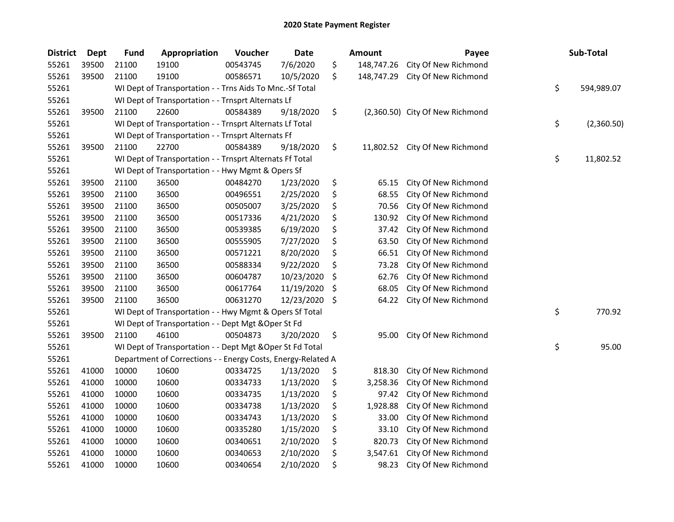| <b>District</b> | <b>Dept</b> | <b>Fund</b> | Appropriation                                                | Voucher  | Date       | <b>Amount</b>    | Payee                           | Sub-Total        |
|-----------------|-------------|-------------|--------------------------------------------------------------|----------|------------|------------------|---------------------------------|------------------|
| 55261           | 39500       | 21100       | 19100                                                        | 00543745 | 7/6/2020   | \$<br>148,747.26 | City Of New Richmond            |                  |
| 55261           | 39500       | 21100       | 19100                                                        | 00586571 | 10/5/2020  | \$<br>148,747.29 | City Of New Richmond            |                  |
| 55261           |             |             | WI Dept of Transportation - - Trns Aids To Mnc.-Sf Total     |          |            |                  |                                 | \$<br>594,989.07 |
| 55261           |             |             | WI Dept of Transportation - - Trnsprt Alternats Lf           |          |            |                  |                                 |                  |
| 55261           | 39500       | 21100       | 22600                                                        | 00584389 | 9/18/2020  | \$               | (2,360.50) City Of New Richmond |                  |
| 55261           |             |             | WI Dept of Transportation - - Trnsprt Alternats Lf Total     |          |            |                  |                                 | \$<br>(2,360.50) |
| 55261           |             |             | WI Dept of Transportation - - Trnsprt Alternats Ff           |          |            |                  |                                 |                  |
| 55261           | 39500       | 21100       | 22700                                                        | 00584389 | 9/18/2020  | \$               | 11,802.52 City Of New Richmond  |                  |
| 55261           |             |             | WI Dept of Transportation - - Trnsprt Alternats Ff Total     |          |            |                  |                                 | \$<br>11,802.52  |
| 55261           |             |             | WI Dept of Transportation - - Hwy Mgmt & Opers Sf            |          |            |                  |                                 |                  |
| 55261           | 39500       | 21100       | 36500                                                        | 00484270 | 1/23/2020  | \$<br>65.15      | City Of New Richmond            |                  |
| 55261           | 39500       | 21100       | 36500                                                        | 00496551 | 2/25/2020  | \$<br>68.55      | City Of New Richmond            |                  |
| 55261           | 39500       | 21100       | 36500                                                        | 00505007 | 3/25/2020  | \$<br>70.56      | City Of New Richmond            |                  |
| 55261           | 39500       | 21100       | 36500                                                        | 00517336 | 4/21/2020  | \$<br>130.92     | City Of New Richmond            |                  |
| 55261           | 39500       | 21100       | 36500                                                        | 00539385 | 6/19/2020  | \$<br>37.42      | City Of New Richmond            |                  |
| 55261           | 39500       | 21100       | 36500                                                        | 00555905 | 7/27/2020  | \$<br>63.50      | City Of New Richmond            |                  |
| 55261           | 39500       | 21100       | 36500                                                        | 00571221 | 8/20/2020  | \$<br>66.51      | City Of New Richmond            |                  |
| 55261           | 39500       | 21100       | 36500                                                        | 00588334 | 9/22/2020  | \$<br>73.28      | City Of New Richmond            |                  |
| 55261           | 39500       | 21100       | 36500                                                        | 00604787 | 10/23/2020 | \$<br>62.76      | City Of New Richmond            |                  |
| 55261           | 39500       | 21100       | 36500                                                        | 00617764 | 11/19/2020 | \$<br>68.05      | City Of New Richmond            |                  |
| 55261           | 39500       | 21100       | 36500                                                        | 00631270 | 12/23/2020 | \$<br>64.22      | City Of New Richmond            |                  |
| 55261           |             |             | WI Dept of Transportation - - Hwy Mgmt & Opers Sf Total      |          |            |                  |                                 | \$<br>770.92     |
| 55261           |             |             | WI Dept of Transportation - - Dept Mgt & Oper St Fd          |          |            |                  |                                 |                  |
| 55261           | 39500       | 21100       | 46100                                                        | 00504873 | 3/20/2020  | \$<br>95.00      | City Of New Richmond            |                  |
| 55261           |             |             | WI Dept of Transportation - - Dept Mgt & Oper St Fd Total    |          |            |                  |                                 | \$<br>95.00      |
| 55261           |             |             | Department of Corrections - - Energy Costs, Energy-Related A |          |            |                  |                                 |                  |
| 55261           | 41000       | 10000       | 10600                                                        | 00334725 | 1/13/2020  | \$<br>818.30     | City Of New Richmond            |                  |
| 55261           | 41000       | 10000       | 10600                                                        | 00334733 | 1/13/2020  | \$<br>3,258.36   | City Of New Richmond            |                  |
| 55261           | 41000       | 10000       | 10600                                                        | 00334735 | 1/13/2020  | \$<br>97.42      | City Of New Richmond            |                  |
| 55261           | 41000       | 10000       | 10600                                                        | 00334738 | 1/13/2020  | \$<br>1,928.88   | City Of New Richmond            |                  |
| 55261           | 41000       | 10000       | 10600                                                        | 00334743 | 1/13/2020  | \$<br>33.00      | City Of New Richmond            |                  |
| 55261           | 41000       | 10000       | 10600                                                        | 00335280 | 1/15/2020  | \$<br>33.10      | City Of New Richmond            |                  |
| 55261           | 41000       | 10000       | 10600                                                        | 00340651 | 2/10/2020  | \$<br>820.73     | City Of New Richmond            |                  |
| 55261           | 41000       | 10000       | 10600                                                        | 00340653 | 2/10/2020  | \$<br>3,547.61   | City Of New Richmond            |                  |
| 55261           | 41000       | 10000       | 10600                                                        | 00340654 | 2/10/2020  | \$<br>98.23      | City Of New Richmond            |                  |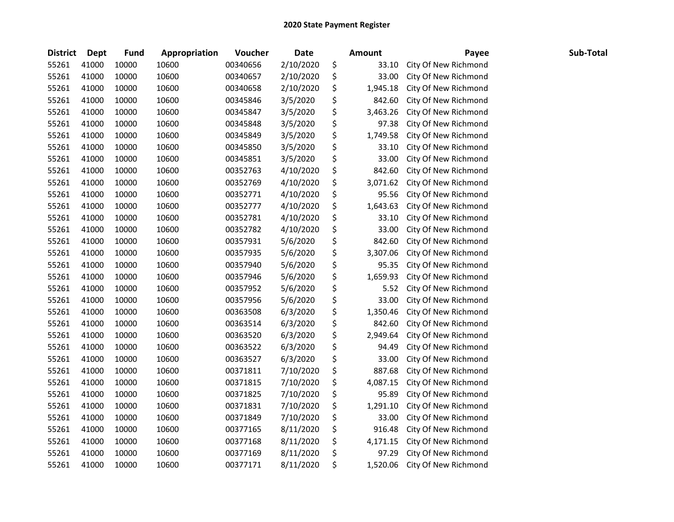| <b>District</b> | <b>Dept</b> | <b>Fund</b> | Appropriation | Voucher  | Date      | <b>Amount</b>  | Payee                | Sub-Total |
|-----------------|-------------|-------------|---------------|----------|-----------|----------------|----------------------|-----------|
| 55261           | 41000       | 10000       | 10600         | 00340656 | 2/10/2020 | \$<br>33.10    | City Of New Richmond |           |
| 55261           | 41000       | 10000       | 10600         | 00340657 | 2/10/2020 | \$<br>33.00    | City Of New Richmond |           |
| 55261           | 41000       | 10000       | 10600         | 00340658 | 2/10/2020 | \$<br>1,945.18 | City Of New Richmond |           |
| 55261           | 41000       | 10000       | 10600         | 00345846 | 3/5/2020  | \$<br>842.60   | City Of New Richmond |           |
| 55261           | 41000       | 10000       | 10600         | 00345847 | 3/5/2020  | \$<br>3,463.26 | City Of New Richmond |           |
| 55261           | 41000       | 10000       | 10600         | 00345848 | 3/5/2020  | \$<br>97.38    | City Of New Richmond |           |
| 55261           | 41000       | 10000       | 10600         | 00345849 | 3/5/2020  | \$<br>1,749.58 | City Of New Richmond |           |
| 55261           | 41000       | 10000       | 10600         | 00345850 | 3/5/2020  | \$<br>33.10    | City Of New Richmond |           |
| 55261           | 41000       | 10000       | 10600         | 00345851 | 3/5/2020  | \$<br>33.00    | City Of New Richmond |           |
| 55261           | 41000       | 10000       | 10600         | 00352763 | 4/10/2020 | \$<br>842.60   | City Of New Richmond |           |
| 55261           | 41000       | 10000       | 10600         | 00352769 | 4/10/2020 | \$<br>3,071.62 | City Of New Richmond |           |
| 55261           | 41000       | 10000       | 10600         | 00352771 | 4/10/2020 | \$<br>95.56    | City Of New Richmond |           |
| 55261           | 41000       | 10000       | 10600         | 00352777 | 4/10/2020 | \$<br>1,643.63 | City Of New Richmond |           |
| 55261           | 41000       | 10000       | 10600         | 00352781 | 4/10/2020 | \$<br>33.10    | City Of New Richmond |           |
| 55261           | 41000       | 10000       | 10600         | 00352782 | 4/10/2020 | \$<br>33.00    | City Of New Richmond |           |
| 55261           | 41000       | 10000       | 10600         | 00357931 | 5/6/2020  | \$<br>842.60   | City Of New Richmond |           |
| 55261           | 41000       | 10000       | 10600         | 00357935 | 5/6/2020  | \$<br>3,307.06 | City Of New Richmond |           |
| 55261           | 41000       | 10000       | 10600         | 00357940 | 5/6/2020  | \$<br>95.35    | City Of New Richmond |           |
| 55261           | 41000       | 10000       | 10600         | 00357946 | 5/6/2020  | \$<br>1,659.93 | City Of New Richmond |           |
| 55261           | 41000       | 10000       | 10600         | 00357952 | 5/6/2020  | \$<br>5.52     | City Of New Richmond |           |
| 55261           | 41000       | 10000       | 10600         | 00357956 | 5/6/2020  | \$<br>33.00    | City Of New Richmond |           |
| 55261           | 41000       | 10000       | 10600         | 00363508 | 6/3/2020  | \$<br>1,350.46 | City Of New Richmond |           |
| 55261           | 41000       | 10000       | 10600         | 00363514 | 6/3/2020  | \$<br>842.60   | City Of New Richmond |           |
| 55261           | 41000       | 10000       | 10600         | 00363520 | 6/3/2020  | \$<br>2,949.64 | City Of New Richmond |           |
| 55261           | 41000       | 10000       | 10600         | 00363522 | 6/3/2020  | \$<br>94.49    | City Of New Richmond |           |
| 55261           | 41000       | 10000       | 10600         | 00363527 | 6/3/2020  | \$<br>33.00    | City Of New Richmond |           |
| 55261           | 41000       | 10000       | 10600         | 00371811 | 7/10/2020 | \$<br>887.68   | City Of New Richmond |           |
| 55261           | 41000       | 10000       | 10600         | 00371815 | 7/10/2020 | \$<br>4,087.15 | City Of New Richmond |           |
| 55261           | 41000       | 10000       | 10600         | 00371825 | 7/10/2020 | \$<br>95.89    | City Of New Richmond |           |
| 55261           | 41000       | 10000       | 10600         | 00371831 | 7/10/2020 | \$<br>1,291.10 | City Of New Richmond |           |
| 55261           | 41000       | 10000       | 10600         | 00371849 | 7/10/2020 | \$<br>33.00    | City Of New Richmond |           |
| 55261           | 41000       | 10000       | 10600         | 00377165 | 8/11/2020 | \$<br>916.48   | City Of New Richmond |           |
| 55261           | 41000       | 10000       | 10600         | 00377168 | 8/11/2020 | \$<br>4,171.15 | City Of New Richmond |           |
| 55261           | 41000       | 10000       | 10600         | 00377169 | 8/11/2020 | \$<br>97.29    | City Of New Richmond |           |
| 55261           | 41000       | 10000       | 10600         | 00377171 | 8/11/2020 | \$<br>1,520.06 | City Of New Richmond |           |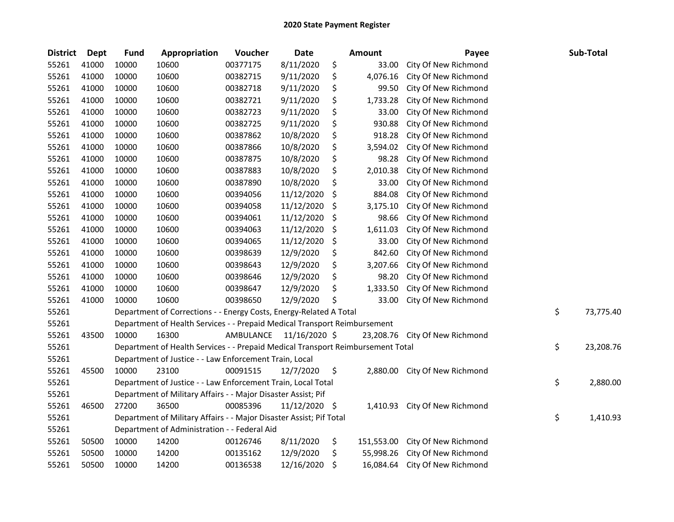| <b>District</b> | <b>Dept</b> | <b>Fund</b> | Appropriation                                                                   | Voucher   | <b>Date</b>   | <b>Amount</b>    | Payee                         | Sub-Total       |
|-----------------|-------------|-------------|---------------------------------------------------------------------------------|-----------|---------------|------------------|-------------------------------|-----------------|
| 55261           | 41000       | 10000       | 10600                                                                           | 00377175  | 8/11/2020     | \$<br>33.00      | City Of New Richmond          |                 |
| 55261           | 41000       | 10000       | 10600                                                                           | 00382715  | 9/11/2020     | \$<br>4,076.16   | City Of New Richmond          |                 |
| 55261           | 41000       | 10000       | 10600                                                                           | 00382718  | 9/11/2020     | \$<br>99.50      | City Of New Richmond          |                 |
| 55261           | 41000       | 10000       | 10600                                                                           | 00382721  | 9/11/2020     | \$<br>1,733.28   | City Of New Richmond          |                 |
| 55261           | 41000       | 10000       | 10600                                                                           | 00382723  | 9/11/2020     | \$<br>33.00      | City Of New Richmond          |                 |
| 55261           | 41000       | 10000       | 10600                                                                           | 00382725  | 9/11/2020     | \$<br>930.88     | City Of New Richmond          |                 |
| 55261           | 41000       | 10000       | 10600                                                                           | 00387862  | 10/8/2020     | \$<br>918.28     | City Of New Richmond          |                 |
| 55261           | 41000       | 10000       | 10600                                                                           | 00387866  | 10/8/2020     | \$<br>3,594.02   | City Of New Richmond          |                 |
| 55261           | 41000       | 10000       | 10600                                                                           | 00387875  | 10/8/2020     | \$<br>98.28      | City Of New Richmond          |                 |
| 55261           | 41000       | 10000       | 10600                                                                           | 00387883  | 10/8/2020     | \$<br>2,010.38   | City Of New Richmond          |                 |
| 55261           | 41000       | 10000       | 10600                                                                           | 00387890  | 10/8/2020     | \$<br>33.00      | City Of New Richmond          |                 |
| 55261           | 41000       | 10000       | 10600                                                                           | 00394056  | 11/12/2020    | \$<br>884.08     | City Of New Richmond          |                 |
| 55261           | 41000       | 10000       | 10600                                                                           | 00394058  | 11/12/2020    | \$<br>3,175.10   | City Of New Richmond          |                 |
| 55261           | 41000       | 10000       | 10600                                                                           | 00394061  | 11/12/2020    | \$<br>98.66      | City Of New Richmond          |                 |
| 55261           | 41000       | 10000       | 10600                                                                           | 00394063  | 11/12/2020    | \$<br>1,611.03   | City Of New Richmond          |                 |
| 55261           | 41000       | 10000       | 10600                                                                           | 00394065  | 11/12/2020    | \$<br>33.00      | City Of New Richmond          |                 |
| 55261           | 41000       | 10000       | 10600                                                                           | 00398639  | 12/9/2020     | \$<br>842.60     | City Of New Richmond          |                 |
| 55261           | 41000       | 10000       | 10600                                                                           | 00398643  | 12/9/2020     | \$<br>3,207.66   | City Of New Richmond          |                 |
| 55261           | 41000       | 10000       | 10600                                                                           | 00398646  | 12/9/2020     | \$<br>98.20      | City Of New Richmond          |                 |
| 55261           | 41000       | 10000       | 10600                                                                           | 00398647  | 12/9/2020     | \$<br>1,333.50   | City Of New Richmond          |                 |
| 55261           | 41000       | 10000       | 10600                                                                           | 00398650  | 12/9/2020     | \$<br>33.00      | City Of New Richmond          |                 |
| 55261           |             |             | Department of Corrections - - Energy Costs, Energy-Related A Total              |           |               |                  |                               | \$<br>73,775.40 |
| 55261           |             |             | Department of Health Services - - Prepaid Medical Transport Reimbursement       |           |               |                  |                               |                 |
| 55261           | 43500       | 10000       | 16300                                                                           | AMBULANCE | 11/16/2020 \$ | 23,208.76        | City Of New Richmond          |                 |
| 55261           |             |             | Department of Health Services - - Prepaid Medical Transport Reimbursement Total |           |               |                  |                               | \$<br>23,208.76 |
| 55261           |             |             | Department of Justice - - Law Enforcement Train, Local                          |           |               |                  |                               |                 |
| 55261           | 45500       | 10000       | 23100                                                                           | 00091515  | 12/7/2020     | \$               | 2,880.00 City Of New Richmond |                 |
| 55261           |             |             | Department of Justice - - Law Enforcement Train, Local Total                    |           |               |                  |                               | \$<br>2,880.00  |
| 55261           |             |             | Department of Military Affairs - - Major Disaster Assist; Pif                   |           |               |                  |                               |                 |
| 55261           | 46500       | 27200       | 36500                                                                           | 00085396  | 11/12/2020 \$ | 1,410.93         | City Of New Richmond          |                 |
| 55261           |             |             | Department of Military Affairs - - Major Disaster Assist; Pif Total             |           |               |                  |                               | \$<br>1,410.93  |
| 55261           |             |             | Department of Administration - - Federal Aid                                    |           |               |                  |                               |                 |
| 55261           | 50500       | 10000       | 14200                                                                           | 00126746  | 8/11/2020     | \$<br>151,553.00 | City Of New Richmond          |                 |
| 55261           | 50500       | 10000       | 14200                                                                           | 00135162  | 12/9/2020     | \$<br>55,998.26  | City Of New Richmond          |                 |
| 55261           | 50500       | 10000       | 14200                                                                           | 00136538  | 12/16/2020    | \$<br>16,084.64  | City Of New Richmond          |                 |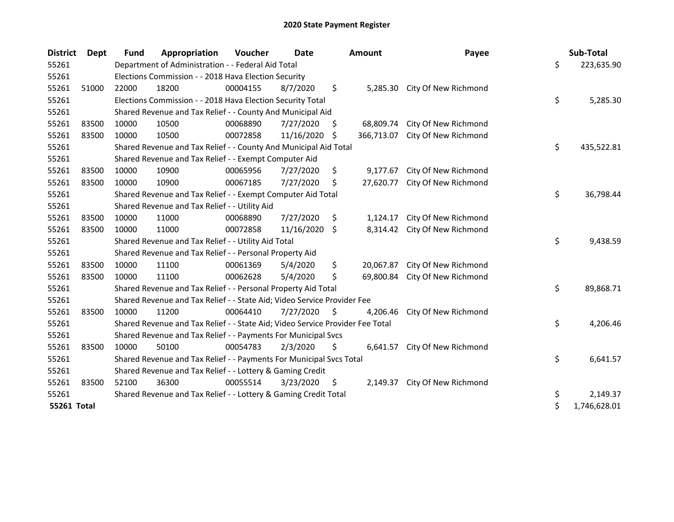## 2020 State Payment Register

| <b>District</b> | Dept  | <b>Fund</b> | Appropriation                                                                 | Voucher  | Date       |     | <b>Amount</b> | Payee                |    | Sub-Total    |
|-----------------|-------|-------------|-------------------------------------------------------------------------------|----------|------------|-----|---------------|----------------------|----|--------------|
| 55261           |       |             | Department of Administration - - Federal Aid Total                            |          |            |     |               |                      | \$ | 223,635.90   |
| 55261           |       |             | Elections Commission - - 2018 Hava Election Security                          |          |            |     |               |                      |    |              |
| 55261           | 51000 | 22000       | 18200                                                                         | 00004155 | 8/7/2020   | \$  | 5,285.30      | City Of New Richmond |    |              |
| 55261           |       |             | Elections Commission - - 2018 Hava Election Security Total                    |          |            |     |               |                      | \$ | 5,285.30     |
| 55261           |       |             | Shared Revenue and Tax Relief - - County And Municipal Aid                    |          |            |     |               |                      |    |              |
| 55261           | 83500 | 10000       | 10500                                                                         | 00068890 | 7/27/2020  | \$. | 68,809.74     | City Of New Richmond |    |              |
| 55261           | 83500 | 10000       | 10500                                                                         | 00072858 | 11/16/2020 | \$  | 366,713.07    | City Of New Richmond |    |              |
| 55261           |       |             | Shared Revenue and Tax Relief - - County And Municipal Aid Total              |          |            |     |               |                      | \$ | 435,522.81   |
| 55261           |       |             | Shared Revenue and Tax Relief - - Exempt Computer Aid                         |          |            |     |               |                      |    |              |
| 55261           | 83500 | 10000       | 10900                                                                         | 00065956 | 7/27/2020  | \$  | 9,177.67      | City Of New Richmond |    |              |
| 55261           | 83500 | 10000       | 10900                                                                         | 00067185 | 7/27/2020  | \$  | 27,620.77     | City Of New Richmond |    |              |
| 55261           |       |             | Shared Revenue and Tax Relief - - Exempt Computer Aid Total                   |          |            |     |               |                      | \$ | 36,798.44    |
| 55261           |       |             | Shared Revenue and Tax Relief - - Utility Aid                                 |          |            |     |               |                      |    |              |
| 55261           | 83500 | 10000       | 11000                                                                         | 00068890 | 7/27/2020  | \$  | 1,124.17      | City Of New Richmond |    |              |
| 55261           | 83500 | 10000       | 11000                                                                         | 00072858 | 11/16/2020 | \$  | 8,314.42      | City Of New Richmond |    |              |
| 55261           |       |             | Shared Revenue and Tax Relief - - Utility Aid Total                           |          |            |     |               |                      | \$ | 9,438.59     |
| 55261           |       |             | Shared Revenue and Tax Relief - - Personal Property Aid                       |          |            |     |               |                      |    |              |
| 55261           | 83500 | 10000       | 11100                                                                         | 00061369 | 5/4/2020   | \$  | 20,067.87     | City Of New Richmond |    |              |
| 55261           | 83500 | 10000       | 11100                                                                         | 00062628 | 5/4/2020   | \$  | 69,800.84     | City Of New Richmond |    |              |
| 55261           |       |             | Shared Revenue and Tax Relief - - Personal Property Aid Total                 |          |            |     |               |                      | \$ | 89,868.71    |
| 55261           |       |             | Shared Revenue and Tax Relief - - State Aid; Video Service Provider Fee       |          |            |     |               |                      |    |              |
| 55261           | 83500 | 10000       | 11200                                                                         | 00064410 | 7/27/2020  | \$  | 4,206.46      | City Of New Richmond |    |              |
| 55261           |       |             | Shared Revenue and Tax Relief - - State Aid; Video Service Provider Fee Total |          |            |     |               |                      | \$ | 4,206.46     |
| 55261           |       |             | Shared Revenue and Tax Relief - - Payments For Municipal Svcs                 |          |            |     |               |                      |    |              |
| 55261           | 83500 | 10000       | 50100                                                                         | 00054783 | 2/3/2020   | \$  | 6,641.57      | City Of New Richmond |    |              |
| 55261           |       |             | Shared Revenue and Tax Relief - - Payments For Municipal Svcs Total           |          |            |     |               |                      | \$ | 6,641.57     |
| 55261           |       |             | Shared Revenue and Tax Relief - - Lottery & Gaming Credit                     |          |            |     |               |                      |    |              |
| 55261           | 83500 | 52100       | 36300                                                                         | 00055514 | 3/23/2020  | \$  | 2,149.37      | City Of New Richmond |    |              |
| 55261           |       |             | Shared Revenue and Tax Relief - - Lottery & Gaming Credit Total               |          |            |     |               |                      | \$ | 2,149.37     |
| 55261 Total     |       |             |                                                                               |          |            |     |               |                      | \$ | 1,746,628.01 |